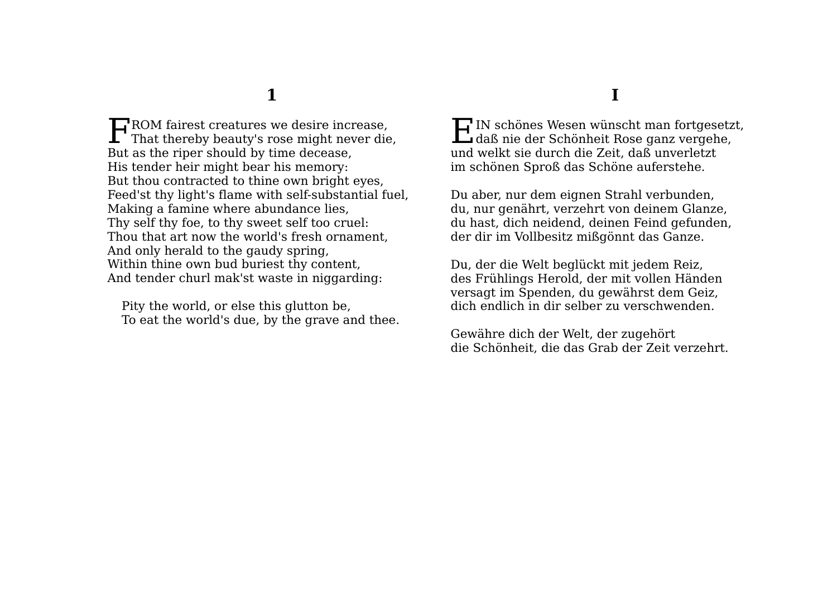$\Box$  ROM fairest creatures we desire increase, FROM fairest creatures we desire increase,<br>That thereby beauty's rose might never die, But as the riper should by time decease, His tender heir might bear his memory: But thou contracted to thine own bright eyes, Feed'st thy light's flame with self-substantial fuel, Making a famine where abundance lies, Thy self thy foe, to thy sweet self too cruel: Thou that art now the world's fresh ornament, And only herald to the gaudy spring, Within thine own bud buriest thy content, And tender churl mak'st waste in niggarding:

Pity the world, or else this glutton be, To eat the world's due, by the grave and thee.

 $\prod$ IN schönes Wesen wünscht man fortgesetzt,<br>daß nie der Schönheit Rose ganz vergehe, daß nie der Schönheit Rose ganz vergehe, und welkt sie durch die Zeit, daß unverletzt im schönen Sproß das Schöne auferstehe.

Du aber, nur dem eignen Strahl verbunden, du, nur genährt, verzehrt von deinem Glanze, du hast, dich neidend, deinen Feind gefunden, der dir im Vollbesitz mißgönnt das Ganze.

Du, der die Welt beglückt mit jedem Reiz, des Frühlings Herold, der mit vollen Händen versagt im Spenden, du gewährst dem Geiz, dich endlich in dir selber zu verschwenden.

Gewähre dich der Welt, der zugehört die Schönheit, die das Grab der Zeit verzehrt.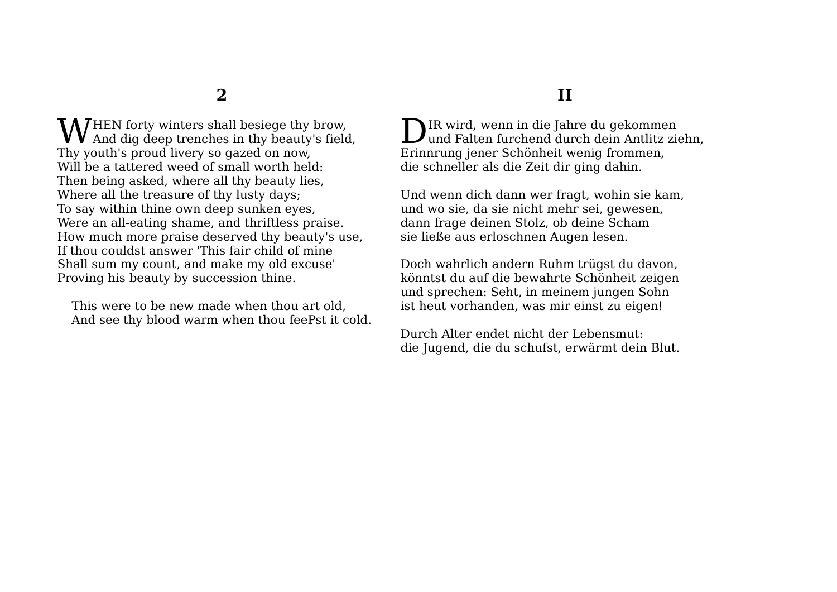HEN forty winters shall besiege thy brow,  $\mathbf{W}$ HEN forty winters shall besiege thy brow,<br> $\mathbf{W}$  And dig deep trenches in thy beauty's field, Thy youth's proud livery so gazed on now, Will be a tattered weed of small worth held: Then being asked, where all thy beauty lies, Where all the treasure of thy lusty days; To say within thine own deep sunken eyes, Were an all-eating shame, and thriftless praise. How much more praise deserved thy beauty's use, If thou couldst answer 'This fair child of mine Shall sum my count, and make my old excuse' Proving his beauty by succession thine.

This were to be new made when thou art old, And see thy blood warm when thou feePst it cold.

### **II**

IR wird, wenn in die Jahre du gekommen **D**IR wird, wenn in die Jahre du gekommen<br>und Falten furchend durch dein Antlitz ziehn, Erinnrung jener Schönheit wenig frommen, die schneller als die Zeit dir ging dahin.

Und wenn dich dann wer fragt, wohin sie kam, und wo sie, da sie nicht mehr sei, gewesen, dann frage deinen Stolz, ob deine Scham sie ließe aus erloschnen Augen lesen.

Doch wahrlich andern Ruhm trügst du davon, könntst du auf die bewahrte Schönheit zeigen und sprechen: Seht, in meinem jungen Sohn ist heut vorhanden, was mir einst zu eigen!

Durch Alter endet nicht der Lebensmut: die Jugend, die du schufst, erwärmt dein Blut.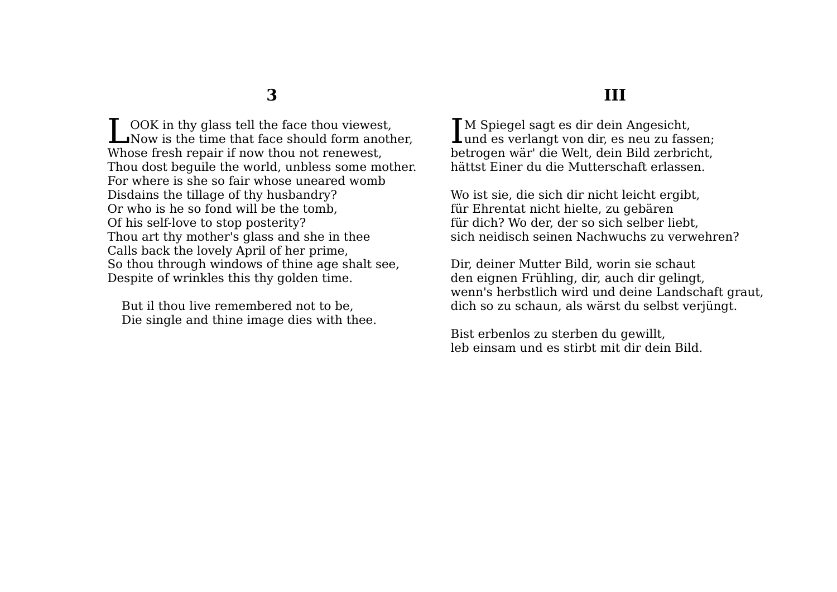OOK in thy glass tell the face thou viewest. **Now** is the time that face should form another, Whose fresh repair if now thou not renewest, Thou dost beguile the world, unbless some mother. For where is she so fair whose uneared womb Disdains the tillage of thy husbandry? Or who is he so fond will be the tomb, Of his self-love to stop posterity? Thou art thy mother's glass and she in thee Calls back the lovely April of her prime, So thou through windows of thine age shalt see, Despite of wrinkles this thy golden time.

But il thou live remembered not to be, Die single and thine image dies with thee.

### **III**

**T**M Spiegel sagt es dir dein Angesicht. IM Spiegel sagt es dir dein Angesicht,<br>und es verlangt von dir, es neu zu fassen; betrogen wär' die Welt, dein Bild zerbricht, hättst Einer du die Mutterschaft erlassen.

Wo ist sie, die sich dir nicht leicht ergibt, für Ehrentat nicht hielte, zu gebären für dich? Wo der, der so sich selber liebt, sich neidisch seinen Nachwuchs zu verwehren?

Dir, deiner Mutter Bild, worin sie schaut den eignen Frühling, dir, auch dir gelingt, wenn's herbstlich wird und deine Landschaft graut, dich so zu schaun, als wärst du selbst verjüngt.

Bist erbenlos zu sterben du gewillt, leb einsam und es stirbt mit dir dein Bild.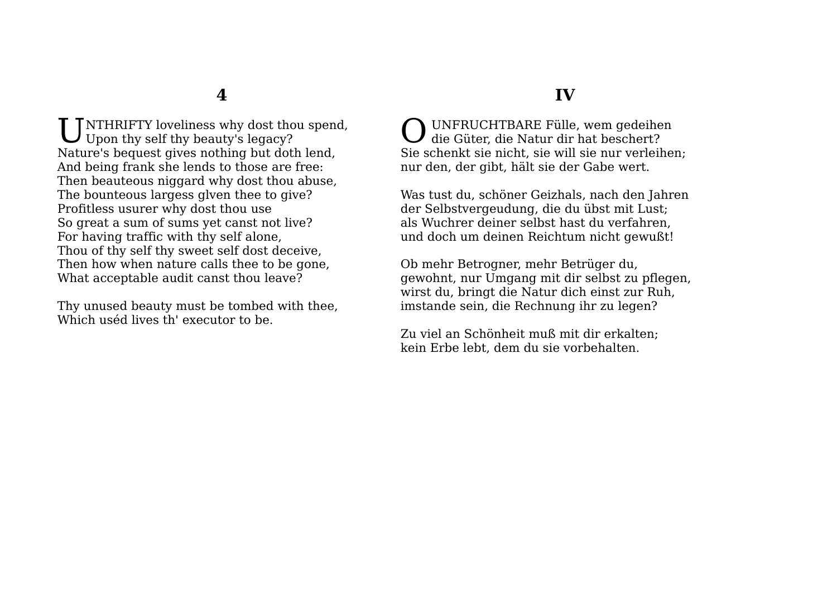UNTHRIFTY loveliness why dost thou spend,<br>Upon thy self thy beauty's legacy? Upon thy self thy beauty's legacy? Nature's bequest gives nothing but doth lend, And being frank she lends to those are free: Then beauteous niggard why dost thou abuse, The bounteous largess glven thee to give? Profitless usurer why dost thou use So great a sum of sums yet canst not live? For having traffic with thy self alone, Thou of thy self thy sweet self dost deceive, Then how when nature calls thee to be gone, What acceptable audit canst thou leave?

Thy unused beauty must be tombed with thee, Which uséd lives th' executor to be.

### **IV**

 UNFRUCHTBARE Fülle, wem gedeihen die Güter, die Natur dir hat beschert? Sie schenkt sie nicht, sie will sie nur verleihen; nur den, der gibt, hält sie der Gabe wert. O

Was tust du, schöner Geizhals, nach den Jahren der Selbstvergeudung, die du übst mit Lust; als Wuchrer deiner selbst hast du verfahren, und doch um deinen Reichtum nicht gewußt!

Ob mehr Betrogner, mehr Betrüger du, gewohnt, nur Umgang mit dir selbst zu pflegen, wirst du, bringt die Natur dich einst zur Ruh, imstande sein, die Rechnung ihr zu legen?

Zu viel an Schönheit muß mit dir erkalten; kein Erbe lebt, dem du sie vorbehalten.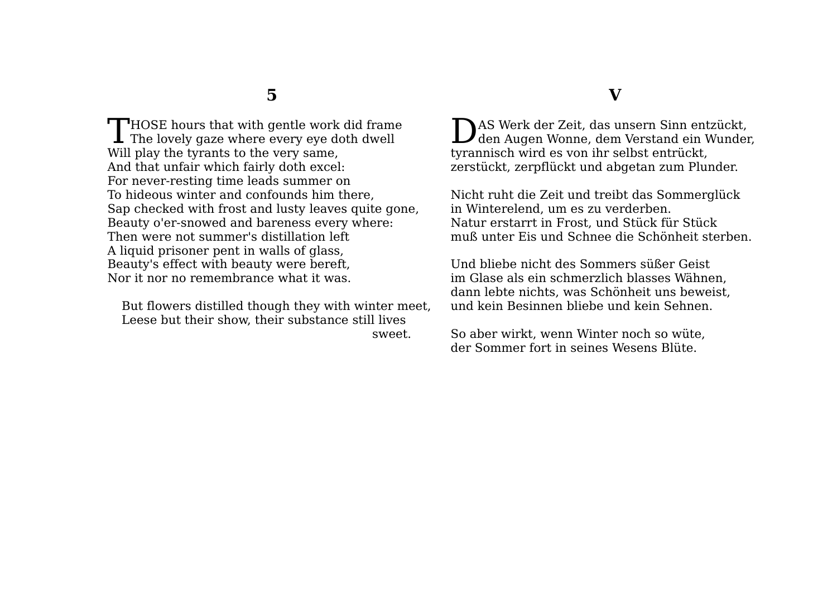$\blacksquare$  HOSE hours that with gentle work did frame THOSE hours that with gentle work did frame<br>The lovely gaze where every eye doth dwell Will play the tyrants to the very same, And that unfair which fairly doth excel: For never-resting time leads summer on To hideous winter and confounds him there, Sap checked with frost and lusty leaves quite gone, Beauty o'er-snowed and bareness every where: Then were not summer's distillation left A liquid prisoner pent in walls of glass, Beauty's effect with beauty were bereft, Nor it nor no remembrance what it was.

But flowers distilled though they with winter meet, Leese but their show, their substance still lives sweet.

#### **V**

AS Werk der Zeit, das unsern Sinn entzückt, DAS Werk der Zeit, das unsern Sinn entzückt,<br>den Augen Wonne, dem Verstand ein Wunder, tyrannisch wird es von ihr selbst entrückt, zerstückt, zerpflückt und abgetan zum Plunder.

Nicht ruht die Zeit und treibt das Sommerglück in Winterelend, um es zu verderben. Natur erstarrt in Frost, und Stück für Stück muß unter Eis und Schnee die Schönheit sterben.

Und bliebe nicht des Sommers süßer Geist im Glase als ein schmerzlich blasses Wähnen, dann lebte nichts, was Schönheit uns beweist, und kein Besinnen bliebe und kein Sehnen.

So aber wirkt, wenn Winter noch so wüte, der Sommer fort in seines Wesens Blüte.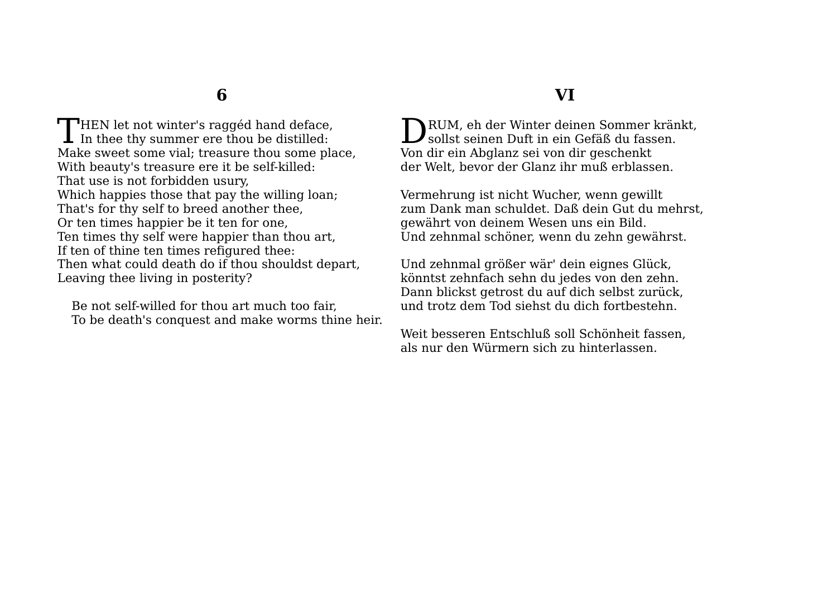**HEN** let not winter's ragged hand deface. THEN let not winter's raggéd hand deface,<br>In thee thy summer ere thou be distilled: Make sweet some vial; treasure thou some place, With beauty's treasure ere it be self-killed: That use is not forbidden usury, Which happies those that pay the willing loan; That's for thy self to breed another thee, Or ten times happier be it ten for one, Ten times thy self were happier than thou art, If ten of thine ten times refigured thee: Then what could death do if thou shouldst depart, Leaving thee living in posterity?

Be not self-willed for thou art much too fair, To be death's conquest and make worms thine heir.

### **VI**

RUM, eh der Winter deinen Sommer kränkt, DRUM, eh der Winter deinen Sommer krän<br>sollst seinen Duft in ein Gefäß du fassen. Von dir ein Abglanz sei von dir geschenkt der Welt, bevor der Glanz ihr muß erblassen.

Vermehrung ist nicht Wucher, wenn gewillt zum Dank man schuldet. Daß dein Gut du mehrst, gewährt von deinem Wesen uns ein Bild. Und zehnmal schöner, wenn du zehn gewährst.

Und zehnmal größer wär' dein eignes Glück, könntst zehnfach sehn du jedes von den zehn. Dann blickst getrost du auf dich selbst zurück, und trotz dem Tod siehst du dich fortbestehn.

Weit besseren Entschluß soll Schönheit fassen, als nur den Würmern sich zu hinterlassen.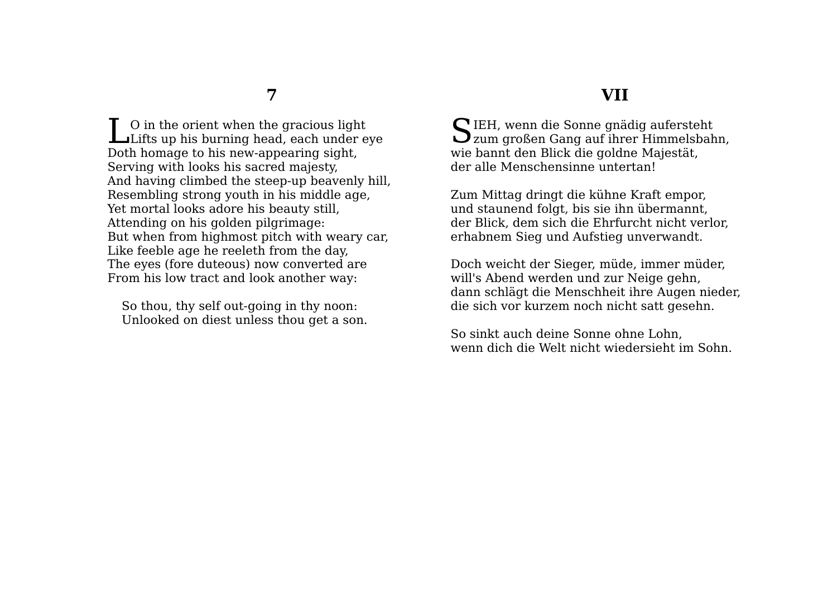O in the orient when the gracious light Let up his burning head, each under eye Doth homage to his new-appearing sight, Serving with looks his sacred majesty, And having climbed the steep-up beavenly hill, Resembling strong youth in his middle age, Yet mortal looks adore his beauty still, Attending on his golden pilgrimage: But when from highmost pitch with weary car, Like feeble age he reeleth from the day, The eyes (fore duteous) now converted are From his low tract and look another way:

So thou, thy self out-going in thy noon: Unlooked on diest unless thou get a son.

### **VII**

SIEH, wenn die Sonne gnädig aufersteht<br>Zum großen Gang auf ihrer Himmelsbah zum großen Gang auf ihrer Himmelsbahn, wie bannt den Blick die goldne Majestät, der alle Menschensinne untertan!

Zum Mittag dringt die kühne Kraft empor, und staunend folgt, bis sie ihn übermannt, der Blick, dem sich die Ehrfurcht nicht verlor, erhabnem Sieg und Aufstieg unverwandt.

Doch weicht der Sieger, müde, immer müder, will's Abend werden und zur Neige gehn, dann schlägt die Menschheit ihre Augen nieder, die sich vor kurzem noch nicht satt gesehn.

So sinkt auch deine Sonne ohne Lohn, wenn dich die Welt nicht wiedersieht im Sohn.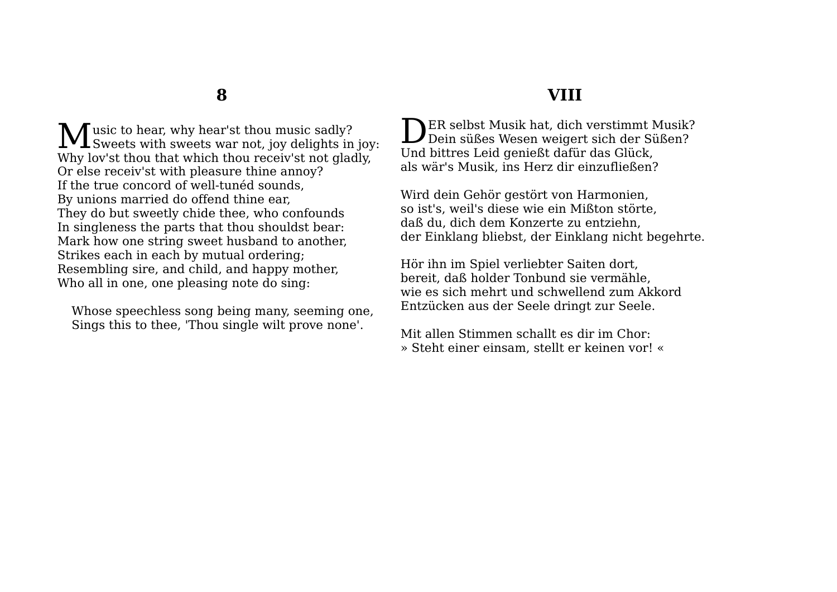usic to hear, why hear'st thou music sadly? Music to hear, why hear'st thou music sadly?<br>Sweets with sweets war not, joy delights in joy: Why lov'st thou that which thou receiv'st not gladly, Or else receiv'st with pleasure thine annoy? If the true concord of well-tunéd sounds, By unions married do offend thine ear, They do but sweetly chide thee, who confounds In singleness the parts that thou shouldst bear: Mark how one string sweet husband to another, Strikes each in each by mutual ordering; Resembling sire, and child, and happy mother, Who all in one, one pleasing note do sing:

Whose speechless song being many, seeming one, Sings this to thee, 'Thou single wilt prove none'.

### **VIII**

**NER selbst Musik hat, dich verstimmt Musik?** DER selbst Musik hat, dich verstimmt Musik?<br>Dein süßes Wesen weigert sich der Süßen? Und bittres Leid genießt dafür das Glück, als wär's Musik, ins Herz dir einzufließen?

Wird dein Gehör gestört von Harmonien, so ist's, weil's diese wie ein Mißton störte, daß du, dich dem Konzerte zu entziehn, der Einklang bliebst, der Einklang nicht begehrte.

Hör ihn im Spiel verliebter Saiten dort, bereit, daß holder Tonbund sie vermähle, wie es sich mehrt und schwellend zum Akkord Entzücken aus der Seele dringt zur Seele.

Mit allen Stimmen schallt es dir im Chor: » Steht einer einsam, stellt er keinen vor! «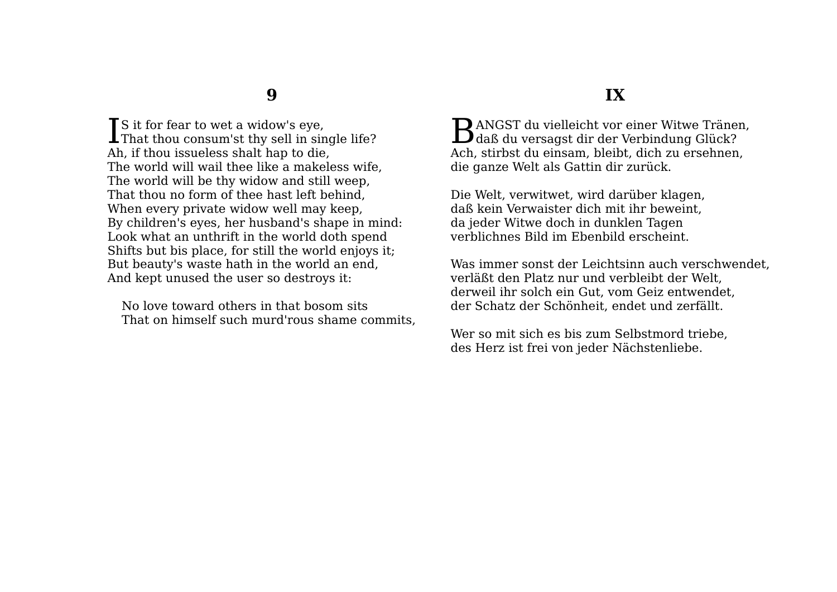$\mathbf{T}$  S it for fear to wet a widow's eve. That thou consum'st thy sell in single life? I Ah, if thou issueless shalt hap to die, The world will wail thee like a makeless wife, The world will be thy widow and still weep, That thou no form of thee hast left behind, When every private widow well may keep, By children's eyes, her husband's shape in mind: Look what an unthrift in the world doth spend Shifts but bis place, for still the world enjoys it; But beauty's waste hath in the world an end, And kept unused the user so destroys it:

No love toward others in that bosom sits That on himself such murd'rous shame commits,

### **IX**

 $\mathbf D$  ANGST du vielleicht vor einer Witwe Tränen, BANGST du vielleicht vor einer Witwe Träner<br>daß du versagst dir der Verbindung Glück? Ach, stirbst du einsam, bleibt, dich zu ersehnen, die ganze Welt als Gattin dir zurück.

Die Welt, verwitwet, wird darüber klagen, daß kein Verwaister dich mit ihr beweint, da jeder Witwe doch in dunklen Tagen verblichnes Bild im Ebenbild erscheint.

Was immer sonst der Leichtsinn auch verschwendet, verläßt den Platz nur und verbleibt der Welt, derweil ihr solch ein Gut, vom Geiz entwendet, der Schatz der Schönheit, endet und zerfällt.

Wer so mit sich es bis zum Selbstmord triebe, des Herz ist frei von jeder Nächstenliebe.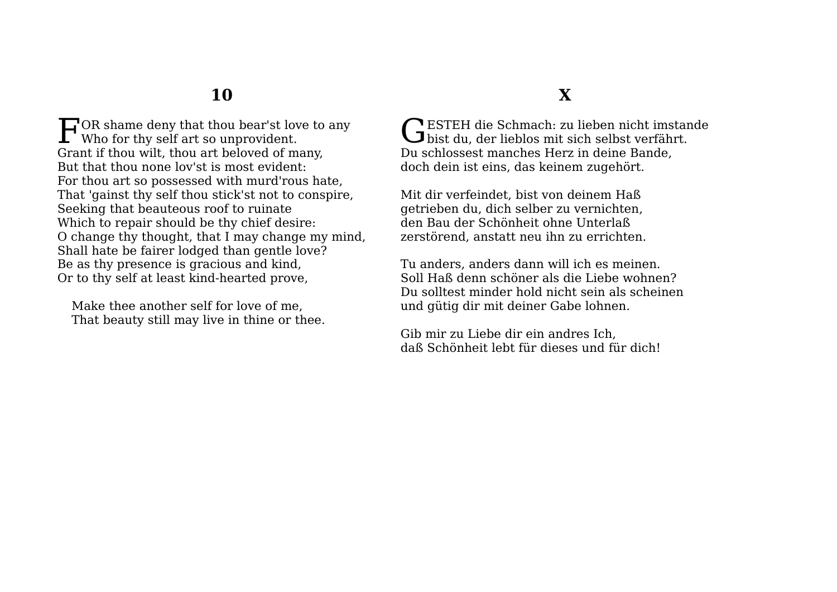$\Box$  OR shame deny that thou bear'st love to any FOR shame deny that thou bear'st low Who for thy self art so unprovident. Grant if thou wilt, thou art beloved of many, But that thou none lov'st is most evident: For thou art so possessed with murd'rous hate, That 'gainst thy self thou stick'st not to conspire, Seeking that beauteous roof to ruinate Which to repair should be thy chief desire: O change thy thought, that I may change my mind, Shall hate be fairer lodged than gentle love? Be as thy presence is gracious and kind, Or to thy self at least kind-hearted prove,

Make thee another self for love of me, That beauty still may live in thine or thee.

# **X**

ESTEH die Schmach: zu lieben nicht imstande GESTEH die Schmach: zu lieben nicht imstander bist du, der lieblos mit sich selbst verfährt. Du schlossest manches Herz in deine Bande, doch dein ist eins, das keinem zugehört.

Mit dir verfeindet, bist von deinem Haß getrieben du, dich selber zu vernichten, den Bau der Schönheit ohne Unterlaß zerstörend, anstatt neu ihn zu errichten.

Tu anders, anders dann will ich es meinen. Soll Haß denn schöner als die Liebe wohnen? Du solltest minder hold nicht sein als scheinen und gütig dir mit deiner Gabe lohnen.

Gib mir zu Liebe dir ein andres Ich, daß Schönheit lebt für dieses und für dich!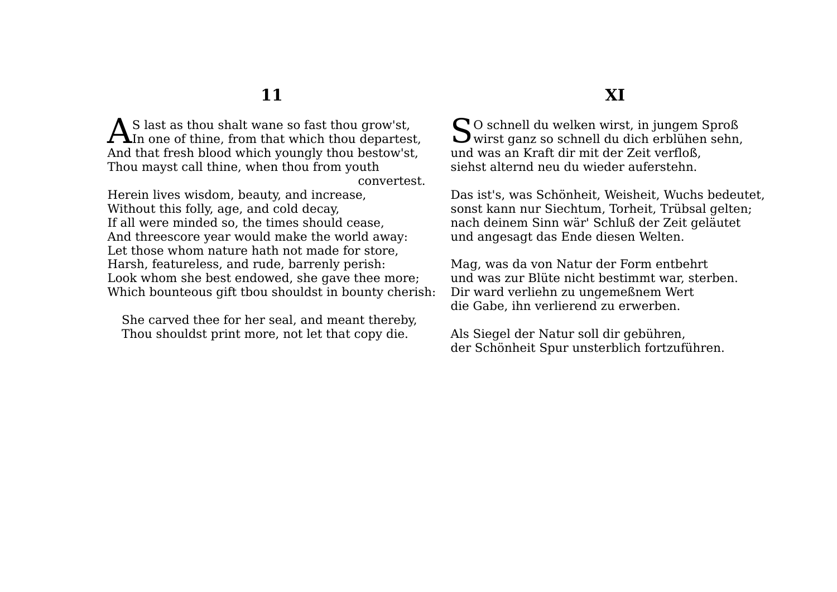$\Lambda$  S last as thou shalt wane so fast thou grow'st,  $\mathbf{A}^{\text{S}}$  last as thou shalt wane so fast thou grow'st,<br>In one of thine, from that which thou departest, And that fresh blood which youngly thou bestow'st, Thou mayst call thine, when thou from youth convertest.

Herein lives wisdom, beauty, and increase, Without this folly, age, and cold decay, If all were minded so, the times should cease, And threescore year would make the world away: Let those whom nature hath not made for store, Harsh, featureless, and rude, barrenly perish: Look whom she best endowed, she gave thee more; Which bounteous gift tbou shouldst in bounty cherish:

She carved thee for her seal, and meant thereby, Thou shouldst print more, not let that copy die.

### **XI**

O schnell du welken wirst, in jungem Sproß  $S^{\text{o}}$  schnell du welken wirst, in jungem Sproß wirst ganz so schnell du dich erblühen sehn, und was an Kraft dir mit der Zeit verfloß, siehst alternd neu du wieder auferstehn.

Das ist's, was Schönheit, Weisheit, Wuchs bedeutet, sonst kann nur Siechtum, Torheit, Trübsal gelten; nach deinem Sinn wär' Schluß der Zeit geläutet und angesagt das Ende diesen Welten.

Mag, was da von Natur der Form entbehrt und was zur Blüte nicht bestimmt war, sterben. Dir ward verliehn zu ungemeßnem Wert die Gabe, ihn verlierend zu erwerben.

Als Siegel der Natur soll dir gebühren, der Schönheit Spur unsterblich fortzuführen.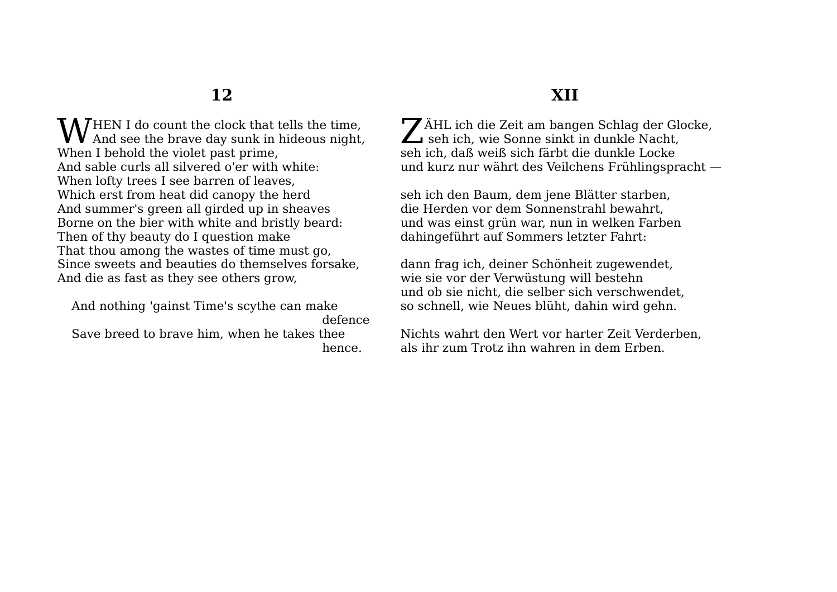**W** HEN I do count the clock that tells the time,<br>And see the brave day sunk in hideous night  $\bf{V}$  And see the brave day sunk in hideous night, When I behold the violet past prime, And sable curls all silvered o'er with white: When lofty trees I see barren of leaves, Which erst from heat did canopy the herd And summer's green all girded up in sheaves Borne on the bier with white and bristly beard: Then of thy beauty do I question make That thou among the wastes of time must go, Since sweets and beauties do themselves forsake, And die as fast as they see others grow,

And nothing 'gainst Time's scythe can make defence Save breed to brave him, when he takes thee hence.

# **XII**

ÄHL ich die Zeit am bangen Schlag der Glocke, ZÄHL ich die Zeit am bangen Schlag der Globald seh ich, wie Sonne sinkt in dunkle Nacht, seh ich, daß weiß sich färbt die dunkle Locke und kurz nur währt des Veilchens Frühlingspracht —

seh ich den Baum, dem jene Blätter starben, die Herden vor dem Sonnenstrahl bewahrt, und was einst grün war, nun in welken Farben dahingeführt auf Sommers letzter Fahrt:

dann frag ich, deiner Schönheit zugewendet, wie sie vor der Verwüstung will bestehn und ob sie nicht, die selber sich verschwendet, so schnell, wie Neues blüht, dahin wird gehn.

Nichts wahrt den Wert vor harter Zeit Verderben, als ihr zum Trotz ihn wahren in dem Erben.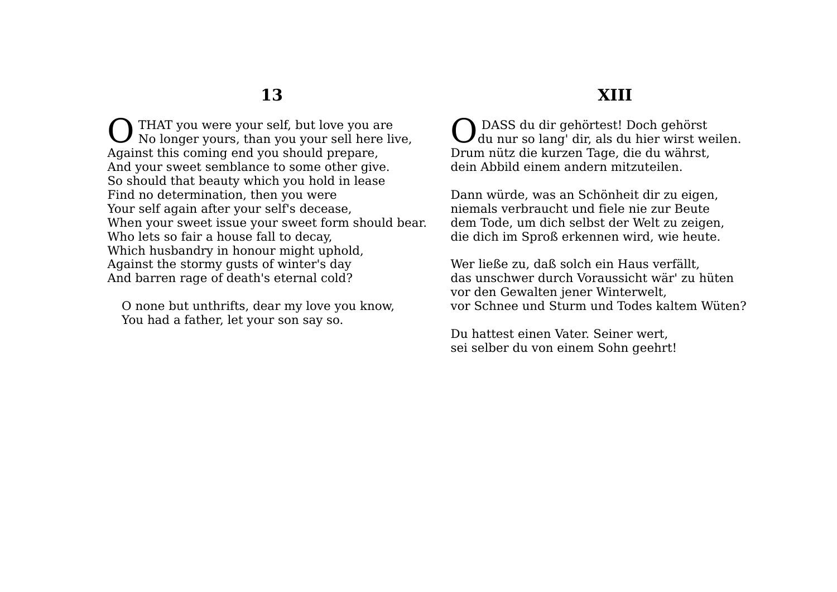THAT you were your self, but love you are No longer yours, than you your sell here live, Against this coming end you should prepare, And your sweet semblance to some other give. So should that beauty which you hold in lease Find no determination, then you were Your self again after your self's decease, When your sweet issue your sweet form should bear. Who lets so fair a house fall to decay, Which husbandry in honour might uphold, Against the stormy gusts of winter's day And barren rage of death's eternal cold? O

O none but unthrifts, dear my love you know, You had a father, let your son say so.

### **XIII**

 DASS du dir gehörtest! Doch gehörst O DASS du dir gehörtest! Doch gehörst<br>du nur so lang' dir, als du hier wirst weilen. Drum nütz die kurzen Tage, die du währst, dein Abbild einem andern mitzuteilen.

Dann würde, was an Schönheit dir zu eigen, niemals verbraucht und fiele nie zur Beute dem Tode, um dich selbst der Welt zu zeigen, die dich im Sproß erkennen wird, wie heute.

Wer ließe zu, daß solch ein Haus verfällt, das unschwer durch Voraussicht wär' zu hüten vor den Gewalten jener Winterwelt, vor Schnee und Sturm und Todes kaltem Wüten?

Du hattest einen Vater. Seiner wert, sei selber du von einem Sohn geehrt!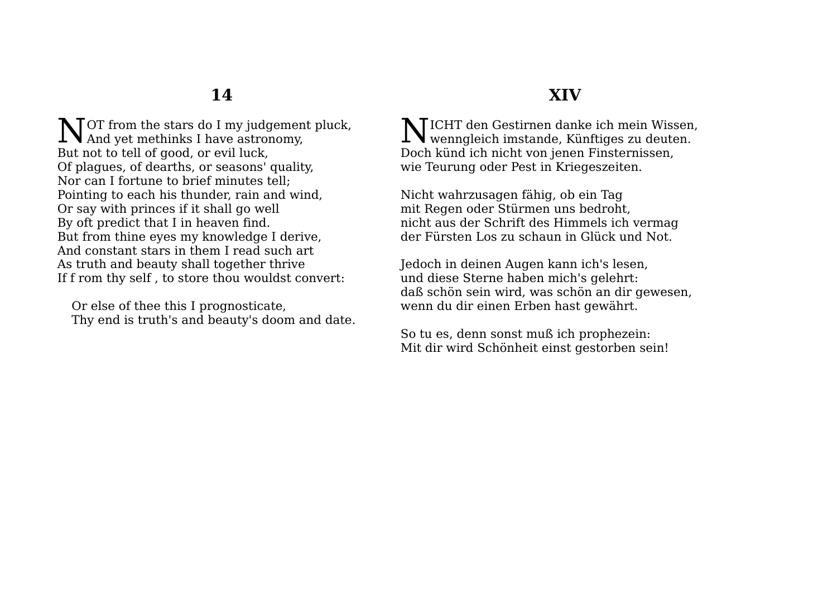$\sum$  TOT from the stars do I my judgement pluck, NOT from the stars do I my judgemen<br>And yet methinks I have astronomy, But not to tell of good, or evil luck, Of plagues, of dearths, or seasons' quality, Nor can I fortune to brief minutes tell; Pointing to each his thunder, rain and wind, Or say with princes if it shall go well By oft predict that I in heaven find. But from thine eyes my knowledge I derive, And constant stars in them I read such art As truth and beauty shall together thrive If f rom thy self , to store thou wouldst convert:

Or else of thee this I prognosticate, Thy end is truth's and beauty's doom and date.

# **XIV**

 $\sum$ ICHT den Gestirnen danke ich mein Wissen,<br>wenngleich imstande, Künftiges zu deuten.  $1$  W wenngleich imstande, Künftiges zu deuten. Doch künd ich nicht von jenen Finsternissen, wie Teurung oder Pest in Kriegeszeiten.

Nicht wahrzusagen fähig, ob ein Tag mit Regen oder Stürmen uns bedroht, nicht aus der Schrift des Himmels ich vermag der Fürsten Los zu schaun in Glück und Not.

Jedoch in deinen Augen kann ich's lesen, und diese Sterne haben mich's gelehrt: daß schön sein wird, was schön an dir gewesen, wenn du dir einen Erben hast gewährt.

So tu es, denn sonst muß ich prophezein: Mit dir wird Schönheit einst gestorben sein!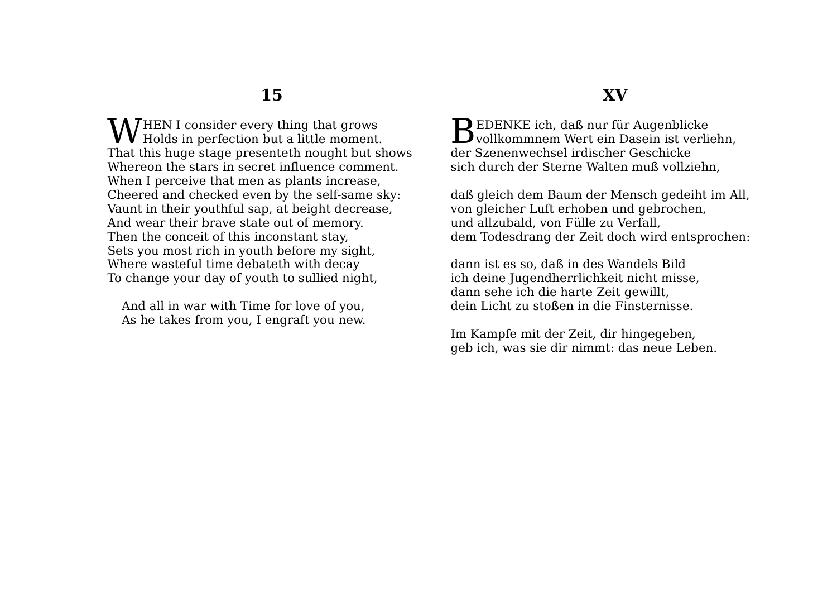HEN I consider every thing that grows WHEN I consider every thing that grows<br>Holds in perfection but a little moment. That this huge stage presenteth nought but shows Whereon the stars in secret influence comment. When I perceive that men as plants increase, Cheered and checked even by the self-same sky: Vaunt in their youthful sap, at beight decrease, And wear their brave state out of memory. Then the conceit of this inconstant stay, Sets you most rich in youth before my sight, Where wasteful time debateth with decay To change your day of youth to sullied night,

And all in war with Time for love of you, As he takes from you, I engraft you new.

### **XV**

 $\mathbf D$  EDENKE ich, daß nur für Augenblicke BEDENKE ich, daß nur für Augenblicke<br>Vollkommnem Wert ein Dasein ist verliehn, der Szenenwechsel irdischer Geschicke sich durch der Sterne Walten muß vollziehn,

daß gleich dem Baum der Mensch gedeiht im All, von gleicher Luft erhoben und gebrochen, und allzubald, von Fülle zu Verfall, dem Todesdrang der Zeit doch wird entsprochen:

dann ist es so, daß in des Wandels Bild ich deine Jugendherrlichkeit nicht misse, dann sehe ich die harte Zeit gewillt, dein Licht zu stoßen in die Finsternisse.

Im Kampfe mit der Zeit, dir hingegeben, geb ich, was sie dir nimmt: das neue Leben.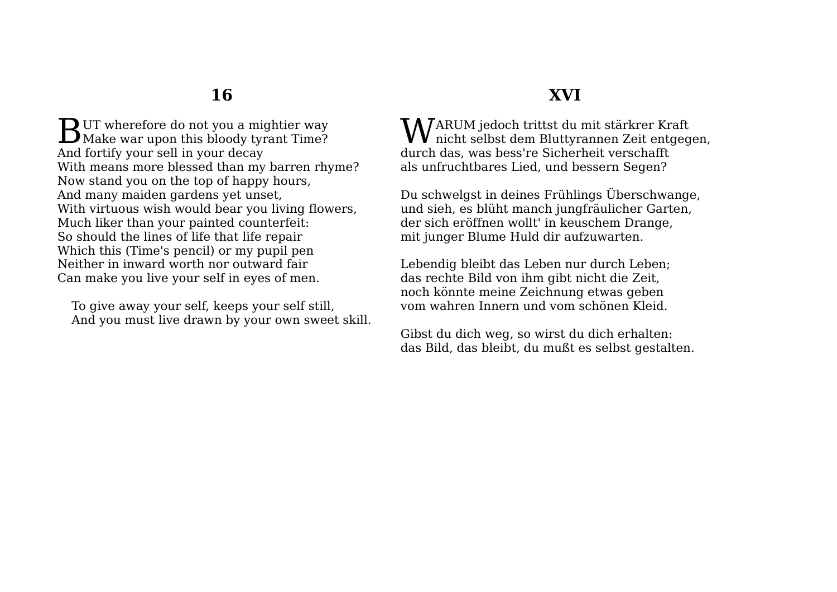**D** UT wherefore do not you a mightier way **B**UT wherefore do not you a mightier way Make war upon this bloody tyrant Time? And fortify your sell in your decay With means more blessed than my barren rhyme? Now stand you on the top of happy hours, And many maiden gardens yet unset, With virtuous wish would bear you living flowers, Much liker than your painted counterfeit: So should the lines of life that life repair Which this (Time's pencil) or my pupil pen Neither in inward worth nor outward fair Can make you live your self in eyes of men.

To give away your self, keeps your self still, And you must live drawn by your own sweet skill.

# **XVI**

 $\mathbf{W}^\mathrm{ARUM\text{}~jedoch\text{}~trittst\text{~du\text{~mit\text{}}\text{~star}krer\text{~Kraft}}$ nicht selbst dem Bluttyrannen Zeit entgeg nicht selbst dem Bluttyrannen Zeit entgegen, durch das, was bess're Sicherheit verschafft als unfruchtbares Lied, und bessern Segen?

Du schwelgst in deines Frühlings Überschwange, und sieh, es blüht manch jungfräulicher Garten, der sich eröffnen wollt' in keuschem Drange, mit junger Blume Huld dir aufzuwarten.

Lebendig bleibt das Leben nur durch Leben; das rechte Bild von ihm gibt nicht die Zeit, noch könnte meine Zeichnung etwas geben vom wahren Innern und vom schönen Kleid.

Gibst du dich weg, so wirst du dich erhalten: das Bild, das bleibt, du mußt es selbst gestalten.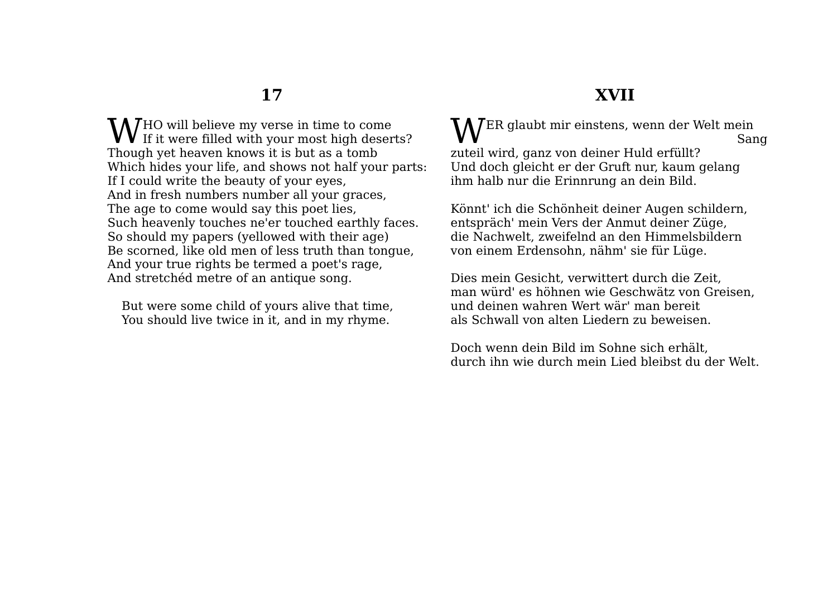HO will believe my verse in time to come **W** If it were filled with your most high deserts? Though yet heaven knows it is but as a tomb Which hides your life, and shows not half your parts: If I could write the beauty of your eyes, And in fresh numbers number all your graces, The age to come would say this poet lies, Such heavenly touches ne'er touched earthly faces. So should my papers (yellowed with their age) Be scorned, like old men of less truth than tongue, And your true rights be termed a poet's rage, And stretchéd metre of an antique song.

But were some child of yours alive that time, You should live twice in it, and in my rhyme.

#### WER glaubt mir einstens, wenn der Welt mein Sang zuteil wird, ganz von deiner Huld erfüllt? Und doch gleicht er der Gruft nur, kaum gelang ihm halb nur die Erinnrung an dein Bild.

Könnt' ich die Schönheit deiner Augen schildern, entspräch' mein Vers der Anmut deiner Züge, die Nachwelt, zweifelnd an den Himmelsbildern von einem Erdensohn, nähm' sie für Lüge.

Dies mein Gesicht, verwittert durch die Zeit, man würd' es höhnen wie Geschwätz von Greisen, und deinen wahren Wert wär' man bereit als Schwall von alten Liedern zu beweisen.

Doch wenn dein Bild im Sohne sich erhält, durch ihn wie durch mein Lied bleibst du der Welt.

# **XVII**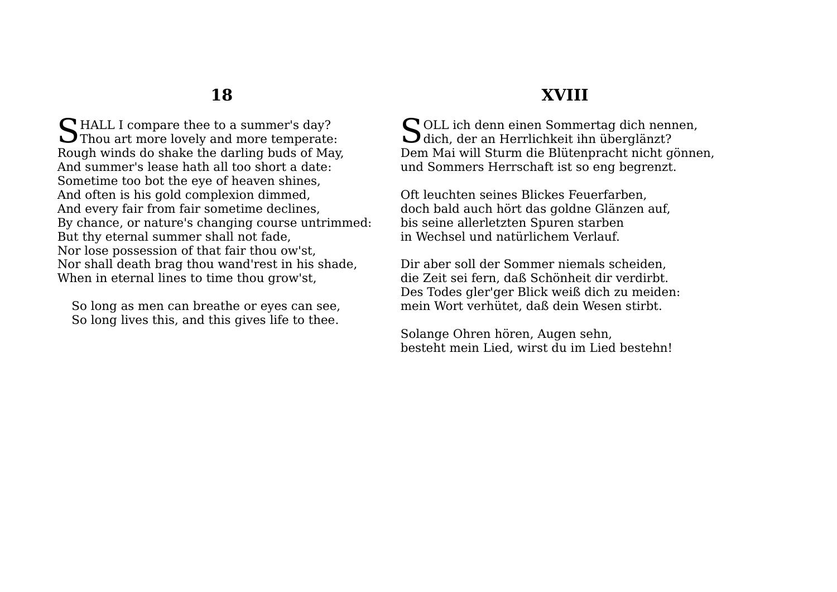HALL I compare thee to a summer's day? SHALL I compare thee to a summer's day?<br>Thou art more lovely and more temperate: Rough winds do shake the darling buds of May, And summer's lease hath all too short a date: Sometime too bot the eye of heaven shines, And often is his gold complexion dimmed, And every fair from fair sometime declines, By chance, or nature's changing course untrimmed: But thy eternal summer shall not fade, Nor lose possession of that fair thou ow'st, Nor shall death brag thou wand'rest in his shade, When in eternal lines to time thou grow'st,

So long as men can breathe or eyes can see, So long lives this, and this gives life to thee.

## **XVIII**

SOLL ich denn einen Sommertag dich nennen,<br>Glich, der an Herrlichkeit ihn überglänzt? dich, der an Herrlichkeit ihn überglänzt? Dem Mai will Sturm die Blütenpracht nicht gönnen, und Sommers Herrschaft ist so eng begrenzt.

Oft leuchten seines Blickes Feuerfarben, doch bald auch hört das goldne Glänzen auf, bis seine allerletzten Spuren starben in Wechsel und natürlichem Verlauf.

Dir aber soll der Sommer niemals scheiden, die Zeit sei fern, daß Schönheit dir verdirbt. Des Todes gler'ger Blick weiß dich zu meiden: mein Wort verhütet, daß dein Wesen stirbt.

Solange Ohren hören, Augen sehn, besteht mein Lied, wirst du im Lied bestehn!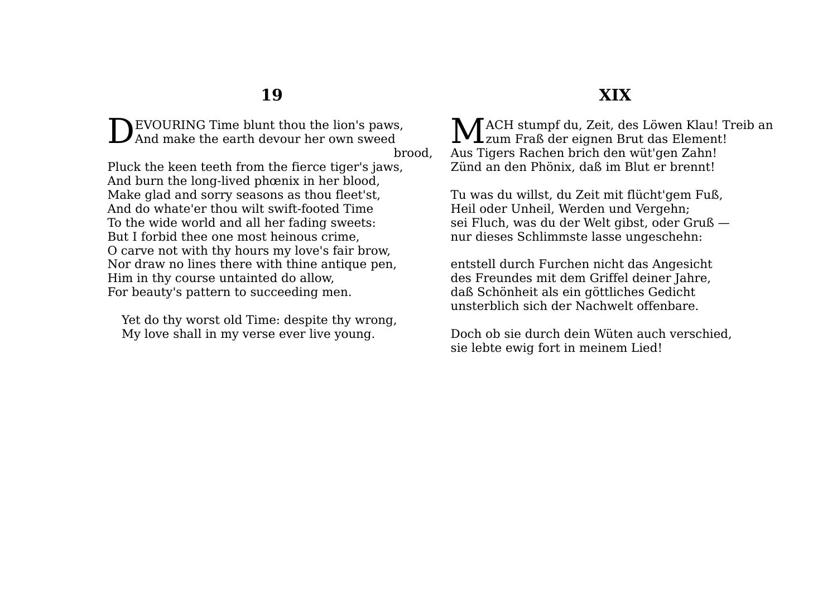EVOURING Time blunt thou the lion's paws, And make the earth devour her own sweed D

brood,

Pluck the keen teeth from the fierce tiger's jaws, And burn the long-lived phœnix in her blood, Make glad and sorry seasons as thou fleet'st, And do whate'er thou wilt swift-footed Time To the wide world and all her fading sweets: But I forbid thee one most heinous crime, O carve not with thy hours my love's fair brow, Nor draw no lines there with thine antique pen, Him in thy course untainted do allow, For beauty's pattern to succeeding men.

Yet do thy worst old Time: despite thy wrong, My love shall in my verse ever live young.

### **XIX**

**MACH** stumpf du, Zeit, des Löwen Klau! Treib an MACH stumpf du, Zeit, des Löwen Klau! T Aus Tigers Rachen brich den wüt'gen Zahn! Zünd an den Phönix, daß im Blut er brennt!

Tu was du willst, du Zeit mit flücht'gem Fuß, Heil oder Unheil, Werden und Vergehn; sei Fluch, was du der Welt gibst, oder Gruß nur dieses Schlimmste lasse ungeschehn:

entstell durch Furchen nicht das Angesicht des Freundes mit dem Griffel deiner Jahre, daß Schönheit als ein göttliches Gedicht unsterblich sich der Nachwelt offenbare.

Doch ob sie durch dein Wüten auch verschied, sie lebte ewig fort in meinem Lied!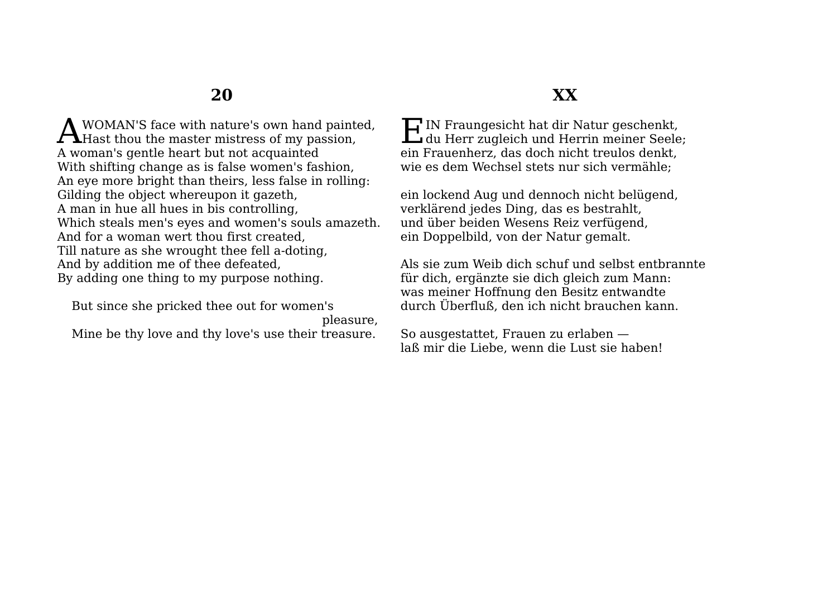WOMAN'S face with nature's own hand painted, A WOMAN'S face with nature's own hand painted Hast thou the master mistress of my passion, A woman's gentle heart but not acquainted With shifting change as is false women's fashion, An eye more bright than theirs, less false in rolling: Gilding the object whereupon it gazeth, A man in hue all hues in bis controlling, Which steals men's eyes and women's souls amazeth. And for a woman wert thou first created, Till nature as she wrought thee fell a-doting, And by addition me of thee defeated, By adding one thing to my purpose nothing.

But since she pricked thee out for women's

pleasure,

Mine be thy love and thy love's use their treasure.

# **XX**

IN Fraungesicht hat dir Natur geschenkt, HIN Fraungesicht hat dir Natur geschenkt,<br>du Herr zugleich und Herrin meiner Seele; ein Frauenherz, das doch nicht treulos denkt, wie es dem Wechsel stets nur sich vermähle;

ein lockend Aug und dennoch nicht belügend, verklärend jedes Ding, das es bestrahlt, und über beiden Wesens Reiz verfügend, ein Doppelbild, von der Natur gemalt.

Als sie zum Weib dich schuf und selbst entbrannte für dich, ergänzte sie dich gleich zum Mann: was meiner Hoffnung den Besitz entwandte durch Überfluß, den ich nicht brauchen kann.

So ausgestattet, Frauen zu erlaben laß mir die Liebe, wenn die Lust sie haben!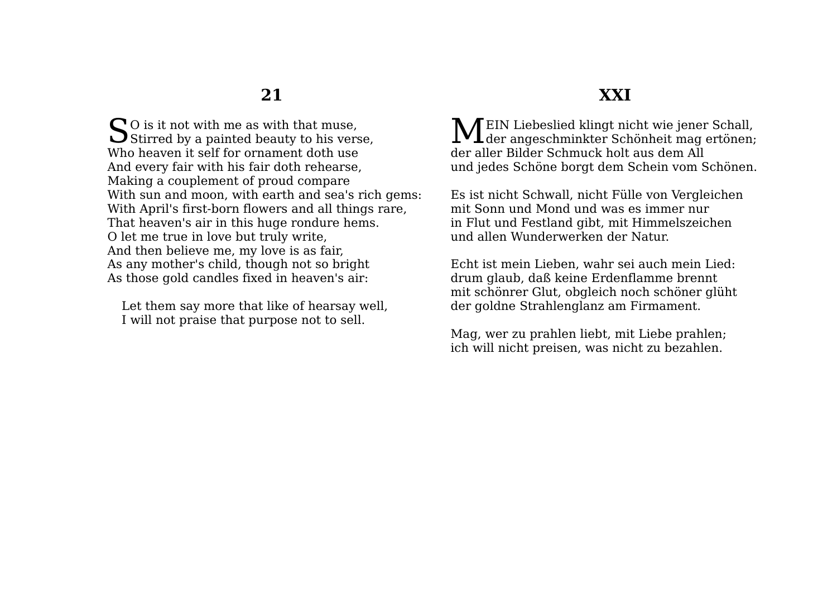$\bigcap$  O is it not with me as with that muse,  $\sum$ O is it not with me as with that muse,<br>Stirred by a painted beauty to his verse, Who heaven it self for ornament doth use And every fair with his fair doth rehearse, Making a couplement of proud compare With sun and moon, with earth and sea's rich gems: With April's first-born flowers and all things rare, That heaven's air in this huge rondure hems. O let me true in love but truly write, And then believe me, my love is as fair, As any mother's child, though not so bright As those gold candles fixed in heaven's air:

Let them say more that like of hearsay well, I will not praise that purpose not to sell.

### **XXI**

MEIN Liebeslied klingt nicht wie jener Schall,<br>der angeschminkter Schönheit mag ertönen; der angeschminkter Schönheit mag ertönen; der aller Bilder Schmuck holt aus dem All und jedes Schöne borgt dem Schein vom Schönen.

Es ist nicht Schwall, nicht Fülle von Vergleichen mit Sonn und Mond und was es immer nur in Flut und Festland gibt, mit Himmelszeichen und allen Wunderwerken der Natur.

Echt ist mein Lieben, wahr sei auch mein Lied: drum glaub, daß keine Erdenflamme brennt mit schönrer Glut, obgleich noch schöner glüht der goldne Strahlenglanz am Firmament.

Mag, wer zu prahlen liebt, mit Liebe prahlen; ich will nicht preisen, was nicht zu bezahlen.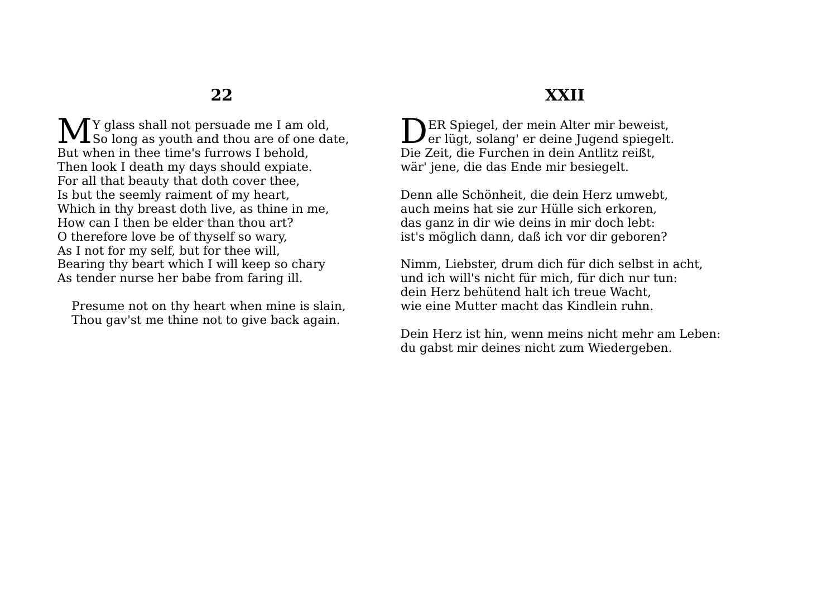Y glass shall not persuade me I am old, M<sub>So long</sub> as youth and thou are of one date, But when in thee time's furrows I behold, Then look I death my days should expiate. For all that beauty that doth cover thee, Is but the seemly raiment of my heart, Which in thy breast doth live, as thine in me, How can I then be elder than thou art? O therefore love be of thyself so wary, As I not for my self, but for thee will, Bearing thy beart which I will keep so chary As tender nurse her babe from faring ill.

Presume not on thy heart when mine is slain, Thou gav'st me thine not to give back again.

# **XXII**

**NER Spiegel, der mein Alter mir beweist,** DER Spiegel, der mein Alter mir beweist,<br>er lügt, solang' er deine Jugend spiegelt. Die Zeit, die Furchen in dein Antlitz reißt, wär' jene, die das Ende mir besiegelt.

Denn alle Schönheit, die dein Herz umwebt, auch meins hat sie zur Hülle sich erkoren, das ganz in dir wie deins in mir doch lebt: ist's möglich dann, daß ich vor dir geboren?

Nimm, Liebster, drum dich für dich selbst in acht, und ich will's nicht für mich, für dich nur tun: dein Herz behütend halt ich treue Wacht, wie eine Mutter macht das Kindlein ruhn.

Dein Herz ist hin, wenn meins nicht mehr am Leben: du gabst mir deines nicht zum Wiedergeben.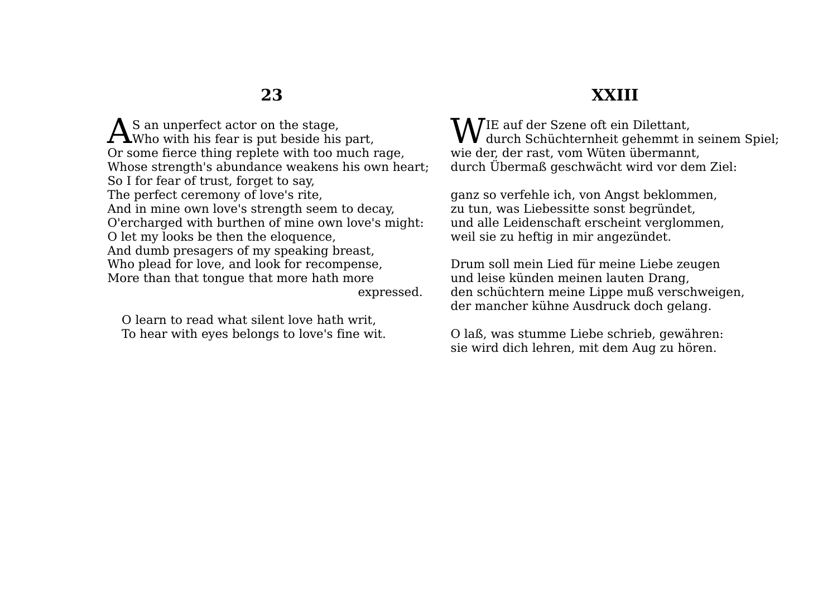S an unperfect actor on the stage,  $\mathbf{A}$ S an unperfect actor on the stage,<br>Who with his fear is put beside his part, Or some fierce thing replete with too much rage, Whose strength's abundance weakens his own heart; So I for fear of trust, forget to say, The perfect ceremony of love's rite, And in mine own love's strength seem to decay, O'ercharged with burthen of mine own love's might: O let my looks be then the eloquence, And dumb presagers of my speaking breast, Who plead for love, and look for recompense, More than that tongue that more hath more expressed.

O learn to read what silent love hath writ, To hear with eyes belongs to love's fine wit.

# **XXIII**

IE auf der Szene oft ein Dilettant, WIE auf der Szene oft ein Dilettant,<br>durch Schüchternheit gehemmt in seinem Spiel; wie der, der rast, vom Wüten übermannt, durch Übermaß geschwächt wird vor dem Ziel:

ganz so verfehle ich, von Angst beklommen, zu tun, was Liebessitte sonst begründet, und alle Leidenschaft erscheint verglommen, weil sie zu heftig in mir angezündet.

Drum soll mein Lied für meine Liebe zeugen und leise künden meinen lauten Drang, den schüchtern meine Lippe muß verschweigen, der mancher kühne Ausdruck doch gelang.

O laß, was stumme Liebe schrieb, gewähren: sie wird dich lehren, mit dem Aug zu hören.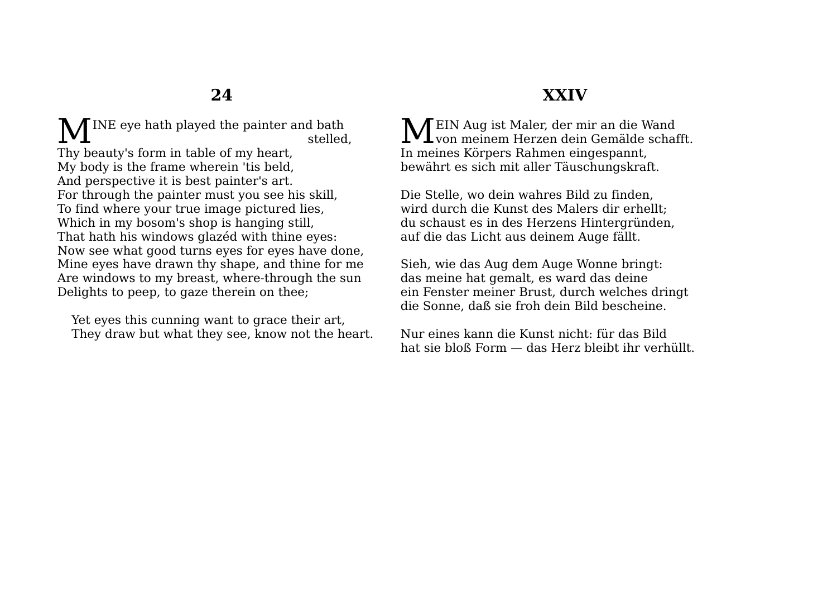INE eye hath played the painter and bath stelled, M<sub>E</sub>

Thy beauty's form in table of my heart, My body is the frame wherein 'tis beld, And perspective it is best painter's art. For through the painter must you see his skill, To find where your true image pictured lies, Which in my bosom's shop is hanging still, That hath his windows glazéd with thine eyes: Now see what good turns eyes for eyes have done, Mine eyes have drawn thy shape, and thine for me Are windows to my breast, where-through the sun Delights to peep, to gaze therein on thee;

Yet eyes this cunning want to grace their art, They draw but what they see, know not the heart.

# **XXIV**

 $\mathbf{M}^{\text{EIN Aug ist Maler, der mir an die Wand}}_{\text{von menem Herzen dein Gemälde schaf}}$  $\mathbf 1$ von meinem Herzen dein Gemälde schafft. In meines Körpers Rahmen eingespannt, bewährt es sich mit aller Täuschungskraft.

Die Stelle, wo dein wahres Bild zu finden, wird durch die Kunst des Malers dir erhellt; du schaust es in des Herzens Hintergründen, auf die das Licht aus deinem Auge fällt.

Sieh, wie das Aug dem Auge Wonne bringt: das meine hat gemalt, es ward das deine ein Fenster meiner Brust, durch welches dringt die Sonne, daß sie froh dein Bild bescheine.

Nur eines kann die Kunst nicht: für das Bild hat sie bloß Form — das Herz bleibt ihr verhüllt.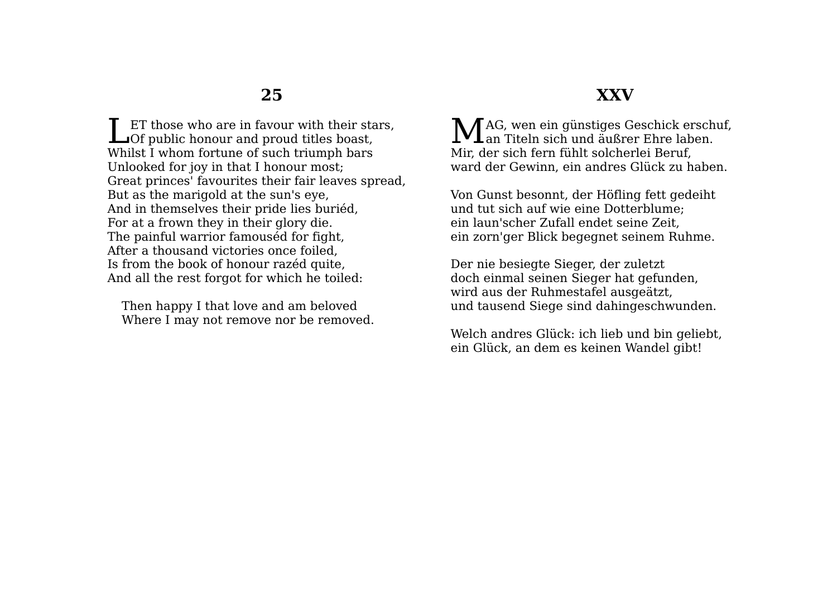ET those who are in favour with their stars, Let those who are in favour with their stated Of public honour and proud titles boast, Whilst I whom fortune of such triumph bars Unlooked for joy in that I honour most; Great princes' favourites their fair leaves spread, But as the marigold at the sun's eye, And in themselves their pride lies buriéd, For at a frown they in their glory die. The painful warrior famouséd for fight, After a thousand victories once foiled, Is from the book of honour razéd quite, And all the rest forgot for which he toiled:

Then happy I that love and am beloved Where I may not remove nor be removed.

### **XXV**

AG, wen ein günstiges Geschick erschuf, MAG, wen ein günstiges Geschick ersch $M_{\rm an\;Titeln\;sich\;und\;äußrer\;Ehre\;laben.}$ Mir, der sich fern fühlt solcherlei Beruf, ward der Gewinn, ein andres Glück zu haben.

Von Gunst besonnt, der Höfling fett gedeiht und tut sich auf wie eine Dotterblume; ein laun'scher Zufall endet seine Zeit, ein zorn'ger Blick begegnet seinem Ruhme.

Der nie besiegte Sieger, der zuletzt doch einmal seinen Sieger hat gefunden, wird aus der Ruhmestafel ausgeätzt, und tausend Siege sind dahingeschwunden.

Welch andres Glück: ich lieb und bin geliebt, ein Glück, an dem es keinen Wandel gibt!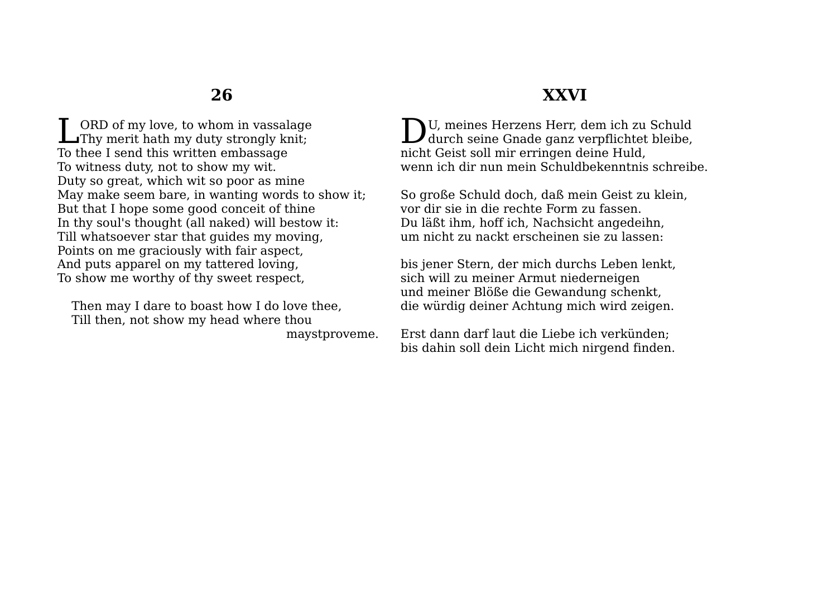ORD of my love, to whom in vassalage **THE ORD of my love, to whom in vassalage**<br>Thy merit hath my duty strongly knit; To thee I send this written embassage To witness duty, not to show my wit. Duty so great, which wit so poor as mine May make seem bare, in wanting words to show it; But that I hope some good conceit of thine In thy soul's thought (all naked) will bestow it: Till whatsoever star that guides my moving, Points on me graciously with fair aspect, And puts apparel on my tattered loving, To show me worthy of thy sweet respect,

Then may I dare to boast how I do love thee, Till then, not show my head where thou maystproveme. **XXVI**

U, meines Herzens Herr, dem ich zu Schuld DU, meines Herzens Herr, dem ich zu Schuld<br>durch seine Gnade ganz verpflichtet bleibe, nicht Geist soll mir erringen deine Huld, wenn ich dir nun mein Schuldbekenntnis schreibe.

So große Schuld doch, daß mein Geist zu klein, vor dir sie in die rechte Form zu fassen. Du läßt ihm, hoff ich, Nachsicht angedeihn, um nicht zu nackt erscheinen sie zu lassen:

bis jener Stern, der mich durchs Leben lenkt, sich will zu meiner Armut niederneigen und meiner Blöße die Gewandung schenkt, die würdig deiner Achtung mich wird zeigen.

Erst dann darf laut die Liebe ich verkünden; bis dahin soll dein Licht mich nirgend finden.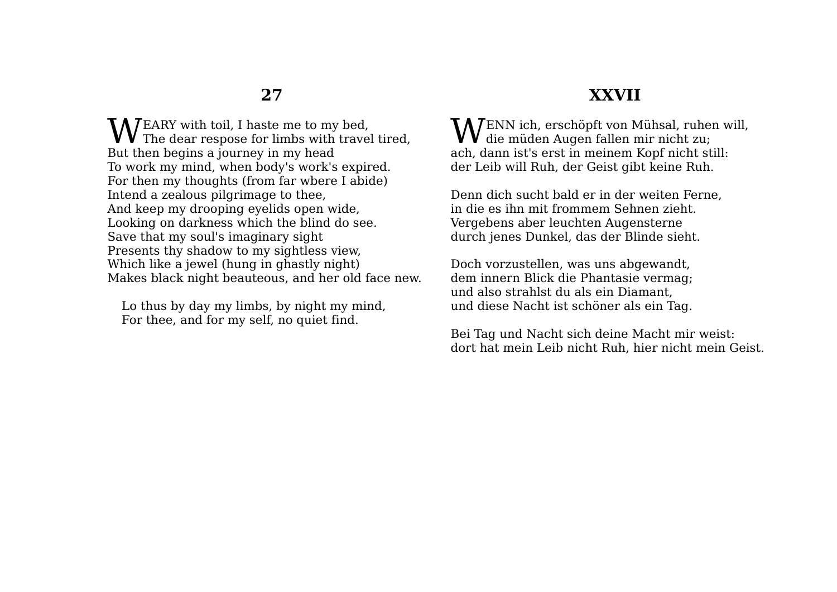EARY with toil, I haste me to my bed,  $\mathbf{W}^{\text{EARY with tail, I} \text{haste me to my bed,}}$  The dear respose for limbs with travel tired, But then begins a journey in my head To work my mind, when body's work's expired. For then my thoughts (from far wbere I abide) Intend a zealous pilgrimage to thee, And keep my drooping eyelids open wide, Looking on darkness which the blind do see. Save that my soul's imaginary sight Presents thy shadow to my sightless view, Which like a jewel (hung in ghastly night) Makes black night beauteous, and her old face new.

Lo thus by day my limbs, by night my mind, For thee, and for my self, no quiet find.

#### ENN ich, erschöpft von Mühsal, ruhen will,  $\bigvee$ ENN ich, erschöpft von Mühsal, ruhen<br>die müden Augen fallen mir nicht zu; ach, dann ist's erst in meinem Kopf nicht still: der Leib will Ruh, der Geist gibt keine Ruh.

**XXVII**

Denn dich sucht bald er in der weiten Ferne, in die es ihn mit frommem Sehnen zieht. Vergebens aber leuchten Augensterne durch jenes Dunkel, das der Blinde sieht.

Doch vorzustellen, was uns abgewandt, dem innern Blick die Phantasie vermag; und also strahlst du als ein Diamant, und diese Nacht ist schöner als ein Tag.

Bei Tag und Nacht sich deine Macht mir weist: dort hat mein Leib nicht Ruh, hier nicht mein Geist.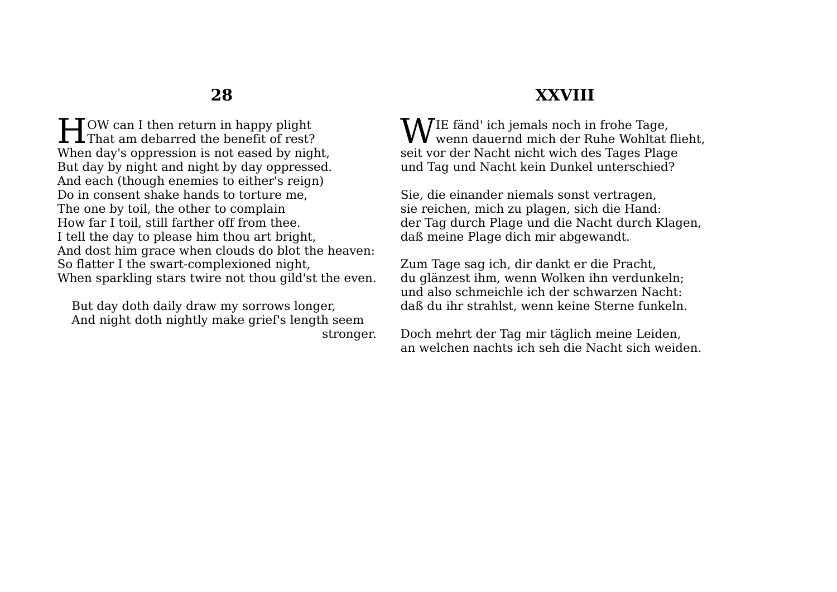OW can I then return in happy plight **That am debarred the benefit of rest?**<br>
Here it of rest? When day's oppression is not eased by night. But day by night and night by day oppressed. And each (though enemies to either's reign) Do in consent shake hands to torture me, The one by toil, the other to complain How far I toil, still farther off from thee. I tell the day to please him thou art bright, And dost him grace when clouds do blot the heaven: So flatter I the swart-complexioned night, When sparkling stars twire not thou gild'st the even.

But day doth daily draw my sorrows longer, And night doth nightly make grief's length seem stronger.

# **XXVIII**

IE fänd' ich jemals noch in frohe Tage, WIE fänd' ich jemals noch in frohe Tage,<br>wenn dauernd mich der Ruhe Wohltat flieht, seit vor der Nacht nicht wich des Tages Plage und Tag und Nacht kein Dunkel unterschied?

Sie, die einander niemals sonst vertragen, sie reichen, mich zu plagen, sich die Hand: der Tag durch Plage und die Nacht durch Klagen, daß meine Plage dich mir abgewandt.

Zum Tage sag ich, dir dankt er die Pracht, du glänzest ihm, wenn Wolken ihn verdunkeln; und also schmeichle ich der schwarzen Nacht: daß du ihr strahlst, wenn keine Sterne funkeln.

Doch mehrt der Tag mir täglich meine Leiden, an welchen nachts ich seh die Nacht sich weiden.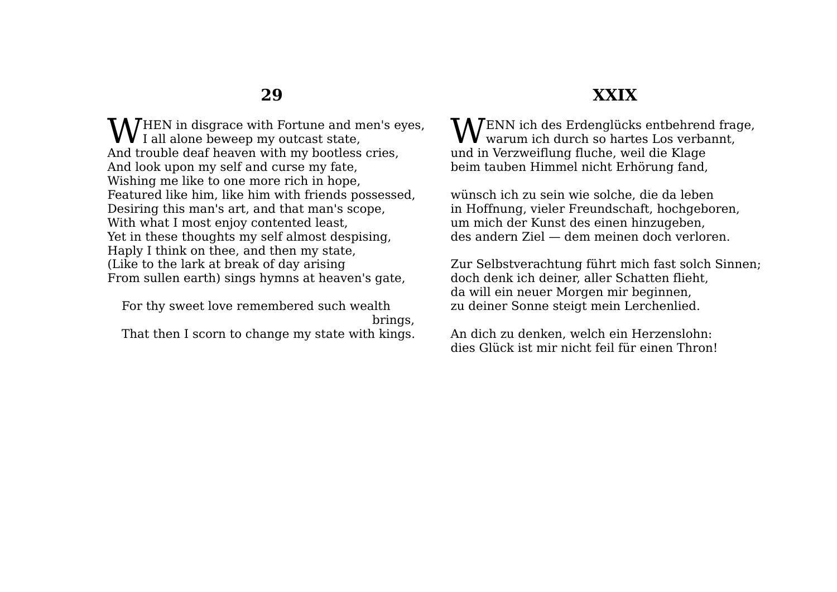HEN in disgrace with Fortune and men's eyes, **W** I all alone beweep my outcast state, And trouble deaf heaven with my bootless cries, And look upon my self and curse my fate, Wishing me like to one more rich in hope, Featured like him, like him with friends possessed, Desiring this man's art, and that man's scope, With what I most enjoy contented least, Yet in these thoughts my self almost despising, Haply I think on thee, and then my state, (Like to the lark at break of day arising From sullen earth) sings hymns at heaven's gate,

For thy sweet love remembered such wealth brings, That then I scorn to change my state with kings.

# **XXIX**

ENN ich des Erdenglücks entbehrend frage, WENN ich des Erdenglücks entbehrend frag<br>warum ich durch so hartes Los verbannt, und in Verzweiflung fluche, weil die Klage beim tauben Himmel nicht Erhörung fand,

wünsch ich zu sein wie solche, die da leben in Hoffnung, vieler Freundschaft, hochgeboren, um mich der Kunst des einen hinzugeben, des andern Ziel — dem meinen doch verloren.

Zur Selbstverachtung führt mich fast solch Sinnen; doch denk ich deiner, aller Schatten flieht, da will ein neuer Morgen mir beginnen, zu deiner Sonne steigt mein Lerchenlied.

An dich zu denken, welch ein Herzenslohn: dies Glück ist mir nicht feil für einen Thron!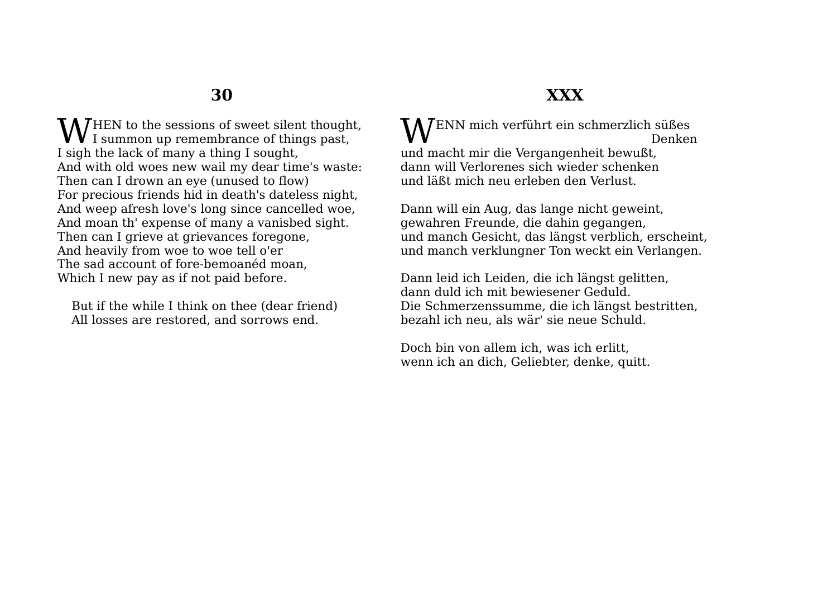**W** HEN to the sessions of sweet silent thought,<br>I summon up remembrance of things past,  $V_1$  summon up remembrance of things past, I sigh the lack of many a thing I sought, And with old woes new wail my dear time's waste: Then can I drown an eye (unused to flow) For precious friends hid in death's dateless night, And weep afresh love's long since cancelled woe, And moan th' expense of many a vanisbed sight. Then can I grieve at grievances foregone, And heavily from woe to woe tell o'er The sad account of fore-bemoanéd moan, Which I new pay as if not paid before.

But if the while I think on thee (dear friend) All losses are restored, and sorrows end.

# **XXX**

WENN mich verführt ein schmerzlich süßes<br>Denker Denken und macht mir die Vergangenheit bewußt, dann will Verlorenes sich wieder schenken und läßt mich neu erleben den Verlust.

Dann will ein Aug, das lange nicht geweint, gewahren Freunde, die dahin gegangen, und manch Gesicht, das längst verblich, erscheint, und manch verklungner Ton weckt ein Verlangen.

Dann leid ich Leiden, die ich längst gelitten, dann duld ich mit bewiesener Geduld. Die Schmerzenssumme, die ich längst bestritten, bezahl ich neu, als wär' sie neue Schuld.

Doch bin von allem ich, was ich erlitt, wenn ich an dich, Geliebter, denke, quitt.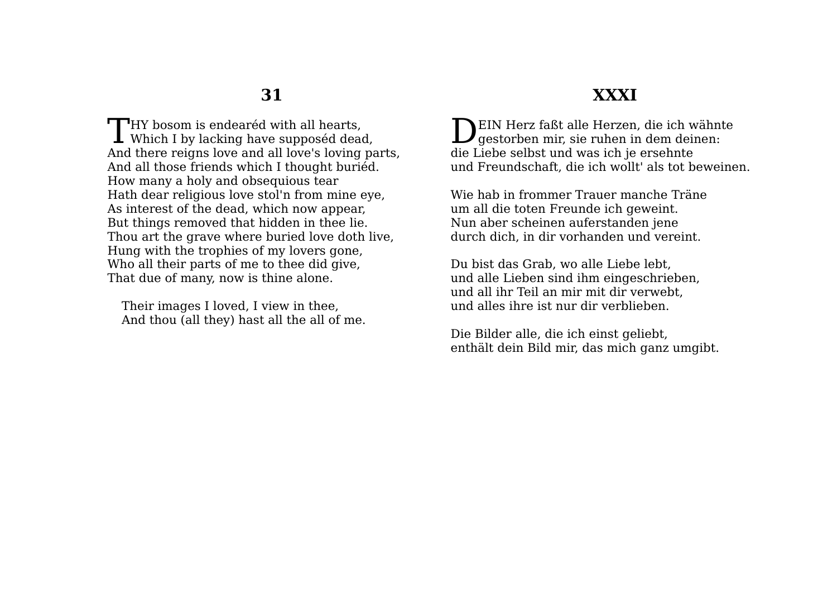$\Box$ HY bosom is endearéd with all hearts, THY bosom is endearéd with all hearts,<br>Which I by lacking have supposéd dead, And there reigns love and all love's loving parts, And all those friends which I thought buriéd. How many a holy and obsequious tear Hath dear religious love stol'n from mine eye, As interest of the dead, which now appear, But things removed that hidden in thee lie. Thou art the grave where buried love doth live, Hung with the trophies of my lovers gone, Who all their parts of me to thee did give, That due of many, now is thine alone.

Their images I loved, I view in thee, And thou (all they) hast all the all of me.

### **XXXI**

EIN Herz faßt alle Herzen, die ich wähnte DEIN Herz faßt alle Herzen, die ich wähnt<br>gestorben mir, sie ruhen in dem deinen: die Liebe selbst und was ich je ersehnte und Freundschaft, die ich wollt' als tot beweinen.

Wie hab in frommer Trauer manche Träne um all die toten Freunde ich geweint. Nun aber scheinen auferstanden jene durch dich, in dir vorhanden und vereint.

Du bist das Grab, wo alle Liebe lebt, und alle Lieben sind ihm eingeschrieben, und all ihr Teil an mir mit dir verwebt, und alles ihre ist nur dir verblieben.

Die Bilder alle, die ich einst geliebt, enthält dein Bild mir, das mich ganz umgibt.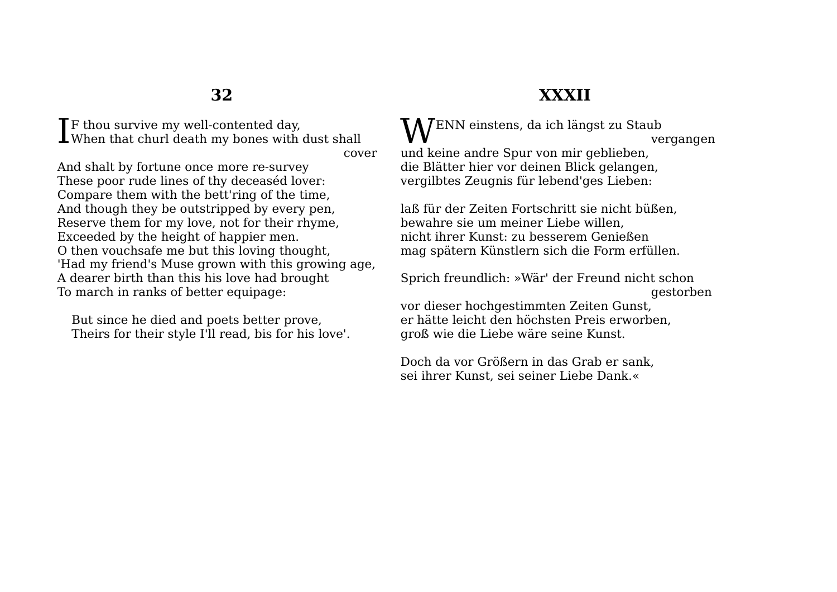**T**F thou survive my well-contented day,  $\prod$  thou survive my well-contented day, when that churl death my bones with dust shall

cover

And shalt by fortune once more re-survey These poor rude lines of thy deceaséd lover: Compare them with the bett'ring of the time, And though they be outstripped by every pen, Reserve them for my love, not for their rhyme, Exceeded by the height of happier men. O then vouchsafe me but this loving thought, 'Had my friend's Muse grown with this growing age, A dearer birth than this his love had brought To march in ranks of better equipage:

But since he died and poets better prove, Theirs for their style I'll read, bis for his love'.

# **XXXII**

WENN einstens, da ich längst zu Staub vergangen und keine andre Spur von mir geblieben, die Blätter hier vor deinen Blick gelangen, vergilbtes Zeugnis für lebend'ges Lieben:

laß für der Zeiten Fortschritt sie nicht büßen, bewahre sie um meiner Liebe willen, nicht ihrer Kunst: zu besserem Genießen mag spätern Künstlern sich die Form erfüllen.

Sprich freundlich: »Wär' der Freund nicht schon gestorben

vor dieser hochgestimmten Zeiten Gunst, er hätte leicht den höchsten Preis erworben, groß wie die Liebe wäre seine Kunst.

Doch da vor Größern in das Grab er sank, sei ihrer Kunst, sei seiner Liebe Dank.«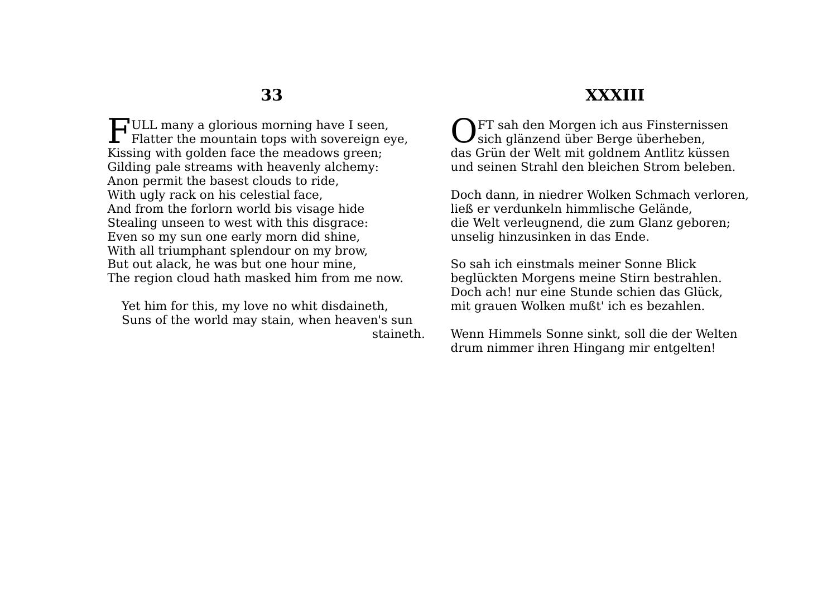$\Box$  ULL many a glorious morning have I seen, FULL many a glorious morning have I seen,<br>Flatter the mountain tops with sovereign eye, Kissing with golden face the meadows green; Gilding pale streams with heavenly alchemy: Anon permit the basest clouds to ride, With ugly rack on his celestial face, And from the forlorn world bis visage hide Stealing unseen to west with this disgrace: Even so my sun one early morn did shine, With all triumphant splendour on my brow, But out alack, he was but one hour mine, The region cloud hath masked him from me now.

Yet him for this, my love no whit disdaineth, Suns of the world may stain, when heaven's sun staineth.

# **XXXIII**

**N**FT sah den Morgen ich aus Finsternissen OFT sah den Morgen ich aus Finsterniss<br>sich glänzend über Berge überheben, das Grün der Welt mit goldnem Antlitz küssen und seinen Strahl den bleichen Strom beleben.

Doch dann, in niedrer Wolken Schmach verloren, ließ er verdunkeln himmlische Gelände, die Welt verleugnend, die zum Glanz geboren; unselig hinzusinken in das Ende.

So sah ich einstmals meiner Sonne Blick beglückten Morgens meine Stirn bestrahlen. Doch ach! nur eine Stunde schien das Glück, mit grauen Wolken mußt' ich es bezahlen.

Wenn Himmels Sonne sinkt, soll die der Welten drum nimmer ihren Hingang mir entgelten!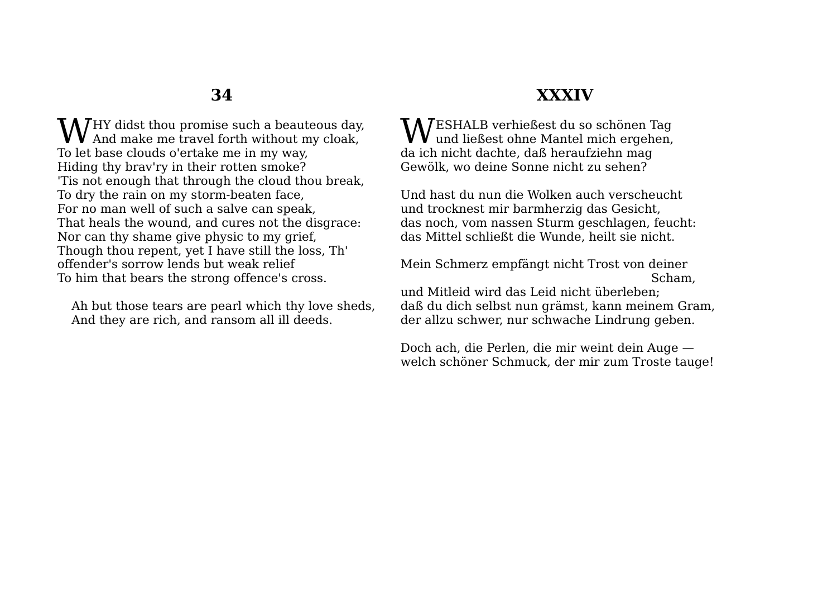**W**HY didst thou promise such a beauteous day,<br>And make me travel forth without my cloak, **V** And make me travel forth without my cloak, To let base clouds o'ertake me in my way, Hiding thy brav'ry in their rotten smoke? 'Tis not enough that through the cloud thou break, To dry the rain on my storm-beaten face, For no man well of such a salve can speak, That heals the wound, and cures not the disgrace: Nor can thy shame give physic to my grief, Though thou repent, yet I have still the loss, Th' offender's sorrow lends but weak relief To him that bears the strong offence's cross.

Ah but those tears are pearl which thy love sheds, And they are rich, and ransom all ill deeds.

# **XXXIV**

ESHALB verhießest du so schönen Tag **WESHALB** verhießest du so schönen Tag<br>und ließest ohne Mantel mich ergehen, da ich nicht dachte, daß heraufziehn mag Gewölk, wo deine Sonne nicht zu sehen?

Und hast du nun die Wolken auch verscheucht und trocknest mir barmherzig das Gesicht, das noch, vom nassen Sturm geschlagen, feucht: das Mittel schließt die Wunde, heilt sie nicht.

Mein Schmerz empfängt nicht Trost von deiner Scham,

und Mitleid wird das Leid nicht überleben; daß du dich selbst nun grämst, kann meinem Gram, der allzu schwer, nur schwache Lindrung geben.

Doch ach, die Perlen, die mir weint dein Auge welch schöner Schmuck, der mir zum Troste tauge!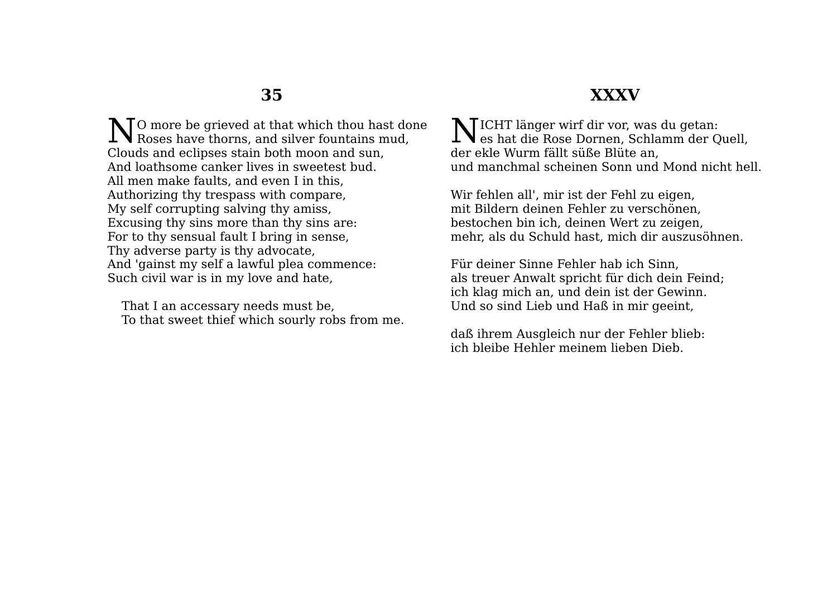### **XXXV**

O more be grieved at that which thou hast done No more be grieved at that which thou hast do Roses have thorns, and silver fountains mud, Clouds and eclipses stain both moon and sun, And loathsome canker lives in sweetest bud. All men make faults, and even I in this, Authorizing thy trespass with compare, My self corrupting salving thy amiss, Excusing thy sins more than thy sins are: For to thy sensual fault I bring in sense, Thy adverse party is thy advocate, And 'gainst my self a lawful plea commence: Such civil war is in my love and hate,

That I an accessary needs must be, To that sweet thief which sourly robs from me.

ICHT länger wirf dir vor, was du getan:  $\sum$ ICHT länger wirf dir vor, was du getan:<br>es hat die Rose Dornen, Schlamm der Quell, der ekle Wurm fällt süße Blüte an, und manchmal scheinen Sonn und Mond nicht hell.

Wir fehlen all', mir ist der Fehl zu eigen, mit Bildern deinen Fehler zu verschönen, bestochen bin ich, deinen Wert zu zeigen, mehr, als du Schuld hast, mich dir auszusöhnen.

Für deiner Sinne Fehler hab ich Sinn, als treuer Anwalt spricht für dich dein Feind; ich klag mich an, und dein ist der Gewinn. Und so sind Lieb und Haß in mir geeint,

daß ihrem Ausgleich nur der Fehler blieb: ich bleibe Hehler meinem lieben Dieb.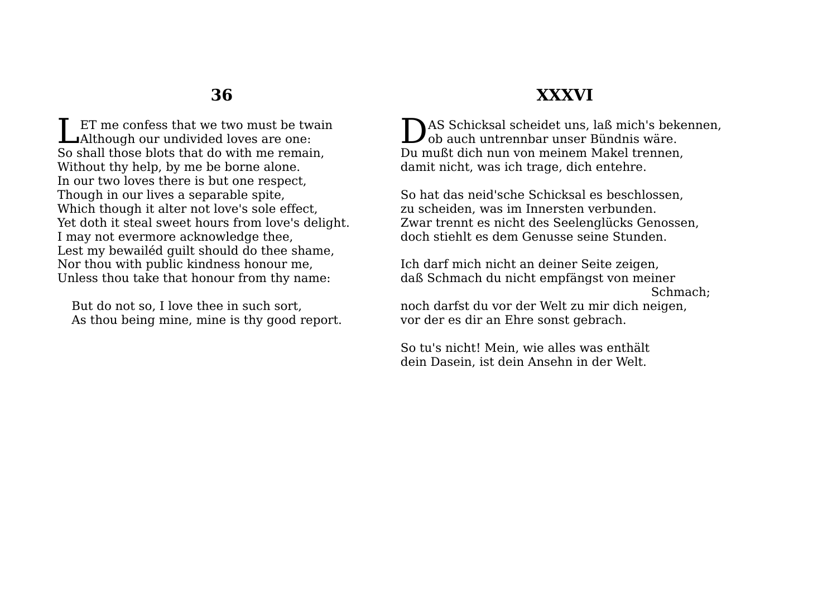ET me confess that we two must be twain **LET** me confess that we two must be two Halthough our undivided loves are one: So shall those blots that do with me remain, Without thy help, by me be borne alone. In our two loves there is but one respect, Though in our lives a separable spite, Which though it alter not love's sole effect, Yet doth it steal sweet hours from love's delight. I may not evermore acknowledge thee, Lest my bewailéd guilt should do thee shame, Nor thou with public kindness honour me, Unless thou take that honour from thy name:

But do not so, I love thee in such sort, As thou being mine, mine is thy good report.

### **XXXVI**

DAS Schicksal scheidet uns, laß mich's bekennen,<br>Dob auch untrennbar unser Bündnis wäre. ob auch untrennbar unser Bündnis wäre. Du mußt dich nun von meinem Makel trennen, damit nicht, was ich trage, dich entehre.

So hat das neid'sche Schicksal es beschlossen, zu scheiden, was im Innersten verbunden. Zwar trennt es nicht des Seelenglücks Genossen, doch stiehlt es dem Genusse seine Stunden.

Ich darf mich nicht an deiner Seite zeigen, daß Schmach du nicht empfängst von meiner Schmach;

noch darfst du vor der Welt zu mir dich neigen, vor der es dir an Ehre sonst gebrach.

So tu's nicht! Mein, wie alles was enthält dein Dasein, ist dein Ansehn in der Welt.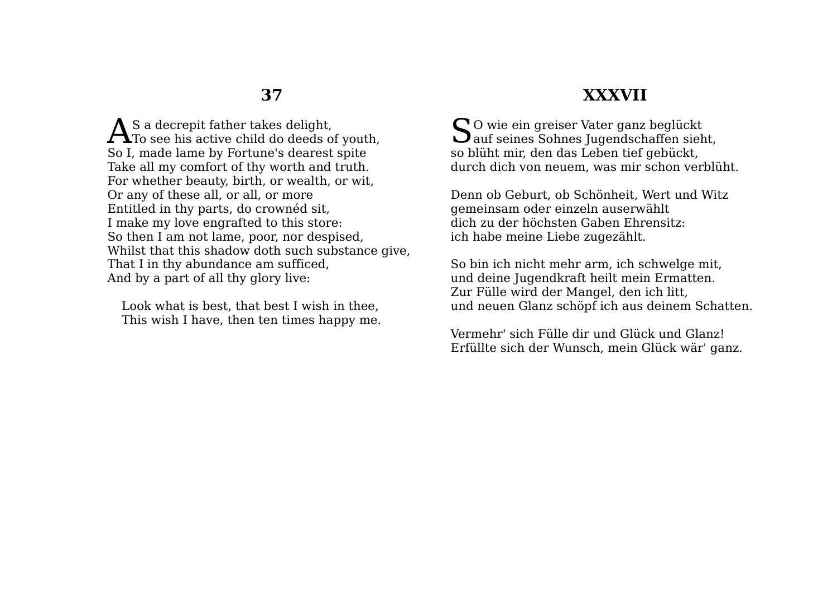S a decrepit father takes delight,  $\mathbf{A}^{\text{S a decrement}}$  and the takes delight,<br>To see his active child do deeds of youth, So I, made lame by Fortune's dearest spite Take all my comfort of thy worth and truth. For whether beauty, birth, or wealth, or wit, Or any of these all, or all, or more Entitled in thy parts, do crownéd sit, I make my love engrafted to this store: So then I am not lame, poor, nor despised, Whilst that this shadow doth such substance give, That I in thy abundance am sufficed, And by a part of all thy glory live:

Look what is best, that best I wish in thee, This wish I have, then ten times happy me.

#### **XXXVII**

Sol wie ein greiser Vater ganz beglückt auf seines Sohnes Jugendschaffen sieh Dauf seines Sohnes Jugendschaffen sieht, so blüht mir, den das Leben tief gebückt, durch dich von neuem, was mir schon verblüht.

Denn ob Geburt, ob Schönheit, Wert und Witz gemeinsam oder einzeln auserwählt dich zu der höchsten Gaben Ehrensitz: ich habe meine Liebe zugezählt.

So bin ich nicht mehr arm, ich schwelge mit, und deine Jugendkraft heilt mein Ermatten. Zur Fülle wird der Mangel, den ich litt, und neuen Glanz schöpf ich aus deinem Schatten.

Vermehr' sich Fülle dir und Glück und Glanz! Erfüllte sich der Wunsch, mein Glück wär' ganz.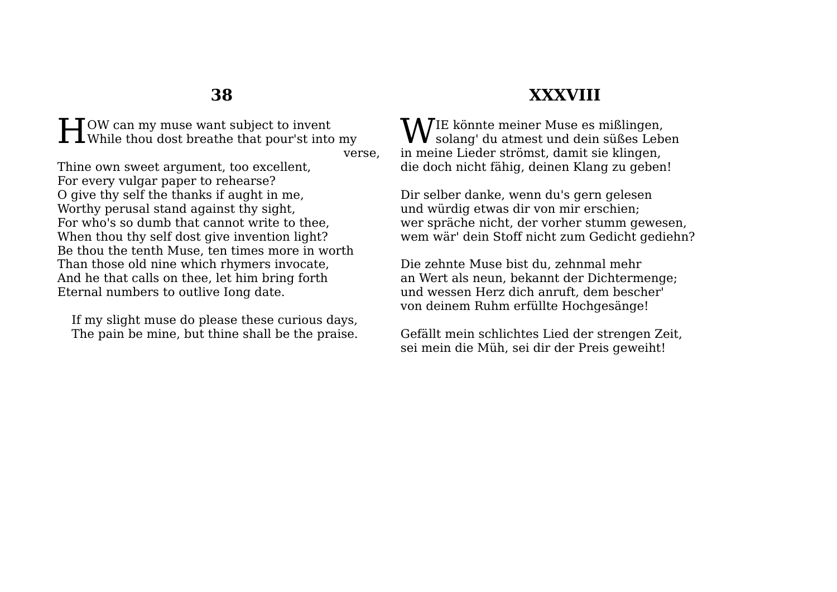OW can my muse want subject to invent **HERE** OW can my muse want subject to invent While thou dost breathe that pour'st into my

verse,

Thine own sweet argument, too excellent, For every vulgar paper to rehearse? O give thy self the thanks if aught in me, Worthy perusal stand against thy sight, For who's so dumb that cannot write to thee, When thou thy self dost give invention light? Be thou the tenth Muse, ten times more in worth Than those old nine which rhymers invocate, And he that calls on thee, let him bring forth Eternal numbers to outlive Iong date.

If my slight muse do please these curious days, The pain be mine, but thine shall be the praise.

## **XXXVIII**

IE könnte meiner Muse es mißlingen,  $\mathbf{W}$ IE könnte meiner Muse es mißlingen,<br>solang' du atmest und dein süßes Leben in meine Lieder strömst, damit sie klingen, die doch nicht fähig, deinen Klang zu geben!

Dir selber danke, wenn du's gern gelesen und würdig etwas dir von mir erschien; wer spräche nicht, der vorher stumm gewesen, wem wär' dein Stoff nicht zum Gedicht gediehn?

Die zehnte Muse bist du, zehnmal mehr an Wert als neun, bekannt der Dichtermenge; und wessen Herz dich anruft, dem bescher' von deinem Ruhm erfüllte Hochgesänge!

Gefällt mein schlichtes Lied der strengen Zeit, sei mein die Müh, sei dir der Preis geweiht!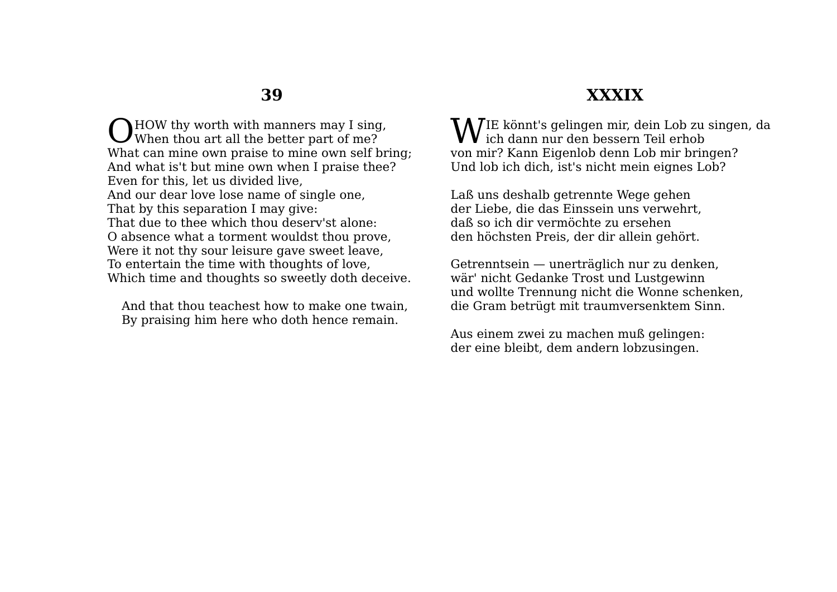HOW thy worth with manners may I sing, O HOW thy worth with manners may I sing<br>When thou art all the better part of me? What can mine own praise to mine own self bring; And what is't but mine own when I praise thee? Even for this, let us divided live, And our dear love lose name of single one, That by this separation I may give: That due to thee which thou deserv'st alone: O absence what a torment wouldst thou prove, Were it not thy sour leisure gave sweet leave, To entertain the time with thoughts of love, Which time and thoughts so sweetly doth deceive.

And that thou teachest how to make one twain, By praising him here who doth hence remain.

#### **XXXIX**

IE könnt's gelingen mir, dein Lob zu singen, da  $\mathbf{W}$ IE könnt's gelingen mir, dein Lob zu ich dann nur den bessern Teil erhob von mir? Kann Eigenlob denn Lob mir bringen? Und lob ich dich, ist's nicht mein eignes Lob?

Laß uns deshalb getrennte Wege gehen der Liebe, die das Einssein uns verwehrt, daß so ich dir vermöchte zu ersehen den höchsten Preis, der dir allein gehört.

Getrenntsein — unerträglich nur zu denken, wär' nicht Gedanke Trost und Lustgewinn und wollte Trennung nicht die Wonne schenken, die Gram betrügt mit traumversenktem Sinn.

Aus einem zwei zu machen muß gelingen: der eine bleibt, dem andern lobzusingen.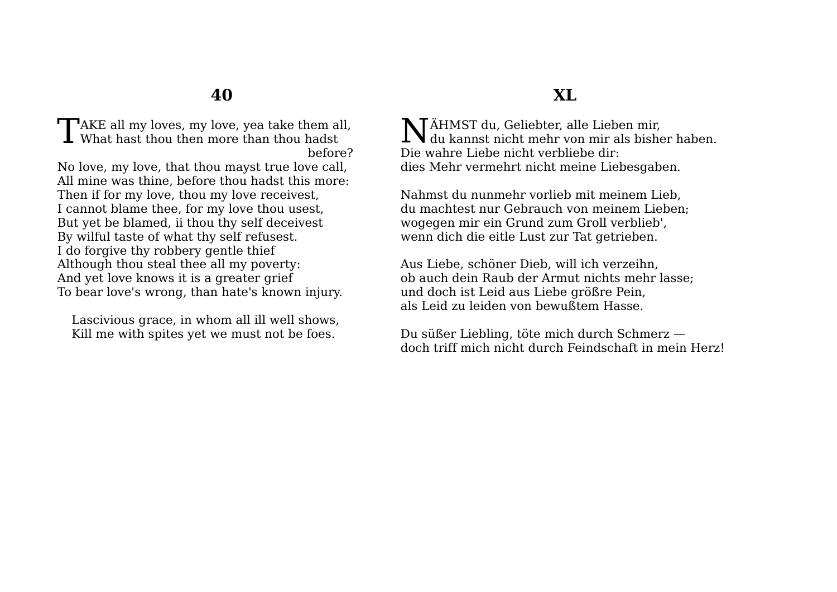TAKE all my loves, my love, yea take them all,<br>What hast thou then more than thou hadst What hast thou then more than thou hadst before?

No love, my love, that thou mayst true love call, All mine was thine, before thou hadst this more: Then if for my love, thou my love receivest, I cannot blame thee, for my love thou usest, But yet be blamed, ii thou thy self deceivest By wilful taste of what thy self refusest. I do forgive thy robbery gentle thief Although thou steal thee all my poverty: And yet love knows it is a greater grief To bear love's wrong, than hate's known injury.

Lascivious grace, in whom all ill well shows, Kill me with spites yet we must not be foes.

## **XL**

ÄHMST du, Geliebter, alle Lieben mir,  $N_{\text{du}$  kannst nicht mehr von mir als bisher haben. Die wahre Liebe nicht verbliebe dir: dies Mehr vermehrt nicht meine Liebesgaben.

Nahmst du nunmehr vorlieb mit meinem Lieb, du machtest nur Gebrauch von meinem Lieben; wogegen mir ein Grund zum Groll verblieb', wenn dich die eitle Lust zur Tat getrieben.

Aus Liebe, schöner Dieb, will ich verzeihn, ob auch dein Raub der Armut nichts mehr lasse; und doch ist Leid aus Liebe größre Pein, als Leid zu leiden von bewußtem Hasse.

Du süßer Liebling, töte mich durch Schmerz doch triff mich nicht durch Feindschaft in mein Herz!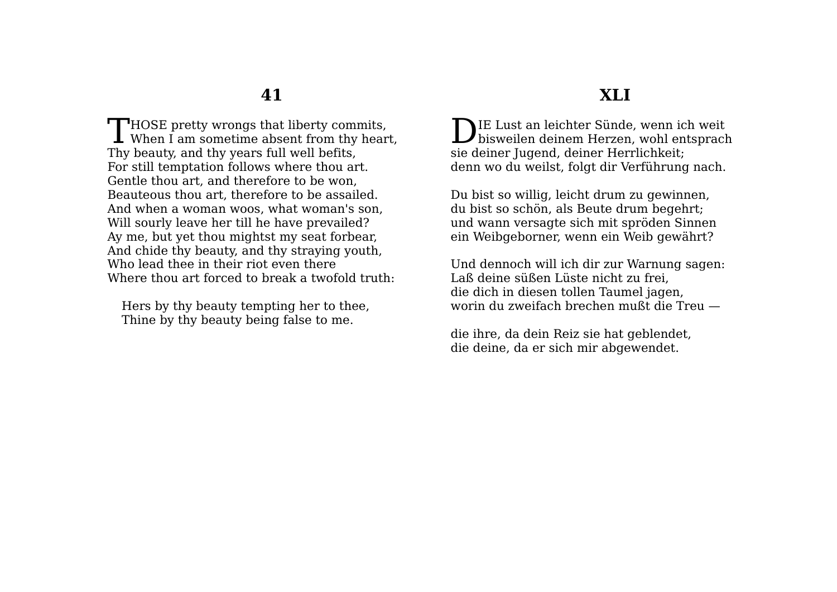$\Box$  HOSE pretty wrongs that liberty commits, THOSE pretty wrongs that liberty commits,<br>When I am sometime absent from thy heart, Thy beauty, and thy years full well befits, For still temptation follows where thou art. Gentle thou art, and therefore to be won, Beauteous thou art, therefore to be assailed. And when a woman woos, what woman's son, Will sourly leave her till he have prevailed? Ay me, but yet thou mightst my seat forbear, And chide thy beauty, and thy straying youth, Who lead thee in their riot even there Where thou art forced to break a twofold truth:

Hers by thy beauty tempting her to thee, Thine by thy beauty being false to me.

#### **XLI**

IE Lust an leichter Sünde, wenn ich weit DIE Lust an leichter Sünde, wenn ich weit<br>bisweilen deinem Herzen, wohl entsprach sie deiner Jugend, deiner Herrlichkeit; denn wo du weilst, folgt dir Verführung nach.

Du bist so willig, leicht drum zu gewinnen, du bist so schön, als Beute drum begehrt; und wann versagte sich mit spröden Sinnen ein Weibgeborner, wenn ein Weib gewährt?

Und dennoch will ich dir zur Warnung sagen: Laß deine süßen Lüste nicht zu frei, die dich in diesen tollen Taumel jagen, worin du zweifach brechen mußt die Treu —

die ihre, da dein Reiz sie hat geblendet, die deine, da er sich mir abgewendet.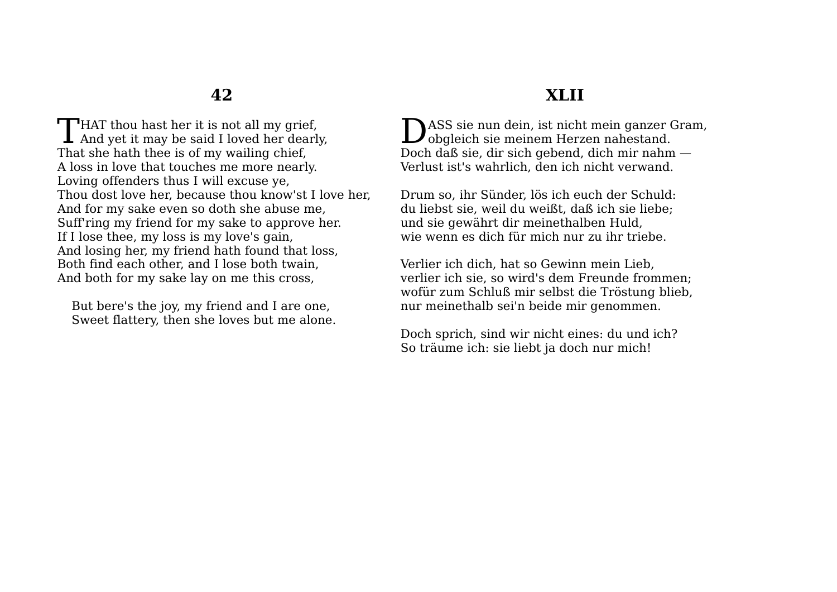**HAT** thou hast her it is not all my grief. THAT thou hast her it is not all my grief,<br>And yet it may be said I loved her dearly, That she hath thee is of my wailing chief, A loss in love that touches me more nearly. Loving offenders thus I will excuse ye, Thou dost love her, because thou know'st I love her, And for my sake even so doth she abuse me, Suff'ring my friend for my sake to approve her. If I lose thee, my loss is my love's gain, And losing her, my friend hath found that loss, Both find each other, and I lose both twain, And both for my sake lay on me this cross,

But bere's the joy, my friend and I are one, Sweet flattery, then she loves but me alone.

## **XLII**

ASS sie nun dein, ist nicht mein ganzer Gram, DASS sie nun dein, ist nicht mein ganzer ( Doch daß sie, dir sich gebend, dich mir nahm — Verlust ist's wahrlich, den ich nicht verwand.

Drum so, ihr Sünder, lös ich euch der Schuld: du liebst sie, weil du weißt, daß ich sie liebe; und sie gewährt dir meinethalben Huld, wie wenn es dich für mich nur zu ihr triebe.

Verlier ich dich, hat so Gewinn mein Lieb, verlier ich sie, so wird's dem Freunde frommen; wofür zum Schluß mir selbst die Tröstung blieb, nur meinethalb sei'n beide mir genommen.

Doch sprich, sind wir nicht eines: du und ich? So träume ich: sie liebt ja doch nur mich!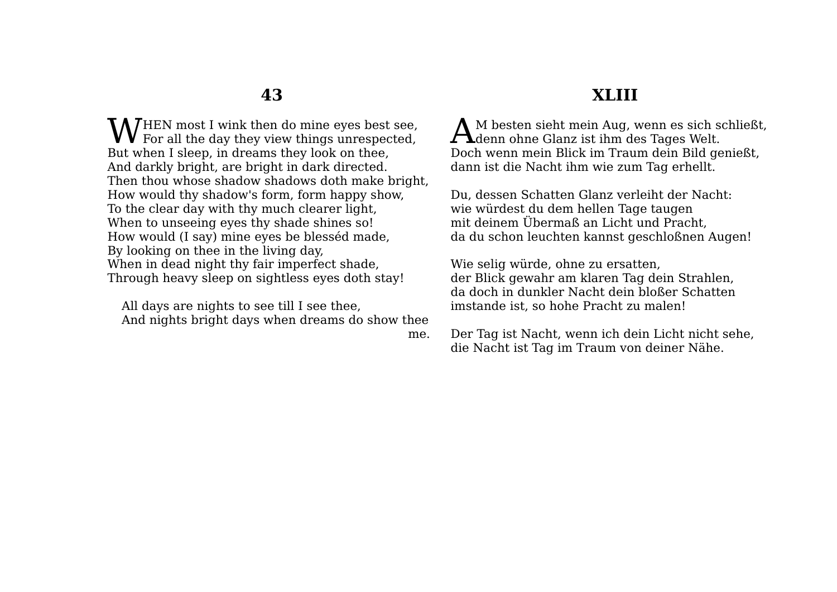HEN most I wink then do mine eyes best see, **W** HEN most I wink then do mine eyes best see,<br>For all the day they view things unrespected, But when I sleep, in dreams they look on thee, And darkly bright, are bright in dark directed. Then thou whose shadow shadows doth make bright, How would thy shadow's form, form happy show, To the clear day with thy much clearer light, When to unseeing eyes thy shade shines so! How would (I say) mine eyes be blesséd made, By looking on thee in the living day, When in dead night thy fair imperfect shade, Through heavy sleep on sightless eyes doth stay!

All days are nights to see till I see thee, And nights bright days when dreams do show thee

me.

## **XLIII**

M besten sieht mein Aug, wenn es sich schließt, AM besten sieht mein Aug, wenn es sich se<br>denn ohne Glanz ist ihm des Tages Welt. Doch wenn mein Blick im Traum dein Bild genießt, dann ist die Nacht ihm wie zum Tag erhellt.

Du, dessen Schatten Glanz verleiht der Nacht: wie würdest du dem hellen Tage taugen mit deinem Übermaß an Licht und Pracht, da du schon leuchten kannst geschloßnen Augen!

Wie selig würde, ohne zu ersatten, der Blick gewahr am klaren Tag dein Strahlen, da doch in dunkler Nacht dein bloßer Schatten imstande ist, so hohe Pracht zu malen!

Der Tag ist Nacht, wenn ich dein Licht nicht sehe, die Nacht ist Tag im Traum von deiner Nähe.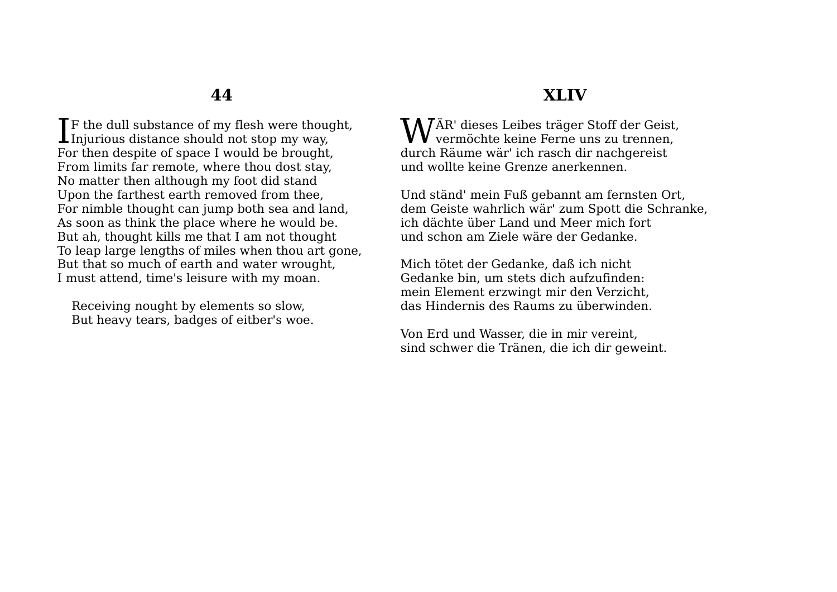**T**F the dull substance of my flesh were thought, If the dull substance of my flesh were though Injurious distance should not stop my way, For then despite of space I would be brought, From limits far remote, where thou dost stay, No matter then although my foot did stand Upon the farthest earth removed from thee, For nimble thought can jump both sea and land, As soon as think the place where he would be. But ah, thought kills me that I am not thought To leap large lengths of miles when thou art gone, But that so much of earth and water wrought, I must attend, time's leisure with my moan.

Receiving nought by elements so slow, But heavy tears, badges of eitber's woe.

#### **XLIV**

WÄR' dieses Leibes träger Stoff der Geist,<br>
vermöchte keine Ferne uns zu trennen, vermöchte keine Ferne uns zu trennen, durch Räume wär' ich rasch dir nachgereist und wollte keine Grenze anerkennen.

Und ständ' mein Fuß gebannt am fernsten Ort, dem Geiste wahrlich wär' zum Spott die Schranke, ich dächte über Land und Meer mich fort und schon am Ziele wäre der Gedanke.

Mich tötet der Gedanke, daß ich nicht Gedanke bin, um stets dich aufzufinden: mein Element erzwingt mir den Verzicht, das Hindernis des Raums zu überwinden.

Von Erd und Wasser, die in mir vereint, sind schwer die Tränen, die ich dir geweint.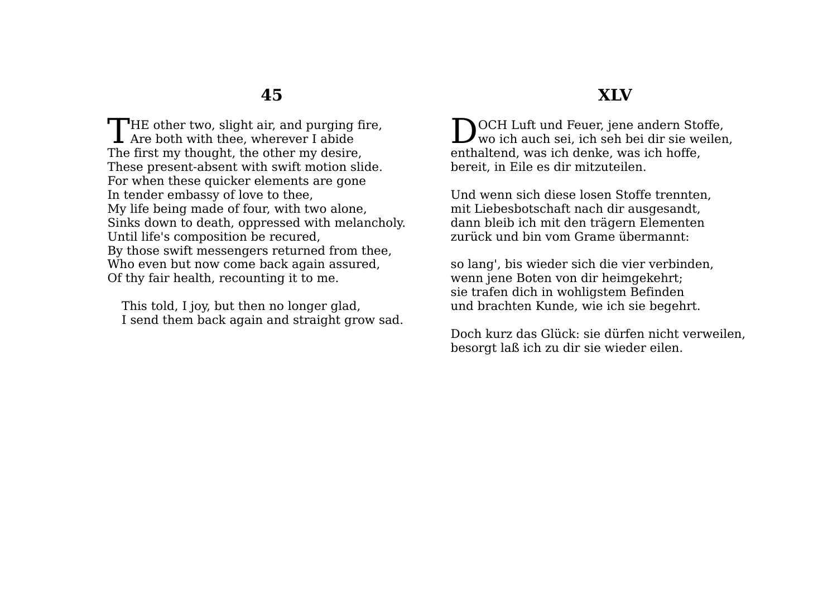**T**HE other two, slight air, and purging fire, THE other two, slight air, and purging<br>Are both with thee, wherever I abide The first my thought, the other my desire, These present-absent with swift motion slide. For when these quicker elements are gone In tender embassy of love to thee, My life being made of four, with two alone, Sinks down to death, oppressed with melancholy. Until life's composition be recured, By those swift messengers returned from thee, Who even but now come back again assured, Of thy fair health, recounting it to me.

This told, I joy, but then no longer glad, I send them back again and straight grow sad.

#### **XLV**

**NOCH Luft und Feuer, iene andern Stoffe,** DOCH Luft und Feuer, jene andern Stoffe,<br>wo ich auch sei, ich seh bei dir sie weilen, enthaltend, was ich denke, was ich hoffe, bereit, in Eile es dir mitzuteilen.

Und wenn sich diese losen Stoffe trennten, mit Liebesbotschaft nach dir ausgesandt, dann bleib ich mit den trägern Elementen zurück und bin vom Grame übermannt:

so lang', bis wieder sich die vier verbinden, wenn jene Boten von dir heimgekehrt; sie trafen dich in wohligstem Befinden und brachten Kunde, wie ich sie begehrt.

Doch kurz das Glück: sie dürfen nicht verweilen, besorgt laß ich zu dir sie wieder eilen.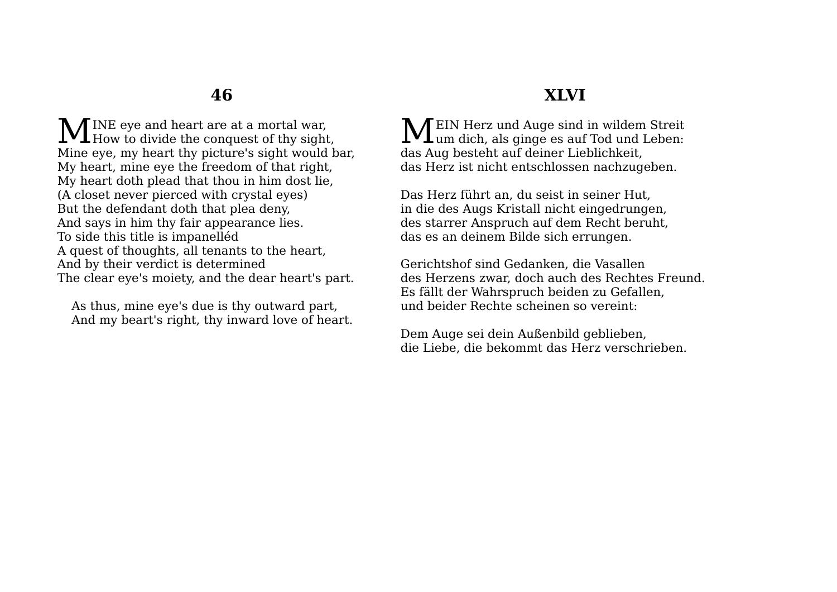INE eye and heart are at a mortal war, MINE eye and heart are at a mortal war,<br>How to divide the conquest of thy sight, Mine eye, my heart thy picture's sight would bar, My heart, mine eye the freedom of that right, My heart doth plead that thou in him dost lie, (A closet never pierced with crystal eyes) But the defendant doth that plea deny, And says in him thy fair appearance lies. To side this title is impanelléd A quest of thoughts, all tenants to the heart, And by their verdict is determined The clear eye's moiety, and the dear heart's part.

As thus, mine eye's due is thy outward part, And my beart's right, thy inward love of heart.

## **XLVI**

EIN Herz und Auge sind in wildem Streit **MEIN** Herz und Auge sind in wildem Streit um dich, als ginge es auf Tod und Leben: das Aug besteht auf deiner Lieblichkeit, das Herz ist nicht entschlossen nachzugeben.

Das Herz führt an, du seist in seiner Hut, in die des Augs Kristall nicht eingedrungen, des starrer Anspruch auf dem Recht beruht, das es an deinem Bilde sich errungen.

Gerichtshof sind Gedanken, die Vasallen des Herzens zwar, doch auch des Rechtes Freund. Es fällt der Wahrspruch beiden zu Gefallen, und beider Rechte scheinen so vereint:

Dem Auge sei dein Außenbild geblieben, die Liebe, die bekommt das Herz verschrieben.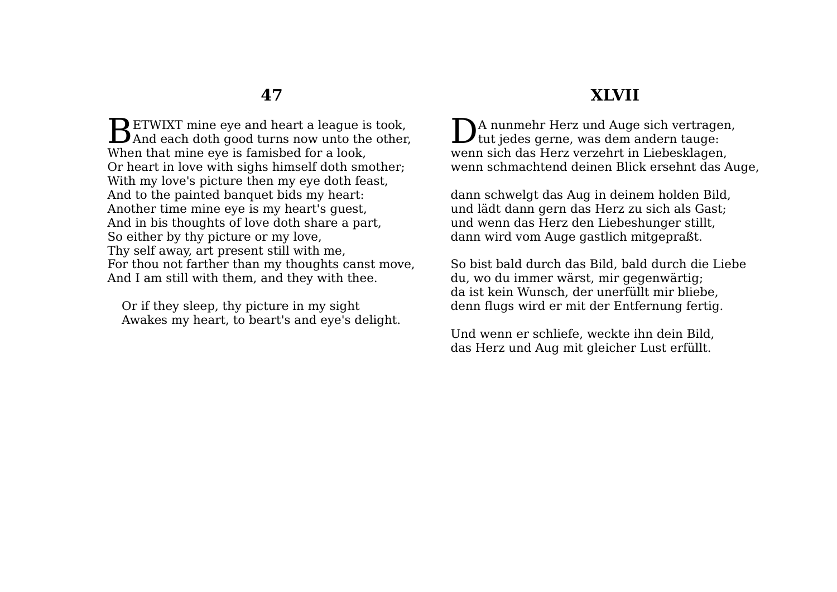$\mathbf D$  ETWIXT mine eve and heart a league is took. BETWIXT mine eye and heart a league is took,<br>And each doth good turns now unto the other, When that mine eye is famisbed for a look, Or heart in love with sighs himself doth smother; With my love's picture then my eye doth feast, And to the painted banquet bids my heart: Another time mine eye is my heart's guest, And in bis thoughts of love doth share a part, So either by thy picture or my love, Thy self away, art present still with me, For thou not farther than my thoughts canst move, And I am still with them, and they with thee.

Or if they sleep, thy picture in my sight Awakes my heart, to beart's and eye's delight.

### **XLVII**

A nunmehr Herz und Auge sich vertragen,  $\sum$ A nunmehr Herz und Auge sich vertrage tut jedes gerne, was dem andern tauge: wenn sich das Herz verzehrt in Liebesklagen, wenn schmachtend deinen Blick ersehnt das Auge,

dann schwelgt das Aug in deinem holden Bild, und lädt dann gern das Herz zu sich als Gast; und wenn das Herz den Liebeshunger stillt, dann wird vom Auge gastlich mitgepraßt.

So bist bald durch das Bild, bald durch die Liebe du, wo du immer wärst, mir gegenwärtig; da ist kein Wunsch, der unerfüllt mir bliebe, denn flugs wird er mit der Entfernung fertig.

Und wenn er schliefe, weckte ihn dein Bild, das Herz und Aug mit gleicher Lust erfüllt.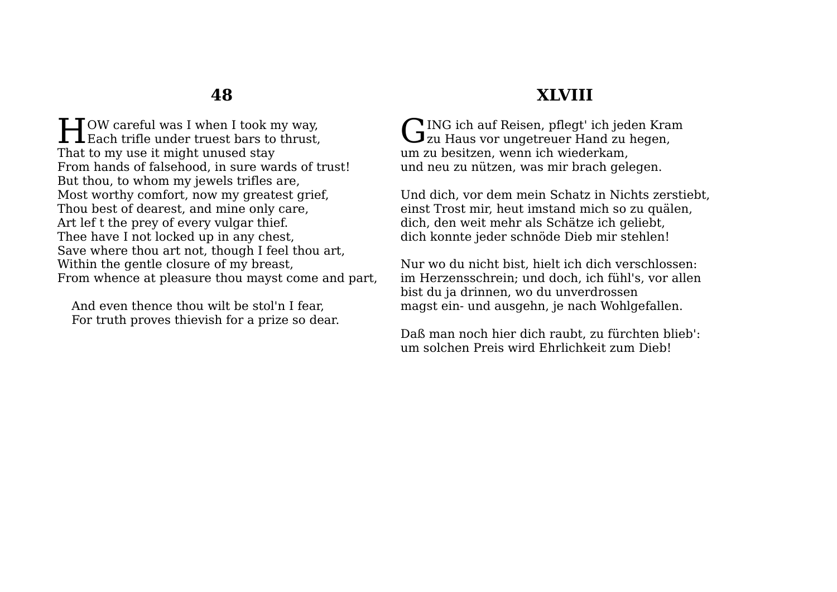**HEARLANDIARY CONTROV** careful was I when I took my way,  $\perp$   $\perp$  Each trifle under truest bars to thrust. That to my use it might unused stay From hands of falsehood, in sure wards of trust! But thou, to whom my jewels trifles are, Most worthy comfort, now my greatest grief, Thou best of dearest, and mine only care, Art lef t the prey of every vulgar thief. Thee have I not locked up in any chest, Save where thou art not, though I feel thou art, Within the gentle closure of my breast, From whence at pleasure thou mayst come and part,

And even thence thou wilt be stol'n I fear, For truth proves thievish for a prize so dear.

## **XLVIII**

ING ich auf Reisen, pflegt' ich jeden Kram GING ich auf Reisen, pflegt' ich jeden Krauger Hand zu hegen, um zu besitzen, wenn ich wiederkam, und neu zu nützen, was mir brach gelegen.

Und dich, vor dem mein Schatz in Nichts zerstiebt, einst Trost mir, heut imstand mich so zu quälen, dich, den weit mehr als Schätze ich geliebt, dich konnte jeder schnöde Dieb mir stehlen!

Nur wo du nicht bist, hielt ich dich verschlossen: im Herzensschrein; und doch, ich fühl's, vor allen bist du ja drinnen, wo du unverdrossen magst ein- und ausgehn, je nach Wohlgefallen.

Daß man noch hier dich raubt, zu fürchten blieb': um solchen Preis wird Ehrlichkeit zum Dieb!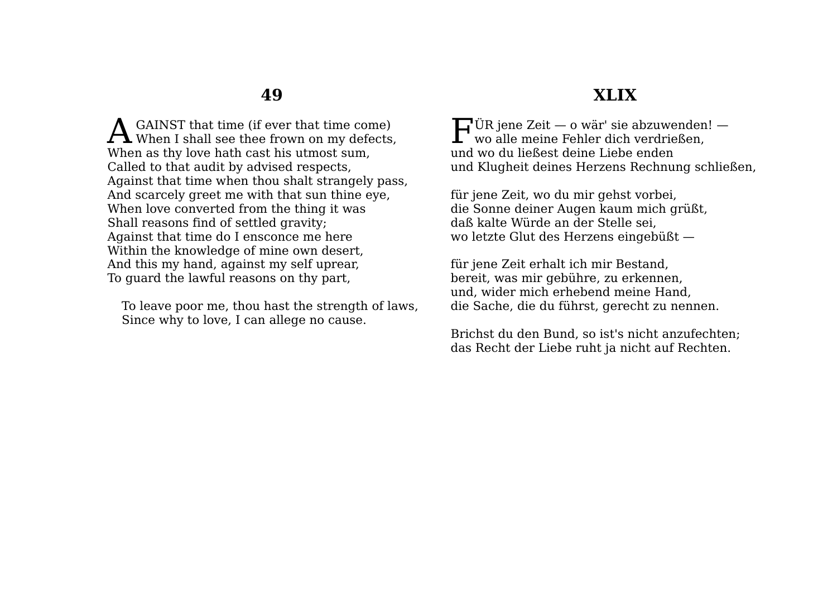GAINST that time (if ever that time come) A GAINST that time (if ever that time come)<br>When I shall see thee frown on my defects, When as thy love hath cast his utmost sum, Called to that audit by advised respects, Against that time when thou shalt strangely pass, And scarcely greet me with that sun thine eye, When love converted from the thing it was Shall reasons find of settled gravity; Against that time do I ensconce me here Within the knowledge of mine own desert, And this my hand, against my self uprear, To guard the lawful reasons on thy part,

To leave poor me, thou hast the strength of laws, Since why to love, I can allege no cause.

#### **XLIX**

ÜR jene Zeit — o wär' sie abzuwenden! —  $\prod_{\mathbf{w}\text{o alle meine Fehler dich verdrießen},$ und wo du ließest deine Liebe enden und Klugheit deines Herzens Rechnung schließen,

für jene Zeit, wo du mir gehst vorbei, die Sonne deiner Augen kaum mich grüßt, daß kalte Würde an der Stelle sei, wo letzte Glut des Herzens eingebüßt —

für jene Zeit erhalt ich mir Bestand, bereit, was mir gebühre, zu erkennen, und, wider mich erhebend meine Hand, die Sache, die du führst, gerecht zu nennen.

Brichst du den Bund, so ist's nicht anzufechten; das Recht der Liebe ruht ja nicht auf Rechten.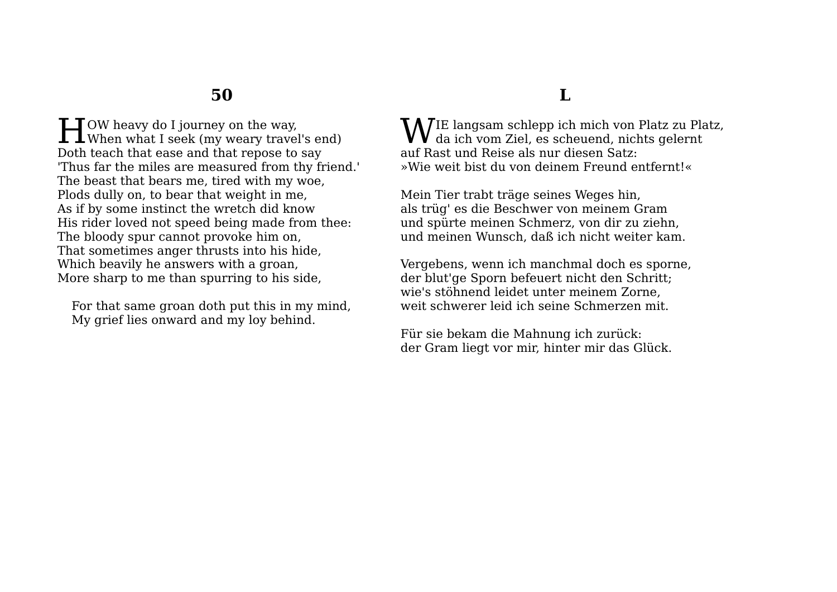OW heavy do I journey on the way, **H**OW heavy do I journey on the way,<br>When what I seek (my weary travel's end) Doth teach that ease and that repose to say 'Thus far the miles are measured from thy friend.' The beast that bears me, tired with my woe, Plods dully on, to bear that weight in me, As if by some instinct the wretch did know His rider loved not speed being made from thee: The bloody spur cannot provoke him on, That sometimes anger thrusts into his hide, Which beavily he answers with a groan, More sharp to me than spurring to his side,

For that same groan doth put this in my mind, My grief lies onward and my loy behind.

## **L**

IE langsam schlepp ich mich von Platz zu Platz, WIE langsam schlepp ich mich von Platz zu Plangsam schlepp ich mich von Platz zu Plangsam zu Plangsam zu Plangsam zu Plangsam zu Plangsam zu Plangsam zu Plangsam zu Plangsam zu Plangsam zu Plangsam zu Plangsam zu Plangsam auf Rast und Reise als nur diesen Satz: »Wie weit bist du von deinem Freund entfernt!«

Mein Tier trabt träge seines Weges hin, als trüg' es die Beschwer von meinem Gram und spürte meinen Schmerz, von dir zu ziehn, und meinen Wunsch, daß ich nicht weiter kam.

Vergebens, wenn ich manchmal doch es sporne, der blut'ge Sporn befeuert nicht den Schritt; wie's stöhnend leidet unter meinem Zorne, weit schwerer leid ich seine Schmerzen mit.

Für sie bekam die Mahnung ich zurück: der Gram liegt vor mir, hinter mir das Glück.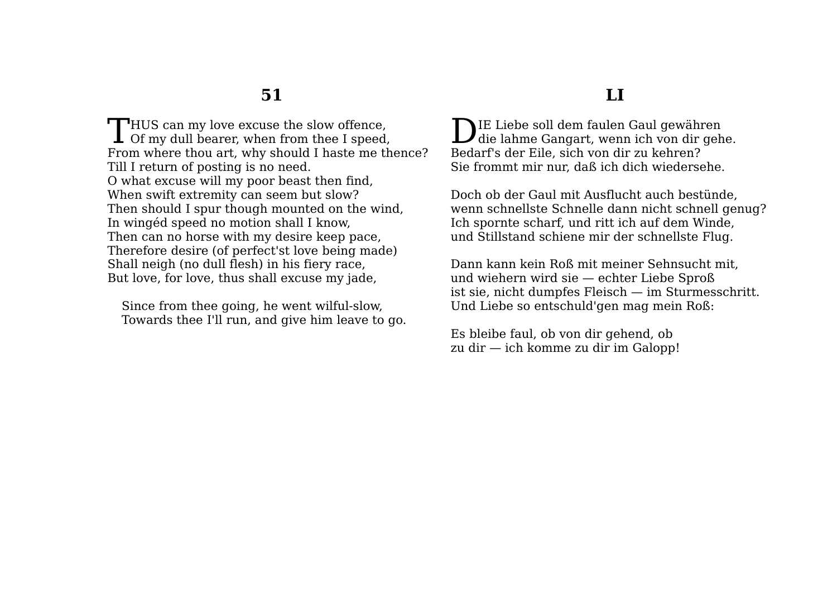$\blacksquare$ HUS can my love excuse the slow offence. THUS can my love excuse the slow offence,<br>Of my dull bearer, when from thee I speed, From where thou art, why should I haste me thence? Till I return of posting is no need. O what excuse will my poor beast then find, When swift extremity can seem but slow? Then should I spur though mounted on the wind, In wingéd speed no motion shall I know, Then can no horse with my desire keep pace, Therefore desire (of perfect'st love being made) Shall neigh (no dull flesh) in his fiery race, But love, for love, thus shall excuse my jade,

Since from thee going, he went wilful-slow, Towards thee I'll run, and give him leave to go.

#### **LI**

**NIE Liebe soll dem faulen Gaul gewähren** DIE Liebe soll dem faulen Gaul gewähren<br>die lahme Gangart, wenn ich von dir gehe. Bedarf's der Eile, sich von dir zu kehren? Sie frommt mir nur, daß ich dich wiedersehe.

Doch ob der Gaul mit Ausflucht auch bestünde, wenn schnellste Schnelle dann nicht schnell genug? Ich spornte scharf, und ritt ich auf dem Winde, und Stillstand schiene mir der schnellste Flug.

Dann kann kein Roß mit meiner Sehnsucht mit, und wiehern wird sie — echter Liebe Sproß ist sie, nicht dumpfes Fleisch — im Sturmesschritt. Und Liebe so entschuld'gen mag mein Roß:

Es bleibe faul, ob von dir gehend, ob zu dir — ich komme zu dir im Galopp!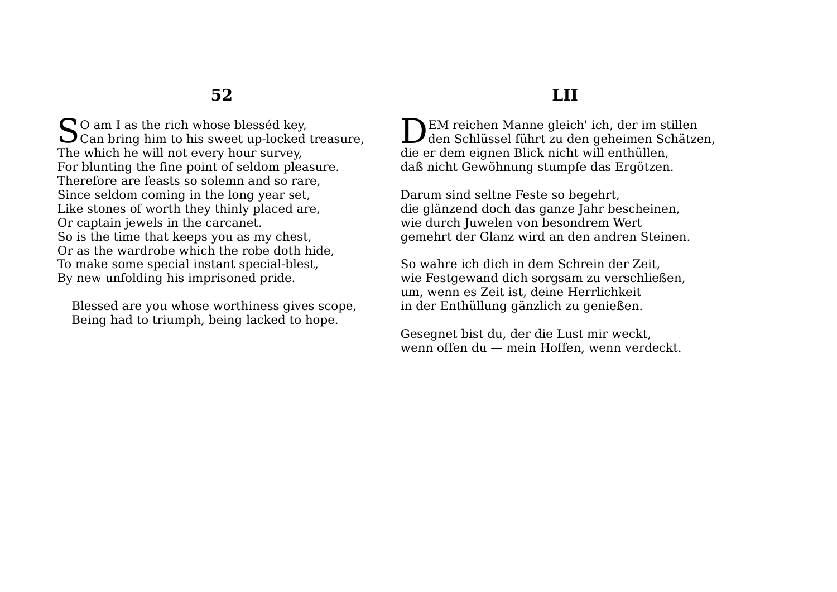$\int \mathbf{S} \mathbf{O}$  am I as the rich whose blesséd key,<br>Can bring him to his sweet up-locked Can bring him to his sweet up-locked treasure, The which he will not every hour survey, For blunting the fine point of seldom pleasure. Therefore are feasts so solemn and so rare, Since seldom coming in the long year set, Like stones of worth they thinly placed are, Or captain jewels in the carcanet. So is the time that keeps you as my chest, Or as the wardrobe which the robe doth hide, To make some special instant special-blest, By new unfolding his imprisoned pride.

Blessed are you whose worthiness gives scope, Being had to triumph, being lacked to hope.

## **LII**

EM reichen Manne gleich' ich, der im stillen DEM reichen Manne gleich' ich, der im stillen<br>den Schlüssel führt zu den geheimen Schätzen, die er dem eignen Blick nicht will enthüllen, daß nicht Gewöhnung stumpfe das Ergötzen.

Darum sind seltne Feste so begehrt, die glänzend doch das ganze Jahr bescheinen, wie durch Juwelen von besondrem Wert gemehrt der Glanz wird an den andren Steinen.

So wahre ich dich in dem Schrein der Zeit, wie Festgewand dich sorgsam zu verschließen, um, wenn es Zeit ist, deine Herrlichkeit in der Enthüllung gänzlich zu genießen.

Gesegnet bist du, der die Lust mir weckt, wenn offen du — mein Hoffen, wenn verdeckt.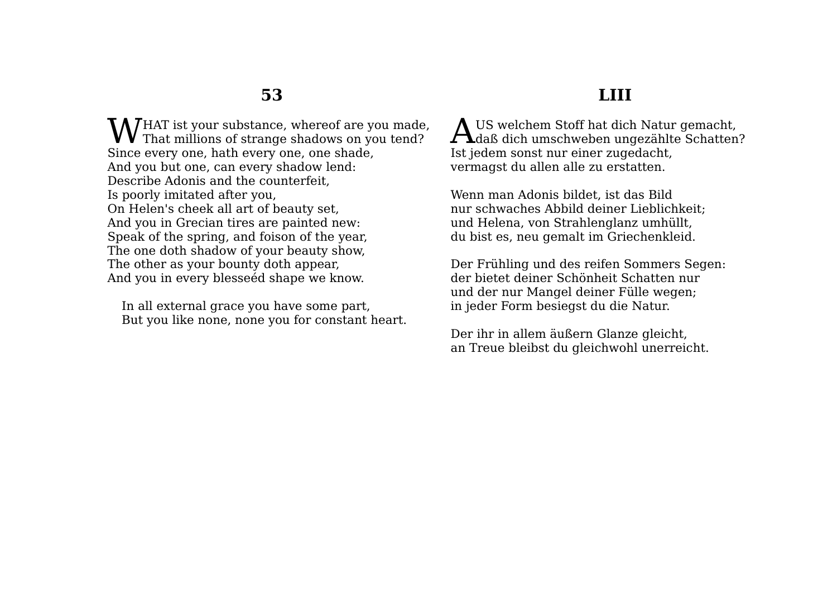## **LIII**

HAT ist your substance, whereof are you made,  $\mathbf{W}^\text{HAT}$  ist your substance, whereof are you made That millions of strange shadows on you tend? Since every one, hath every one, one shade, And you but one, can every shadow lend: Describe Adonis and the counterfeit, Is poorly imitated after you, On Helen's cheek all art of beauty set, And you in Grecian tires are painted new: Speak of the spring, and foison of the year, The one doth shadow of your beauty show, The other as your bounty doth appear, And you in every blesseéd shape we know.

In all external grace you have some part, But you like none, none you for constant heart.

US welchem Stoff hat dich Natur gemacht, AUS welchem Stoff hat dich Natur gemacht,<br>daß dich umschweben ungezählte Schatten? Ist jedem sonst nur einer zugedacht, vermagst du allen alle zu erstatten.

Wenn man Adonis bildet, ist das Bild nur schwaches Abbild deiner Lieblichkeit; und Helena, von Strahlenglanz umhüllt, du bist es, neu gemalt im Griechenkleid.

Der Frühling und des reifen Sommers Segen: der bietet deiner Schönheit Schatten nur und der nur Mangel deiner Fülle wegen; in jeder Form besiegst du die Natur.

Der ihr in allem äußern Glanze gleicht, an Treue bleibst du gleichwohl unerreicht.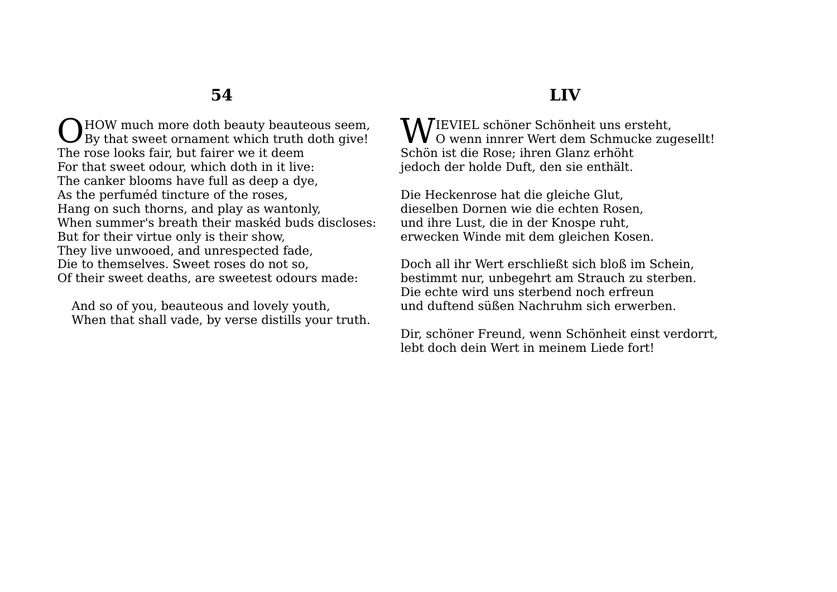O HOW much more doth beauty beauteous seem,<br>By that sweet ornament which truth doth give! By that sweet ornament which truth doth give! The rose looks fair, but fairer we it deem For that sweet odour, which doth in it live: The canker blooms have full as deep a dye, As the perfuméd tincture of the roses, Hang on such thorns, and play as wantonly, When summer's breath their maskéd buds discloses: But for their virtue only is their show, They live unwooed, and unrespected fade, Die to themselves. Sweet roses do not so, Of their sweet deaths, are sweetest odours made:

And so of you, beauteous and lovely youth, When that shall vade, by verse distills your truth.

## **LIV**

WIEVIEL schöner Schönheit uns ersteht,  $\mathbf{V}\mathbf{V}$  O wenn innrer Wert dem Schmucke zugesellt! Schön ist die Rose; ihren Glanz erhöht jedoch der holde Duft, den sie enthält.

Die Heckenrose hat die gleiche Glut, dieselben Dornen wie die echten Rosen, und ihre Lust, die in der Knospe ruht, erwecken Winde mit dem gleichen Kosen.

Doch all ihr Wert erschließt sich bloß im Schein, bestimmt nur, unbegehrt am Strauch zu sterben. Die echte wird uns sterbend noch erfreun und duftend süßen Nachruhm sich erwerben.

Dir, schöner Freund, wenn Schönheit einst verdorrt, lebt doch dein Wert in meinem Liede fort!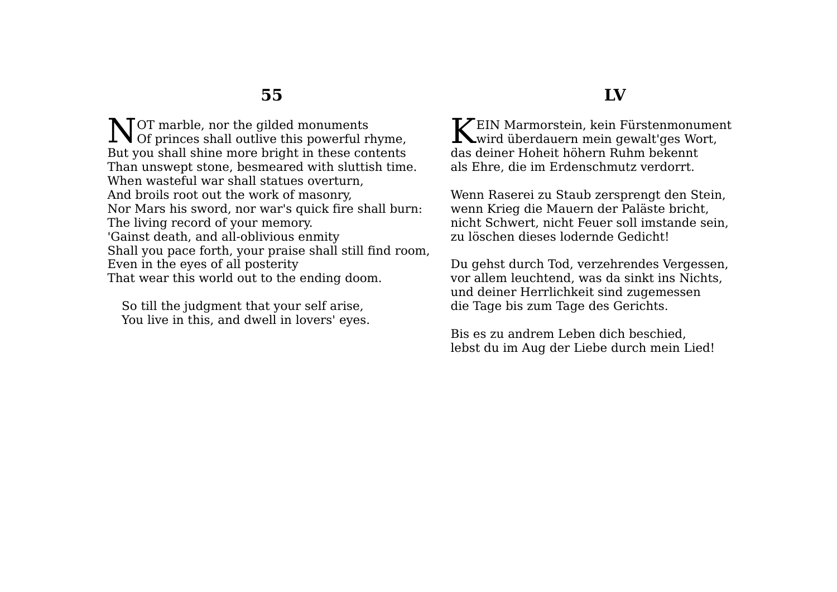OT marble, nor the gilded monuments NOT marble, nor the gilded monuments<br>Of princes shall outlive this powerful rhyme, But you shall shine more bright in these contents Than unswept stone, besmeared with sluttish time. When wasteful war shall statues overturn. And broils root out the work of masonry, Nor Mars his sword, nor war's quick fire shall burn: The living record of your memory. 'Gainst death, and all-oblivious enmity Shall you pace forth, your praise shall still find room, Even in the eyes of all posterity That wear this world out to the ending doom.

So till the judgment that your self arise, You live in this, and dwell in lovers' eyes.

#### **LV**

 $\mathcal{I}\mathcal{I}$ EIN Marmorstein, kein Fürstenmonument KEIN Marmorstein, kein Fürstenmonumer das deiner Hoheit höhern Ruhm bekennt als Ehre, die im Erdenschmutz verdorrt.

Wenn Raserei zu Staub zersprengt den Stein, wenn Krieg die Mauern der Paläste bricht, nicht Schwert, nicht Feuer soll imstande sein, zu löschen dieses lodernde Gedicht!

Du gehst durch Tod, verzehrendes Vergessen, vor allem leuchtend, was da sinkt ins Nichts, und deiner Herrlichkeit sind zugemessen die Tage bis zum Tage des Gerichts.

Bis es zu andrem Leben dich beschied, lebst du im Aug der Liebe durch mein Lied!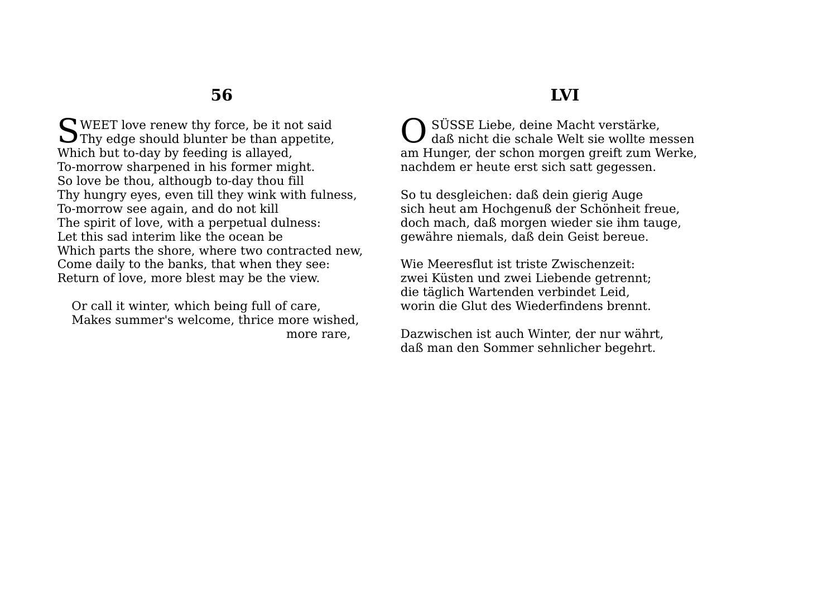WEET love renew thy force, be it not said SWEET love renew thy force, be it not said<br>Thy edge should blunter be than appetite, Which but to-day by feeding is allayed, To-morrow sharpened in his former might. So love be thou, althougb to-day thou fill Thy hungry eyes, even till they wink with fulness, To-morrow see again, and do not kill The spirit of love, with a perpetual dulness: Let this sad interim like the ocean be Which parts the shore, where two contracted new, Come daily to the banks, that when they see: Return of love, more blest may be the view.

Or call it winter, which being full of care, Makes summer's welcome, thrice more wished, more rare,

## **LVI**

 SÜSSE Liebe, deine Macht verstärke, daß nicht die schale Welt sie wollte messen am Hunger, der schon morgen greift zum Werke, nachdem er heute erst sich satt gegessen. O

So tu desgleichen: daß dein gierig Auge sich heut am Hochgenuß der Schönheit freue, doch mach, daß morgen wieder sie ihm tauge, gewähre niemals, daß dein Geist bereue.

Wie Meeresflut ist triste Zwischenzeit: zwei Küsten und zwei Liebende getrennt; die täglich Wartenden verbindet Leid, worin die Glut des Wiederfindens brennt.

Dazwischen ist auch Winter, der nur währt, daß man den Sommer sehnlicher begehrt.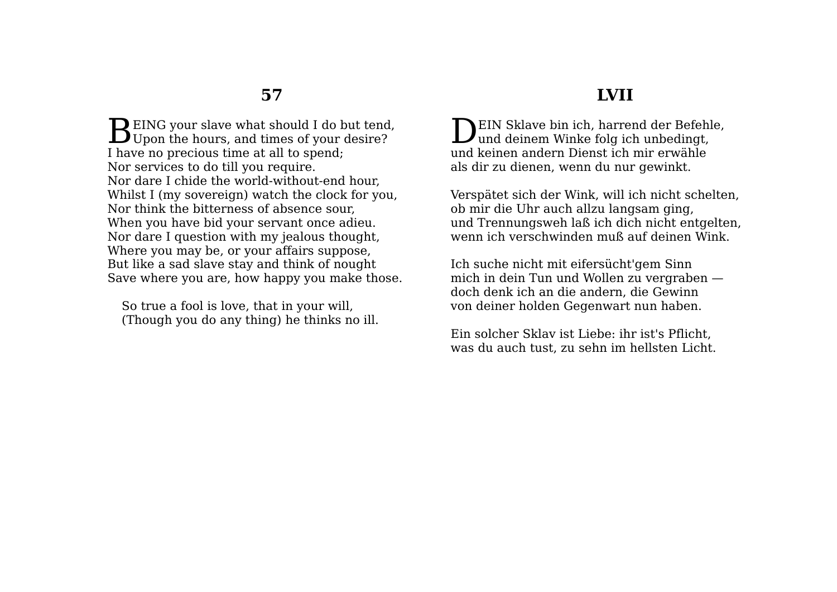$\mathbf{D}$  EING your slave what should I do but tend. **B** EING your slave what should I do but tend Upon the hours, and times of your desire? I have no precious time at all to spend; Nor services to do till you require. Nor dare I chide the world-without-end hour, Whilst I (my sovereign) watch the clock for you, Nor think the bitterness of absence sour, When you have bid your servant once adieu. Nor dare I question with my jealous thought, Where you may be, or your affairs suppose, But like a sad slave stay and think of nought Save where you are, how happy you make those.

So true a fool is love, that in your will, (Though you do any thing) he thinks no ill.

#### **LVII**

**NEIN Sklave bin ich, harrend der Befehle, DEIN Sklave bin ich, harrend der Befehl und deinem Winke folg ich unbedingt,** und keinen andern Dienst ich mir erwähle als dir zu dienen, wenn du nur gewinkt.

Verspätet sich der Wink, will ich nicht schelten, ob mir die Uhr auch allzu langsam ging, und Trennungsweh laß ich dich nicht entgelten, wenn ich verschwinden muß auf deinen Wink.

Ich suche nicht mit eifersücht'gem Sinn mich in dein Tun und Wollen zu vergraben doch denk ich an die andern, die Gewinn von deiner holden Gegenwart nun haben.

Ein solcher Sklav ist Liebe: ihr ist's Pflicht, was du auch tust, zu sehn im hellsten Licht.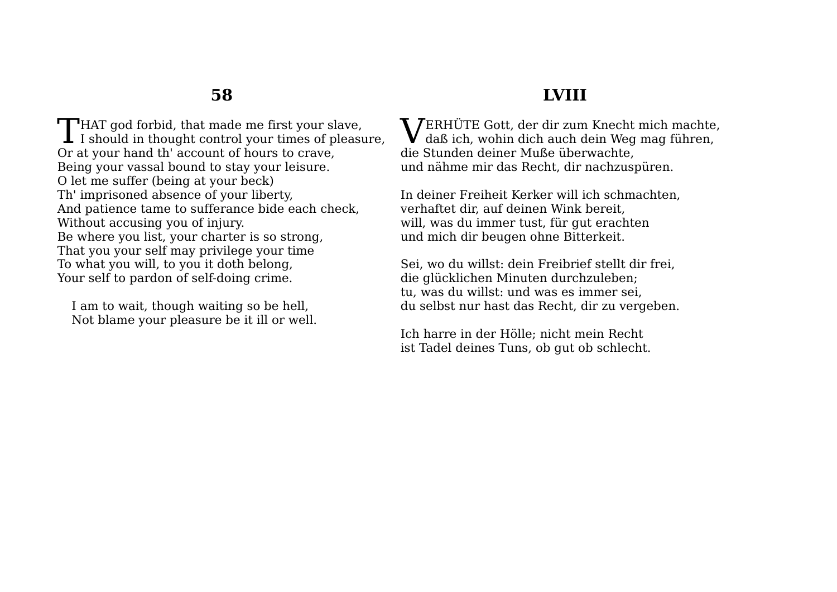**T**HAT god forbid, that made me first your slave, THAT god forbid, that made me first your slave,<br>I should in thought control your times of pleasure, Or at your hand th' account of hours to crave, Being your vassal bound to stay your leisure. O let me suffer (being at your beck) Th' imprisoned absence of your liberty, And patience tame to sufferance bide each check, Without accusing you of injury. Be where you list, your charter is so strong, That you your self may privilege your time To what you will, to you it doth belong, Your self to pardon of self-doing crime.

I am to wait, though waiting so be hell, Not blame your pleasure be it ill or well.

## **LVIII**

**VERHÜTE Gott, der dir zum Knecht mich machte,<br>daß ich, wohin dich auch dein Weg mag führen,** daß ich, wohin dich auch dein Weg mag führen, die Stunden deiner Muße überwachte, und nähme mir das Recht, dir nachzuspüren.

In deiner Freiheit Kerker will ich schmachten, verhaftet dir, auf deinen Wink bereit, will, was du immer tust, für gut erachten und mich dir beugen ohne Bitterkeit.

Sei, wo du willst: dein Freibrief stellt dir frei, die glücklichen Minuten durchzuleben; tu, was du willst: und was es immer sei, du selbst nur hast das Recht, dir zu vergeben.

Ich harre in der Hölle; nicht mein Recht ist Tadel deines Tuns, ob gut ob schlecht.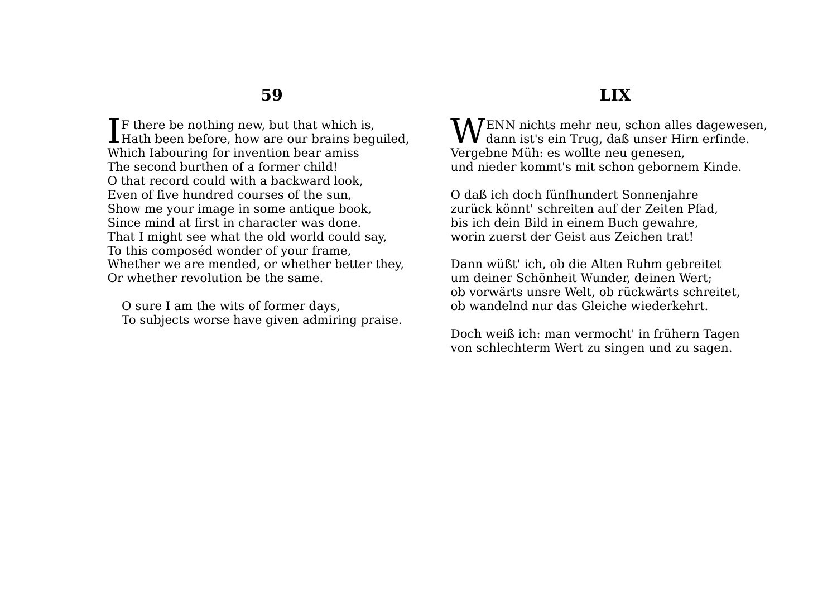$\mathsf{T}$  F there be nothing new, but that which is,  $\prod$ F there be nothing new, but that which is,<br>Hath been before, how are our brains beguiled, Which Iabouring for invention bear amiss The second burthen of a former child! O that record could with a backward look, Even of five hundred courses of the sun, Show me your image in some antique book, Since mind at first in character was done. That I might see what the old world could say, To this composéd wonder of your frame, Whether we are mended, or whether better they, Or whether revolution be the same.

O sure I am the wits of former days, To subjects worse have given admiring praise.

#### **LIX**

ENN nichts mehr neu, schon alles dagewesen,  $\mathbf{W}^\text{ENN}$  nichts mehr neu, schon alles dagewes dann ist's ein Trug, daß unser Hirn erfinde. Vergebne Müh: es wollte neu genesen, und nieder kommt's mit schon gebornem Kinde.

O daß ich doch fünfhundert Sonnenjahre zurück könnt' schreiten auf der Zeiten Pfad, bis ich dein Bild in einem Buch gewahre, worin zuerst der Geist aus Zeichen trat!

Dann wüßt' ich, ob die Alten Ruhm gebreitet um deiner Schönheit Wunder, deinen Wert; ob vorwärts unsre Welt, ob rückwärts schreitet, ob wandelnd nur das Gleiche wiederkehrt.

Doch weiß ich: man vermocht' in frühern Tagen von schlechterm Wert zu singen und zu sagen.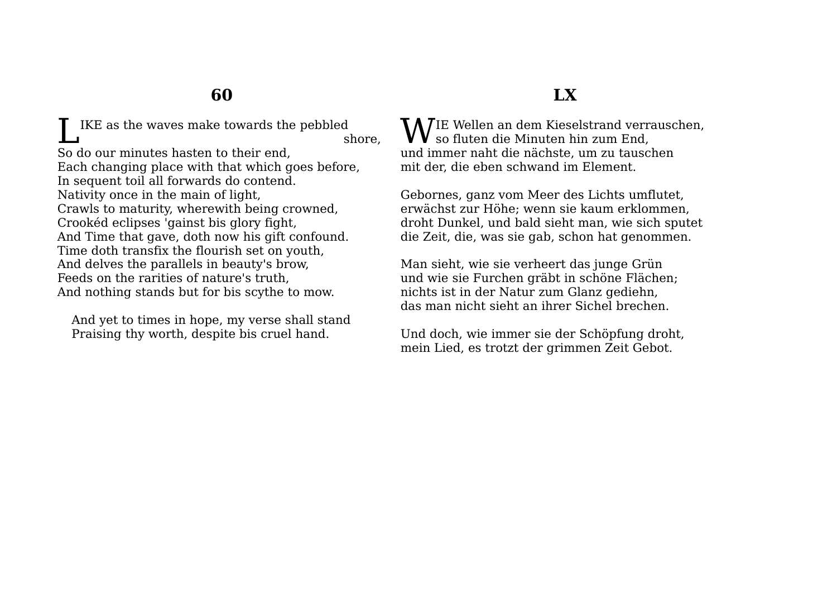IKE as the waves make towards the pebbled shore, So do our minutes hasten to their end, Each changing place with that which goes before, In sequent toil all forwards do contend. Nativity once in the main of light, Crawls to maturity, wherewith being crowned, Crookéd eclipses 'gainst bis glory fight, And Time that gave, doth now his gift confound. Time doth transfix the flourish set on youth, And delves the parallels in beauty's brow, Feeds on the rarities of nature's truth, And nothing stands but for bis scythe to mow. L

And yet to times in hope, my verse shall stand Praising thy worth, despite bis cruel hand.

## **LX**

**W**IE Wellen an dem Kieselstrand verrauschen,<br>so fluten die Minuten hin zum End,  ${\bm V}$  so fluten die Minuten hin zum End, und immer naht die nächste, um zu tauschen mit der, die eben schwand im Element.

Gebornes, ganz vom Meer des Lichts umflutet, erwächst zur Höhe; wenn sie kaum erklommen, droht Dunkel, und bald sieht man, wie sich sputet die Zeit, die, was sie gab, schon hat genommen.

Man sieht, wie sie verheert das junge Grün und wie sie Furchen gräbt in schöne Flächen; nichts ist in der Natur zum Glanz gediehn, das man nicht sieht an ihrer Sichel brechen.

Und doch, wie immer sie der Schöpfung droht, mein Lied, es trotzt der grimmen Zeit Gebot.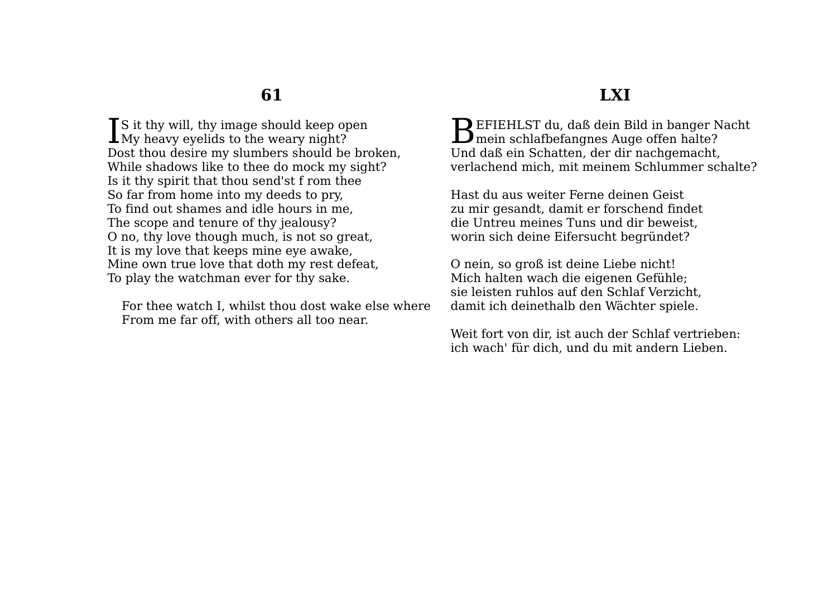**T**S it thy will, thy image should keep open Is it thy will, thy image should keep op My heavy eyelids to the weary night? Dost thou desire my slumbers should be broken, While shadows like to thee do mock my sight? Is it thy spirit that thou send'st f rom thee So far from home into my deeds to pry, To find out shames and idle hours in me, The scope and tenure of thy jealousy? O no, thy love though much, is not so great, It is my love that keeps mine eye awake, Mine own true love that doth my rest defeat, To play the watchman ever for thy sake.

For thee watch I, whilst thou dost wake else where From me far off, with others all too near.

#### **LXI**

EFIEHLST du, daß dein Bild in banger Nacht BEFIEHLST du, daß dein Bild in banger N<br>mein schlafbefangnes Auge offen halte? Und daß ein Schatten, der dir nachgemacht, verlachend mich, mit meinem Schlummer schalte?

Hast du aus weiter Ferne deinen Geist zu mir gesandt, damit er forschend findet die Untreu meines Tuns und dir beweist, worin sich deine Eifersucht begründet?

O nein, so groß ist deine Liebe nicht! Mich halten wach die eigenen Gefühle; sie leisten ruhlos auf den Schlaf Verzicht, damit ich deinethalb den Wächter spiele.

Weit fort von dir, ist auch der Schlaf vertrieben: ich wach' für dich, und du mit andern Lieben.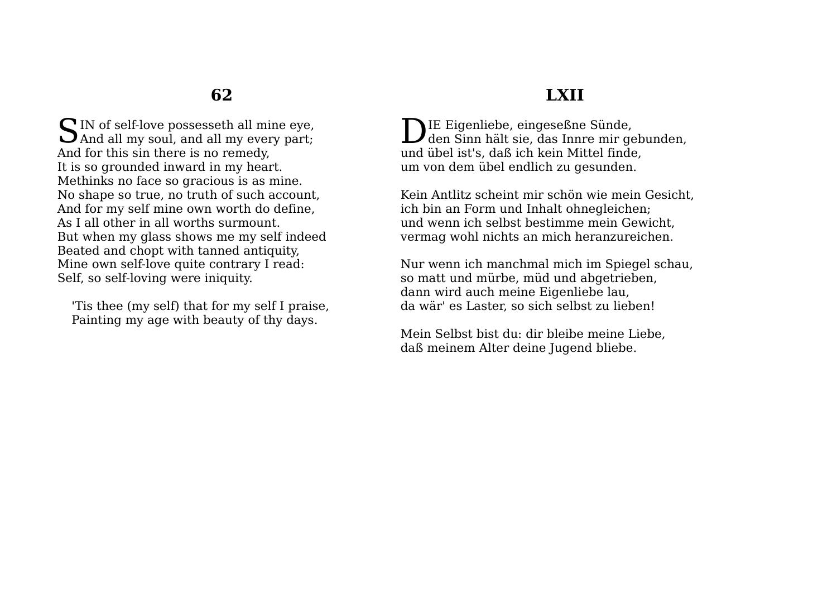SIN of self-love possesseth all mine eye, And all my soul, and all my every part; And all my soul, and all my every part; And for this sin there is no remedy, It is so grounded inward in my heart. Methinks no face so gracious is as mine. No shape so true, no truth of such account, And for my self mine own worth do define, As I all other in all worths surmount. But when my glass shows me my self indeed Beated and chopt with tanned antiquity, Mine own self-love quite contrary I read: Self, so self-loving were iniquity.

'Tis thee (my self) that for my self I praise, Painting my age with beauty of thy days.

## **LXII**

**NIE Eigenliebe, eingeseßne Sünde,** DIE Eigenliebe, eingeseßne Sünde,<br>den Sinn hält sie, das Innre mir gebunden, und übel ist's, daß ich kein Mittel finde, um von dem übel endlich zu gesunden.

Kein Antlitz scheint mir schön wie mein Gesicht, ich bin an Form und Inhalt ohnegleichen; und wenn ich selbst bestimme mein Gewicht, vermag wohl nichts an mich heranzureichen.

Nur wenn ich manchmal mich im Spiegel schau, so matt und mürbe, müd und abgetrieben, dann wird auch meine Eigenliebe lau, da wär' es Laster, so sich selbst zu lieben!

Mein Selbst bist du: dir bleibe meine Liebe, daß meinem Alter deine Jugend bliebe.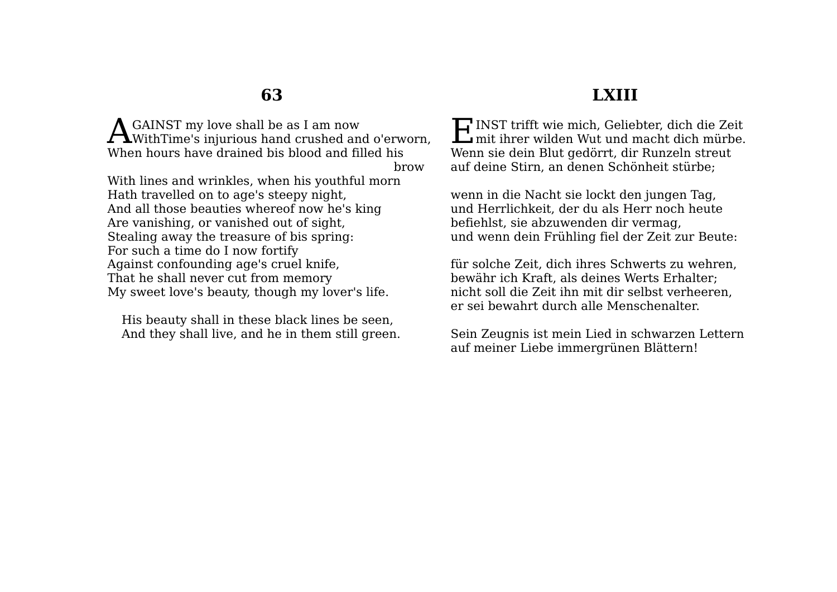GAINST my love shall be as I am now **A** GAINST my love shall be as I am now<br>WithTime's injurious hand crushed and o'erworn, When hours have drained bis blood and filled his

brow

With lines and wrinkles, when his youthful morn Hath travelled on to age's steepy night, And all those beauties whereof now he's king Are vanishing, or vanished out of sight, Stealing away the treasure of bis spring: For such a time do I now fortify Against confounding age's cruel knife, That he shall never cut from memory My sweet love's beauty, though my lover's life.

His beauty shall in these black lines be seen, And they shall live, and he in them still green.

#### **LXIII**

INST trifft wie mich, Geliebter, dich die Zeit **F** INST trifft wie mich, Geliebter, dich die Zeit mit ihrer wilden Wut und macht dich mürbe. Wenn sie dein Blut gedörrt, dir Runzeln streut auf deine Stirn, an denen Schönheit stürbe;

wenn in die Nacht sie lockt den jungen Tag, und Herrlichkeit, der du als Herr noch heute befiehlst, sie abzuwenden dir vermag, und wenn dein Frühling fiel der Zeit zur Beute:

für solche Zeit, dich ihres Schwerts zu wehren, bewähr ich Kraft, als deines Werts Erhalter; nicht soll die Zeit ihn mit dir selbst verheeren, er sei bewahrt durch alle Menschenalter.

Sein Zeugnis ist mein Lied in schwarzen Lettern auf meiner Liebe immergrünen Blättern!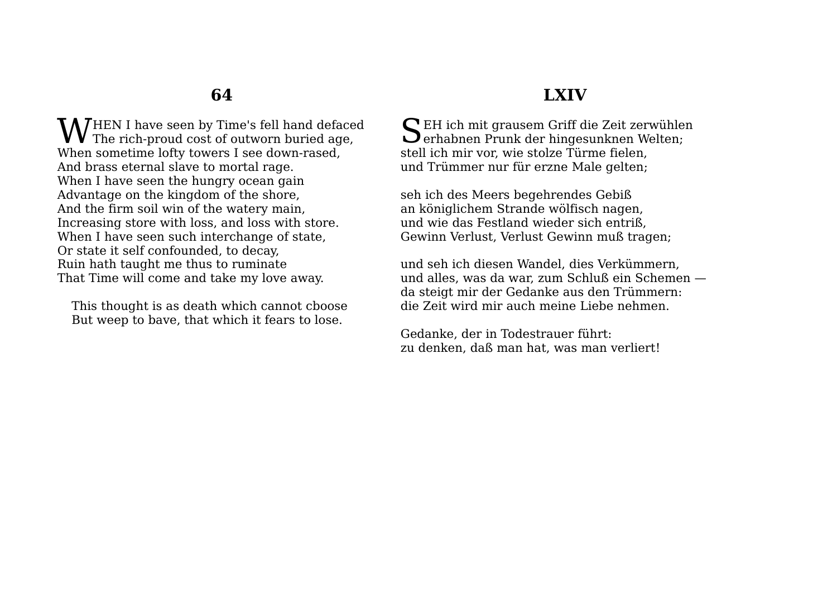HEN I have seen by Time's fell hand defaced  $\mathbf{W}^\textrm{HEN I}$  have seen by Time's fell hand deface The rich-proud cost of outworn buried age, When sometime lofty towers I see down-rased, And brass eternal slave to mortal rage. When I have seen the hungry ocean gain Advantage on the kingdom of the shore, And the firm soil win of the watery main, Increasing store with loss, and loss with store. When I have seen such interchange of state, Or state it self confounded, to decay, Ruin hath taught me thus to ruminate That Time will come and take my love away.

This thought is as death which cannot cboose But weep to bave, that which it fears to lose.

## **LXIV**

SEH ich mit grausem Griff die Zeit zerwühlen Serhabnen Prunk der hingesunknen Welten; erhabnen Prunk der hingesunknen Welten; stell ich mir vor, wie stolze Türme fielen, und Trümmer nur für erzne Male gelten;

seh ich des Meers begehrendes Gebiß an königlichem Strande wölfisch nagen, und wie das Festland wieder sich entriß, Gewinn Verlust, Verlust Gewinn muß tragen;

und seh ich diesen Wandel, dies Verkümmern, und alles, was da war, zum Schluß ein Schemen da steigt mir der Gedanke aus den Trümmern: die Zeit wird mir auch meine Liebe nehmen.

Gedanke, der in Todestrauer führt: zu denken, daß man hat, was man verliert!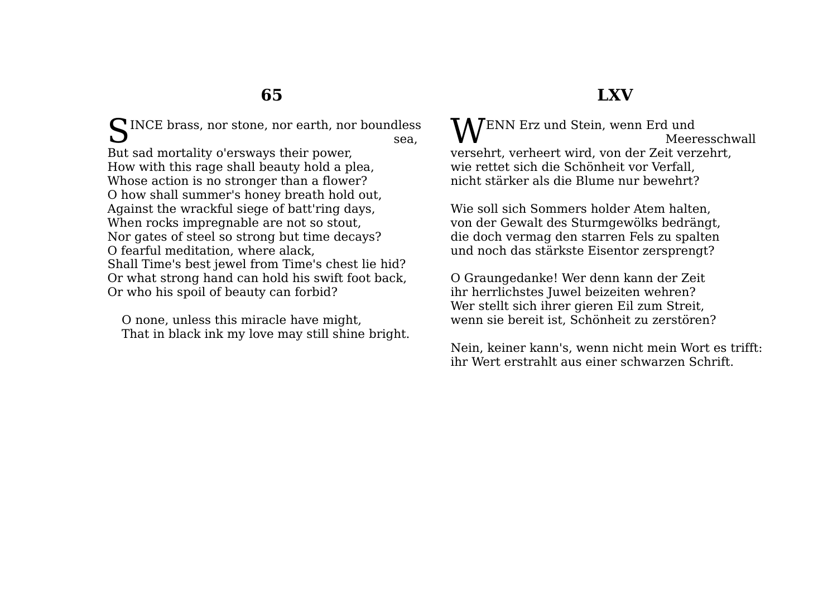SINCE brass, nor stone, nor earth, nor boundless sea, sea, But sad mortality o'ersways their power, How with this rage shall beauty hold a plea, Whose action is no stronger than a flower? O how shall summer's honey breath hold out, Against the wrackful siege of batt'ring days, When rocks impregnable are not so stout, Nor gates of steel so strong but time decays? O fearful meditation, where alack, Shall Time's best jewel from Time's chest lie hid? Or what strong hand can hold his swift foot back, Or who his spoil of beauty can forbid?

O none, unless this miracle have might, That in black ink my love may still shine bright.

#### WENN Erz und Stein, wenn Erd und Meeresschwall versehrt, verheert wird, von der Zeit verzehrt, wie rettet sich die Schönheit vor Verfall, nicht stärker als die Blume nur bewehrt?

Wie soll sich Sommers holder Atem halten, von der Gewalt des Sturmgewölks bedrängt, die doch vermag den starren Fels zu spalten und noch das stärkste Eisentor zersprengt?

O Graungedanke! Wer denn kann der Zeit ihr herrlichstes Juwel beizeiten wehren? Wer stellt sich ihrer gieren Eil zum Streit, wenn sie bereit ist, Schönheit zu zerstören?

Nein, keiner kann's, wenn nicht mein Wort es trifft: ihr Wert erstrahlt aus einer schwarzen Schrift.

# **LXV**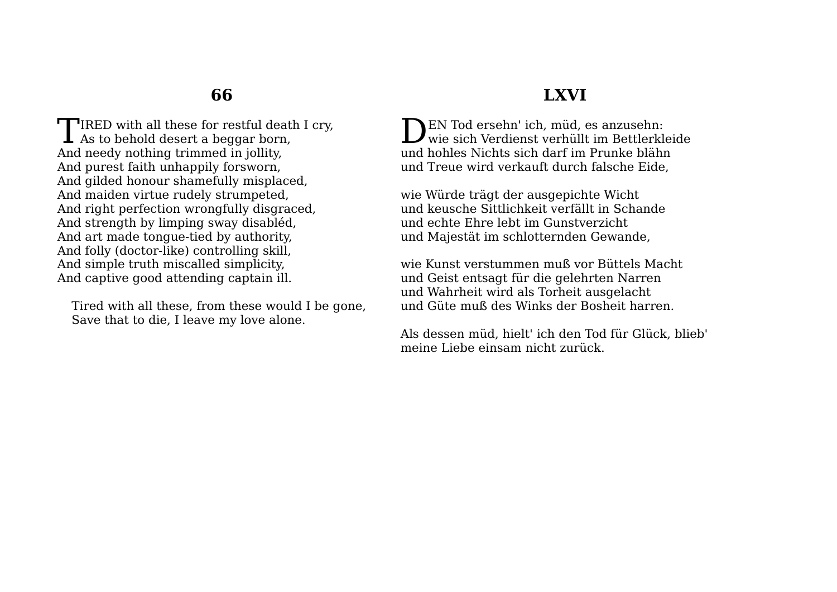**T**IRED with all these for restful death I cry. TIRED with all these for restful deatl<br>As to behold desert a beggar born, And needy nothing trimmed in jollity, And purest faith unhappily forsworn, And gilded honour shamefully misplaced, And maiden virtue rudely strumpeted, And right perfection wrongfully disgraced, And strength by limping sway disabléd, And art made tongue-tied by authority, And folly (doctor-like) controlling skill, And simple truth miscalled simplicity, And captive good attending captain ill.

Tired with all these, from these would I be gone, Save that to die, I leave my love alone.

### **LXVI**

DEN Tod ersehn' ich, müd, es anzusehn:<br>wie sich Verdienst verhüllt im Bettlerkle wie sich Verdienst verhüllt im Bettlerkleide und hohles Nichts sich darf im Prunke blähn und Treue wird verkauft durch falsche Eide,

wie Würde trägt der ausgepichte Wicht und keusche Sittlichkeit verfällt in Schande und echte Ehre lebt im Gunstverzicht und Majestät im schlotternden Gewande,

wie Kunst verstummen muß vor Büttels Macht und Geist entsagt für die gelehrten Narren und Wahrheit wird als Torheit ausgelacht und Güte muß des Winks der Bosheit harren.

Als dessen müd, hielt' ich den Tod für Glück, blieb' meine Liebe einsam nicht zurück.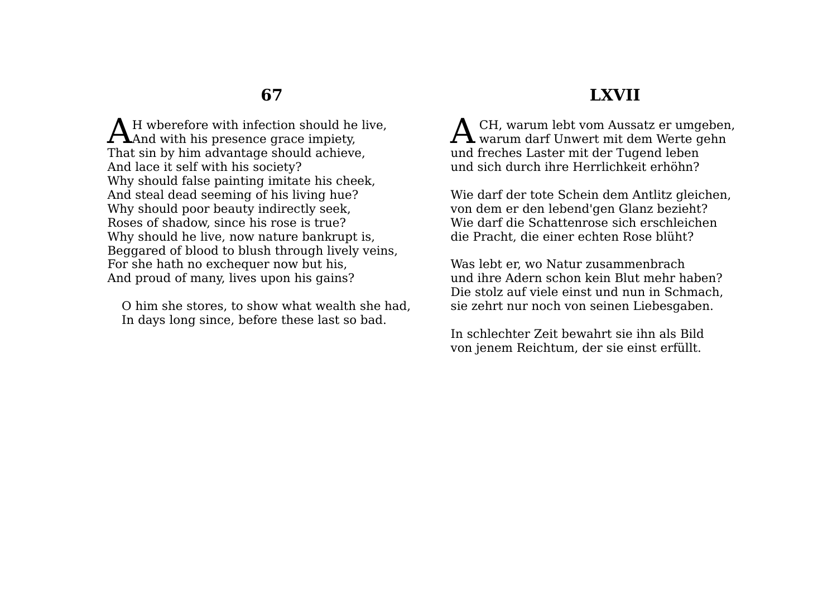H wberefore with infection should he live. AH wherefore with infection should he<br>And with his presence grace impiety, That sin by him advantage should achieve, And lace it self with his society? Why should false painting imitate his cheek, And steal dead seeming of his living hue? Why should poor beauty indirectly seek, Roses of shadow, since his rose is true? Why should he live, now nature bankrupt is, Beggared of blood to blush through lively veins, For she hath no exchequer now but his, And proud of many, lives upon his gains?

O him she stores, to show what wealth she had, In days long since, before these last so bad.

#### **LXVII**

 CH, warum lebt vom Aussatz er umgeben,  ${\mathbf A}$  CH, warum lebt vom Aussatz er umgeben<br>warum darf Unwert mit dem Werte gehn und freches Laster mit der Tugend leben und sich durch ihre Herrlichkeit erhöhn?

Wie darf der tote Schein dem Antlitz gleichen, von dem er den lebend'gen Glanz bezieht? Wie darf die Schattenrose sich erschleichen die Pracht, die einer echten Rose blüht?

Was lebt er, wo Natur zusammenbrach und ihre Adern schon kein Blut mehr haben? Die stolz auf viele einst und nun in Schmach, sie zehrt nur noch von seinen Liebesgaben.

In schlechter Zeit bewahrt sie ihn als Bild von jenem Reichtum, der sie einst erfüllt.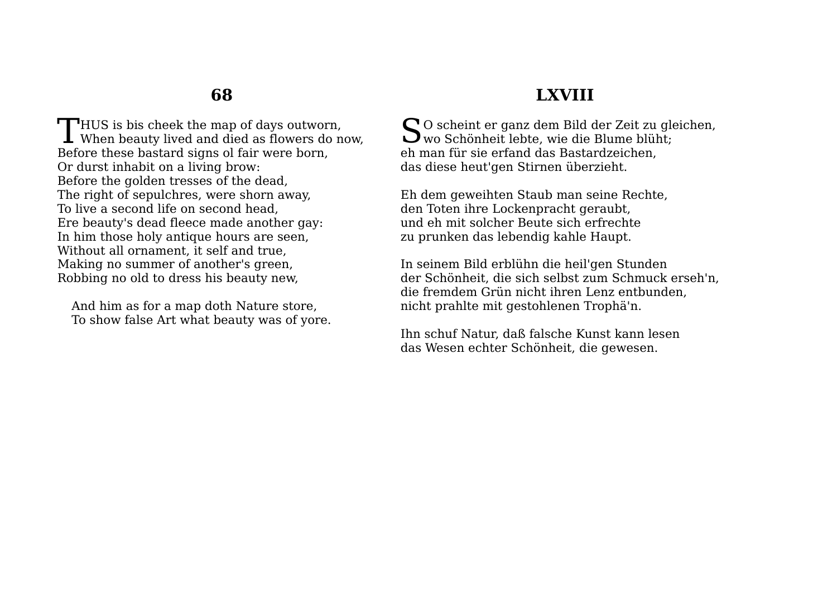$\blacksquare$ HUS is bis cheek the map of days outworn, THUS is bis cheek the map of days outworn,<br>When beauty lived and died as flowers do now, Before these bastard signs ol fair were born, Or durst inhabit on a living brow: Before the golden tresses of the dead, The right of sepulchres, were shorn away, To live a second life on second head, Ere beauty's dead fleece made another gay: In him those holy antique hours are seen, Without all ornament, it self and true, Making no summer of another's green, Robbing no old to dress his beauty new,

And him as for a map doth Nature store, To show false Art what beauty was of yore.

#### **LXVIII**

So scheint er ganz dem Bild der Zeit zu gleichen, wo Schönheit lebte, wie die Blume blüht; wo Schönheit lebte, wie die Blume blüht; eh man für sie erfand das Bastardzeichen, das diese heut'gen Stirnen überzieht.

Eh dem geweihten Staub man seine Rechte, den Toten ihre Lockenpracht geraubt, und eh mit solcher Beute sich erfrechte zu prunken das lebendig kahle Haupt.

In seinem Bild erblühn die heil'gen Stunden der Schönheit, die sich selbst zum Schmuck erseh'n, die fremdem Grün nicht ihren Lenz entbunden, nicht prahlte mit gestohlenen Trophä'n.

Ihn schuf Natur, daß falsche Kunst kann lesen das Wesen echter Schönheit, die gewesen.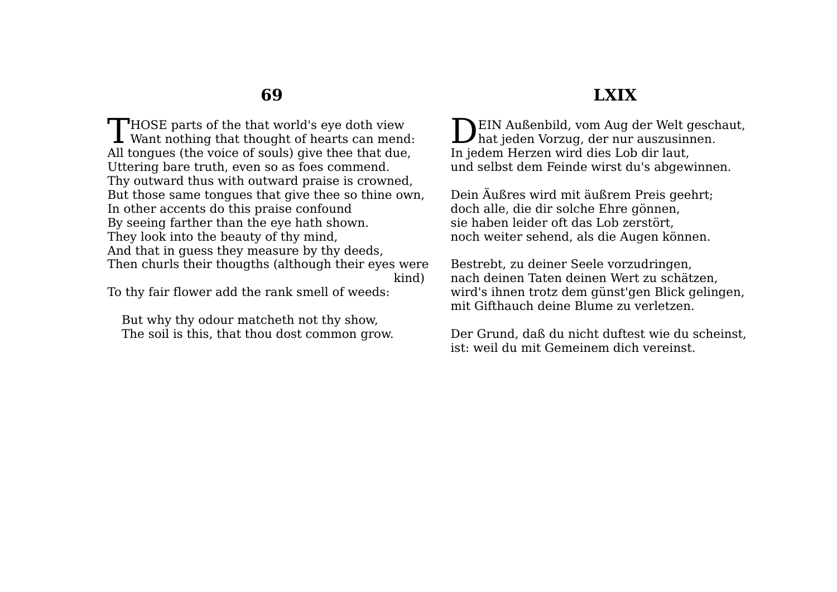$\Box$  HOSE parts of the that world's eve doth view THOSE parts of the that world's eye doth view<br>Want nothing that thought of hearts can mend: All tongues (the voice of souls) give thee that due, Uttering bare truth, even so as foes commend. Thy outward thus with outward praise is crowned, But those same tongues that give thee so thine own, In other accents do this praise confound By seeing farther than the eye hath shown. They look into the beauty of thy mind, And that in guess they measure by thy deeds, Then churls their thougths (although their eyes were kind)

To thy fair flower add the rank smell of weeds:

But why thy odour matcheth not thy show, The soil is this, that thou dost common grow.

#### EIN Außenbild, vom Aug der Welt geschaut, DEIN Außenbild, vom Aug der Welt gesch<br>hat jeden Vorzug, der nur auszusinnen. In jedem Herzen wird dies Lob dir laut, und selbst dem Feinde wirst du's abgewinnen.

Dein Äußres wird mit äußrem Preis geehrt; doch alle, die dir solche Ehre gönnen, sie haben leider oft das Lob zerstört, noch weiter sehend, als die Augen können.

Bestrebt, zu deiner Seele vorzudringen, nach deinen Taten deinen Wert zu schätzen, wird's ihnen trotz dem günst'gen Blick gelingen, mit Gifthauch deine Blume zu verletzen.

Der Grund, daß du nicht duftest wie du scheinst, ist: weil du mit Gemeinem dich vereinst.

# **LXIX**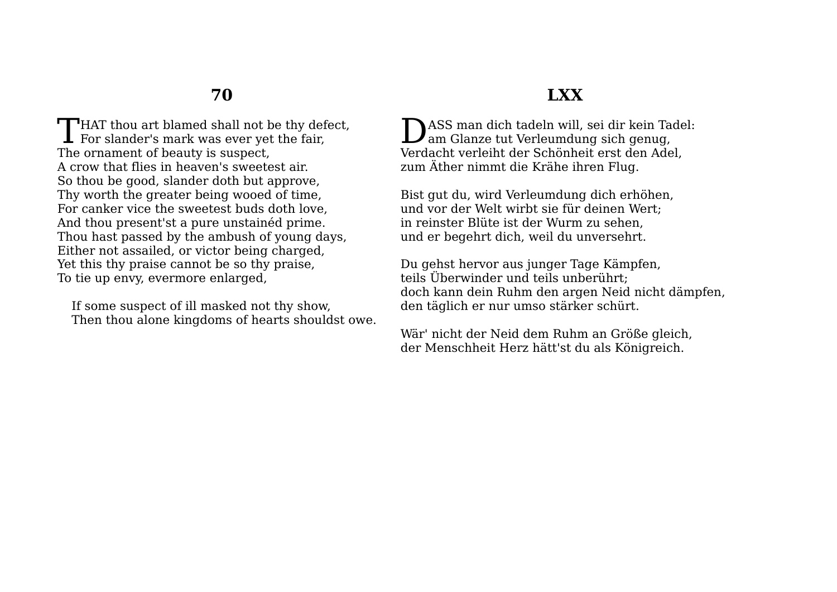$\Box$  HAT thou art blamed shall not be thy defect. THAT thou art blamed shall not be thy designed For slander's mark was ever yet the fair, The ornament of beauty is suspect, A crow that flies in heaven's sweetest air. So thou be good, slander doth but approve, Thy worth the greater being wooed of time, For canker vice the sweetest buds doth love, And thou present'st a pure unstainéd prime. Thou hast passed by the ambush of young days, Either not assailed, or victor being charged, Yet this thy praise cannot be so thy praise, To tie up envy, evermore enlarged,

If some suspect of ill masked not thy show, Then thou alone kingdoms of hearts shouldst owe.

## **LXX**

DASS man dich tadeln will, sei dir kein Tadel:<br>am Glanze tut Verleumdung sich genug, If am Glanze tut Verleumdung sich genug, Verdacht verleiht der Schönheit erst den Adel, zum Äther nimmt die Krähe ihren Flug.

Bist gut du, wird Verleumdung dich erhöhen, und vor der Welt wirbt sie für deinen Wert; in reinster Blüte ist der Wurm zu sehen, und er begehrt dich, weil du unversehrt.

Du gehst hervor aus junger Tage Kämpfen, teils Überwinder und teils unberührt; doch kann dein Ruhm den argen Neid nicht dämpfen, den täglich er nur umso stärker schürt.

Wär' nicht der Neid dem Ruhm an Größe gleich, der Menschheit Herz hätt'st du als Königreich.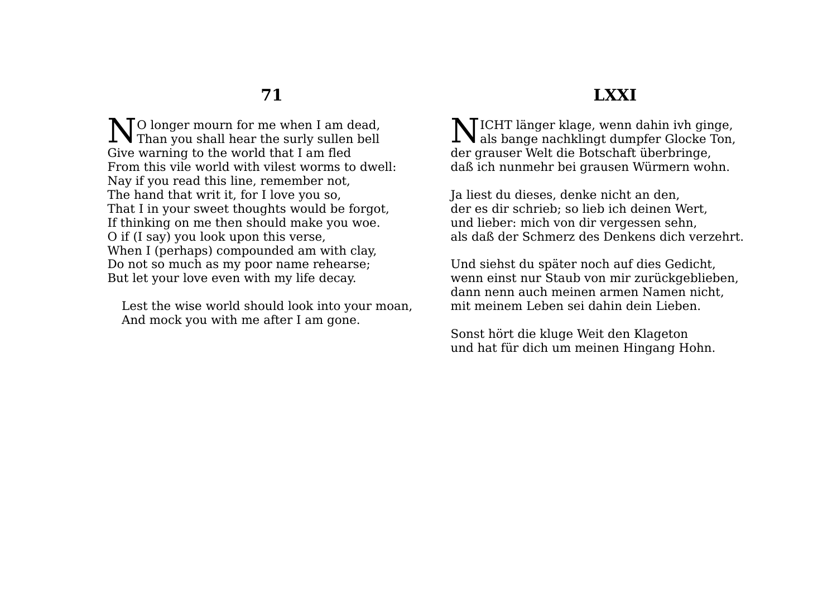O longer mourn for me when I am dead, No longer mourn for me when I am dead,<br>Than you shall hear the surly sullen bell Give warning to the world that I am fled From this vile world with vilest worms to dwell: Nay if you read this line, remember not, The hand that writ it, for I love you so, That I in your sweet thoughts would be forgot, If thinking on me then should make you woe. O if (I say) you look upon this verse, When I (perhaps) compounded am with clay, Do not so much as my poor name rehearse; But let your love even with my life decay.

Lest the wise world should look into your moan, And mock you with me after I am gone.

## **LXXI**

ICHT länger klage, wenn dahin ivh ginge,  $\sum$ ICHT länger klage, wenn dahin ivh ginge,<br>als bange nachklingt dumpfer Glocke Ton, der grauser Welt die Botschaft überbringe, daß ich nunmehr bei grausen Würmern wohn.

Ja liest du dieses, denke nicht an den, der es dir schrieb; so lieb ich deinen Wert, und lieber: mich von dir vergessen sehn, als daß der Schmerz des Denkens dich verzehrt.

Und siehst du später noch auf dies Gedicht, wenn einst nur Staub von mir zurückgeblieben, dann nenn auch meinen armen Namen nicht, mit meinem Leben sei dahin dein Lieben.

Sonst hört die kluge Weit den Klageton und hat für dich um meinen Hingang Hohn.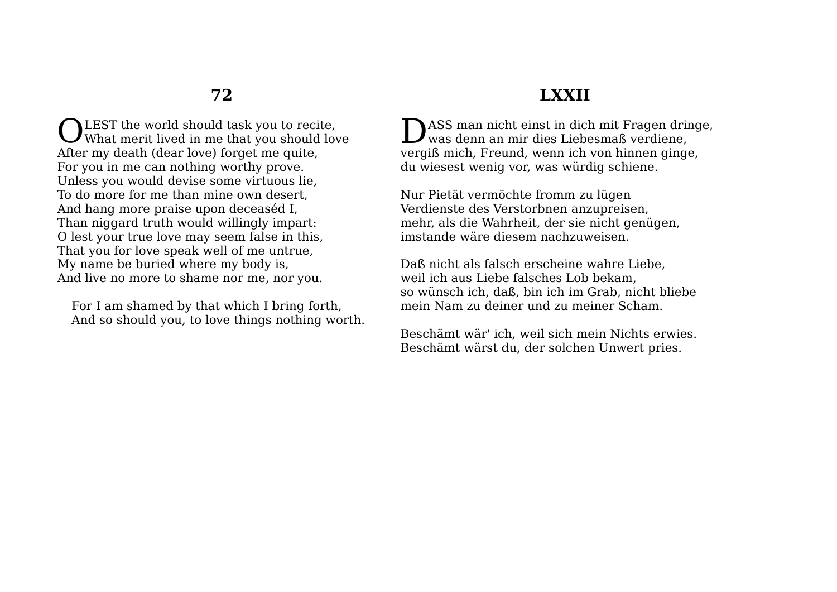OLEST the world should task you to recite,<br>What merit lived in me that you should lov What merit lived in me that you should love After my death (dear love) forget me quite, For you in me can nothing worthy prove. Unless you would devise some virtuous lie, To do more for me than mine own desert, And hang more praise upon deceaséd I, Than niggard truth would willingly impart: O lest your true love may seem false in this, That you for love speak well of me untrue, My name be buried where my body is, And live no more to shame nor me, nor you.

For I am shamed by that which I bring forth, And so should you, to love things nothing worth.

## **LXXII**

ASS man nicht einst in dich mit Fragen dringe, D was denn an mir dies Liebesmaß verdiene, vergiß mich, Freund, wenn ich von hinnen ginge, du wiesest wenig vor, was würdig schiene.

Nur Pietät vermöchte fromm zu lügen Verdienste des Verstorbnen anzupreisen, mehr, als die Wahrheit, der sie nicht genügen, imstande wäre diesem nachzuweisen.

Daß nicht als falsch erscheine wahre Liebe, weil ich aus Liebe falsches Lob bekam, so wünsch ich, daß, bin ich im Grab, nicht bliebe mein Nam zu deiner und zu meiner Scham.

Beschämt wär' ich, weil sich mein Nichts erwies. Beschämt wärst du, der solchen Unwert pries.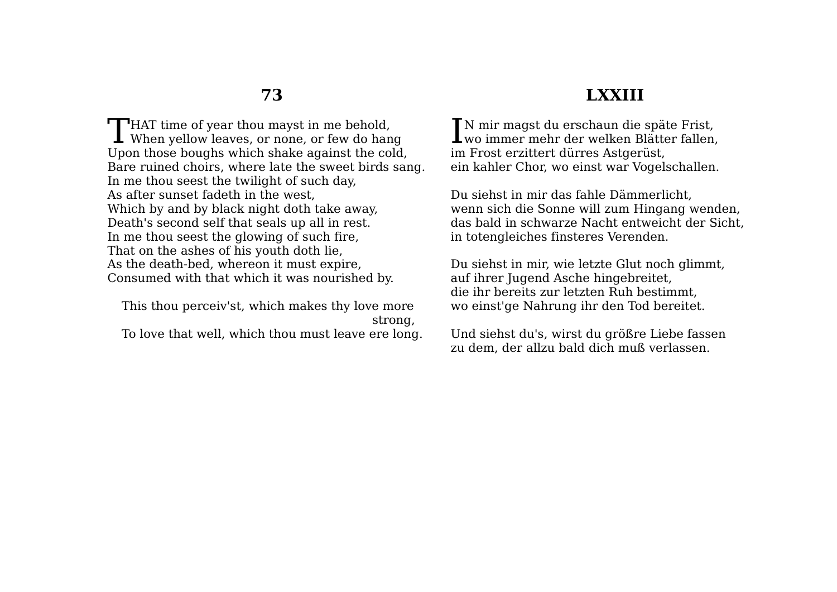#### **LXXIII**

**T**HAT time of year thou mayst in me behold. THAT time of year thou mayst in me behold,<br>When yellow leaves, or none, or few do hang Upon those boughs which shake against the cold, Bare ruined choirs, where late the sweet birds sang. In me thou seest the twilight of such day, As after sunset fadeth in the west, Which by and by black night doth take away, Death's second self that seals up all in rest. In me thou seest the glowing of such fire, That on the ashes of his youth doth lie, As the death-bed, whereon it must expire, Consumed with that which it was nourished by.

This thou perceiv'st, which makes thy love more strong, To love that well, which thou must leave ere long.

N mir magst du erschaun die späte Frist, IN mir magst du erschaun die späte Frist,<br>wo immer mehr der welken Blätter fallen, im Frost erzittert dürres Astgerüst, ein kahler Chor, wo einst war Vogelschallen.

Du siehst in mir das fahle Dämmerlicht, wenn sich die Sonne will zum Hingang wenden, das bald in schwarze Nacht entweicht der Sicht, in totengleiches finsteres Verenden.

Du siehst in mir, wie letzte Glut noch glimmt, auf ihrer Jugend Asche hingebreitet, die ihr bereits zur letzten Ruh bestimmt, wo einst'ge Nahrung ihr den Tod bereitet.

Und siehst du's, wirst du größre Liebe fassen zu dem, der allzu bald dich muß verlassen.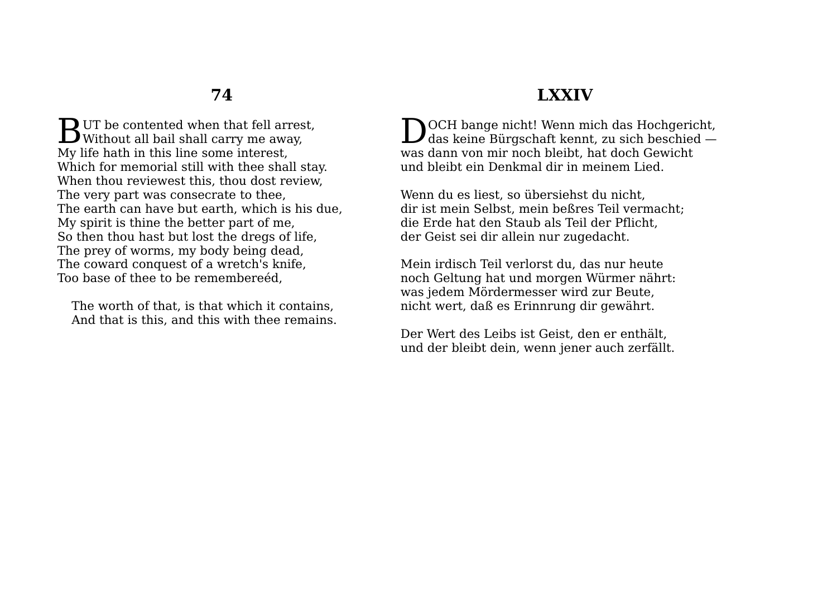$\mathbf D$  UT be contented when that fell arrest. **BUT** be contented when that fell arrest Without all bail shall carry me away, My life hath in this line some interest, Which for memorial still with thee shall stay. When thou reviewest this, thou dost review, The very part was consecrate to thee, The earth can have but earth, which is his due, My spirit is thine the better part of me, So then thou hast but lost the dregs of life, The prey of worms, my body being dead, The coward conquest of a wretch's knife, Too base of thee to be remembereéd,

The worth of that, is that which it contains, And that is this, and this with thee remains.

## **LXXIV**

**NOCH** bange nicht! Wenn mich das Hochgericht, DOCH bange nicht! Wenn mich das Hochgericht,<br>das keine Bürgschaft kennt, zu sich beschied was dann von mir noch bleibt, hat doch Gewicht und bleibt ein Denkmal dir in meinem Lied.

Wenn du es liest, so übersiehst du nicht, dir ist mein Selbst, mein beßres Teil vermacht; die Erde hat den Staub als Teil der Pflicht, der Geist sei dir allein nur zugedacht.

Mein irdisch Teil verlorst du, das nur heute noch Geltung hat und morgen Würmer nährt: was jedem Mördermesser wird zur Beute, nicht wert, daß es Erinnrung dir gewährt.

Der Wert des Leibs ist Geist, den er enthält, und der bleibt dein, wenn jener auch zerfällt.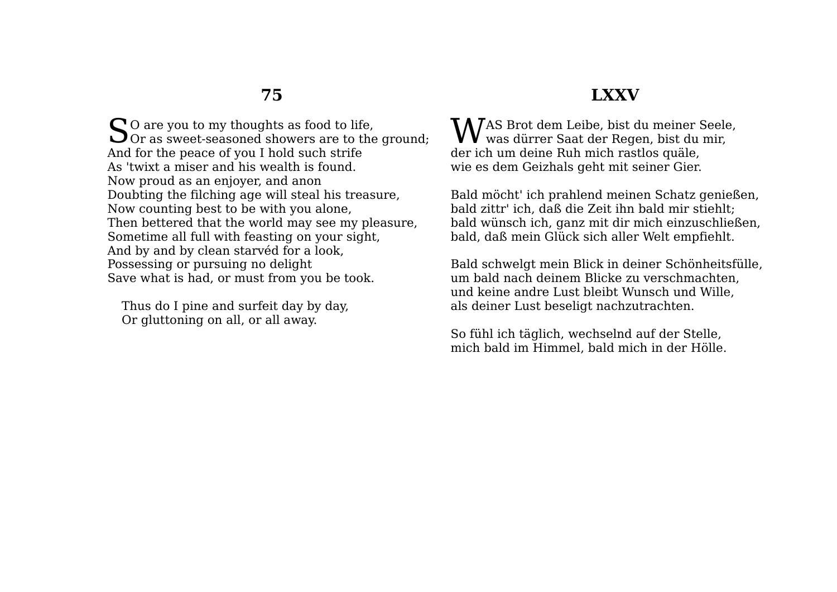### **LXXV**

 $\mathbb{S}^{\scriptscriptstyle 0}$  are you to my thoughts as food to life,  $\mathbb{S}^{\scriptscriptstyle 0}$  or as sweet-seasoned showers are to the  $\overline{\bigcup}$  Or as sweet-seasoned showers are to the ground; And for the peace of you I hold such strife As 'twixt a miser and his wealth is found. Now proud as an enjoyer, and anon Doubting the filching age will steal his treasure, Now counting best to be with you alone, Then bettered that the world may see my pleasure, Sometime all full with feasting on your sight, And by and by clean starvéd for a look, Possessing or pursuing no delight Save what is had, or must from you be took.

Thus do I pine and surfeit day by day, Or gluttoning on all, or all away.

AS Brot dem Leibe, bist du meiner Seele, WAS Brot dem Leibe, bist du meiner Seele<br>Wwas dürrer Saat der Regen, bist du mir, der ich um deine Ruh mich rastlos quäle, wie es dem Geizhals geht mit seiner Gier.

Bald möcht' ich prahlend meinen Schatz genießen, bald zittr' ich, daß die Zeit ihn bald mir stiehlt; bald wünsch ich, ganz mit dir mich einzuschließen, bald, daß mein Glück sich aller Welt empfiehlt.

Bald schwelgt mein Blick in deiner Schönheitsfülle, um bald nach deinem Blicke zu verschmachten, und keine andre Lust bleibt Wunsch und Wille, als deiner Lust beseligt nachzutrachten.

So fühl ich täglich, wechselnd auf der Stelle, mich bald im Himmel, bald mich in der Hölle.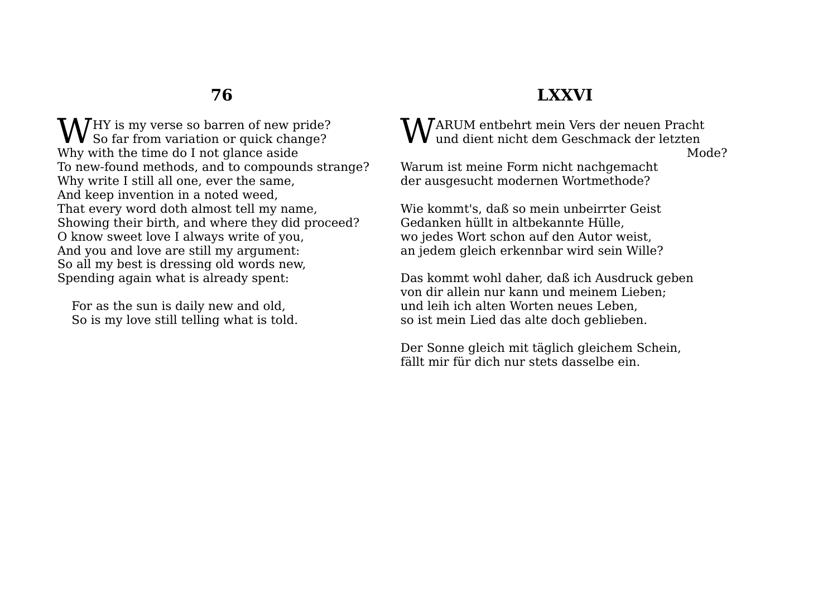HY is my verse so barren of new pride?  $\mathbf{W}^\mathrm{HY}$  is my verse so barren of new pride? Why with the time do I not glance aside To new-found methods, and to compounds strange? Why write I still all one, ever the same, And keep invention in a noted weed, That every word doth almost tell my name, Showing their birth, and where they did proceed? O know sweet love I always write of you, And you and love are still my argument: So all my best is dressing old words new, Spending again what is already spent:

For as the sun is daily new and old, So is my love still telling what is told.

## **LXXVI**

ARUM entbehrt mein Vers der neuen Pracht  $\mathbf W$ ARUM entbehrt mein Vers der neuen Pracht und dient nicht dem Geschmack der letzten

Mode?

Warum ist meine Form nicht nachgemacht der ausgesucht modernen Wortmethode?

Wie kommt's, daß so mein unbeirrter Geist Gedanken hüllt in altbekannte Hülle, wo jedes Wort schon auf den Autor weist, an jedem gleich erkennbar wird sein Wille?

Das kommt wohl daher, daß ich Ausdruck geben von dir allein nur kann und meinem Lieben; und leih ich alten Worten neues Leben, so ist mein Lied das alte doch geblieben.

Der Sonne gleich mit täglich gleichem Schein, fällt mir für dich nur stets dasselbe ein.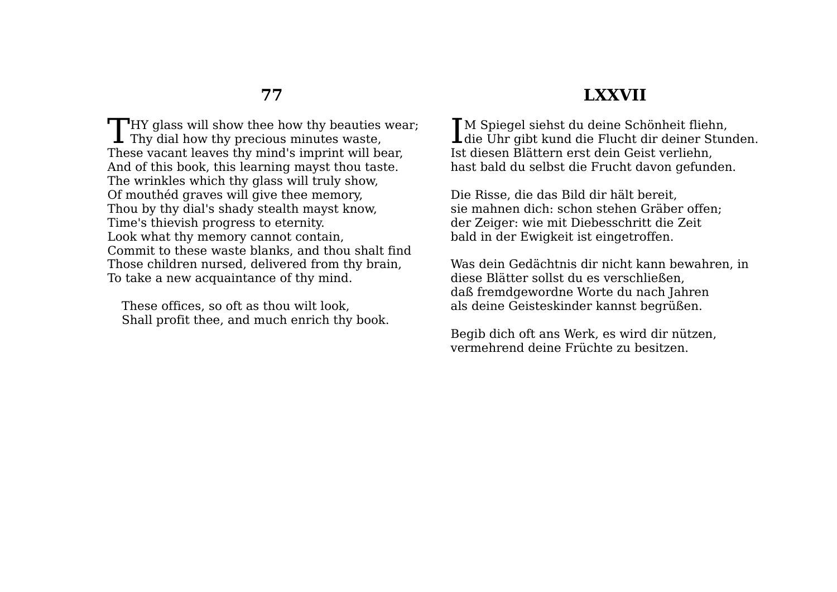$\Box$  HY glass will show thee how thy beauties wear: Thy glass will show thee how thy beauties<br>Thy dial how thy precious minutes waste, These vacant leaves thy mind's imprint will bear, And of this book, this learning mayst thou taste. The wrinkles which thy glass will truly show, Of mouthéd graves will give thee memory, Thou by thy dial's shady stealth mayst know, Time's thievish progress to eternity. Look what thy memory cannot contain, Commit to these waste blanks, and thou shalt find Those children nursed, delivered from thy brain, To take a new acquaintance of thy mind.

These offices, so oft as thou wilt look, Shall profit thee, and much enrich thy book.

#### **LXXVII**

**T**M Spiegel siehst du deine Schönheit fliehn. IM Spiegel siehst du deine Schönheit fliehn,<br>die Uhr gibt kund die Flucht dir deiner Stunden. Ist diesen Blättern erst dein Geist verliehn, hast bald du selbst die Frucht davon gefunden.

Die Risse, die das Bild dir hält bereit, sie mahnen dich: schon stehen Gräber offen; der Zeiger: wie mit Diebesschritt die Zeit bald in der Ewigkeit ist eingetroffen.

Was dein Gedächtnis dir nicht kann bewahren, in diese Blätter sollst du es verschließen, daß fremdgewordne Worte du nach Jahren als deine Geisteskinder kannst begrüßen.

Begib dich oft ans Werk, es wird dir nützen, vermehrend deine Früchte zu besitzen.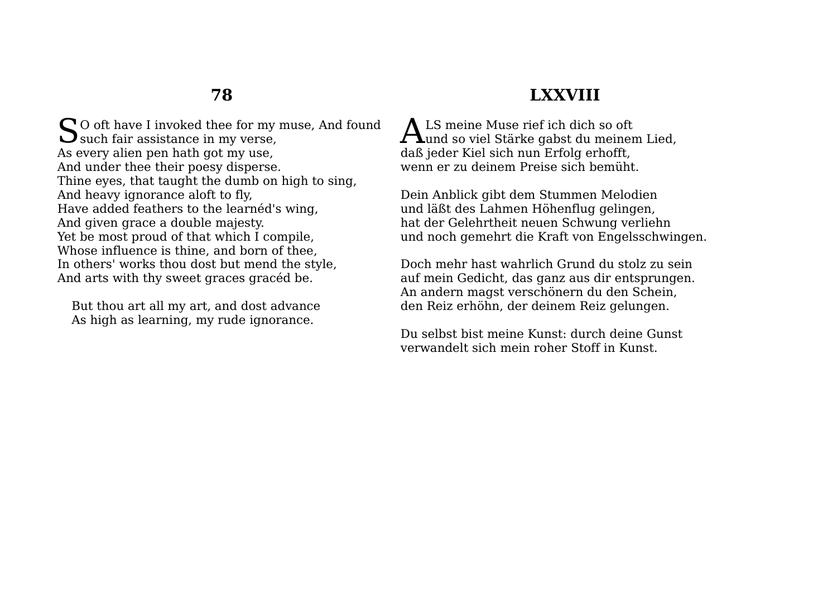So oft have I invoked thee for my muse, And found<br>Such fair assistance in my verse,  $\mathbf{\mathcal{S}}$  such fair assistance in my verse, As every alien pen hath got my use, And under thee their poesy disperse. Thine eyes, that taught the dumb on high to sing, And heavy ignorance aloft to fly, Have added feathers to the learnéd's wing, And given grace a double majesty. Yet be most proud of that which I compile, Whose influence is thine, and born of thee, In others' works thou dost but mend the style, And arts with thy sweet graces gracéd be.

But thou art all my art, and dost advance As high as learning, my rude ignorance.

# **LXXVIII**

A LS meine Muse rief ich dich so oft ALS meine Muse rief ich dich so oft<br>
und so viel Stärke gabst du meinem Lied, daß jeder Kiel sich nun Erfolg erhofft, wenn er zu deinem Preise sich bemüht.

Dein Anblick gibt dem Stummen Melodien und läßt des Lahmen Höhenflug gelingen, hat der Gelehrtheit neuen Schwung verliehn und noch gemehrt die Kraft von Engelsschwingen.

Doch mehr hast wahrlich Grund du stolz zu sein auf mein Gedicht, das ganz aus dir entsprungen. An andern magst verschönern du den Schein, den Reiz erhöhn, der deinem Reiz gelungen.

Du selbst bist meine Kunst: durch deine Gunst verwandelt sich mein roher Stoff in Kunst.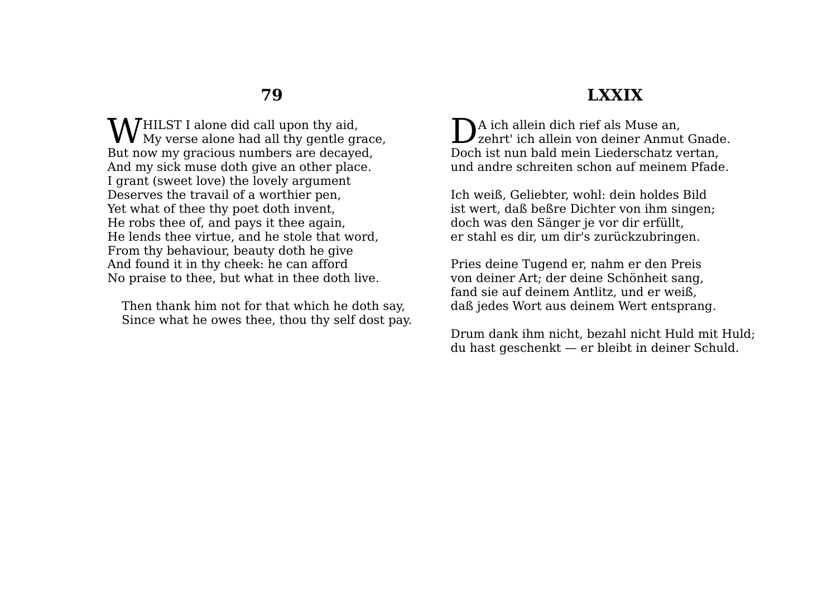HILST I alone did call upon thy aid, **W** HILST I alone did call upon thy aid,<br>My verse alone had all thy gentle grace, But now my gracious numbers are decayed, And my sick muse doth give an other place. I grant (sweet love) the lovely argument Deserves the travail of a worthier pen, Yet what of thee thy poet doth invent, He robs thee of, and pays it thee again, He lends thee virtue, and he stole that word, From thy behaviour, beauty doth he give And found it in thy cheek: he can afford No praise to thee, but what in thee doth live.

Then thank him not for that which he doth say, Since what he owes thee, thou thy self dost pay.

#### **LXXIX**

DA ich allein dich rief als Muse an,<br>zehrt' ich allein von deiner Anmut zehrt' ich allein von deiner Anmut Gnade. Doch ist nun bald mein Liederschatz vertan, und andre schreiten schon auf meinem Pfade.

Ich weiß, Geliebter, wohl: dein holdes Bild ist wert, daß beßre Dichter von ihm singen; doch was den Sänger je vor dir erfüllt, er stahl es dir, um dir's zurückzubringen.

Pries deine Tugend er, nahm er den Preis von deiner Art; der deine Schönheit sang, fand sie auf deinem Antlitz, und er weiß, daß jedes Wort aus deinem Wert entsprang.

Drum dank ihm nicht, bezahl nicht Huld mit Huld; du hast geschenkt — er bleibt in deiner Schuld.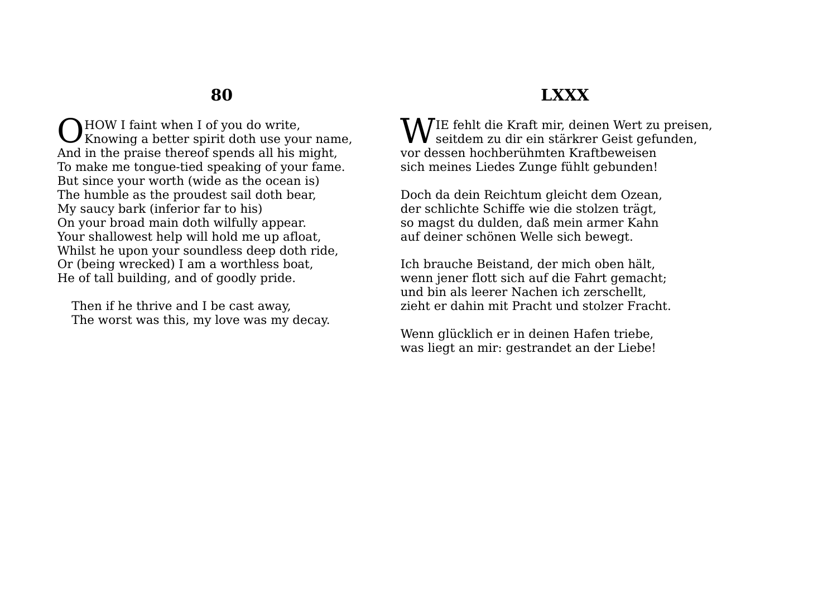**NHOW I faint when I of you do write.** Knowing a better spirit doth use your name, O And in the praise thereof spends all his might, To make me tongue-tied speaking of your fame. But since your worth (wide as the ocean is) The humble as the proudest sail doth bear, My saucy bark (inferior far to his) On your broad main doth wilfully appear. Your shallowest help will hold me up afloat, Whilst he upon your soundless deep doth ride. Or (being wrecked) I am a worthless boat, He of tall building, and of goodly pride.

Then if he thrive and I be cast away, The worst was this, my love was my decay.

## **LXXX**

IE fehlt die Kraft mir, deinen Wert zu preisen, WIE fehlt die Kraft mir, deinen Wert zu preise<br>seitdem zu dir ein stärkrer Geist gefunden, vor dessen hochberühmten Kraftbeweisen sich meines Liedes Zunge fühlt gebunden!

Doch da dein Reichtum gleicht dem Ozean, der schlichte Schiffe wie die stolzen trägt, so magst du dulden, daß mein armer Kahn auf deiner schönen Welle sich bewegt.

Ich brauche Beistand, der mich oben hält, wenn jener flott sich auf die Fahrt gemacht; und bin als leerer Nachen ich zerschellt, zieht er dahin mit Pracht und stolzer Fracht.

Wenn glücklich er in deinen Hafen triebe, was liegt an mir: gestrandet an der Liebe!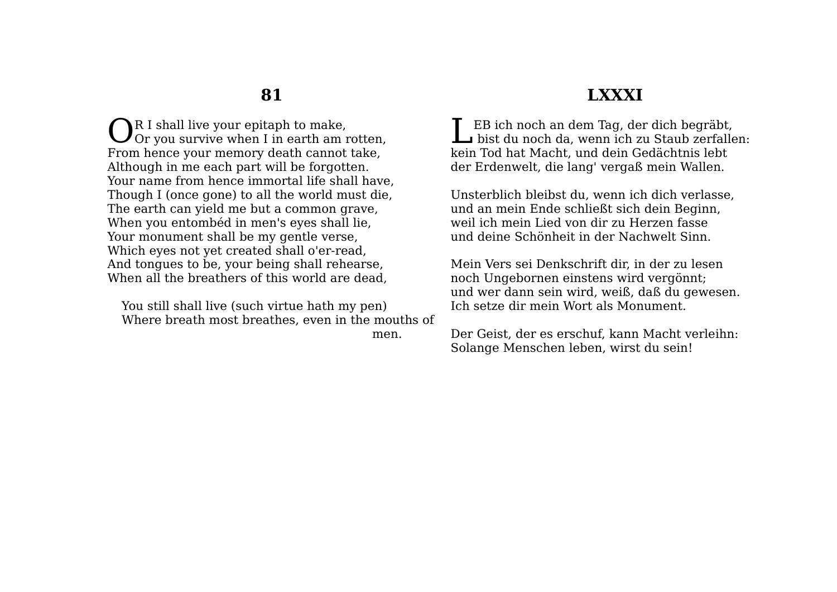R I shall live your epitaph to make.  $\bigodot^R$  I shall live your epitaph to make,<br>Or you survive when I in earth am rotten, From hence your memory death cannot take, Although in me each part will be forgotten. Your name from hence immortal life shall have, Though I (once gone) to all the world must die, The earth can yield me but a common grave, When you entombéd in men's eyes shall lie, Your monument shall be my gentle verse, Which eyes not yet created shall o'er-read, And tongues to be, your being shall rehearse, When all the breathers of this world are dead,

You still shall live (such virtue hath my pen) Where breath most breathes, even in the mouths of men.

#### **LXXXI**

EB ich noch an dem Tag, der dich begräbt, Le Bich noch an dem Tag, der dich begräbt,<br>bist du noch da, wenn ich zu Staub zerfallen: kein Tod hat Macht, und dein Gedächtnis lebt der Erdenwelt, die lang' vergaß mein Wallen.

Unsterblich bleibst du, wenn ich dich verlasse, und an mein Ende schließt sich dein Beginn, weil ich mein Lied von dir zu Herzen fasse und deine Schönheit in der Nachwelt Sinn.

Mein Vers sei Denkschrift dir, in der zu lesen noch Ungebornen einstens wird vergönnt; und wer dann sein wird, weiß, daß du gewesen. Ich setze dir mein Wort als Monument.

Der Geist, der es erschuf, kann Macht verleihn: Solange Menschen leben, wirst du sein!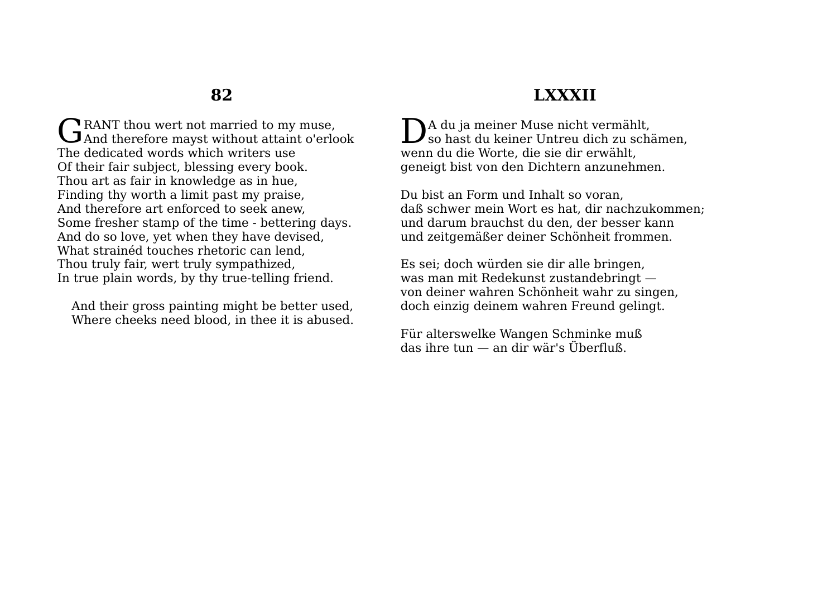RANT thou wert not married to my muse. GRANT thou wert not married to my muse,<br>And therefore mayst without attaint o'erlook The dedicated words which writers use Of their fair subject, blessing every book. Thou art as fair in knowledge as in hue, Finding thy worth a limit past my praise, And therefore art enforced to seek anew, Some fresher stamp of the time - bettering days. And do so love, yet when they have devised, What strainéd touches rhetoric can lend, Thou truly fair, wert truly sympathized, In true plain words, by thy true-telling friend.

And their gross painting might be better used, Where cheeks need blood, in thee it is abused.

## **LXXXII**

Da du ja meiner Muse nicht vermählt,<br>so hast du keiner Untreu dich zu schä so hast du keiner Untreu dich zu schämen, wenn du die Worte, die sie dir erwählt, geneigt bist von den Dichtern anzunehmen.

Du bist an Form und Inhalt so voran, daß schwer mein Wort es hat, dir nachzukommen; und darum brauchst du den, der besser kann und zeitgemäßer deiner Schönheit frommen.

Es sei; doch würden sie dir alle bringen, was man mit Redekunst zustandebringt von deiner wahren Schönheit wahr zu singen, doch einzig deinem wahren Freund gelingt.

Für alterswelke Wangen Schminke muß das ihre tun — an dir wär's Überfluß.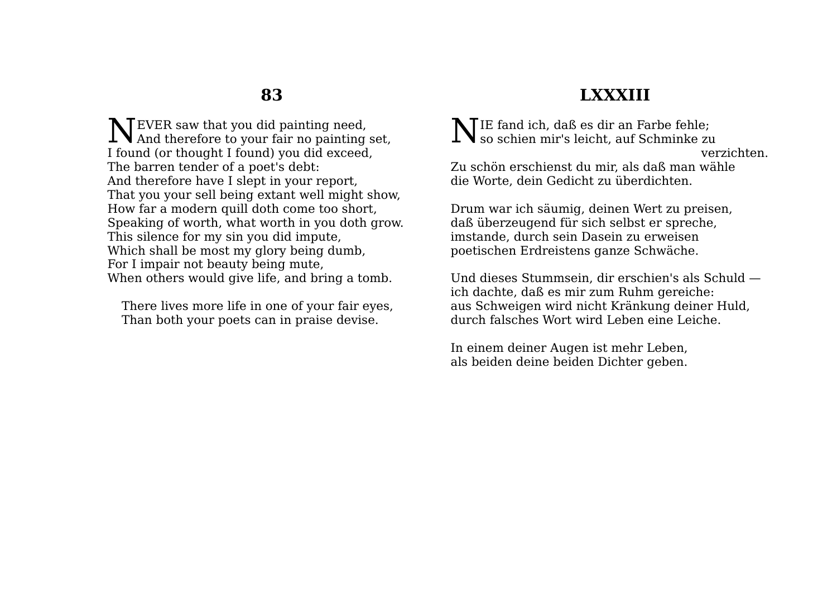EVER saw that you did painting need, NEVER saw that you did painting need,<br>And therefore to your fair no painting set, I found (or thought I found) you did exceed, The barren tender of a poet's debt: And therefore have I slept in your report, That you your sell being extant well might show, How far a modern quill doth come too short, Speaking of worth, what worth in you doth grow. This silence for my sin you did impute, Which shall be most my glory being dumb, For I impair not beauty being mute, When others would give life, and bring a tomb.

There lives more life in one of your fair eyes, Than both your poets can in praise devise.

## **LXXXIII**

IE fand ich, daß es dir an Farbe fehle;  $\sum$ IE fand ich, daß es dir an Farbe fehle;<br>so schien mir's leicht, auf Schminke zu

verzichten.

Zu schön erschienst du mir, als daß man wähle die Worte, dein Gedicht zu überdichten.

Drum war ich säumig, deinen Wert zu preisen, daß überzeugend für sich selbst er spreche, imstande, durch sein Dasein zu erweisen poetischen Erdreistens ganze Schwäche.

Und dieses Stummsein, dir erschien's als Schuld ich dachte, daß es mir zum Ruhm gereiche: aus Schweigen wird nicht Kränkung deiner Huld, durch falsches Wort wird Leben eine Leiche.

In einem deiner Augen ist mehr Leben, als beiden deine beiden Dichter geben.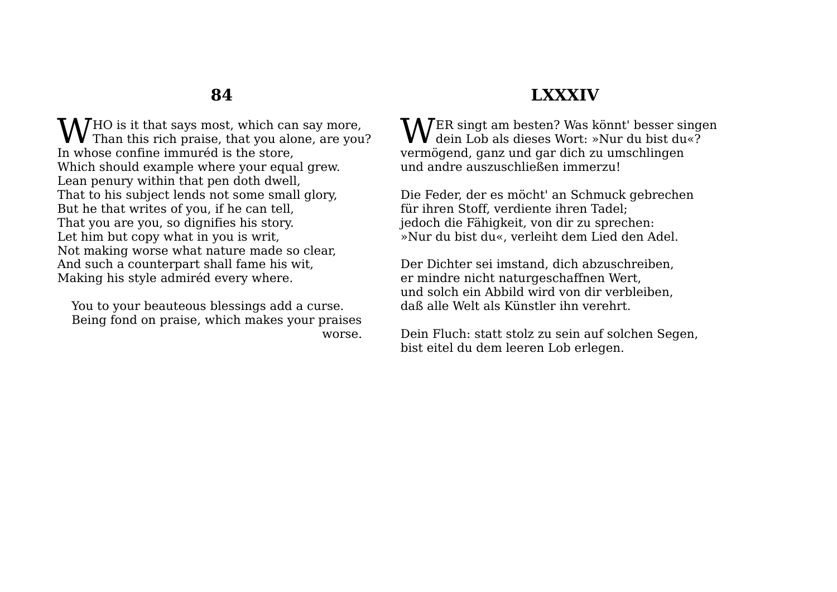HO is it that says most, which can say more, **W** HO is it that says most, which can say more,<br>Than this rich praise, that you alone, are you? In whose confine immuréd is the store, Which should example where your equal grew. Lean penury within that pen doth dwell, That to his subject lends not some small glory, But he that writes of you, if he can tell, That you are you, so dignifies his story. Let him but copy what in you is writ, Not making worse what nature made so clear, And such a counterpart shall fame his wit, Making his style admiréd every where.

You to your beauteous blessings add a curse. Being fond on praise, which makes your praises worse.

# **LXXXIV**

ER singt am besten? Was könnt' besser singen  $\mathbf{W}^{\text{ER singt am besten?}}_{\text{dein Lob als dieses Wort: *Nur du bist du*?}}$ vermögend, ganz und gar dich zu umschlingen und andre auszuschließen immerzu!

Die Feder, der es möcht' an Schmuck gebrechen für ihren Stoff, verdiente ihren Tadel; jedoch die Fähigkeit, von dir zu sprechen: »Nur du bist du«, verleiht dem Lied den Adel.

Der Dichter sei imstand, dich abzuschreiben, er mindre nicht naturgeschaffnen Wert, und solch ein Abbild wird von dir verbleiben, daß alle Welt als Künstler ihn verehrt.

Dein Fluch: statt stolz zu sein auf solchen Segen, bist eitel du dem leeren Lob erlegen.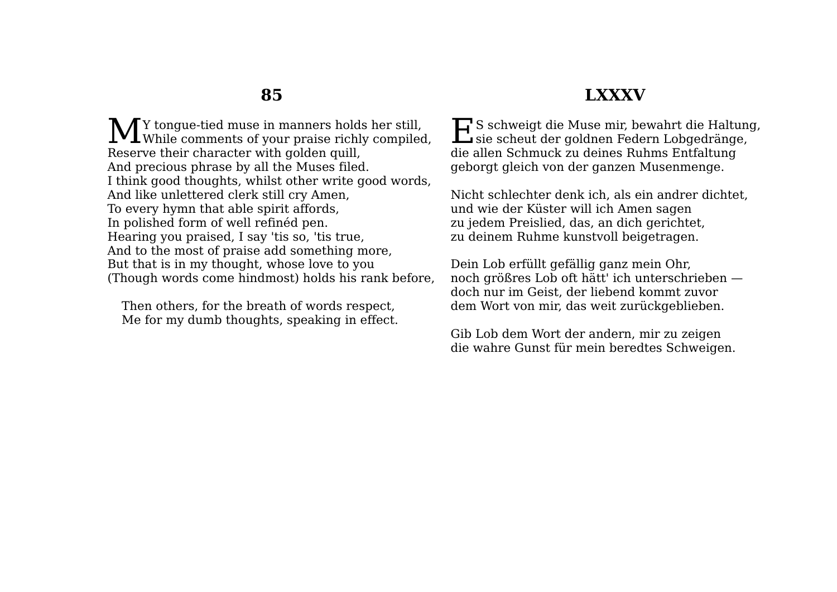### **LXXXV**

Y tongue-tied muse in manners holds her still, **M** Y tongue-tied muse in manners holds her still,<br>While comments of your praise richly compiled, Reserve their character with golden quill, And precious phrase by all the Muses filed. I think good thoughts, whilst other write good words, And like unlettered clerk still cry Amen, To every hymn that able spirit affords, In polished form of well refinéd pen. Hearing you praised, I say 'tis so, 'tis true, And to the most of praise add something more, But that is in my thought, whose love to you (Though words come hindmost) holds his rank before,

Then others, for the breath of words respect, Me for my dumb thoughts, speaking in effect.

ES schweigt die Muse mir, bewahrt die Haltung,<br>sie scheut der goldnen Federn Lobgedränge, sie scheut der goldnen Federn Lobgedränge, die allen Schmuck zu deines Ruhms Entfaltung geborgt gleich von der ganzen Musenmenge.

Nicht schlechter denk ich, als ein andrer dichtet, und wie der Küster will ich Amen sagen zu jedem Preislied, das, an dich gerichtet, zu deinem Ruhme kunstvoll beigetragen.

Dein Lob erfüllt gefällig ganz mein Ohr, noch größres Lob oft hätt' ich unterschrieben doch nur im Geist, der liebend kommt zuvor dem Wort von mir, das weit zurückgeblieben.

Gib Lob dem Wort der andern, mir zu zeigen die wahre Gunst für mein beredtes Schweigen.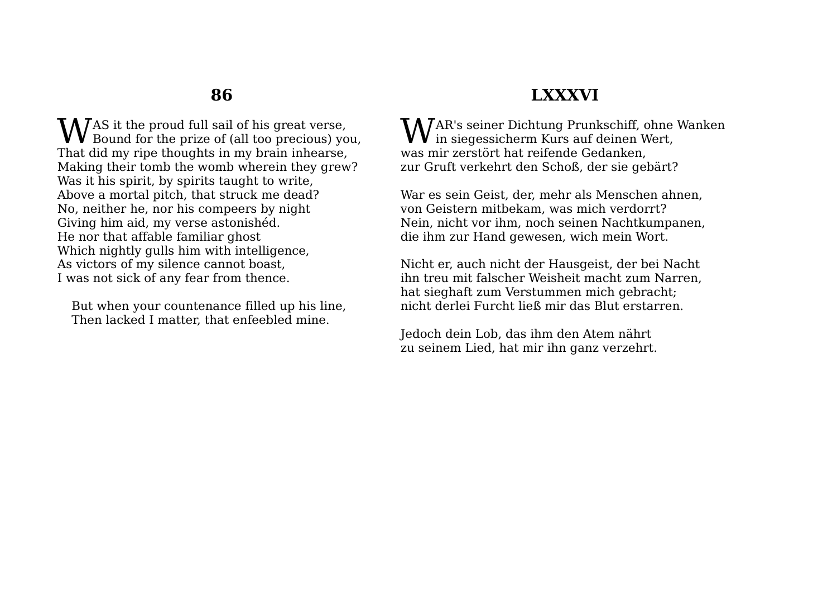**W**AS it the proud full sail of his great verse,<br>Bound for the prize of (all too precious) you Bound for the prize of (all too precious) you, That did my ripe thoughts in my brain inhearse, Making their tomb the womb wherein they grew? Was it his spirit, by spirits taught to write, Above a mortal pitch, that struck me dead? No, neither he, nor his compeers by night Giving him aid, my verse astonishéd. He nor that affable familiar ghost Which nightly gulls him with intelligence, As victors of my silence cannot boast, I was not sick of any fear from thence.

But when your countenance filled up his line, Then lacked I matter, that enfeebled mine.

# **LXXXVI**

AR's seiner Dichtung Prunkschiff, ohne Wanken  $\mathbf{W}$ AR's seiner Dichtung Prunkschiff, ohne<br>in siegessicherm Kurs auf deinen Wert, was mir zerstört hat reifende Gedanken, zur Gruft verkehrt den Schoß, der sie gebärt?

War es sein Geist, der, mehr als Menschen ahnen, von Geistern mitbekam, was mich verdorrt? Nein, nicht vor ihm, noch seinen Nachtkumpanen, die ihm zur Hand gewesen, wich mein Wort.

Nicht er, auch nicht der Hausgeist, der bei Nacht ihn treu mit falscher Weisheit macht zum Narren, hat sieghaft zum Verstummen mich gebracht; nicht derlei Furcht ließ mir das Blut erstarren.

Jedoch dein Lob, das ihm den Atem nährt zu seinem Lied, hat mir ihn ganz verzehrt.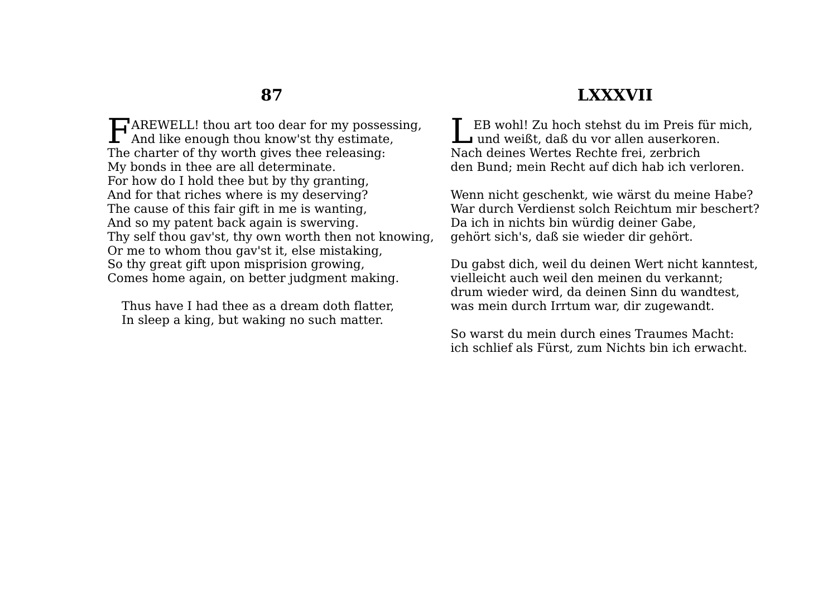FAREWELL! thou art too dear for my possessing,<br>And like enough thou know'st thy estimate,  $\Gamma$  And like enough thou know'st thy estimate, The charter of thy worth gives thee releasing: My bonds in thee are all determinate. For how do I hold thee but by thy granting, And for that riches where is my deserving? The cause of this fair gift in me is wanting, And so my patent back again is swerving. Thy self thou gav'st, thy own worth then not knowing, Or me to whom thou gav'st it, else mistaking, So thy great gift upon misprision growing, Comes home again, on better judgment making.

Thus have I had thee as a dream doth flatter, In sleep a king, but waking no such matter.

### **LXXXVII**

EB wohl! Zu hoch stehst du im Preis für mich, LEB wohl! Zu hoch stehst du im Preis für r $\texttt{u}$ und weißt, daß du vor allen auserkoren. Nach deines Wertes Rechte frei, zerbrich den Bund; mein Recht auf dich hab ich verloren.

Wenn nicht geschenkt, wie wärst du meine Habe? War durch Verdienst solch Reichtum mir beschert? Da ich in nichts bin würdig deiner Gabe, gehört sich's, daß sie wieder dir gehört.

Du gabst dich, weil du deinen Wert nicht kanntest, vielleicht auch weil den meinen du verkannt; drum wieder wird, da deinen Sinn du wandtest, was mein durch Irrtum war, dir zugewandt.

So warst du mein durch eines Traumes Macht: ich schlief als Fürst, zum Nichts bin ich erwacht.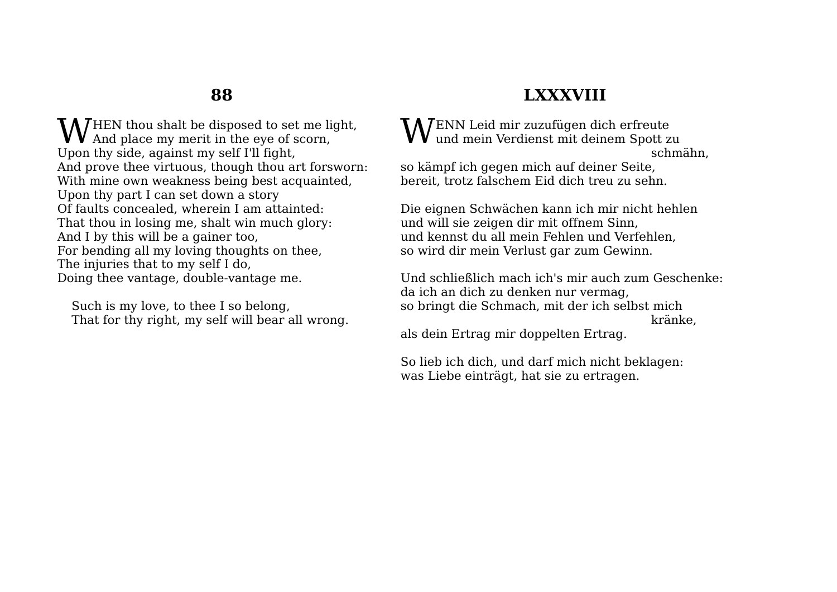HEN thou shalt be disposed to set me light, **W** HEN thou shalt be disposed to set me light And place my merit in the eye of scorn, Upon thy side, against my self I'll fight, And prove thee virtuous, though thou art forsworn: With mine own weakness being best acquainted, Upon thy part I can set down a story Of faults concealed, wherein I am attainted: That thou in losing me, shalt win much glory: And I by this will be a gainer too, For bending all my loving thoughts on thee, The injuries that to my self I do, Doing thee vantage, double-vantage me.

Such is my love, to thee I so belong, That for thy right, my self will bear all wrong.

## **LXXXVIII**

ENN Leid mir zuzufügen dich erfreute  $\mathbf{W}^{\text{ENN}}$  Leid mir zuzufügen dich erfreute und mein Verdienst mit deinem Spott zu schmähn, so kämpf ich gegen mich auf deiner Seite,

bereit, trotz falschem Eid dich treu zu sehn.

Die eignen Schwächen kann ich mir nicht hehlen und will sie zeigen dir mit offnem Sinn, und kennst du all mein Fehlen und Verfehlen, so wird dir mein Verlust gar zum Gewinn.

Und schließlich mach ich's mir auch zum Geschenke: da ich an dich zu denken nur vermag, so bringt die Schmach, mit der ich selbst mich kränke,

als dein Ertrag mir doppelten Ertrag.

So lieb ich dich, und darf mich nicht beklagen: was Liebe einträgt, hat sie zu ertragen.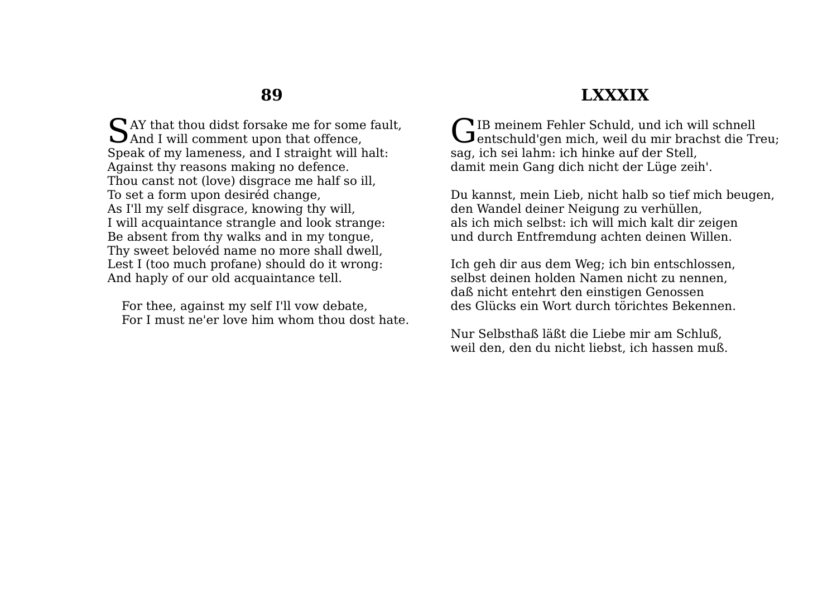SAY that thou didst forsake me for some fault,<br>And I will comment upon that offence,  $\sum$  And I will comment upon that offence, Speak of my lameness, and I straight will halt: Against thy reasons making no defence. Thou canst not (love) disgrace me half so ill, To set a form upon desiréd change, As I'll my self disgrace, knowing thy will, I will acquaintance strangle and look strange: Be absent from thy walks and in my tongue, Thy sweet belovéd name no more shall dwell, Lest I (too much profane) should do it wrong: And haply of our old acquaintance tell.

For thee, against my self I'll vow debate, For I must ne'er love him whom thou dost hate.

### **LXXXIX**

IB meinem Fehler Schuld, und ich will schnell GIB meinem Fehler Schuld, und ich will schnell<br>Gentschuld'gen mich, weil du mir brachst die Treu; sag, ich sei lahm: ich hinke auf der Stell, damit mein Gang dich nicht der Lüge zeih'.

Du kannst, mein Lieb, nicht halb so tief mich beugen, den Wandel deiner Neigung zu verhüllen, als ich mich selbst: ich will mich kalt dir zeigen und durch Entfremdung achten deinen Willen.

Ich geh dir aus dem Weg; ich bin entschlossen, selbst deinen holden Namen nicht zu nennen, daß nicht entehrt den einstigen Genossen des Glücks ein Wort durch törichtes Bekennen.

Nur Selbsthaß läßt die Liebe mir am Schluß, weil den, den du nicht liebst, ich hassen muß.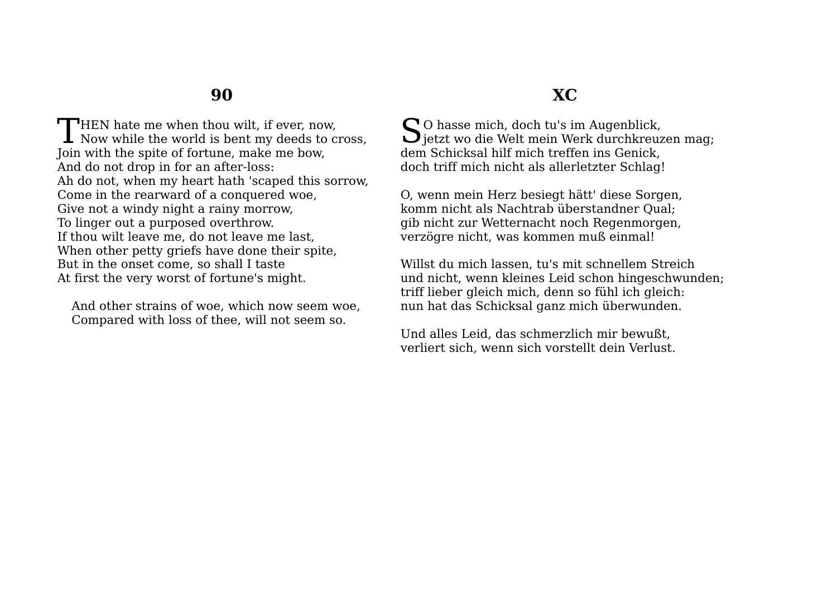**HEN** hate me when thou wilt, if ever, now, THEN hate me when thou wilt, if ever, now,<br>Now while the world is bent my deeds to cross, Join with the spite of fortune, make me bow, And do not drop in for an after-loss: Ah do not, when my heart hath 'scaped this sorrow, Come in the rearward of a conquered woe, Give not a windy night a rainy morrow, To linger out a purposed overthrow. If thou wilt leave me, do not leave me last, When other petty griefs have done their spite, But in the onset come, so shall I taste At first the very worst of fortune's might.

And other strains of woe, which now seem woe, Compared with loss of thee, will not seem so.

### **XC**

 $\bigcap$  O hasse mich, doch tu's im Augenblick,  $S^{O}$  hasse mich, doch tu's im Augenblick,<br>Jjetzt wo die Welt mein Werk durchkreuzen mag; dem Schicksal hilf mich treffen ins Genick, doch triff mich nicht als allerletzter Schlag!

O, wenn mein Herz besiegt hätt' diese Sorgen, komm nicht als Nachtrab überstandner Qual; gib nicht zur Wetternacht noch Regenmorgen, verzögre nicht, was kommen muß einmal!

Willst du mich lassen, tu's mit schnellem Streich und nicht, wenn kleines Leid schon hingeschwunden; triff lieber gleich mich, denn so fühl ich gleich: nun hat das Schicksal ganz mich überwunden.

Und alles Leid, das schmerzlich mir bewußt, verliert sich, wenn sich vorstellt dein Verlust.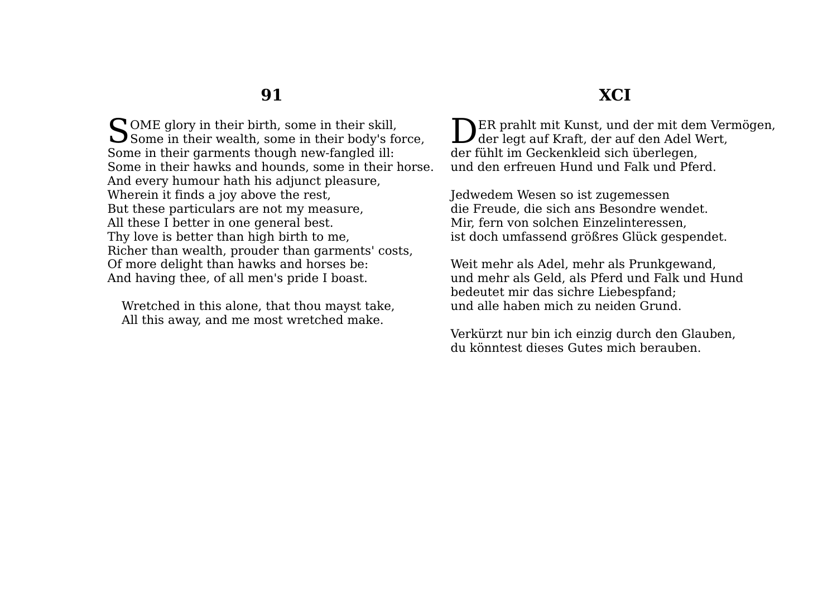**NER** prahlt mit Kunst, und der mit dem Vermögen, DER prahlt mit Kunst, und der mit dem Ver<br>der legt auf Kraft, der auf den Adel Wert, der fühlt im Geckenkleid sich überlegen, und den erfreuen Hund und Falk und Pferd. Jedwedem Wesen so ist zugemessen

die Freude, die sich ans Besondre wendet. Mir, fern von solchen Einzelinteressen, ist doch umfassend größres Glück gespendet.

Weit mehr als Adel, mehr als Prunkgewand, und mehr als Geld, als Pferd und Falk und Hund bedeutet mir das sichre Liebespfand; und alle haben mich zu neiden Grund.

Verkürzt nur bin ich einzig durch den Glauben, du könntest dieses Gutes mich berauben.

 $\bigcap$  OME glory in their birth, some in their skill, SOME glory in their birth, some in their skill,<br>Some in their wealth, some in their body's force, Some in their garments though new-fangled ill: Some in their hawks and hounds, some in their horse. And every humour hath his adjunct pleasure, Wherein it finds a joy above the rest, But these particulars are not my measure, All these I better in one general best. Thy love is better than high birth to me, Richer than wealth, prouder than garments' costs, Of more delight than hawks and horses be: And having thee, of all men's pride I boast.

Wretched in this alone, that thou mayst take, All this away, and me most wretched make.

### **XCI**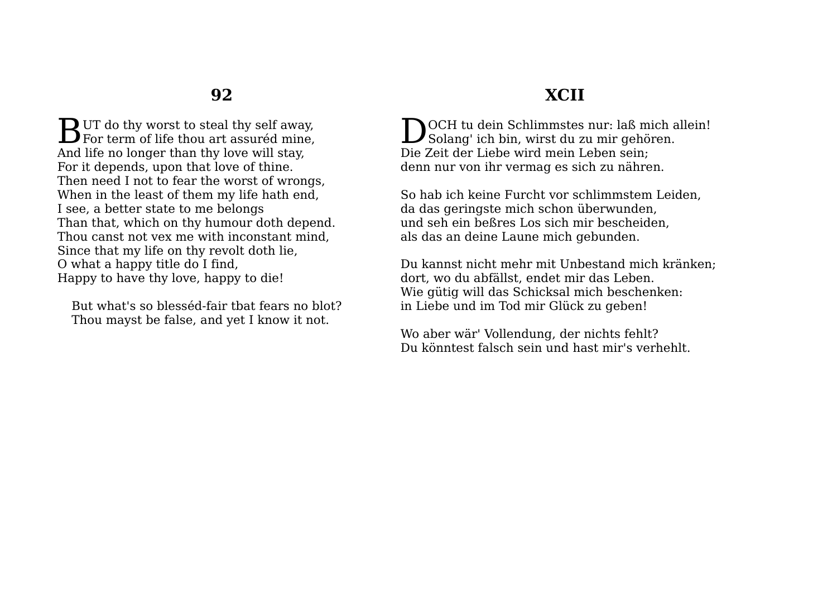$\mathbf D$  UT do thy worst to steal thy self away. **B**UT do thy worst to steal thy self away,<br>For term of life thou art assuréd mine, And life no longer than thy love will stay, For it depends, upon that love of thine. Then need I not to fear the worst of wrongs, When in the least of them my life hath end, I see, a better state to me belongs Than that, which on thy humour doth depend. Thou canst not vex me with inconstant mind, Since that my life on thy revolt doth lie, O what a happy title do I find, Happy to have thy love, happy to die!

But what's so blesséd-fair tbat fears no blot? Thou mayst be false, and yet I know it not.

## **XCII**

OCH tu dein Schlimmstes nur: laß mich allein! DOCH tu dein Schlimmstes nur: laß mich a<br>Solang' ich bin, wirst du zu mir gehören. Die Zeit der Liebe wird mein Leben sein; denn nur von ihr vermag es sich zu nähren.

So hab ich keine Furcht vor schlimmstem Leiden, da das geringste mich schon überwunden, und seh ein beßres Los sich mir bescheiden, als das an deine Laune mich gebunden.

Du kannst nicht mehr mit Unbestand mich kränken; dort, wo du abfällst, endet mir das Leben. Wie gütig will das Schicksal mich beschenken: in Liebe und im Tod mir Glück zu geben!

Wo aber wär' Vollendung, der nichts fehlt? Du könntest falsch sein und hast mir's verhehlt.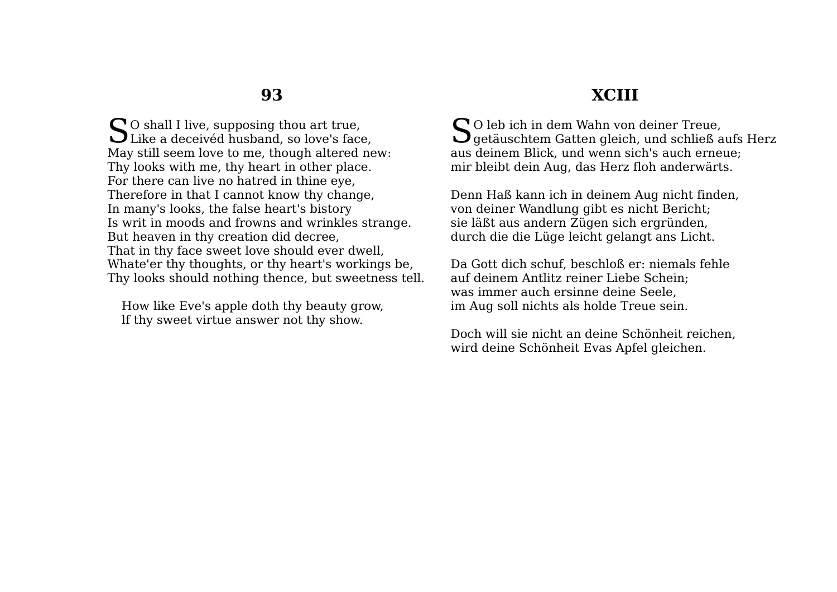$\bigcap$  O shall I live, supposing thou art true, So shall I live, supposing thou art true,<br>Like a deceivéd husband, so love's face, May still seem love to me, though altered new: Thy looks with me, thy heart in other place. For there can live no hatred in thine eye, Therefore in that I cannot know thy change, In many's looks, the false heart's bistory Is writ in moods and frowns and wrinkles strange. But heaven in thy creation did decree, That in thy face sweet love should ever dwell, Whate'er thy thoughts, or thy heart's workings be, Thy looks should nothing thence, but sweetness tell.

How like Eve's apple doth thy beauty grow, lf thy sweet virtue answer not thy show.

### **XCIII**

O leb ich in dem Wahn von deiner Treue,  $\mathbf{S}$ O leb ich in dem Wahn von deiner Treue, getäuschtem Gatten gleich, und schließ aufs Herz aus deinem Blick, und wenn sich's auch erneue; mir bleibt dein Aug, das Herz floh anderwärts.

Denn Haß kann ich in deinem Aug nicht finden, von deiner Wandlung gibt es nicht Bericht; sie läßt aus andern Zügen sich ergründen, durch die die Lüge leicht gelangt ans Licht.

Da Gott dich schuf, beschloß er: niemals fehle auf deinem Antlitz reiner Liebe Schein; was immer auch ersinne deine Seele, im Aug soll nichts als holde Treue sein.

Doch will sie nicht an deine Schönheit reichen, wird deine Schönheit Evas Apfel gleichen.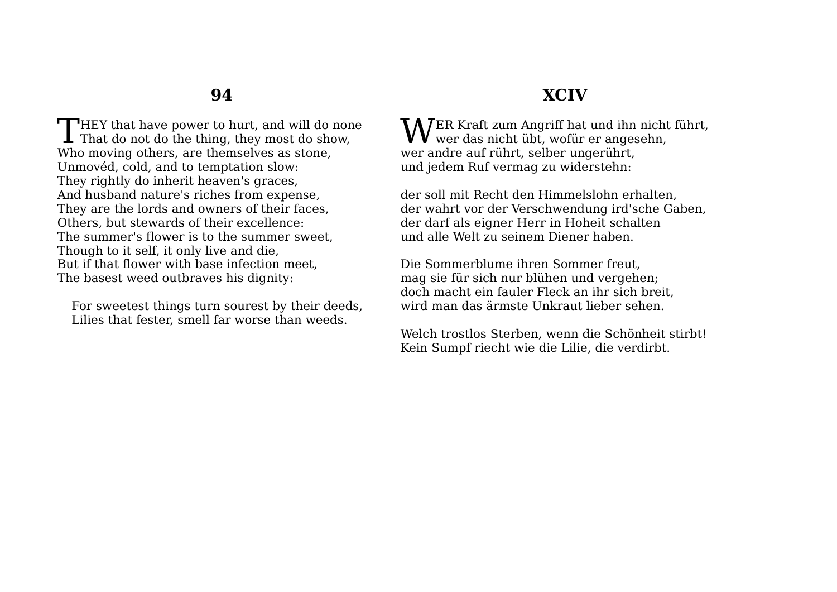$\Box$ HEY that have power to hurt, and will do none THEY that have power to hurt, and will do non<br>That do not do the thing, they most do show, Who moving others, are themselves as stone, Unmovéd, cold, and to temptation slow: They rightly do inherit heaven's graces, And husband nature's riches from expense, They are the lords and owners of their faces, Others, but stewards of their excellence: The summer's flower is to the summer sweet, Though to it self, it only live and die, But if that flower with base infection meet, The basest weed outbraves his dignity:

For sweetest things turn sourest by their deeds, Lilies that fester, smell far worse than weeds.

### **XCIV**

 $\mathbf{W}$ ER Kraft zum Angriff hat und ihn nicht führt,<br>wofür er angesehn,  $\mathbf{V}\mathbf{V}$  wer das nicht übt, wofür er angesehn, wer andre auf rührt, selber ungerührt, und jedem Ruf vermag zu widerstehn:

der soll mit Recht den Himmelslohn erhalten, der wahrt vor der Verschwendung ird'sche Gaben, der darf als eigner Herr in Hoheit schalten und alle Welt zu seinem Diener haben.

Die Sommerblume ihren Sommer freut, mag sie für sich nur blühen und vergehen; doch macht ein fauler Fleck an ihr sich breit, wird man das ärmste Unkraut lieber sehen.

Welch trostlos Sterben, wenn die Schönheit stirbt! Kein Sumpf riecht wie die Lilie, die verdirbt.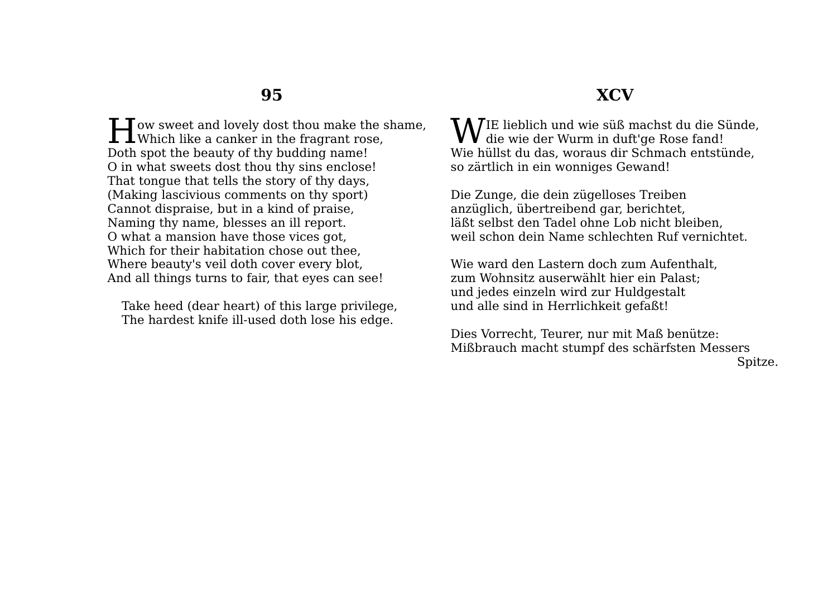### **XCV**

 $\blacksquare$  Tow sweet and lovely dost thou make the shame, **H**ow sweet and lovely dost thou make the s<br>Which like a canker in the fragrant rose, Doth spot the beauty of thy budding name! O in what sweets dost thou thy sins enclose! That tongue that tells the story of thy days, (Making lascivious comments on thy sport) Cannot dispraise, but in a kind of praise, Naming thy name, blesses an ill report. O what a mansion have those vices got, Which for their habitation chose out thee, Where beauty's veil doth cover every blot, And all things turns to fair, that eyes can see!

Take heed (dear heart) of this large privilege, The hardest knife ill-used doth lose his edge.

IE lieblich und wie süß machst du die Sünde, **W**IE lieblich und wie süß machst du die Si<br>die wie der Wurm in duft'ge Rose fand! Wie hüllst du das, woraus dir Schmach entstünde, so zärtlich in ein wonniges Gewand!

Die Zunge, die dein zügelloses Treiben anzüglich, übertreibend gar, berichtet, läßt selbst den Tadel ohne Lob nicht bleiben, weil schon dein Name schlechten Ruf vernichtet.

Wie ward den Lastern doch zum Aufenthalt, zum Wohnsitz auserwählt hier ein Palast; und jedes einzeln wird zur Huldgestalt und alle sind in Herrlichkeit gefaßt!

Dies Vorrecht, Teurer, nur mit Maß benütze: Mißbrauch macht stumpf des schärfsten Messers Spitze.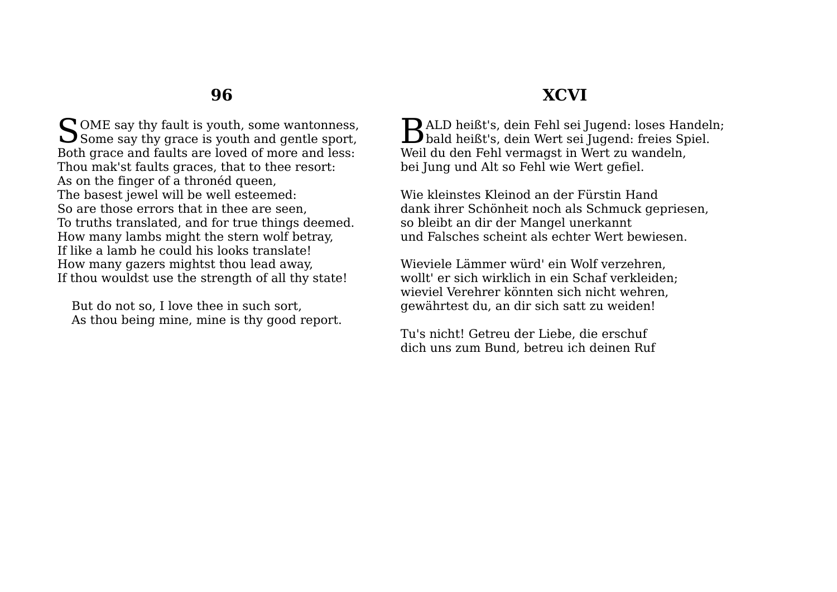$\bigcap$  OME say thy fault is youth, some wantonness, SOME say thy fault is youth, some wantonness,<br>Some say thy grace is youth and gentle sport, Both grace and faults are loved of more and less: Thou mak'st faults graces, that to thee resort: As on the finger of a thronéd queen, The basest jewel will be well esteemed: So are those errors that in thee are seen, To truths translated, and for true things deemed. How many lambs might the stern wolf betray, If like a lamb he could his looks translate! How many gazers mightst thou lead away, If thou wouldst use the strength of all thy state!

But do not so, I love thee in such sort, As thou being mine, mine is thy good report.

### **XCVI**

 $\mathbf{D}$ ALD heißt's, dein Fehl sei Jugend: loses Handeln: BALD heißt's, dein Fehl sei Jugend: loses Handel<br>bald heißt's, dein Wert sei Jugend: freies Spiel. Weil du den Fehl vermagst in Wert zu wandeln, bei Jung und Alt so Fehl wie Wert gefiel.

Wie kleinstes Kleinod an der Fürstin Hand dank ihrer Schönheit noch als Schmuck gepriesen, so bleibt an dir der Mangel unerkannt und Falsches scheint als echter Wert bewiesen.

Wieviele Lämmer würd' ein Wolf verzehren, wollt' er sich wirklich in ein Schaf verkleiden; wieviel Verehrer könnten sich nicht wehren, gewährtest du, an dir sich satt zu weiden!

Tu's nicht! Getreu der Liebe, die erschuf dich uns zum Bund, betreu ich deinen Ruf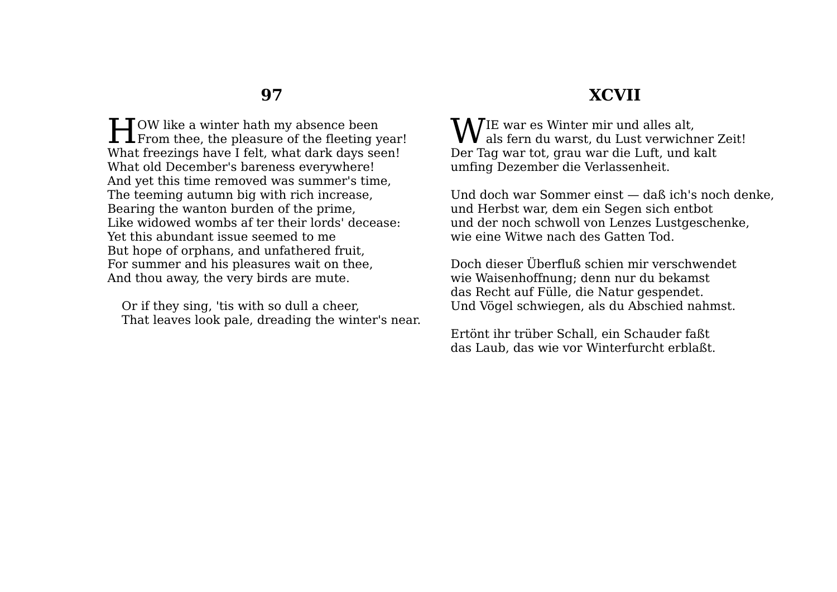$\blacksquare$  TOW like a winter hath my absence been **From** thee, the pleasure of the fleeting year! What freezings have I felt, what dark days seen! What old December's bareness everywhere! And yet this time removed was summer's time, The teeming autumn big with rich increase, Bearing the wanton burden of the prime, Like widowed wombs af ter their lords' decease: Yet this abundant issue seemed to me But hope of orphans, and unfathered fruit, For summer and his pleasures wait on thee, And thou away, the very birds are mute.

Or if they sing, 'tis with so dull a cheer, That leaves look pale, dreading the winter's near.

### **XCVII**

IE war es Winter mir und alles alt,  $\mathbf{W}^{\text{IE}}$  war es Winter mir und alles alt,<br>als fern du warst, du Lust verwichner Zeit! Der Tag war tot, grau war die Luft, und kalt umfing Dezember die Verlassenheit.

Und doch war Sommer einst — daß ich's noch denke, und Herbst war, dem ein Segen sich entbot und der noch schwoll von Lenzes Lustgeschenke, wie eine Witwe nach des Gatten Tod.

Doch dieser Überfluß schien mir verschwendet wie Waisenhoffnung; denn nur du bekamst das Recht auf Fülle, die Natur gespendet. Und Vögel schwiegen, als du Abschied nahmst.

Ertönt ihr trüber Schall, ein Schauder faßt das Laub, das wie vor Winterfurcht erblaßt.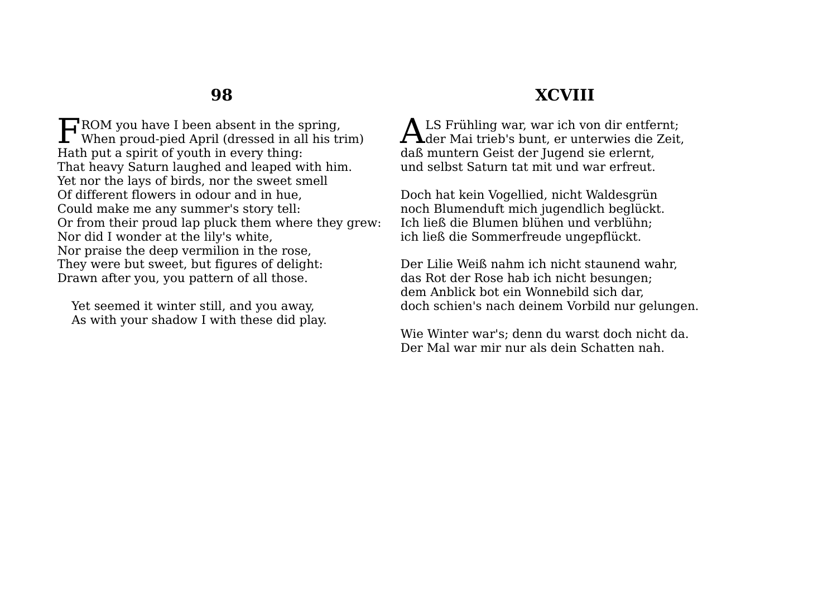$\Gamma$ ROM you have I been absent in the spring. FROM you have I been absent in the spring,<br>When proud-pied April (dressed in all his trim) Hath put a spirit of youth in every thing: That heavy Saturn laughed and leaped with him. Yet nor the lays of birds, nor the sweet smell Of different flowers in odour and in hue, Could make me any summer's story tell: Or from their proud lap pluck them where they grew: Nor did I wonder at the lily's white, Nor praise the deep vermilion in the rose, They were but sweet, but figures of delight: Drawn after you, you pattern of all those.

Yet seemed it winter still, and you away, As with your shadow I with these did play.

## **XCVIII**

LS Frühling war, war ich von dir entfernt; ALS Frühling war, war ich von dir entfernt;<br>der Mai trieb's bunt, er unterwies die Zeit, daß muntern Geist der Jugend sie erlernt, und selbst Saturn tat mit und war erfreut.

Doch hat kein Vogellied, nicht Waldesgrün noch Blumenduft mich jugendlich beglückt. Ich ließ die Blumen blühen und verblühn; ich ließ die Sommerfreude ungepflückt.

Der Lilie Weiß nahm ich nicht staunend wahr, das Rot der Rose hab ich nicht besungen; dem Anblick bot ein Wonnebild sich dar, doch schien's nach deinem Vorbild nur gelungen.

Wie Winter war's; denn du warst doch nicht da. Der Mal war mir nur als dein Schatten nah.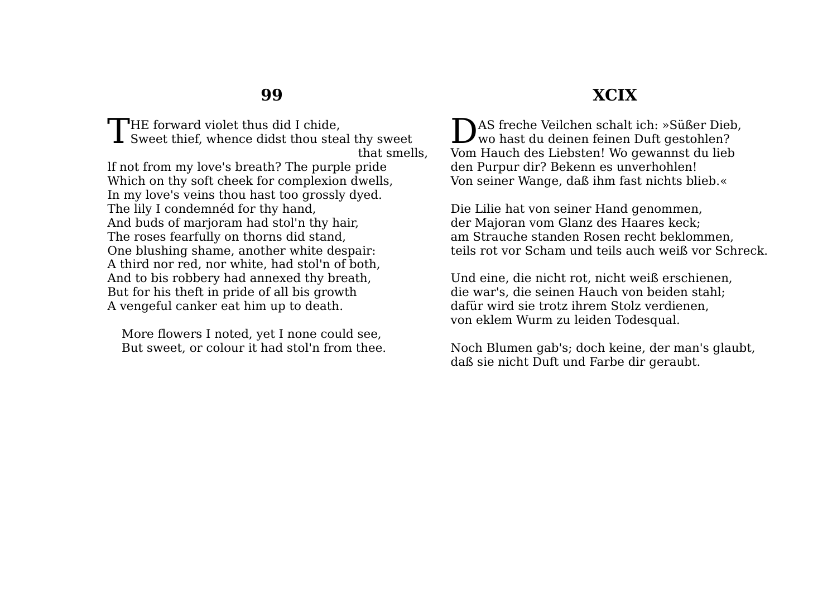**T**HE forward violet thus did I chide. THE forward violet thus did I chide,<br>Sweet thief, whence didst thou steal thy sweet that smells, lf not from my love's breath? The purple pride Which on thy soft cheek for complexion dwells, In my love's veins thou hast too grossly dyed. The lily I condemnéd for thy hand, And buds of marjoram had stol'n thy hair, The roses fearfully on thorns did stand, One blushing shame, another white despair: A third nor red, nor white, had stol'n of both, And to bis robbery had annexed thy breath, But for his theft in pride of all bis growth A vengeful canker eat him up to death.

More flowers I noted, yet I none could see, But sweet, or colour it had stol'n from thee.

### **XCIX**

AS freche Veilchen schalt ich: »Süßer Dieb, DAS freche Veilchen schalt ich: »Süßer Diel<br>wo hast du deinen feinen Duft gestohlen? Vom Hauch des Liebsten! Wo gewannst du lieb den Purpur dir? Bekenn es unverhohlen! Von seiner Wange, daß ihm fast nichts blieb.«

Die Lilie hat von seiner Hand genommen, der Majoran vom Glanz des Haares keck; am Strauche standen Rosen recht beklommen, teils rot vor Scham und teils auch weiß vor Schreck.

Und eine, die nicht rot, nicht weiß erschienen, die war's, die seinen Hauch von beiden stahl; dafür wird sie trotz ihrem Stolz verdienen, von eklem Wurm zu leiden Todesqual.

Noch Blumen gab's; doch keine, der man's glaubt, daß sie nicht Duft und Farbe dir geraubt.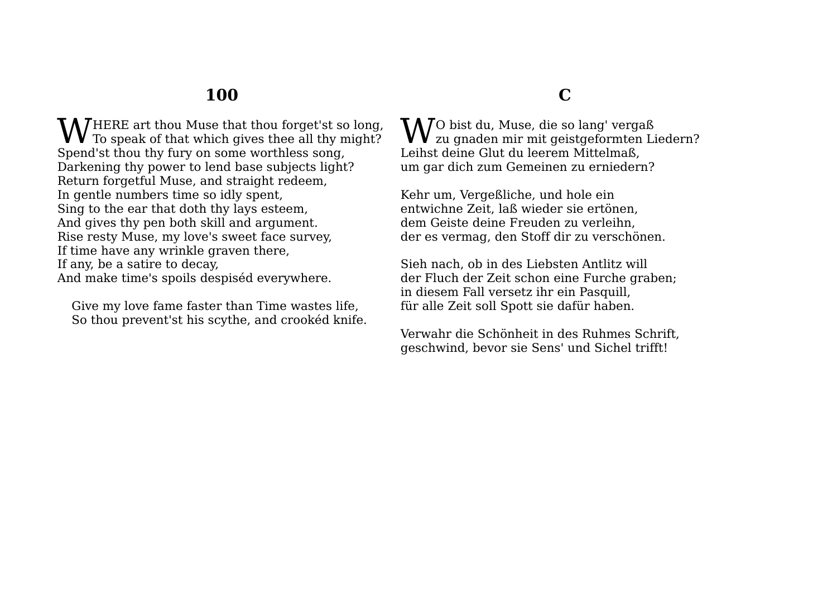HERE art thou Muse that thou forget'st so long, **W** HERE art thou Muse that thou forget'st so long,<br>To speak of that which gives thee all thy might? Spend'st thou thy fury on some worthless song, Darkening thy power to lend base subjects light? Return forgetful Muse, and straight redeem, In gentle numbers time so idly spent, Sing to the ear that doth thy lays esteem, And gives thy pen both skill and argument. Rise resty Muse, my love's sweet face survey, If time have any wrinkle graven there, If any, be a satire to decay, And make time's spoils despiséd everywhere.

Give my love fame faster than Time wastes life, So thou prevent'st his scythe, and crookéd knife.

## **C**

 $\mathbf{N}$   $\mathbf{N}$ O bist du, Muse, die so lang' vergaß  $\mathbf{W}^{\text{O}}$  bist du, Muse, die so lang' vergaß<br>Zu gnaden mir mit geistgeformten Liedern? Leihst deine Glut du leerem Mittelmaß, um gar dich zum Gemeinen zu erniedern?

Kehr um, Vergeßliche, und hole ein entwichne Zeit, laß wieder sie ertönen, dem Geiste deine Freuden zu verleihn, der es vermag, den Stoff dir zu verschönen.

Sieh nach, ob in des Liebsten Antlitz will der Fluch der Zeit schon eine Furche graben; in diesem Fall versetz ihr ein Pasquill, für alle Zeit soll Spott sie dafür haben.

Verwahr die Schönheit in des Ruhmes Schrift, geschwind, bevor sie Sens' und Sichel trifft!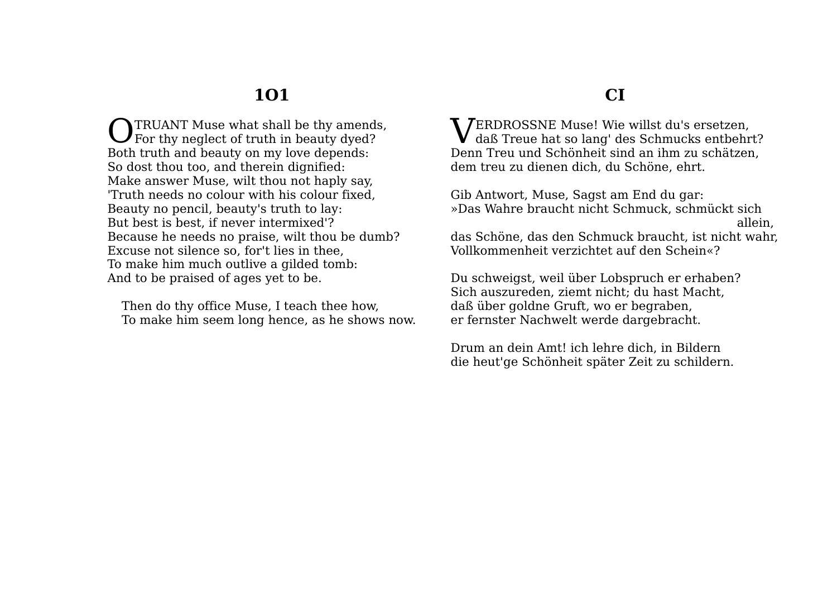TRUANT Muse what shall be thy amends, **O** TRUANT Muse what shall be thy amends<br>For thy neglect of truth in beauty dyed? Both truth and beauty on my love depends: So dost thou too, and therein dignified: Make answer Muse, wilt thou not haply say, 'Truth needs no colour with his colour fixed, Beauty no pencil, beauty's truth to lay: But best is best, if never intermixed'? Because he needs no praise, wilt thou be dumb? Excuse not silence so, for't lies in thee, To make him much outlive a gilded tomb: And to be praised of ages yet to be.

Then do thy office Muse, I teach thee how, To make him seem long hence, as he shows now.

#### **CI**

**VERDROSSNE Muse! Wie willst du's ersetzen,<br>daß Treue hat so lang' des Schmucks entbehr**  $\bf{V}$  daß Treue hat so lang' des Schmucks entbehrt? Denn Treu und Schönheit sind an ihm zu schätzen, dem treu zu dienen dich, du Schöne, ehrt.

Gib Antwort, Muse, Sagst am End du gar: »Das Wahre braucht nicht Schmuck, schmückt sich allein, das Schöne, das den Schmuck braucht, ist nicht wahr, Vollkommenheit verzichtet auf den Schein«?

Du schweigst, weil über Lobspruch er erhaben? Sich auszureden, ziemt nicht; du hast Macht, daß über goldne Gruft, wo er begraben, er fernster Nachwelt werde dargebracht.

Drum an dein Amt! ich lehre dich, in Bildern die heut'ge Schönheit später Zeit zu schildern.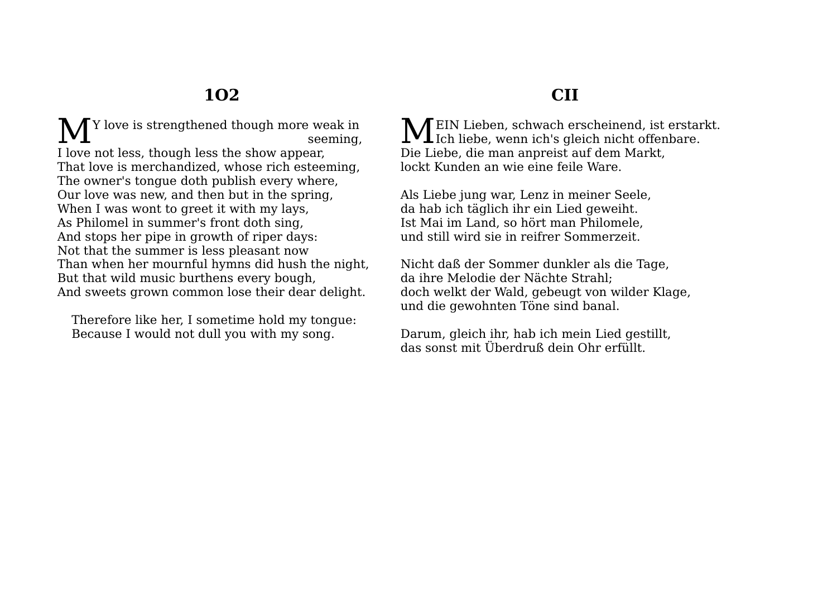Y love is strengthened though more weak in seeming, I love not less, though less the show appear, That love is merchandized, whose rich esteeming, The owner's tongue doth publish every where, Our love was new, and then but in the spring, When I was wont to greet it with my lays, As Philomel in summer's front doth sing, And stops her pipe in growth of riper days: Not that the summer is less pleasant now Than when her mournful hymns did hush the night, But that wild music burthens every bough, And sweets grown common lose their dear delight. M<sub>1</sub>

Therefore like her, I sometime hold my tongue: Because I would not dull you with my song.

## **CII**

MEIN Lieben, schwach erscheinend, ist erstarkt. MEIN Lieben, schwach erscheinend, ist erstar<br>Ich liebe, wenn ich's gleich nicht offenbare. Die Liebe, die man anpreist auf dem Markt, lockt Kunden an wie eine feile Ware.

Als Liebe jung war, Lenz in meiner Seele, da hab ich täglich ihr ein Lied geweiht. Ist Mai im Land, so hört man Philomele, und still wird sie in reifrer Sommerzeit.

Nicht daß der Sommer dunkler als die Tage, da ihre Melodie der Nächte Strahl; doch welkt der Wald, gebeugt von wilder Klage, und die gewohnten Töne sind banal.

Darum, gleich ihr, hab ich mein Lied gestillt, das sonst mit Überdruß dein Ohr erfüllt.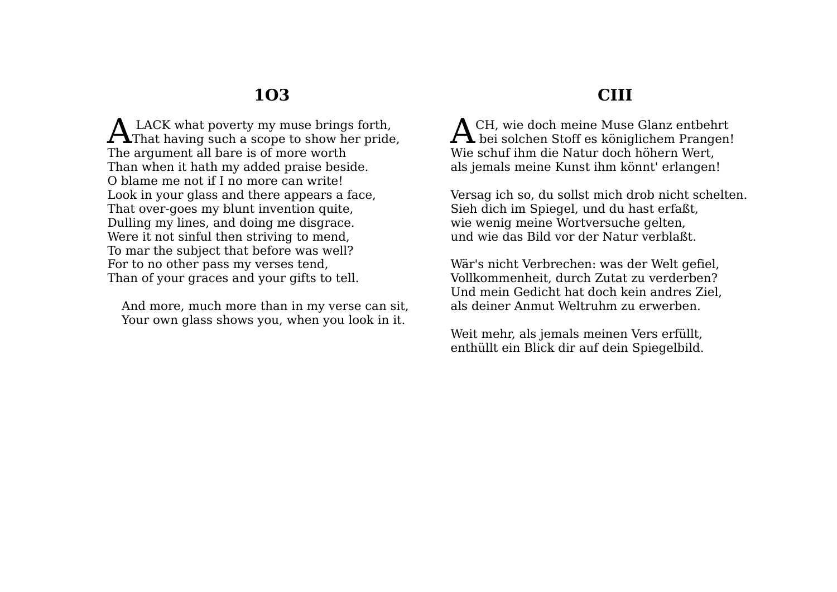LACK what poverty my muse brings forth.  $\mathbf{A}$  LACK what poverty my muse brings forth,<br>That having such a scope to show her pride, The argument all bare is of more worth Than when it hath my added praise beside. O blame me not if I no more can write! Look in your glass and there appears a face, That over-goes my blunt invention quite, Dulling my lines, and doing me disgrace. Were it not sinful then striving to mend, To mar the subject that before was well? For to no other pass my verses tend, Than of your graces and your gifts to tell.

And more, much more than in my verse can sit, Your own glass shows you, when you look in it.

### **CIII**

CH, wie doch meine Muse Glanz entbehrt ACH, wie doch meine Muse Glanz entbehrt<br>bei solchen Stoff es königlichem Prangen! Wie schuf ihm die Natur doch höhern Wert, als jemals meine Kunst ihm könnt' erlangen!

Versag ich so, du sollst mich drob nicht schelten. Sieh dich im Spiegel, und du hast erfaßt, wie wenig meine Wortversuche gelten, und wie das Bild vor der Natur verblaßt.

Wär's nicht Verbrechen: was der Welt gefiel, Vollkommenheit, durch Zutat zu verderben? Und mein Gedicht hat doch kein andres Ziel, als deiner Anmut Weltruhm zu erwerben.

Weit mehr, als jemals meinen Vers erfüllt, enthüllt ein Blick dir auf dein Spiegelbild.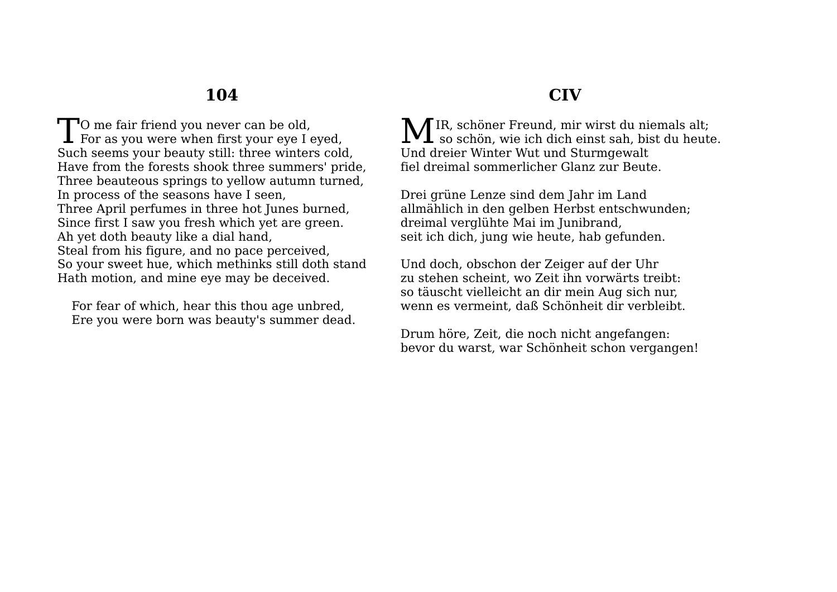To me fair friend you never can be old,<br>For as you were when first your eye I **I** For as you were when first your eye I eyed, Such seems your beauty still: three winters cold, Have from the forests shook three summers' pride, Three beauteous springs to yellow autumn turned, In process of the seasons have I seen, Three April perfumes in three hot Junes burned, Since first I saw you fresh which yet are green. Ah yet doth beauty like a dial hand, Steal from his figure, and no pace perceived, So your sweet hue, which methinks still doth stand Hath motion, and mine eye may be deceived.

For fear of which, hear this thou age unbred, Ere you were born was beauty's summer dead.

## **CIV**

IR, schöner Freund, mir wirst du niemals alt; MIR, schöner Freund, mir wirst du niemals alt;<br>so schön, wie ich dich einst sah, bist du heute. Und dreier Winter Wut und Sturmgewalt fiel dreimal sommerlicher Glanz zur Beute.

Drei grüne Lenze sind dem Jahr im Land allmählich in den gelben Herbst entschwunden; dreimal verglühte Mai im Junibrand, seit ich dich, jung wie heute, hab gefunden.

Und doch, obschon der Zeiger auf der Uhr zu stehen scheint, wo Zeit ihn vorwärts treibt: so täuscht vielleicht an dir mein Aug sich nur, wenn es vermeint, daß Schönheit dir verbleibt.

Drum höre, Zeit, die noch nicht angefangen: bevor du warst, war Schönheit schon vergangen!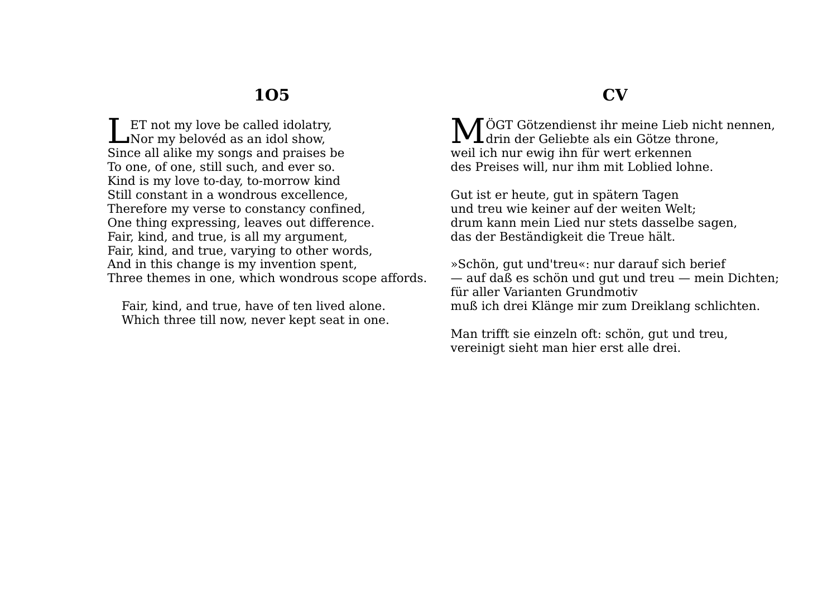ET not my love be called idolatry, **LET** not my love be called idolatry Nor my belovéd as an idol show, Since all alike my songs and praises be To one, of one, still such, and ever so. Kind is my love to-day, to-morrow kind Still constant in a wondrous excellence, Therefore my verse to constancy confined, One thing expressing, leaves out difference. Fair, kind, and true, is all my argument, Fair, kind, and true, varying to other words, And in this change is my invention spent, Three themes in one, which wondrous scope affords.

Fair, kind, and true, have of ten lived alone. Which three till now, never kept seat in one.

#### **CV**

MÖGT Götzendienst ihr meine Lieb nicht nennen,<br>
Marin der Geliebte als ein Götze throne,  $\mathbf{IVL}$ drin der Geliebte als ein Götze throne. weil ich nur ewig ihn für wert erkennen des Preises will, nur ihm mit Loblied lohne.

Gut ist er heute, gut in spätern Tagen und treu wie keiner auf der weiten Welt; drum kann mein Lied nur stets dasselbe sagen, das der Beständigkeit die Treue hält.

»Schön, gut und'treu«: nur darauf sich berief — auf daß es schön und gut und treu — mein Dichten; für aller Varianten Grundmotiv muß ich drei Klänge mir zum Dreiklang schlichten.

Man trifft sie einzeln oft: schön, gut und treu, vereinigt sieht man hier erst alle drei.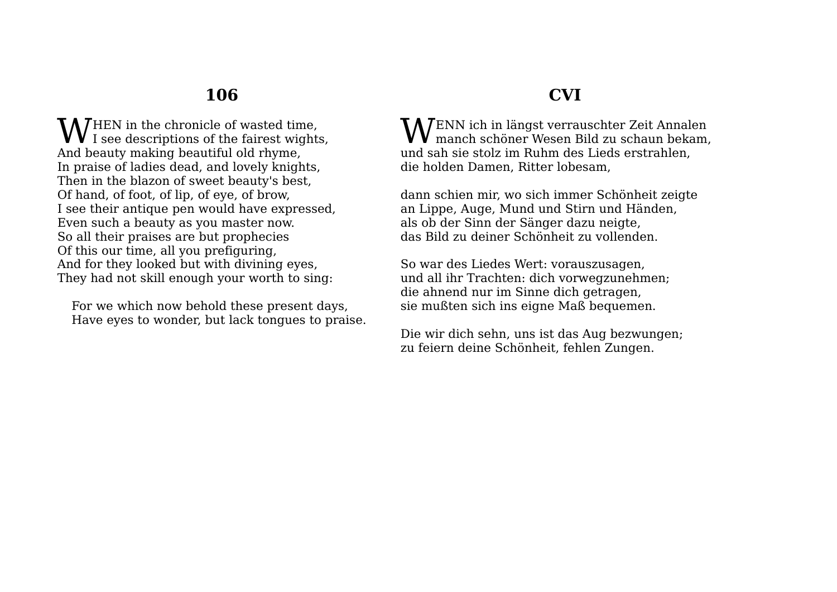HEN in the chronicle of wasted time, **W** I see descriptions of the fairest wights, And beauty making beautiful old rhyme, In praise of ladies dead, and lovely knights, Then in the blazon of sweet beauty's best, Of hand, of foot, of lip, of eye, of brow, I see their antique pen would have expressed, Even such a beauty as you master now. So all their praises are but prophecies Of this our time, all you prefiguring, And for they looked but with divining eyes, They had not skill enough your worth to sing:

For we which now behold these present days, Have eyes to wonder, but lack tongues to praise.

## **CVI**

ENN ich in längst verrauschter Zeit Annalen  $\mathbf{W}^{\text{ENN} }$ ich in längst verrauschter Zeit Annalen manch schöner Wesen Bild zu schaun bekam, und sah sie stolz im Ruhm des Lieds erstrahlen, die holden Damen, Ritter lobesam,

dann schien mir, wo sich immer Schönheit zeigte an Lippe, Auge, Mund und Stirn und Händen, als ob der Sinn der Sänger dazu neigte, das Bild zu deiner Schönheit zu vollenden.

So war des Liedes Wert: vorauszusagen, und all ihr Trachten: dich vorwegzunehmen; die ahnend nur im Sinne dich getragen, sie mußten sich ins eigne Maß bequemen.

Die wir dich sehn, uns ist das Aug bezwungen; zu feiern deine Schönheit, fehlen Zungen.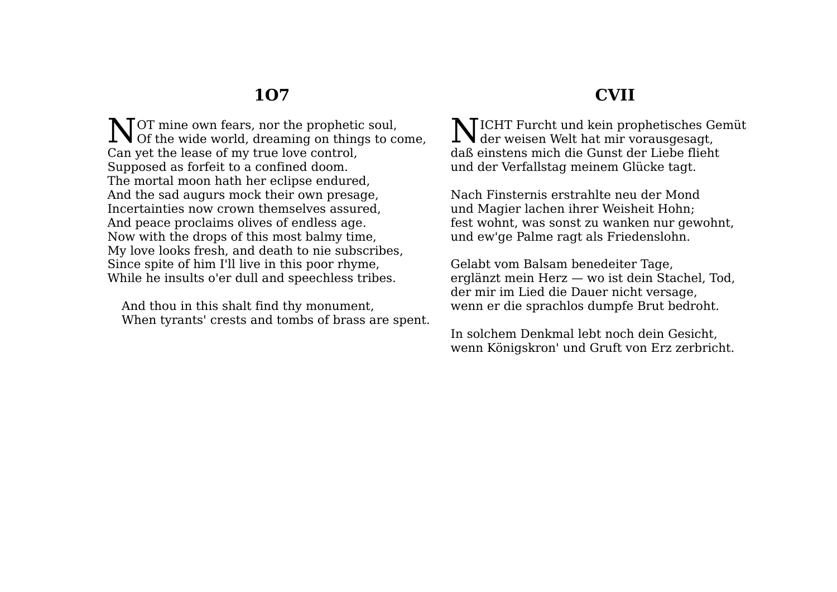**CVII**

OT mine own fears, nor the prophetic soul, NOT mine own fears, nor the prophetic soul,<br>Of the wide world, dreaming on things to come, Can yet the lease of my true love control, Supposed as forfeit to a confined doom. The mortal moon hath her eclipse endured, And the sad augurs mock their own presage, Incertainties now crown themselves assured, And peace proclaims olives of endless age. Now with the drops of this most balmy time, My love looks fresh, and death to nie subscribes, Since spite of him I'll live in this poor rhyme, While he insults o'er dull and speechless tribes.

And thou in this shalt find thy monument, When tyrants' crests and tombs of brass are spent.

**NICHT Furcht und kein prophetisches Gemüt**  $\sum$ ICHT Furcht und kein prophetisches Generalischer Welt hat mir vorausgesagt, daß einstens mich die Gunst der Liebe flieht und der Verfallstag meinem Glücke tagt.

Nach Finsternis erstrahlte neu der Mond und Magier lachen ihrer Weisheit Hohn; fest wohnt, was sonst zu wanken nur gewohnt, und ew'ge Palme ragt als Friedenslohn.

Gelabt vom Balsam benedeiter Tage, erglänzt mein Herz — wo ist dein Stachel, Tod, der mir im Lied die Dauer nicht versage, wenn er die sprachlos dumpfe Brut bedroht.

In solchem Denkmal lebt noch dein Gesicht, wenn Königskron' und Gruft von Erz zerbricht.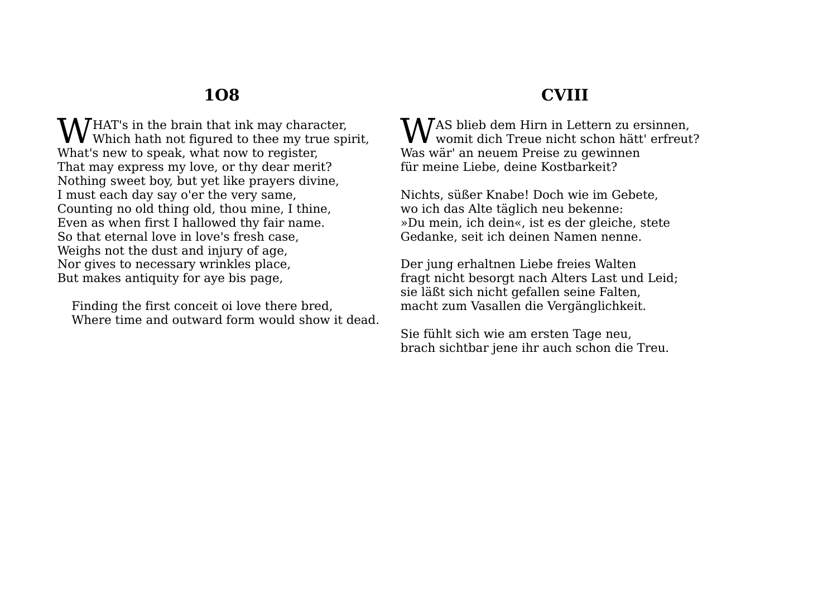HAT's in the brain that ink may character,  $\mathbf{W}^\text{HAT's}$  in the brain that ink may character, Which hath not figured to thee my true spirit, What's new to speak, what now to register, That may express my love, or thy dear merit? Nothing sweet boy, but yet like prayers divine, I must each day say o'er the very same, Counting no old thing old, thou mine, I thine, Even as when first I hallowed thy fair name. So that eternal love in love's fresh case, Weighs not the dust and injury of age, Nor gives to necessary wrinkles place, But makes antiquity for aye bis page,

Finding the first conceit oi love there bred, Where time and outward form would show it dead.

## **CVIII**

AS blieb dem Hirn in Lettern zu ersinnen, WaS blieb dem Hirn in Lettern zu ersinnen,<br>womit dich Treue nicht schon hätt' erfreut? Was wär' an neuem Preise zu gewinnen für meine Liebe, deine Kostbarkeit?

Nichts, süßer Knabe! Doch wie im Gebete, wo ich das Alte täglich neu bekenne: »Du mein, ich dein«, ist es der gleiche, stete Gedanke, seit ich deinen Namen nenne.

Der jung erhaltnen Liebe freies Walten fragt nicht besorgt nach Alters Last und Leid; sie läßt sich nicht gefallen seine Falten, macht zum Vasallen die Vergänglichkeit.

Sie fühlt sich wie am ersten Tage neu, brach sichtbar jene ihr auch schon die Treu.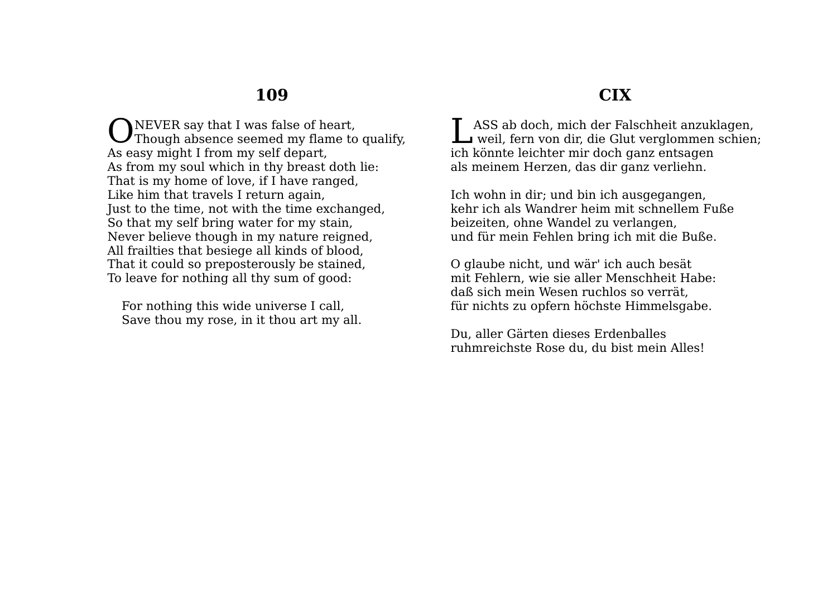NEVER say that I was false of heart. ONEVER say that I was false of heart,<br>Though absence seemed my flame to qualify, As easy might I from my self depart, As from my soul which in thy breast doth lie: That is my home of love, if I have ranged, Like him that travels I return again, Just to the time, not with the time exchanged, So that my self bring water for my stain, Never believe though in my nature reigned, All frailties that besiege all kinds of blood, That it could so preposterously be stained, To leave for nothing all thy sum of good:

For nothing this wide universe I call, Save thou my rose, in it thou art my all.

## **CIX**

ASS ab doch, mich der Falschheit anzuklagen, LASS ab doch, mich der Falschheit anzuklagen,<br>weil, fern von dir, die Glut verglommen schien; ich könnte leichter mir doch ganz entsagen als meinem Herzen, das dir ganz verliehn.

Ich wohn in dir; und bin ich ausgegangen, kehr ich als Wandrer heim mit schnellem Fuße beizeiten, ohne Wandel zu verlangen, und für mein Fehlen bring ich mit die Buße.

O glaube nicht, und wär' ich auch besät mit Fehlern, wie sie aller Menschheit Habe: daß sich mein Wesen ruchlos so verrät, für nichts zu opfern höchste Himmelsgabe.

Du, aller Gärten dieses Erdenballes ruhmreichste Rose du, du bist mein Alles!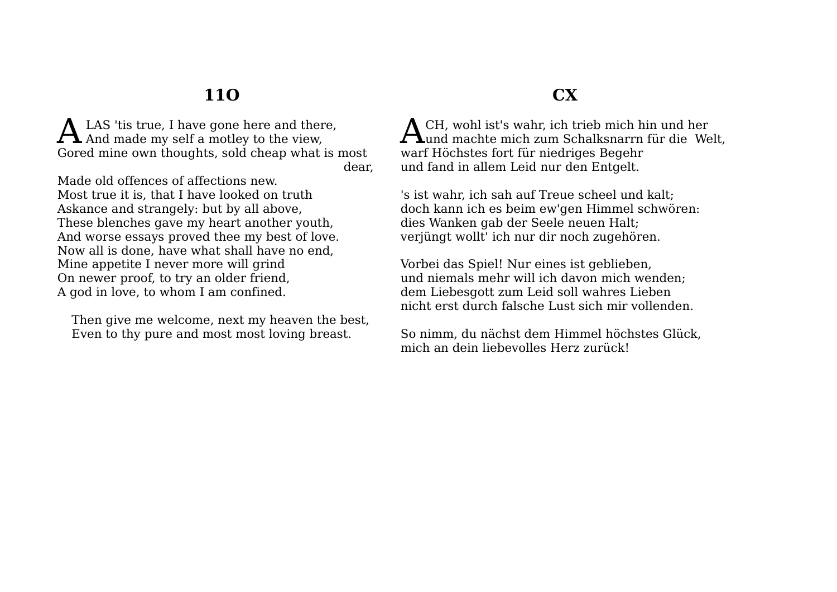## **11O**

LAS 'tis true, I have gone here and there, A LAS 'tis true, I have gone here and ther<br>A And made my self a motley to the view, Gored mine own thoughts, sold cheap what is most dear,

Made old offences of affections new. Most true it is, that I have looked on truth Askance and strangely: but by all above, These blenches gave my heart another youth, And worse essays proved thee my best of love. Now all is done, have what shall have no end, Mine appetite I never more will grind On newer proof, to try an older friend, A god in love, to whom I am confined.

Then give me welcome, next my heaven the best, Even to thy pure and most most loving breast.

## **CX**

CH, wohl ist's wahr, ich trieb mich hin und her  ${\bf A}$ CH, wohl ist's wahr, ich trieb mich hin und her und machte mich zum Schalksnarrn für die Welt, warf Höchstes fort für niedriges Begehr und fand in allem Leid nur den Entgelt.

's ist wahr, ich sah auf Treue scheel und kalt; doch kann ich es beim ew'gen Himmel schwören: dies Wanken gab der Seele neuen Halt; verjüngt wollt' ich nur dir noch zugehören.

Vorbei das Spiel! Nur eines ist geblieben, und niemals mehr will ich davon mich wenden; dem Liebesgott zum Leid soll wahres Lieben nicht erst durch falsche Lust sich mir vollenden.

So nimm, du nächst dem Himmel höchstes Glück, mich an dein liebevolles Herz zurück!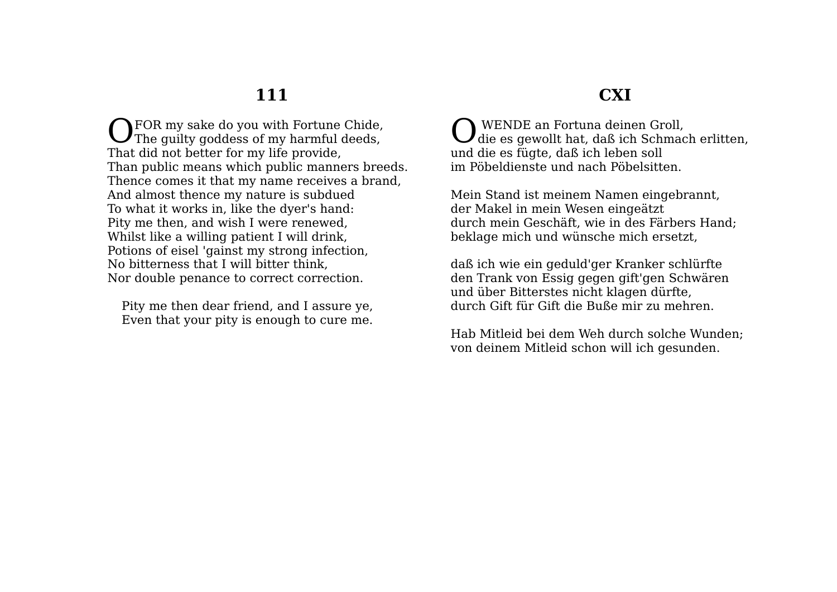FOR my sake do you with Fortune Chide, OFOR my sake do you with Fortune Chide,<br>The guilty goddess of my harmful deeds, That did not better for my life provide, Than public means which public manners breeds. Thence comes it that my name receives a brand, And almost thence my nature is subdued To what it works in, like the dyer's hand: Pity me then, and wish I were renewed, Whilst like a willing patient I will drink, Potions of eisel 'gainst my strong infection, No bitterness that I will bitter think, Nor double penance to correct correction.

Pity me then dear friend, and I assure ye, Even that your pity is enough to cure me.

#### **CXI**

 WENDE an Fortuna deinen Groll, die es gewollt hat, daß ich Schmach erlitten, und die es fügte, daß ich leben soll im Pöbeldienste und nach Pöbelsitten. O

Mein Stand ist meinem Namen eingebrannt, der Makel in mein Wesen eingeätzt durch mein Geschäft, wie in des Färbers Hand; beklage mich und wünsche mich ersetzt,

daß ich wie ein geduld'ger Kranker schlürfte den Trank von Essig gegen gift'gen Schwären und über Bitterstes nicht klagen dürfte, durch Gift für Gift die Buße mir zu mehren.

Hab Mitleid bei dem Weh durch solche Wunden; von deinem Mitleid schon will ich gesunden.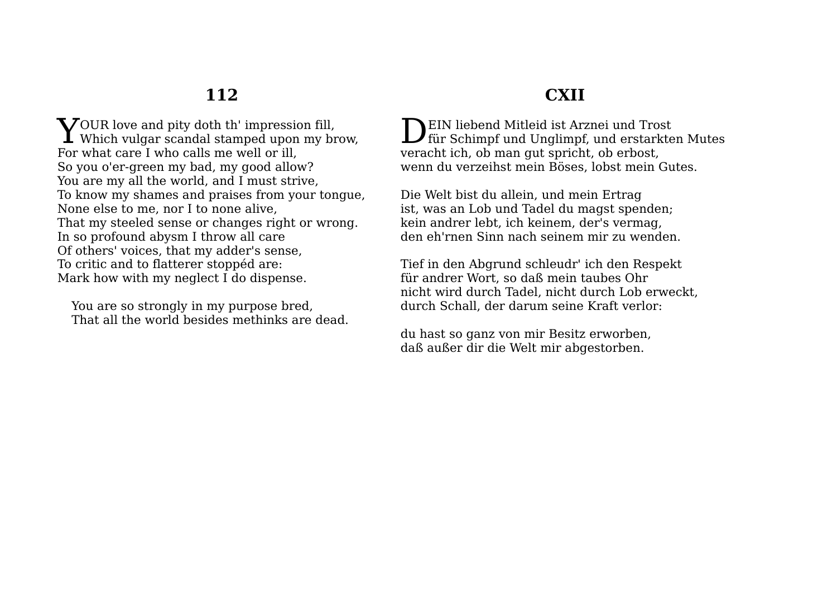$\bf Y$ OUR love and pity doth th' impression fill, Which vulgar scandal stamped upon my br **I** Which vulgar scandal stamped upon my brow, For what care I who calls me well or ill, So you o'er-green my bad, my good allow? You are my all the world, and I must strive, To know my shames and praises from your tongue, None else to me, nor I to none alive, That my steeled sense or changes right or wrong. In so profound abysm I throw all care Of others' voices, that my adder's sense, To critic and to flatterer stoppéd are: Mark how with my neglect I do dispense.

You are so strongly in my purpose bred, That all the world besides methinks are dead.

# **CXII**

**NEIN liebend Mitleid ist Arznei und Trost**  $\sum$ EIN liebend Mitleid ist Arznei und Trost<br>für Schimpf und Unglimpf, und erstarkten Mutes veracht ich, ob man gut spricht, ob erbost, wenn du verzeihst mein Böses, lobst mein Gutes.

Die Welt bist du allein, und mein Ertrag ist, was an Lob und Tadel du magst spenden; kein andrer lebt, ich keinem, der's vermag, den eh'rnen Sinn nach seinem mir zu wenden.

Tief in den Abgrund schleudr' ich den Respekt für andrer Wort, so daß mein taubes Ohr nicht wird durch Tadel, nicht durch Lob erweckt, durch Schall, der darum seine Kraft verlor:

du hast so ganz von mir Besitz erworben, daß außer dir die Welt mir abgestorben.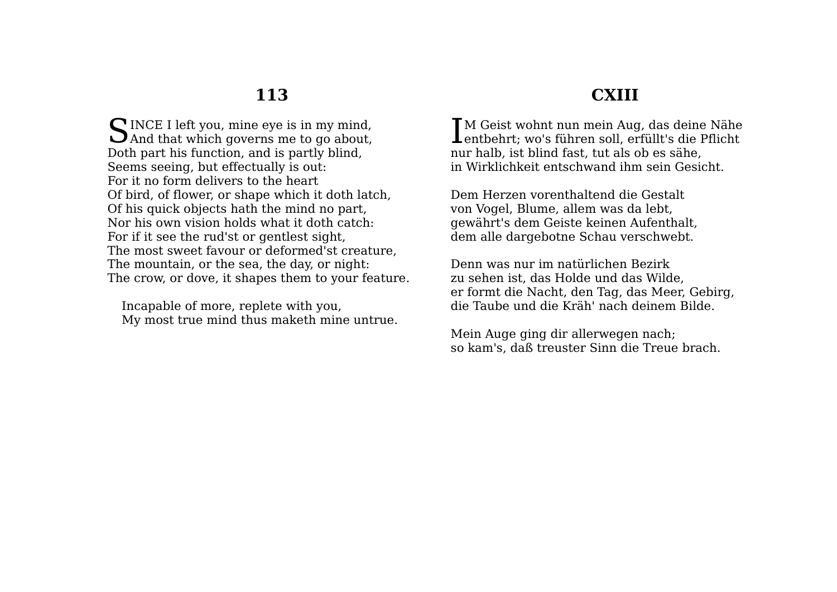$\bigcap$  INCE I left you, mine eve is in my mind. SINCE I left you, mine eye is in my mind,<br>And that which governs me to go about, Doth part his function, and is partly blind, Seems seeing, but effectually is out: For it no form delivers to the heart Of bird, of flower, or shape which it doth latch, Of his quick objects hath the mind no part, Nor his own vision holds what it doth catch: For if it see the rud'st or gentlest sight, The most sweet favour or deformed'st creature, The mountain, or the sea, the day, or night: The crow, or dove, it shapes them to your feature.

Incapable of more, replete with you, My most true mind thus maketh mine untrue.

#### **CXIII**

**T**M Geist wohnt nun mein Aug, das deine Nähe IM Geist wohnt nun mein Aug, das deine Nähe<br>Lentbehrt; wo's führen soll, erfüllt's die Pflicht nur halb, ist blind fast, tut als ob es sähe, in Wirklichkeit entschwand ihm sein Gesicht.

Dem Herzen vorenthaltend die Gestalt von Vogel, Blume, allem was da lebt, gewährt's dem Geiste keinen Aufenthalt, dem alle dargebotne Schau verschwebt.

Denn was nur im natürlichen Bezirk zu sehen ist, das Holde und das Wilde, er formt die Nacht, den Tag, das Meer, Gebirg, die Taube und die Kräh' nach deinem Bilde.

Mein Auge ging dir allerwegen nach; so kam's, daß treuster Sinn die Treue brach.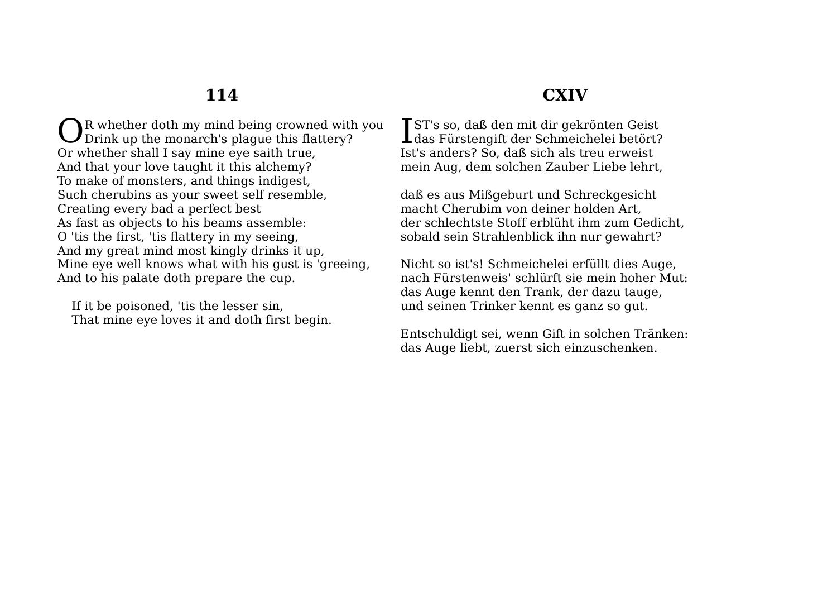R whether doth my mind being crowned with you OR whether doth my mind being crowned with<br>Drink up the monarch's plague this flattery? Or whether shall I say mine eye saith true, And that your love taught it this alchemy? To make of monsters, and things indigest, Such cherubins as your sweet self resemble, Creating every bad a perfect best As fast as objects to his beams assemble: O 'tis the first, 'tis flattery in my seeing, And my great mind most kingly drinks it up, Mine eye well knows what with his gust is 'greeing, And to his palate doth prepare the cup.

If it be poisoned, 'tis the lesser sin, That mine eye loves it and doth first begin.

## **CXIV**

ST's so, daß den mit dir gekrönten Geist IST's so, daß den mit dir gekrönten Geist<br>das Fürstengift der Schmeichelei betört? Ist's anders? So, daß sich als treu erweist mein Aug, dem solchen Zauber Liebe lehrt,

daß es aus Mißgeburt und Schreckgesicht macht Cherubim von deiner holden Art, der schlechtste Stoff erblüht ihm zum Gedicht, sobald sein Strahlenblick ihn nur gewahrt?

Nicht so ist's! Schmeichelei erfüllt dies Auge, nach Fürstenweis' schlürft sie mein hoher Mut: das Auge kennt den Trank, der dazu tauge, und seinen Trinker kennt es ganz so gut.

Entschuldigt sei, wenn Gift in solchen Tränken: das Auge liebt, zuerst sich einzuschenken.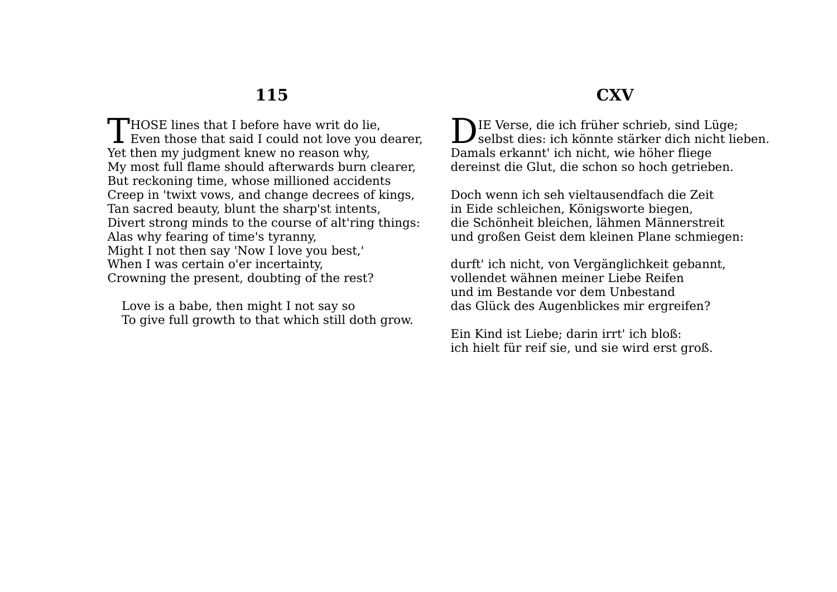$\blacksquare$  HOSE lines that I before have writ do lie. THOSE lines that I before have writ do lie,<br>Even those that said I could not love you dearer, Yet then my judgment knew no reason why, My most full flame should afterwards burn clearer, But reckoning time, whose millioned accidents Creep in 'twixt vows, and change decrees of kings, Tan sacred beauty, blunt the sharp'st intents, Divert strong minds to the course of alt'ring things: Alas why fearing of time's tyranny, Might I not then say 'Now I love you best,' When I was certain o'er incertainty, Crowning the present, doubting of the rest?

Love is a babe, then might I not say so To give full growth to that which still doth grow.

#### **CXV**

DIE Verse, die ich früher schrieb, sind Lüge;<br>selbst dies: ich könnte stärker dich nicht lie selbst dies: ich könnte stärker dich nicht lieben. Damals erkannt' ich nicht, wie höher fliege dereinst die Glut, die schon so hoch getrieben.

Doch wenn ich seh vieltausendfach die Zeit in Eide schleichen, Königsworte biegen, die Schönheit bleichen, lähmen Männerstreit und großen Geist dem kleinen Plane schmiegen:

durft' ich nicht, von Vergänglichkeit gebannt, vollendet wähnen meiner Liebe Reifen und im Bestande vor dem Unbestand das Glück des Augenblickes mir ergreifen?

Ein Kind ist Liebe; darin irrt' ich bloß: ich hielt für reif sie, und sie wird erst groß.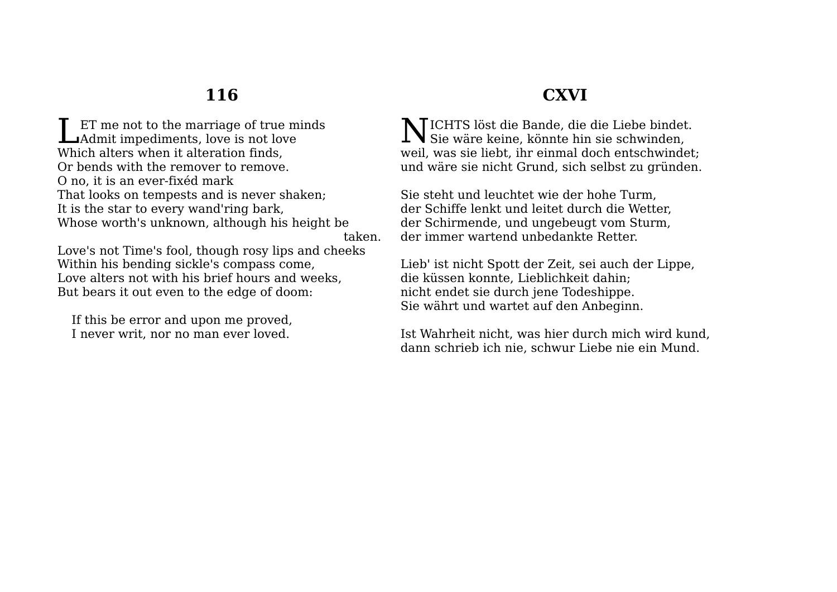ET me not to the marriage of true minds ET me not to the marriage of true m<br>Admit impediments, love is not love Which alters when it alteration finds, Or bends with the remover to remove. O no, it is an ever-fixéd mark That looks on tempests and is never shaken; It is the star to every wand'ring bark, Whose worth's unknown, although his height be taken.

Love's not Time's fool, though rosy lips and cheeks Within his bending sickle's compass come, Love alters not with his brief hours and weeks, But bears it out even to the edge of doom:

If this be error and upon me proved, I never writ, nor no man ever loved.

## **CXVI**

ICHTS löst die Bande, die die Liebe bindet. N  $1$ **N** Sie wäre keine, könnte hin sie schwinden, weil, was sie liebt, ihr einmal doch entschwindet; und wäre sie nicht Grund, sich selbst zu gründen.

Sie steht und leuchtet wie der hohe Turm, der Schiffe lenkt und leitet durch die Wetter, der Schirmende, und ungebeugt vom Sturm, der immer wartend unbedankte Retter.

Lieb' ist nicht Spott der Zeit, sei auch der Lippe, die küssen konnte, Lieblichkeit dahin; nicht endet sie durch jene Todeshippe. Sie währt und wartet auf den Anbeginn.

Ist Wahrheit nicht, was hier durch mich wird kund, dann schrieb ich nie, schwur Liebe nie ein Mund.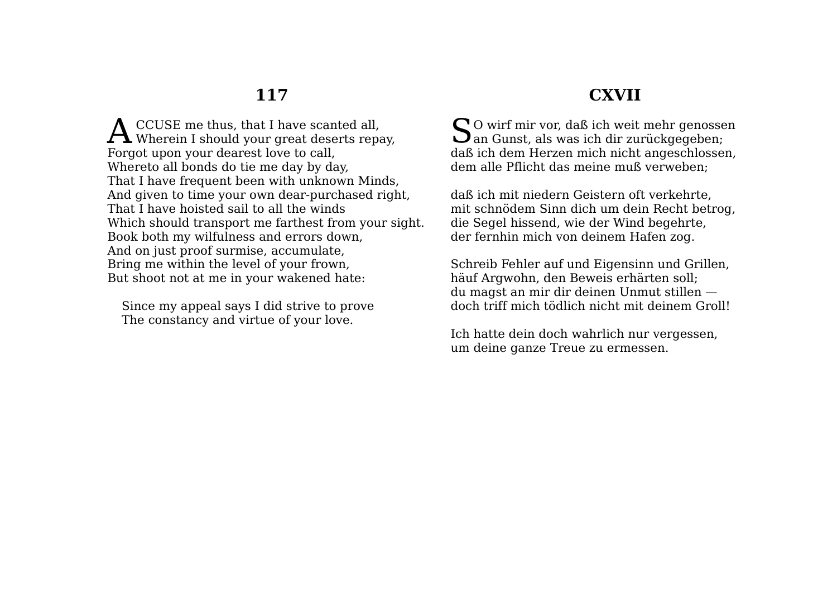CCUSE me thus, that I have scanted all, **A** CCUSE me thus, that I have scanted all,<br>Wherein I should your great deserts repay, Forgot upon your dearest love to call, Whereto all bonds do tie me day by day, That I have frequent been with unknown Minds, And given to time your own dear-purchased right, That I have hoisted sail to all the winds Which should transport me farthest from your sight. Book both my wilfulness and errors down, And on just proof surmise, accumulate, Bring me within the level of your frown, But shoot not at me in your wakened hate:

Since my appeal says I did strive to prove The constancy and virtue of your love.

## **CXVII**

O wirf mir vor, daß ich weit mehr genossen  $\sum$ O wirf mir vor, daß ich weit mehr genosse<br>San Gunst, als was ich dir zurückgegeben; daß ich dem Herzen mich nicht angeschlossen, dem alle Pflicht das meine muß verweben;

daß ich mit niedern Geistern oft verkehrte, mit schnödem Sinn dich um dein Recht betrog, die Segel hissend, wie der Wind begehrte, der fernhin mich von deinem Hafen zog.

Schreib Fehler auf und Eigensinn und Grillen, häuf Argwohn, den Beweis erhärten soll; du magst an mir dir deinen Unmut stillen doch triff mich tödlich nicht mit deinem Groll!

Ich hatte dein doch wahrlich nur vergessen, um deine ganze Treue zu ermessen.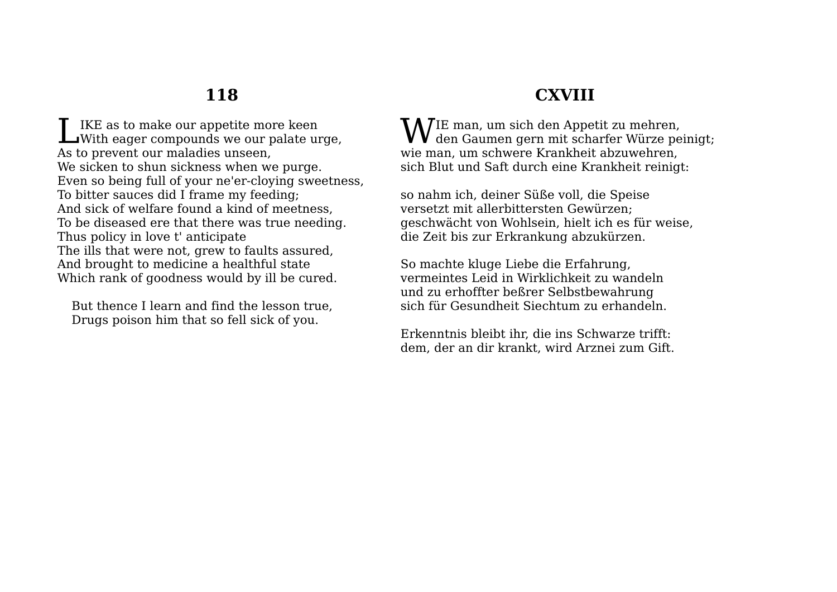IKE as to make our appetite more keen IKE as to make our appetite more keen<br>With eager compounds we our palate urge, As to prevent our maladies unseen, We sicken to shun sickness when we purge. Even so being full of your ne'er-cloying sweetness, To bitter sauces did I frame my feeding; And sick of welfare found a kind of meetness, To be diseased ere that there was true needing. Thus policy in love t' anticipate The ills that were not, grew to faults assured, And brought to medicine a healthful state Which rank of goodness would by ill be cured.

But thence I learn and find the lesson true, Drugs poison him that so fell sick of you.

## **CXVIII**

 $\mathbf{W}$ IE man, um sich den Appetit zu mehren,<br>den Gaumen gern mit scharfer Würze pe den Gaumen gern mit scharfer Würze peinigt; wie man, um schwere Krankheit abzuwehren, sich Blut und Saft durch eine Krankheit reinigt:

so nahm ich, deiner Süße voll, die Speise versetzt mit allerbittersten Gewürzen; geschwächt von Wohlsein, hielt ich es für weise, die Zeit bis zur Erkrankung abzukürzen.

So machte kluge Liebe die Erfahrung, vermeintes Leid in Wirklichkeit zu wandeln und zu erhoffter beßrer Selbstbewahrung sich für Gesundheit Siechtum zu erhandeln.

Erkenntnis bleibt ihr, die ins Schwarze trifft: dem, der an dir krankt, wird Arznei zum Gift.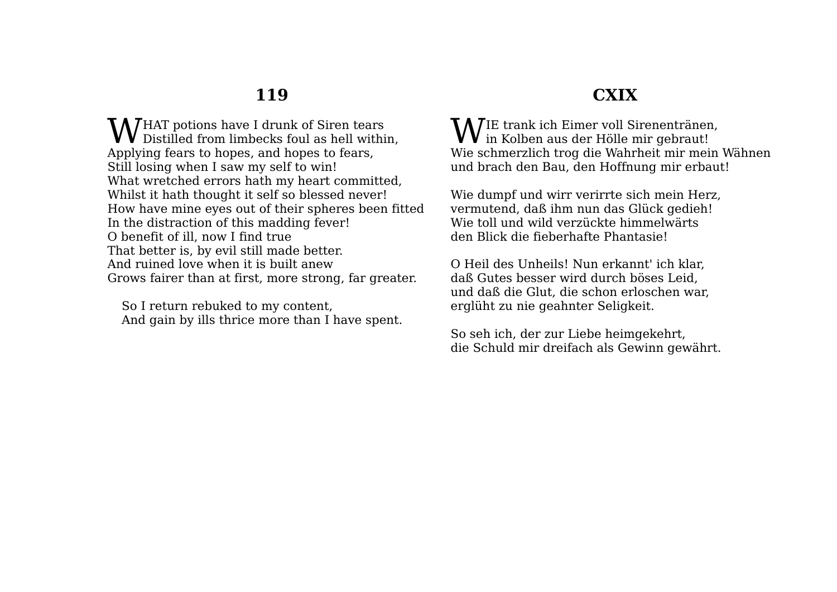HAT potions have I drunk of Siren tears **W** HAT potions have I drunk of Siren tears<br>Distilled from limbecks foul as hell within, Applying fears to hopes, and hopes to fears, Still losing when I saw my self to win! What wretched errors hath my heart committed, Whilst it hath thought it self so blessed never! How have mine eyes out of their spheres been fitted In the distraction of this madding fever! O benefit of ill, now I find true That better is, by evil still made better. And ruined love when it is built anew Grows fairer than at first, more strong, far greater.

So I return rebuked to my content, And gain by ills thrice more than I have spent.

# **CXIX**

IE trank ich Eimer voll Sirenentränen,  $\mathbf{W}$ IE trank ich Eimer voll Sirenentränen Wie schmerzlich trog die Wahrheit mir mein Wähnen und brach den Bau, den Hoffnung mir erbaut!

Wie dumpf und wirr verirrte sich mein Herz, vermutend, daß ihm nun das Glück gedieh! Wie toll und wild verzückte himmelwärts den Blick die fieberhafte Phantasie!

O Heil des Unheils! Nun erkannt' ich klar, daß Gutes besser wird durch böses Leid, und daß die Glut, die schon erloschen war, erglüht zu nie geahnter Seligkeit.

So seh ich, der zur Liebe heimgekehrt, die Schuld mir dreifach als Gewinn gewährt.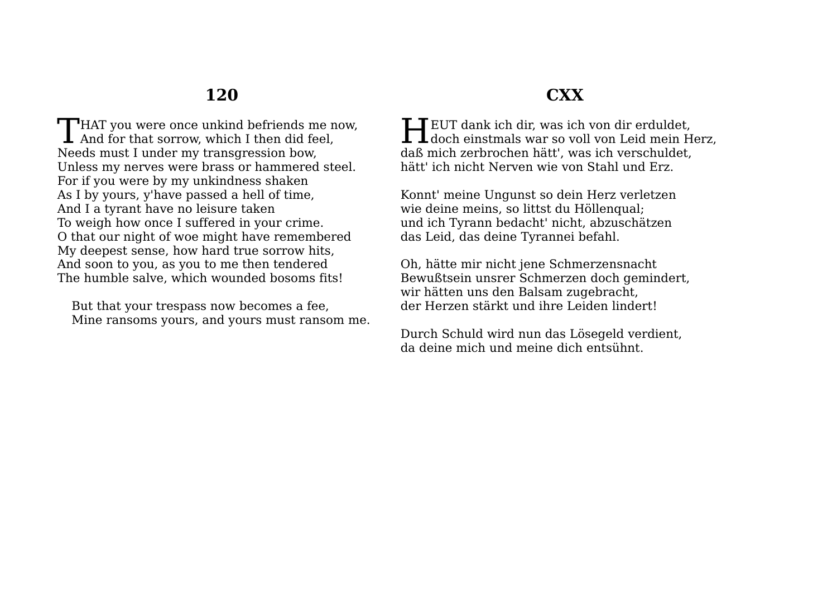$\Box$  HAT you were once unkind befriends me now. THAT you were once unkind befriends me n<br>And for that sorrow, which I then did feel, Needs must I under my transgression bow, Unless my nerves were brass or hammered steel. For if you were by my unkindness shaken As I by yours, y'have passed a hell of time, And I a tyrant have no leisure taken To weigh how once I suffered in your crime. O that our night of woe might have remembered My deepest sense, how hard true sorrow hits, And soon to you, as you to me then tendered The humble salve, which wounded bosoms fits!

But that your trespass now becomes a fee, Mine ransoms yours, and yours must ransom me.

## **CXX**

**LI** EUT dank ich dir, was ich von dir erduldet. HEUT dank ich dir, was ich von dir erduldet,<br>doch einstmals war so voll von Leid mein Herz, daß mich zerbrochen hätt', was ich verschuldet, hätt' ich nicht Nerven wie von Stahl und Erz.

Konnt' meine Ungunst so dein Herz verletzen wie deine meins, so littst du Höllenqual; und ich Tyrann bedacht' nicht, abzuschätzen das Leid, das deine Tyrannei befahl.

Oh, hätte mir nicht jene Schmerzensnacht Bewußtsein unsrer Schmerzen doch gemindert, wir hätten uns den Balsam zugebracht, der Herzen stärkt und ihre Leiden lindert!

Durch Schuld wird nun das Lösegeld verdient, da deine mich und meine dich entsühnt.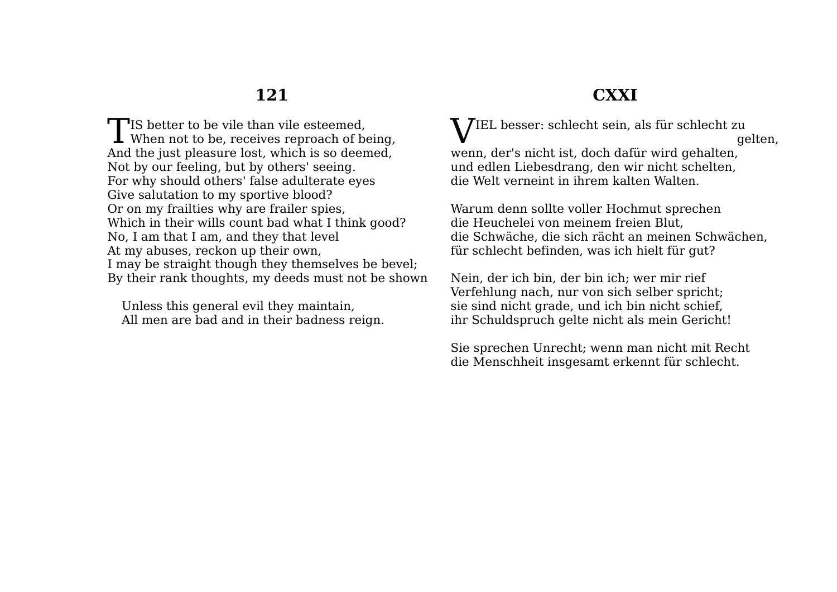$\Box$ IS better to be vile than vile esteemed. TIS better to be vile than vile esteemed,<br>When not to be, receives reproach of being, And the just pleasure lost, which is so deemed, Not by our feeling, but by others' seeing. For why should others' false adulterate eyes Give salutation to my sportive blood? Or on my frailties why are frailer spies, Which in their wills count bad what I think good? No, I am that I am, and they that level At my abuses, reckon up their own, I may be straight though they themselves be bevel; By their rank thoughts, my deeds must not be shown

Unless this general evil they maintain, All men are bad and in their badness reign.

#### **CXXI**

 $\rm V^{IEL}$  besser: schlecht sein, als für schlecht zu gelten, wenn, der's nicht ist, doch dafür wird gehalten, und edlen Liebesdrang, den wir nicht schelten, die Welt verneint in ihrem kalten Walten.

Warum denn sollte voller Hochmut sprechen die Heuchelei von meinem freien Blut, die Schwäche, die sich rächt an meinen Schwächen, für schlecht befinden, was ich hielt für gut?

Nein, der ich bin, der bin ich; wer mir rief Verfehlung nach, nur von sich selber spricht; sie sind nicht grade, und ich bin nicht schief, ihr Schuldspruch gelte nicht als mein Gericht!

Sie sprechen Unrecht; wenn man nicht mit Recht die Menschheit insgesamt erkennt für schlecht.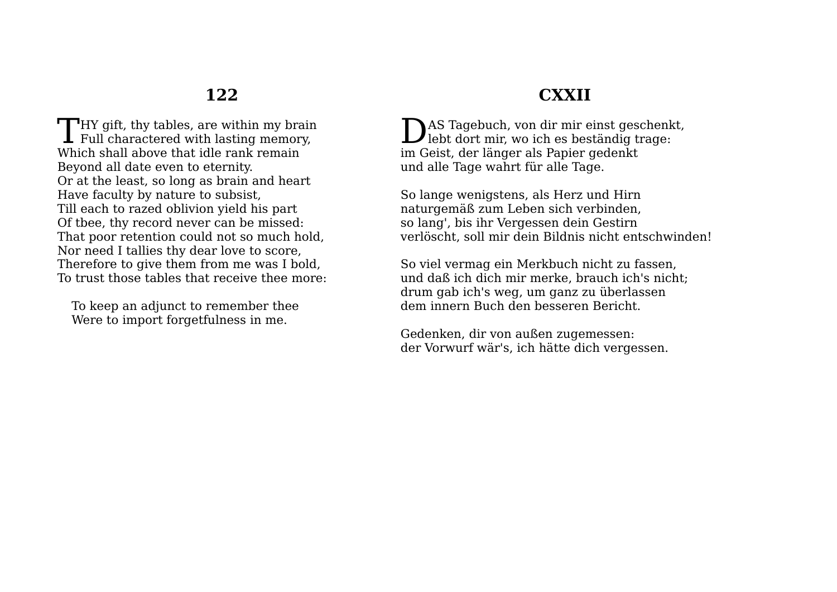$\blacksquare$  HY gift, thy tables, are within my brain **THY** gift, thy tables, are within my brain Full charactered with lasting memory, Which shall above that idle rank remain Beyond all date even to eternity. Or at the least, so long as brain and heart Have faculty by nature to subsist, Till each to razed oblivion yield his part Of tbee, thy record never can be missed: That poor retention could not so much hold, Nor need I tallies thy dear love to score, Therefore to give them from me was I bold, To trust those tables that receive thee more:

To keep an adjunct to remember thee Were to import forgetfulness in me.

## **CXXII**

AS Tagebuch, von dir mir einst geschenkt, DAS Tagebuch, von dir mir einst geschenk<br>lebt dort mir, wo ich es beständig trage: im Geist, der länger als Papier gedenkt und alle Tage wahrt für alle Tage.

So lange wenigstens, als Herz und Hirn naturgemäß zum Leben sich verbinden, so lang', bis ihr Vergessen dein Gestirn verlöscht, soll mir dein Bildnis nicht entschwinden!

So viel vermag ein Merkbuch nicht zu fassen, und daß ich dich mir merke, brauch ich's nicht; drum gab ich's weg, um ganz zu überlassen dem innern Buch den besseren Bericht.

Gedenken, dir von außen zugemessen: der Vorwurf wär's, ich hätte dich vergessen.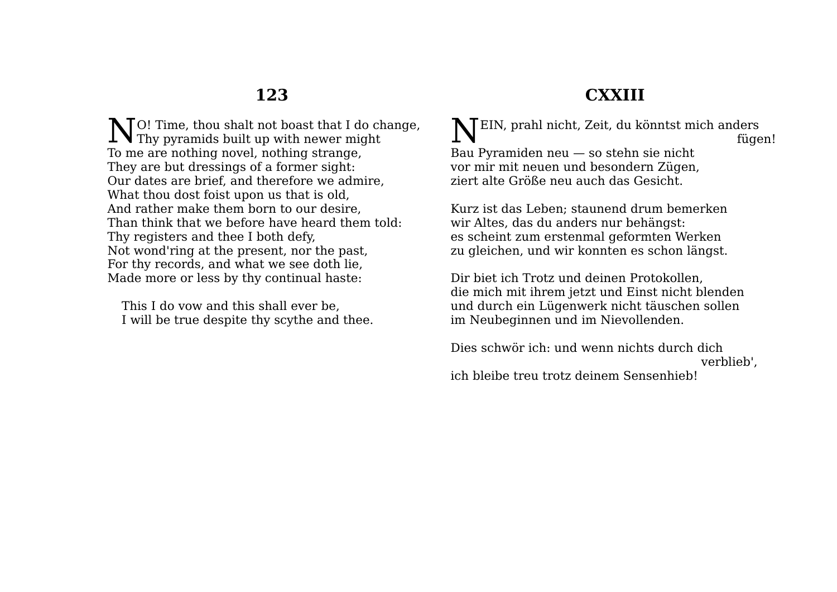**CXXIII**

O! Time, thou shalt not boast that I do change,  $\sum$  Thy pyramids built up with newer might To me are nothing novel, nothing strange, They are but dressings of a former sight: Our dates are brief, and therefore we admire, What thou dost foist upon us that is old, And rather make them born to our desire, Than think that we before have heard them told: Thy registers and thee I both defy, Not wond'ring at the present, nor the past, For thy records, and what we see doth lie, Made more or less by thy continual haste:

This I do vow and this shall ever be, I will be true despite thy scythe and thee.

EIN, prahl nicht, Zeit, du könntst mich anders N fügen! Bau Pyramiden neu — so stehn sie nicht vor mir mit neuen und besondern Zügen, ziert alte Größe neu auch das Gesicht.

Kurz ist das Leben; staunend drum bemerken wir Altes, das du anders nur behängst: es scheint zum erstenmal geformten Werken zu gleichen, und wir konnten es schon längst.

Dir biet ich Trotz und deinen Protokollen, die mich mit ihrem jetzt und Einst nicht blenden und durch ein Lügenwerk nicht täuschen sollen im Neubeginnen und im Nievollenden.

Dies schwör ich: und wenn nichts durch dich verblieb', ich bleibe treu trotz deinem Sensenhieb!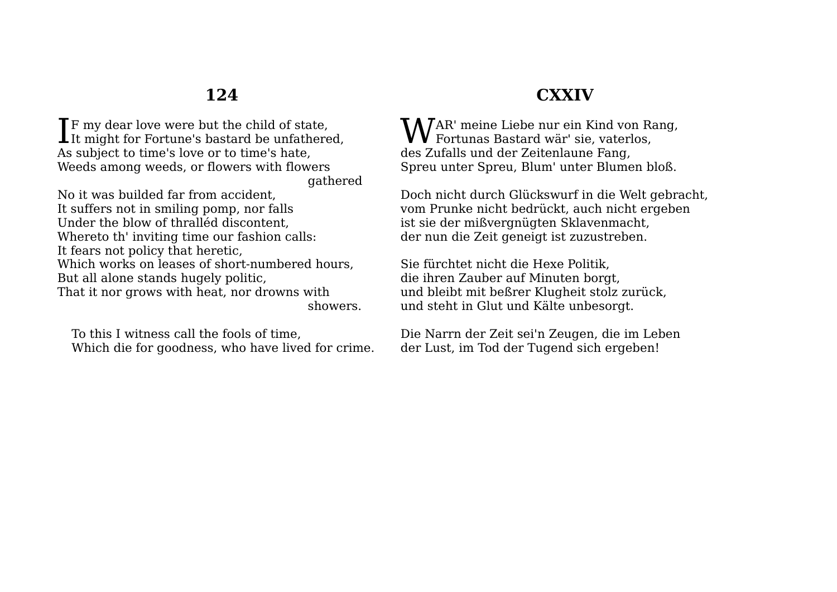**T**F my dear love were but the child of state.  $\prod$  If my dear love were but the child of state, It might for Fortune's bastard be unfathered, As subject to time's love or to time's hate, Weeds among weeds, or flowers with flowers gathered

No it was builded far from accident, It suffers not in smiling pomp, nor falls Under the blow of thralléd discontent, Whereto th' inviting time our fashion calls: It fears not policy that heretic, Which works on leases of short-numbered hours. But all alone stands hugely politic, That it nor grows with heat, nor drowns with showers.

To this I witness call the fools of time, Which die for goodness, who have lived for crime.

#### **CXXIV**

**W**AR' meine Liebe nur ein Kind von Rang,<br>Fortunas Bastard wär' sie, vaterlos,  $\boldsymbol{\mathsf{V}}\, \boldsymbol{\mathsf{V}}$  Fortunas Bastard wär' sie, vaterlos, des Zufalls und der Zeitenlaune Fang, Spreu unter Spreu, Blum' unter Blumen bloß.

Doch nicht durch Glückswurf in die Welt gebracht, vom Prunke nicht bedrückt, auch nicht ergeben ist sie der mißvergnügten Sklavenmacht, der nun die Zeit geneigt ist zuzustreben.

Sie fürchtet nicht die Hexe Politik, die ihren Zauber auf Minuten borgt, und bleibt mit beßrer Klugheit stolz zurück, und steht in Glut und Kälte unbesorgt.

Die Narrn der Zeit sei'n Zeugen, die im Leben der Lust, im Tod der Tugend sich ergeben!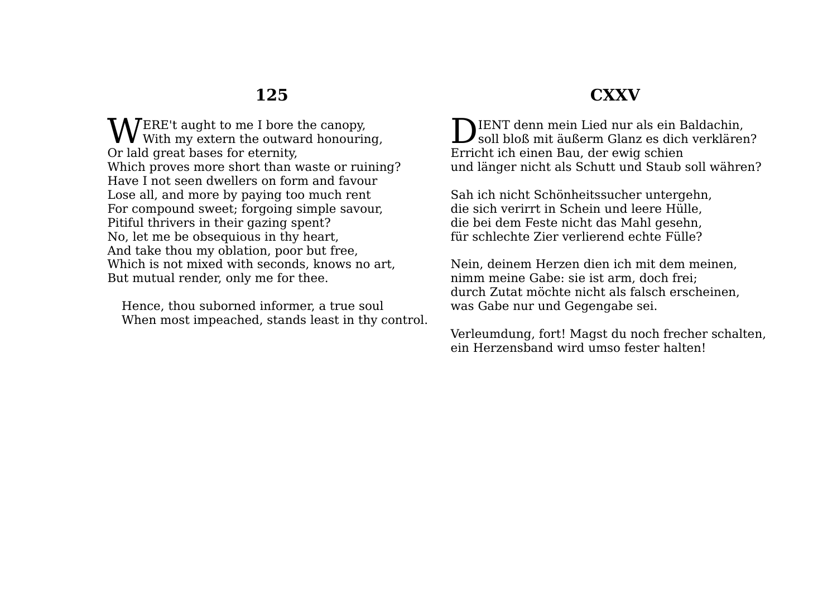ERE't aught to me I bore the canopy, WERE't aught to me I bore the canopy,<br>With my extern the outward honouring, Or lald great bases for eternity, Which proves more short than waste or ruining? Have I not seen dwellers on form and favour Lose all, and more by paying too much rent For compound sweet; forgoing simple savour, Pitiful thrivers in their gazing spent? No, let me be obsequious in thy heart, And take thou my oblation, poor but free, Which is not mixed with seconds, knows no art, But mutual render, only me for thee.

Hence, thou suborned informer, a true soul When most impeached, stands least in thy control.

## **CXXV**

**NIENT** denn mein Lied nur als ein Baldachin, DIENT denn mein Lied nur als ein Baldachin,<br>soll bloß mit äußerm Glanz es dich verklären? Erricht ich einen Bau, der ewig schien und länger nicht als Schutt und Staub soll währen?

Sah ich nicht Schönheitssucher untergehn, die sich verirrt in Schein und leere Hülle, die bei dem Feste nicht das Mahl gesehn, für schlechte Zier verlierend echte Fülle?

Nein, deinem Herzen dien ich mit dem meinen, nimm meine Gabe: sie ist arm, doch frei; durch Zutat möchte nicht als falsch erscheinen, was Gabe nur und Gegengabe sei.

Verleumdung, fort! Magst du noch frecher schalten, ein Herzensband wird umso fester halten!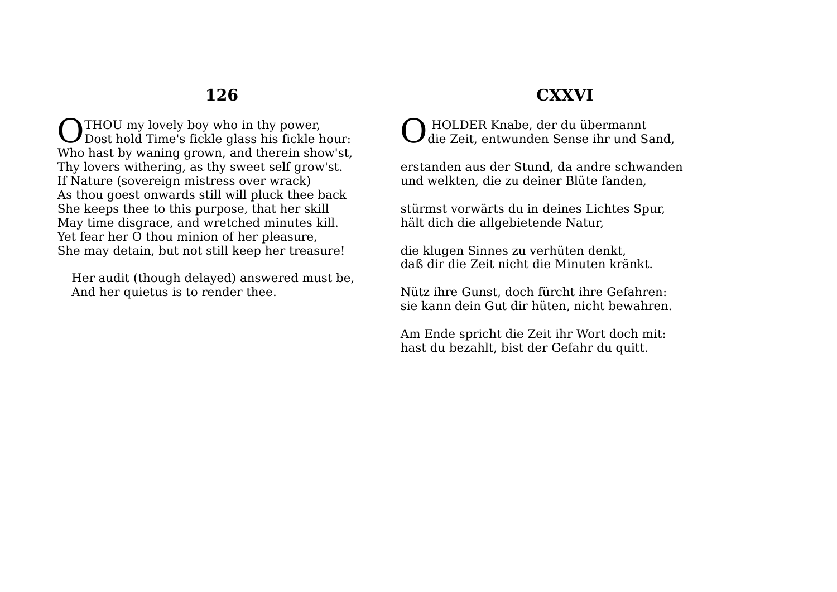**THOU** my lovely boy who in thy power. **O** THOU my lovely boy who in thy power,<br>Dost hold Time's fickle glass his fickle hour: Who hast by waning grown, and therein show'st, Thy lovers withering, as thy sweet self grow'st. If Nature (sovereign mistress over wrack) As thou goest onwards still will pluck thee back She keeps thee to this purpose, that her skill May time disgrace, and wretched minutes kill. Yet fear her O thou minion of her pleasure, She may detain, but not still keep her treasure!

Her audit (though delayed) answered must be, And her quietus is to render thee.

## **CXXVI**

HOLDER Knabe, der du übermannt<br>die Zeit, entwunden Sense ihr und Sand,

erstanden aus der Stund, da andre schwanden und welkten, die zu deiner Blüte fanden,

stürmst vorwärts du in deines Lichtes Spur, hält dich die allgebietende Natur,

die klugen Sinnes zu verhüten denkt, daß dir die Zeit nicht die Minuten kränkt.

Nütz ihre Gunst, doch fürcht ihre Gefahren: sie kann dein Gut dir hüten, nicht bewahren.

Am Ende spricht die Zeit ihr Wort doch mit: hast du bezahlt, bist der Gefahr du quitt.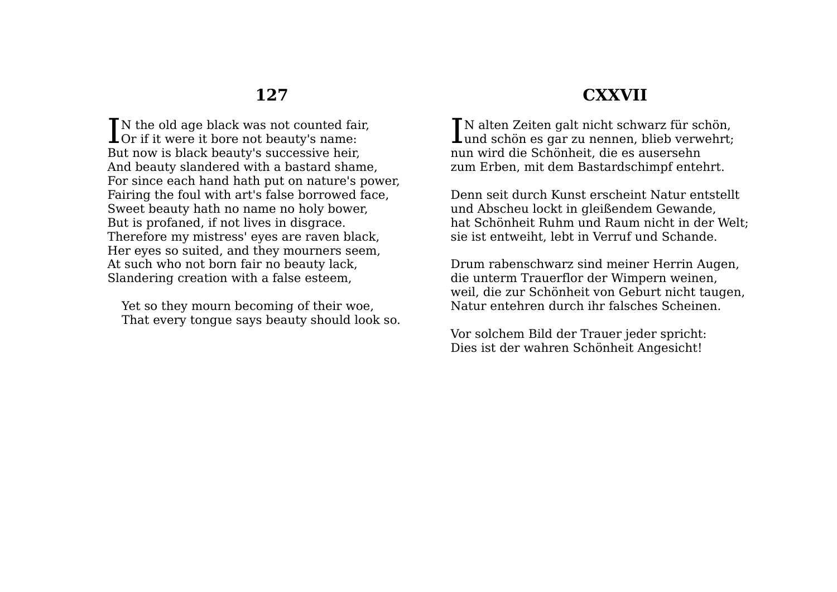IN the old age black was not counted fair,<br>Or if it were it bore not beauty's name: Lor if it were it bore not beauty's name: But now is black beauty's successive heir, And beauty slandered with a bastard shame, For since each hand hath put on nature's power, Fairing the foul with art's false borrowed face, Sweet beauty hath no name no holy bower, But is profaned, if not lives in disgrace. Therefore my mistress' eyes are raven black, Her eyes so suited, and they mourners seem, At such who not born fair no beauty lack, Slandering creation with a false esteem,

Yet so they mourn becoming of their woe, That every tongue says beauty should look so.

### **CXXVII**

**T**N alten Zeiten galt nicht schwarz für schön, IN alten Zeiten galt nicht schwarz für schön,<br>Lund schön es gar zu nennen, blieb verwehrt; nun wird die Schönheit, die es ausersehn zum Erben, mit dem Bastardschimpf entehrt.

Denn seit durch Kunst erscheint Natur entstellt und Abscheu lockt in gleißendem Gewande, hat Schönheit Ruhm und Raum nicht in der Welt; sie ist entweiht, lebt in Verruf und Schande.

Drum rabenschwarz sind meiner Herrin Augen, die unterm Trauerflor der Wimpern weinen, weil, die zur Schönheit von Geburt nicht taugen, Natur entehren durch ihr falsches Scheinen.

Vor solchem Bild der Trauer jeder spricht: Dies ist der wahren Schönheit Angesicht!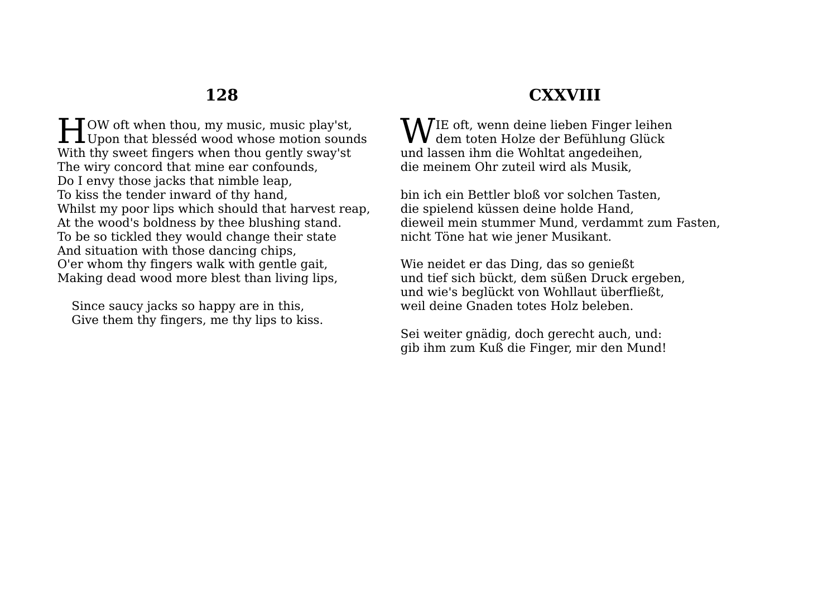$LI$  OW oft when thou, my music, music play'st, **H**OW oft when thou, my music, music play'st,<br>Upon that blesséd wood whose motion sounds With thy sweet fingers when thou gently sway'st The wiry concord that mine ear confounds, Do I envy those jacks that nimble leap, To kiss the tender inward of thy hand, Whilst my poor lips which should that harvest reap, At the wood's boldness by thee blushing stand. To be so tickled they would change their state And situation with those dancing chips, O'er whom thy fingers walk with gentle gait, Making dead wood more blest than living lips,

Since saucy jacks so happy are in this, Give them thy fingers, me thy lips to kiss.

## **CXXVIII**

IE oft, wenn deine lieben Finger leihen WIE oft, wenn deine lieben Finger leiher<br>dem toten Holze der Befühlung Glück und lassen ihm die Wohltat angedeihen, die meinem Ohr zuteil wird als Musik,

bin ich ein Bettler bloß vor solchen Tasten, die spielend küssen deine holde Hand, dieweil mein stummer Mund, verdammt zum Fasten, nicht Töne hat wie jener Musikant.

Wie neidet er das Ding, das so genießt und tief sich bückt, dem süßen Druck ergeben, und wie's beglückt von Wohllaut überfließt, weil deine Gnaden totes Holz beleben.

Sei weiter gnädig, doch gerecht auch, und: gib ihm zum Kuß die Finger, mir den Mund!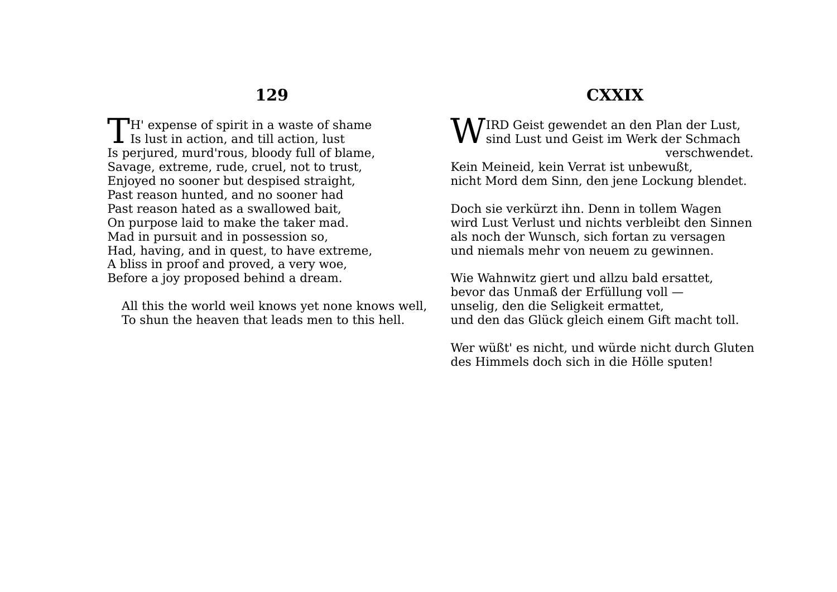$\Box$ H' expense of spirit in a waste of shame TH' expense of spirit in a waste of sharp Is lust in action, and till action, lust Is perjured, murd'rous, bloody full of blame, Savage, extreme, rude, cruel, not to trust, Enjoyed no sooner but despised straight, Past reason hunted, and no sooner had Past reason hated as a swallowed bait, On purpose laid to make the taker mad. Mad in pursuit and in possession so, Had, having, and in quest, to have extreme, A bliss in proof and proved, a very woe, Before a joy proposed behind a dream.

All this the world weil knows yet none knows well, To shun the heaven that leads men to this hell.

## **CXXIX**

IRD Geist gewendet an den Plan der Lust,  $\mathbf{W}$ IRD Geist gewendet an den Plan der Lust, sind Lust und Geist im Werk der Schmach verschwendet. Kein Meineid, kein Verrat ist unbewußt, nicht Mord dem Sinn, den jene Lockung blendet.

Doch sie verkürzt ihn. Denn in tollem Wagen wird Lust Verlust und nichts verbleibt den Sinnen als noch der Wunsch, sich fortan zu versagen und niemals mehr von neuem zu gewinnen.

Wie Wahnwitz giert und allzu bald ersattet, bevor das Unmaß der Erfüllung voll unselig, den die Seligkeit ermattet, und den das Glück gleich einem Gift macht toll.

Wer wüßt' es nicht, und würde nicht durch Gluten des Himmels doch sich in die Hölle sputen!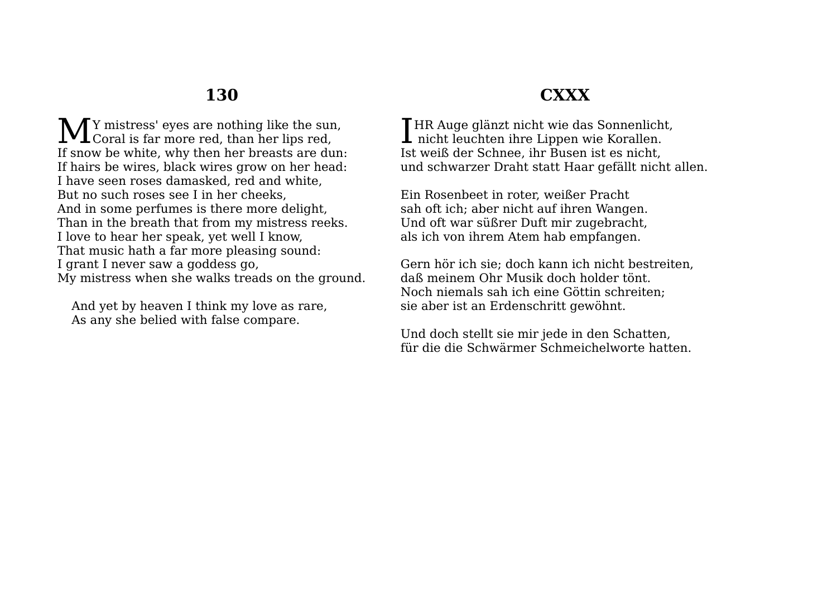Y mistress' eyes are nothing like the sun, M Y mistress' eyes are nothing like the sun<br>Coral is far more red, than her lips red, If snow be white, why then her breasts are dun: If hairs be wires, black wires grow on her head: I have seen roses damasked, red and white, But no such roses see I in her cheeks, And in some perfumes is there more delight, Than in the breath that from my mistress reeks. I love to hear her speak, yet well I know, That music hath a far more pleasing sound: I grant I never saw a goddess go, My mistress when she walks treads on the ground.

And yet by heaven I think my love as rare, As any she belied with false compare.

## **CXXX**

**T**HR Auge glänzt nicht wie das Sonnenlicht. I HR Auge glänzt nicht wie das Sonnenlich<br>nicht leuchten ihre Lippen wie Korallen. Ist weiß der Schnee, ihr Busen ist es nicht, und schwarzer Draht statt Haar gefällt nicht allen.

Ein Rosenbeet in roter, weißer Pracht sah oft ich; aber nicht auf ihren Wangen. Und oft war süßrer Duft mir zugebracht, als ich von ihrem Atem hab empfangen.

Gern hör ich sie; doch kann ich nicht bestreiten, daß meinem Ohr Musik doch holder tönt. Noch niemals sah ich eine Göttin schreiten; sie aber ist an Erdenschritt gewöhnt.

Und doch stellt sie mir jede in den Schatten, für die die Schwärmer Schmeichelworte hatten.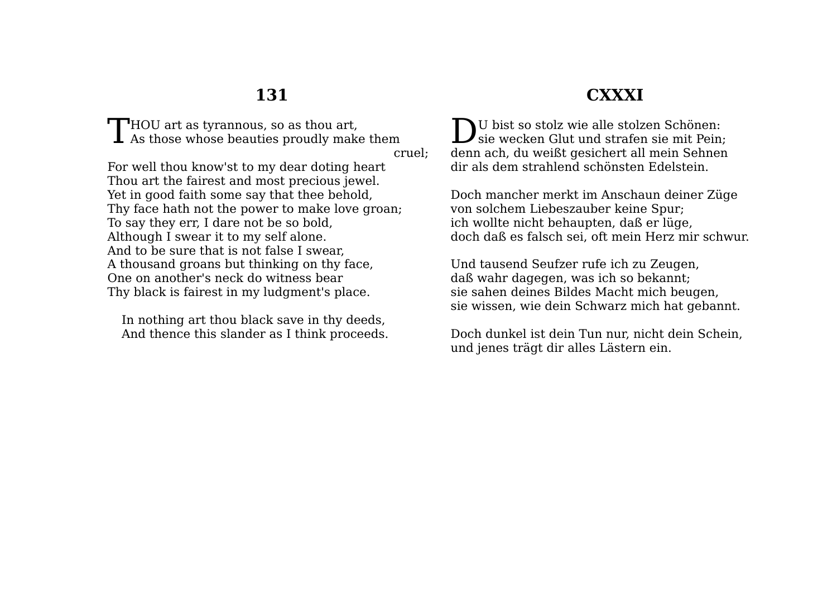$\blacksquare$  HOU art as tyrannous, so as thou art,  $\int$  HOU art as tyrannous, so as thou art,<br>As those whose beauties proudly make them

cruel;

For well thou know'st to my dear doting heart Thou art the fairest and most precious jewel. Yet in good faith some say that thee behold, Thy face hath not the power to make love groan; To say they err, I dare not be so bold, Although I swear it to my self alone. And to be sure that is not false I swear, A thousand groans but thinking on thy face, One on another's neck do witness bear Thy black is fairest in my ludgment's place.

In nothing art thou black save in thy deeds, And thence this slander as I think proceeds.

# **CXXXI**

U bist so stolz wie alle stolzen Schönen:  $\sum$ U bist so stolz wie alle stolzen Schönen:<br>sie wecken Glut und strafen sie mit Pein; denn ach, du weißt gesichert all mein Sehnen dir als dem strahlend schönsten Edelstein.

Doch mancher merkt im Anschaun deiner Züge von solchem Liebeszauber keine Spur; ich wollte nicht behaupten, daß er lüge, doch daß es falsch sei, oft mein Herz mir schwur.

Und tausend Seufzer rufe ich zu Zeugen, daß wahr dagegen, was ich so bekannt; sie sahen deines Bildes Macht mich beugen, sie wissen, wie dein Schwarz mich hat gebannt.

Doch dunkel ist dein Tun nur, nicht dein Schein, und jenes trägt dir alles Lästern ein.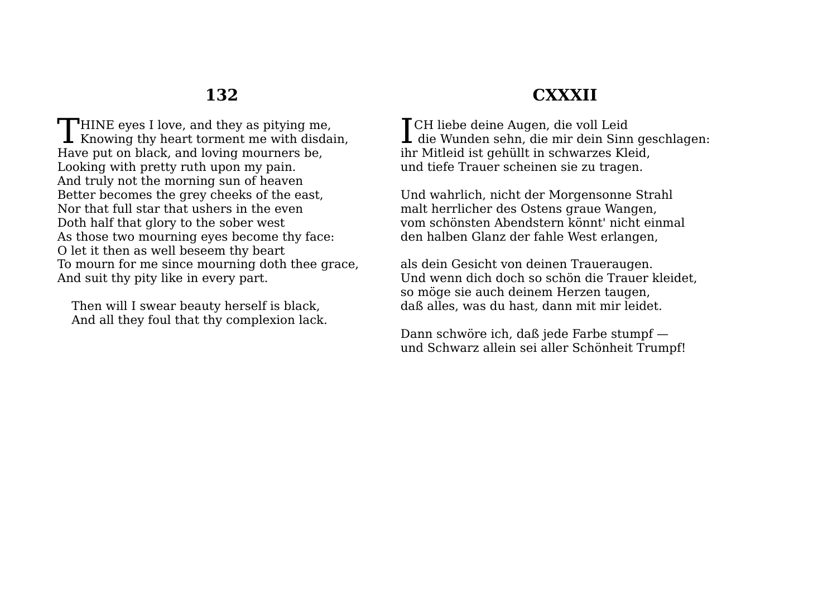**HINE** eyes I love, and they as pitying me. THINE eyes I love, and they as pitying me,<br>Knowing thy heart torment me with disdain, Have put on black, and loving mourners be, Looking with pretty ruth upon my pain. And truly not the morning sun of heaven Better becomes the grey cheeks of the east, Nor that full star that ushers in the even Doth half that glory to the sober west As those two mourning eyes become thy face: O let it then as well beseem thy beart To mourn for me since mourning doth thee grace, And suit thy pity like in every part.

Then will I swear beauty herself is black, And all they foul that thy complexion lack.

# **CXXXII**

CH liebe deine Augen, die voll Leid I CH liebe deine Augen, die voll Leid<br>die Wunden sehn, die mir dein Sinn geschlagen: ihr Mitleid ist gehüllt in schwarzes Kleid, und tiefe Trauer scheinen sie zu tragen.

Und wahrlich, nicht der Morgensonne Strahl malt herrlicher des Ostens graue Wangen, vom schönsten Abendstern könnt' nicht einmal den halben Glanz der fahle West erlangen,

als dein Gesicht von deinen Traueraugen. Und wenn dich doch so schön die Trauer kleidet, so möge sie auch deinem Herzen taugen, daß alles, was du hast, dann mit mir leidet.

Dann schwöre ich, daß jede Farbe stumpf und Schwarz allein sei aller Schönheit Trumpf!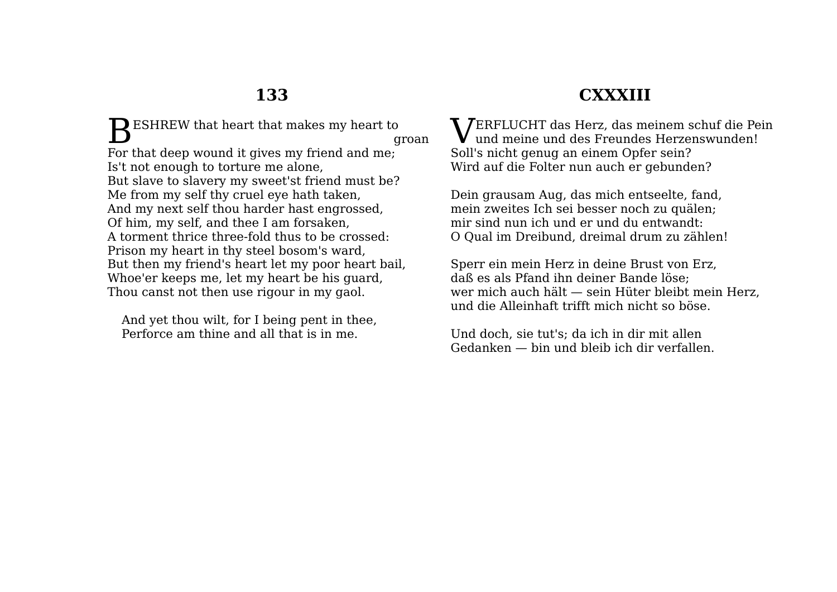$\mathbf{B}^{\text{ESHREW}}$  that heart that makes my heart to groan For that deep wound it gives my friend and me; Is't not enough to torture me alone, But slave to slavery my sweet'st friend must be? Me from my self thy cruel eye hath taken, And my next self thou harder hast engrossed, Of him, my self, and thee I am forsaken, A torment thrice three-fold thus to be crossed: Prison my heart in thy steel bosom's ward, But then my friend's heart let my poor heart bail, Whoe'er keeps me, let my heart be his guard, Thou canst not then use rigour in my gaol.

And yet thou wilt, for I being pent in thee, Perforce am thine and all that is in me.

# **CXXXIII**

**VERFLUCHT das Herz, das meinem schuf die Pein<br>und meine und des Freundes Herzenswunden!**  $\bf{V}$  und meine und des Freundes Herzenswunden! Soll's nicht genug an einem Opfer sein? Wird auf die Folter nun auch er gebunden?

Dein grausam Aug, das mich entseelte, fand, mein zweites Ich sei besser noch zu quälen; mir sind nun ich und er und du entwandt: O Qual im Dreibund, dreimal drum zu zählen!

Sperr ein mein Herz in deine Brust von Erz, daß es als Pfand ihn deiner Bande löse; wer mich auch hält — sein Hüter bleibt mein Herz, und die Alleinhaft trifft mich nicht so böse.

Und doch, sie tut's; da ich in dir mit allen Gedanken — bin und bleib ich dir verfallen.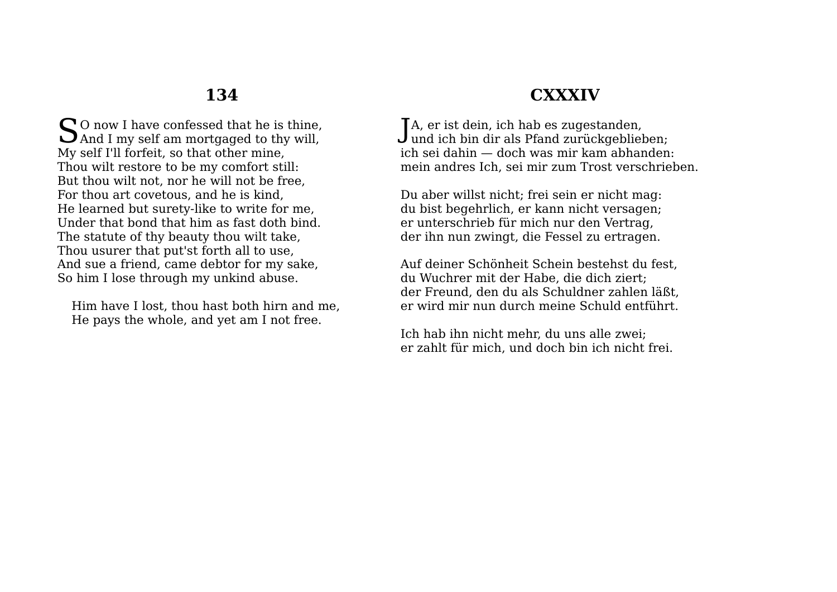$\bigcap$  0 now I have confessed that he is thine. So now I have confessed that he is thine,<br>And I my self am mortgaged to thy will, My self I'll forfeit, so that other mine, Thou wilt restore to be my comfort still: But thou wilt not, nor he will not be free, For thou art covetous, and he is kind, He learned but surety-like to write for me, Under that bond that him as fast doth bind. The statute of thy beauty thou wilt take, Thou usurer that put'st forth all to use, And sue a friend, came debtor for my sake, So him I lose through my unkind abuse.

Him have I lost, thou hast both hirn and me, He pays the whole, and yet am I not free.

## **CXXXIV**

TA, er ist dein, ich hab es zugestanden,  $J$ A, er ist dein, ich hab es zugestanden,<br> $J$ und ich bin dir als Pfand zurückgeblieben; ich sei dahin — doch was mir kam abhanden: mein andres Ich, sei mir zum Trost verschrieben.

Du aber willst nicht; frei sein er nicht mag: du bist begehrlich, er kann nicht versagen; er unterschrieb für mich nur den Vertrag, der ihn nun zwingt, die Fessel zu ertragen.

Auf deiner Schönheit Schein bestehst du fest, du Wuchrer mit der Habe, die dich ziert; der Freund, den du als Schuldner zahlen läßt, er wird mir nun durch meine Schuld entführt.

Ich hab ihn nicht mehr, du uns alle zwei; er zahlt für mich, und doch bin ich nicht frei.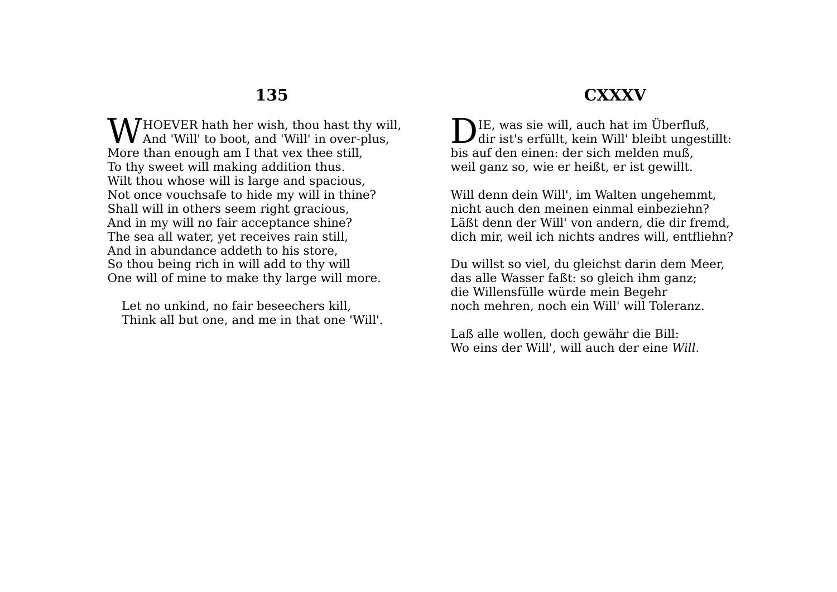## **CXXXV**

HOEVER hath her wish, thou hast thy will, **W** HOEVER hath her wish, thou hast thy will and 'Will' to boot, and 'Will' in over-plus, More than enough am I that vex thee still, To thy sweet will making addition thus. Wilt thou whose will is large and spacious, Not once vouchsafe to hide my will in thine? Shall will in others seem right gracious, And in my will no fair acceptance shine? The sea all water, yet receives rain still, And in abundance addeth to his store, So thou being rich in will add to thy will One will of mine to make thy large will more.

Let no unkind, no fair beseechers kill, Think all but one, and me in that one 'Will'.

DIE, was sie will, auch hat im Überfluß,<br>dir ist's erfüllt, kein Will' bleibt ungesti  $\boldsymbol{J}$ dir ist's erfüllt, kein Will' bleibt ungestillt: bis auf den einen: der sich melden muß, weil ganz so, wie er heißt, er ist gewillt.

Will denn dein Will', im Walten ungehemmt, nicht auch den meinen einmal einbeziehn? Läßt denn der Will' von andern, die dir fremd, dich mir, weil ich nichts andres will, entfliehn?

Du willst so viel, du gleichst darin dem Meer, das alle Wasser faßt: so gleich ihm ganz; die Willensfülle würde mein Begehr noch mehren, noch ein Will' will Toleranz.

Laß alle wollen, doch gewähr die Bill: Wo eins der Will', will auch der eine *Will*.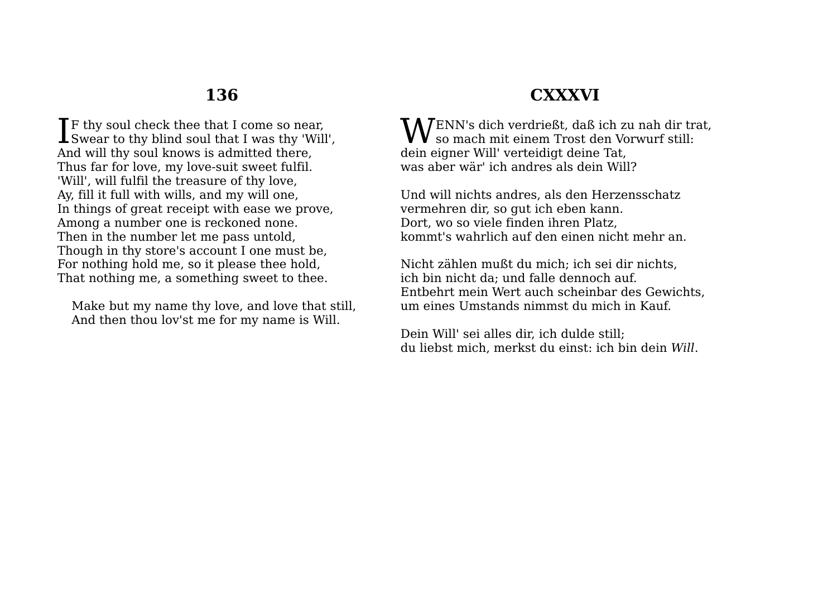**T**F thy soul check thee that I come so near. If thy soul check thee that I come so near,<br>Swear to thy blind soul that I was thy 'Will', And will thy soul knows is admitted there, Thus far for love, my love-suit sweet fulfil. 'Will', will fulfil the treasure of thy love, Ay, fill it full with wills, and my will one, In things of great receipt with ease we prove, Among a number one is reckoned none. Then in the number let me pass untold, Though in thy store's account I one must be, For nothing hold me, so it please thee hold, That nothing me, a something sweet to thee.

Make but my name thy love, and love that still, And then thou lov'st me for my name is Will.

## **CXXXVI**

 $\mathbf{W}^\text{ENN's dich verdriefkt, daß ich zu nah dir trat,}$  so mach mit einem Trost den Vorwurf still:  $\boldsymbol{V}$  so mach mit einem Trost den Vorwurf still: dein eigner Will' verteidigt deine Tat, was aber wär' ich andres als dein Will?

Und will nichts andres, als den Herzensschatz vermehren dir, so gut ich eben kann. Dort, wo so viele finden ihren Platz, kommt's wahrlich auf den einen nicht mehr an.

Nicht zählen mußt du mich; ich sei dir nichts, ich bin nicht da; und falle dennoch auf. Entbehrt mein Wert auch scheinbar des Gewichts, um eines Umstands nimmst du mich in Kauf.

Dein Will' sei alles dir, ich dulde still; du liebst mich, merkst du einst: ich bin dein *Will*.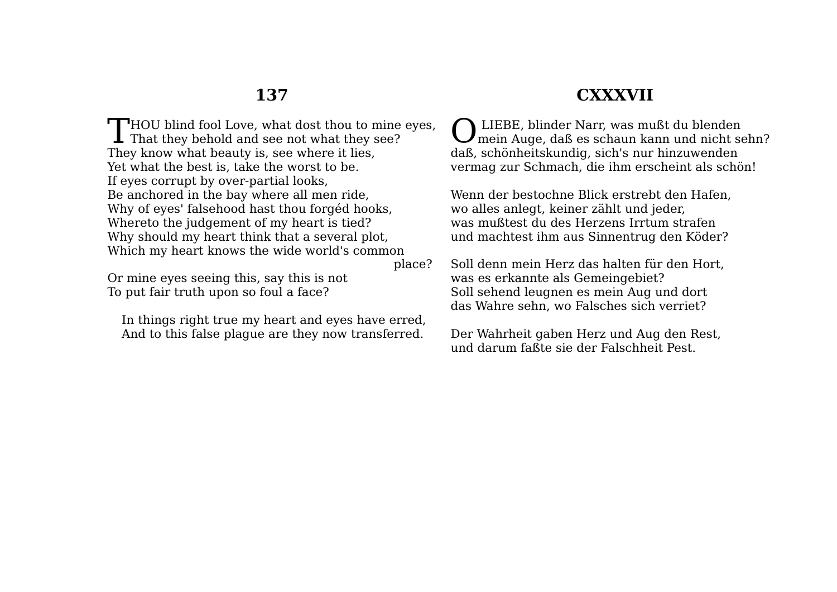## **CXXXVII**

 $\Box$  HOU blind fool Love, what dost thou to mine eyes, Thou blind fool Love, what dost thou to mine<br>That they behold and see not what they see? They know what beauty is, see where it lies, Yet what the best is, take the worst to be. If eyes corrupt by over-partial looks, Be anchored in the bay where all men ride, Why of eyes' falsehood hast thou forgéd hooks, Whereto the judgement of my heart is tied? Why should my heart think that a several plot, Which my heart knows the wide world's common place?

Or mine eyes seeing this, say this is not To put fair truth upon so foul a face?

In things right true my heart and eyes have erred, And to this false plague are they now transferred.

 LIEBE, blinder Narr, was mußt du blenden mein Auge, daß es schaun kann und nicht sehn? daß, schönheitskundig, sich's nur hinzuwenden vermag zur Schmach, die ihm erscheint als schön! O

Wenn der bestochne Blick erstrebt den Hafen, wo alles anlegt, keiner zählt und jeder, was mußtest du des Herzens Irrtum strafen und machtest ihm aus Sinnentrug den Köder?

Soll denn mein Herz das halten für den Hort, was es erkannte als Gemeingebiet? Soll sehend leugnen es mein Aug und dort das Wahre sehn, wo Falsches sich verriet?

Der Wahrheit gaben Herz und Aug den Rest, und darum faßte sie der Falschheit Pest.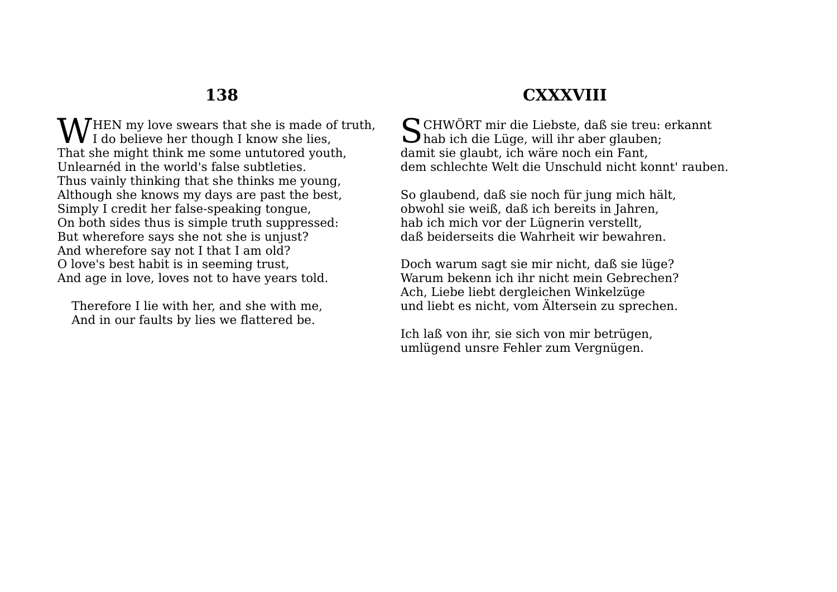HEN my love swears that she is made of truth,  $\mathbf{W}^\mathrm{HEN}$  my love swears that she is made of That she might think me some untutored youth, Unlearnéd in the world's false subtleties. Thus vainly thinking that she thinks me young, Although she knows my days are past the best, Simply I credit her false-speaking tongue, On both sides thus is simple truth suppressed: But wherefore says she not she is unjust? And wherefore say not I that I am old? O love's best habit is in seeming trust, And age in love, loves not to have years told.

Therefore I lie with her, and she with me, And in our faults by lies we flattered be.

# **CXXXVIII**

CHWÖRT mir die Liebste, daß sie treu: erkannt S hab ich die Lüge, will ihr aber glauben; damit sie glaubt, ich wäre noch ein Fant, dem schlechte Welt die Unschuld nicht konnt' rauben.

So glaubend, daß sie noch für jung mich hält, obwohl sie weiß, daß ich bereits in Jahren, hab ich mich vor der Lügnerin verstellt, daß beiderseits die Wahrheit wir bewahren.

Doch warum sagt sie mir nicht, daß sie lüge? Warum bekenn ich ihr nicht mein Gebrechen? Ach, Liebe liebt dergleichen Winkelzüge und liebt es nicht, vom Ältersein zu sprechen.

Ich laß von ihr, sie sich von mir betrügen, umlügend unsre Fehler zum Vergnügen.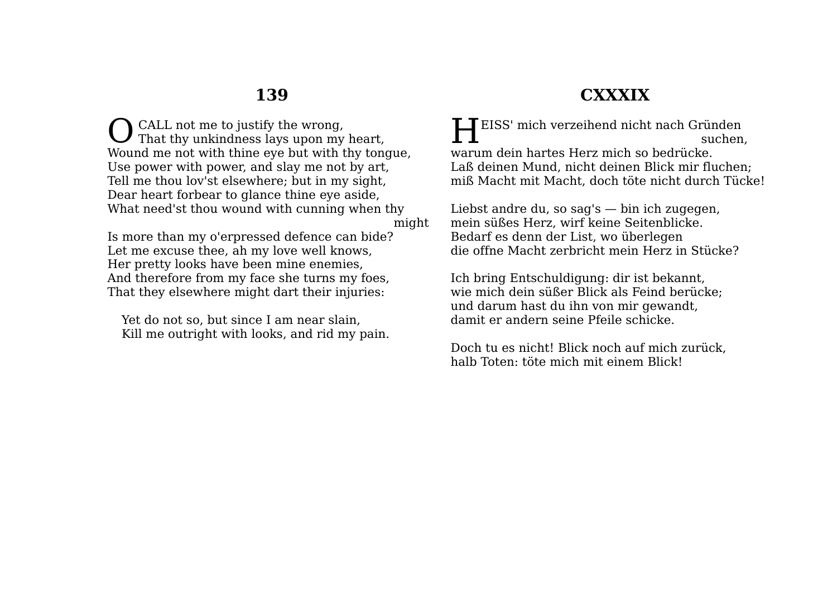CALL not me to justify the wrong. That thy unkindness lays upon my heart, Wound me not with thine eye but with thy tongue, Use power with power, and slay me not by art, Tell me thou lov'st elsewhere; but in my sight, Dear heart forbear to glance thine eye aside, What need'st thou wound with cunning when thy O

might

Is more than my o'erpressed defence can bide? Let me excuse thee, ah my love well knows, Her pretty looks have been mine enemies, And therefore from my face she turns my foes, That they elsewhere might dart their injuries:

Yet do not so, but since I am near slain, Kill me outright with looks, and rid my pain.

# **CXXXIX**

EISS' mich verzeihend nicht nach Gründen suchen, warum dein hartes Herz mich so bedrücke. Laß deinen Mund, nicht deinen Blick mir fluchen; miß Macht mit Macht, doch töte nicht durch Tücke! H

Liebst andre du, so sag's  $-$  bin ich zugegen, mein süßes Herz, wirf keine Seitenblicke. Bedarf es denn der List, wo überlegen die offne Macht zerbricht mein Herz in Stücke?

Ich bring Entschuldigung: dir ist bekannt, wie mich dein süßer Blick als Feind berücke; und darum hast du ihn von mir gewandt, damit er andern seine Pfeile schicke.

Doch tu es nicht! Blick noch auf mich zurück, halb Toten: töte mich mit einem Blick!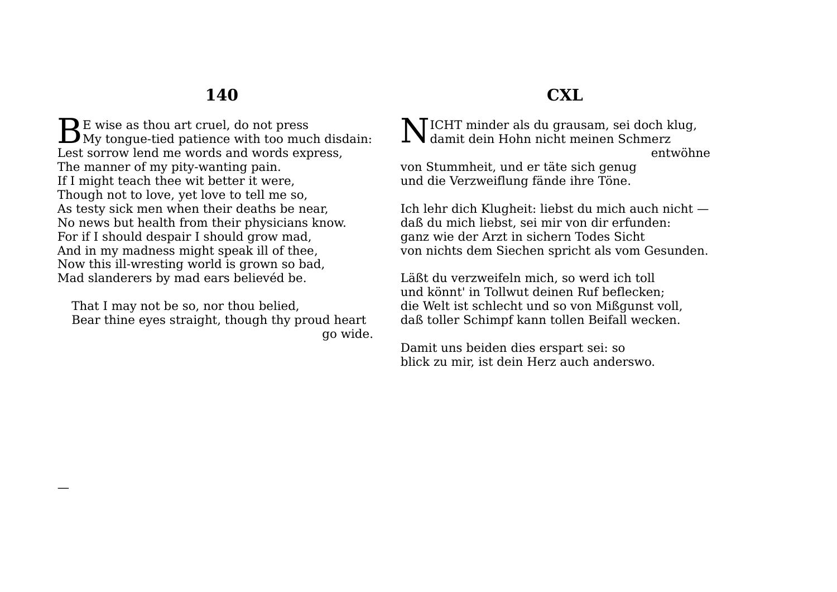$\mathbf{D}$  E wise as thou art cruel, do not press  $B_{\text{My}}$  tongue-tied patience with too much disdain: Lest sorrow lend me words and words express, The manner of my pity-wanting pain. If I might teach thee wit better it were, Though not to love, yet love to tell me so, As testy sick men when their deaths be near, No news but health from their physicians know. For if I should despair I should grow mad, And in my madness might speak ill of thee, Now this ill-wresting world is grown so bad, Mad slanderers by mad ears believéd be.

That I may not be so, nor thou belied, Bear thine eyes straight, though thy proud heart go wide.

## **CXL**

ICHT minder als du grausam, sei doch klug,  $\prod^{\text{ICHT}}_{\text{damit}}$  dein Hohn nicht meinen Schmerz entwöhne

von Stummheit, und er täte sich genug und die Verzweiflung fände ihre Töne.

Ich lehr dich Klugheit: liebst du mich auch nicht daß du mich liebst, sei mir von dir erfunden: ganz wie der Arzt in sichern Todes Sicht von nichts dem Siechen spricht als vom Gesunden.

Läßt du verzweifeln mich, so werd ich toll und könnt' in Tollwut deinen Ruf beflecken; die Welt ist schlecht und so von Mißgunst voll, daß toller Schimpf kann tollen Beifall wecken.

Damit uns beiden dies erspart sei: so blick zu mir, ist dein Herz auch anderswo.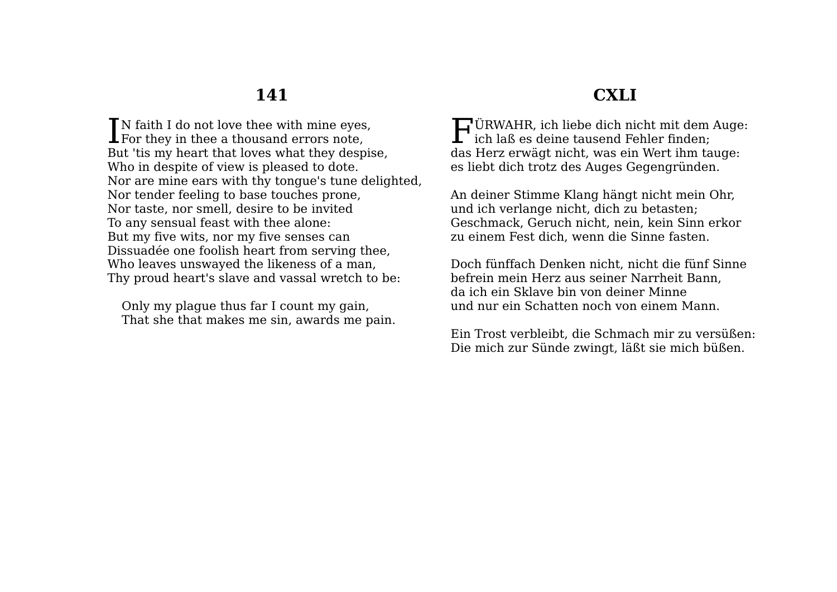$\blacksquare$  N faith I do not love thee with mine eves. IN faith I do not love thee with mine eyes<br>For they in thee a thousand errors note, But 'tis my heart that loves what they despise, Who in despite of view is pleased to dote. Nor are mine ears with thy tongue's tune delighted, Nor tender feeling to base touches prone, Nor taste, nor smell, desire to be invited To any sensual feast with thee alone: But my five wits, nor my five senses can Dissuadée one foolish heart from serving thee, Who leaves unswayed the likeness of a man, Thy proud heart's slave and vassal wretch to be:

Only my plague thus far I count my gain, That she that makes me sin, awards me pain.

## **CXLI**

ÜRWAHR, ich liebe dich nicht mit dem Auge: F  $\mathbf{L}$  ich laß es deine tausend Fehler finden: das Herz erwägt nicht, was ein Wert ihm tauge: es liebt dich trotz des Auges Gegengründen.

An deiner Stimme Klang hängt nicht mein Ohr, und ich verlange nicht, dich zu betasten; Geschmack, Geruch nicht, nein, kein Sinn erkor zu einem Fest dich, wenn die Sinne fasten.

Doch fünffach Denken nicht, nicht die fünf Sinne befrein mein Herz aus seiner Narrheit Bann, da ich ein Sklave bin von deiner Minne und nur ein Schatten noch von einem Mann.

Ein Trost verbleibt, die Schmach mir zu versüßen: Die mich zur Sünde zwingt, läßt sie mich büßen.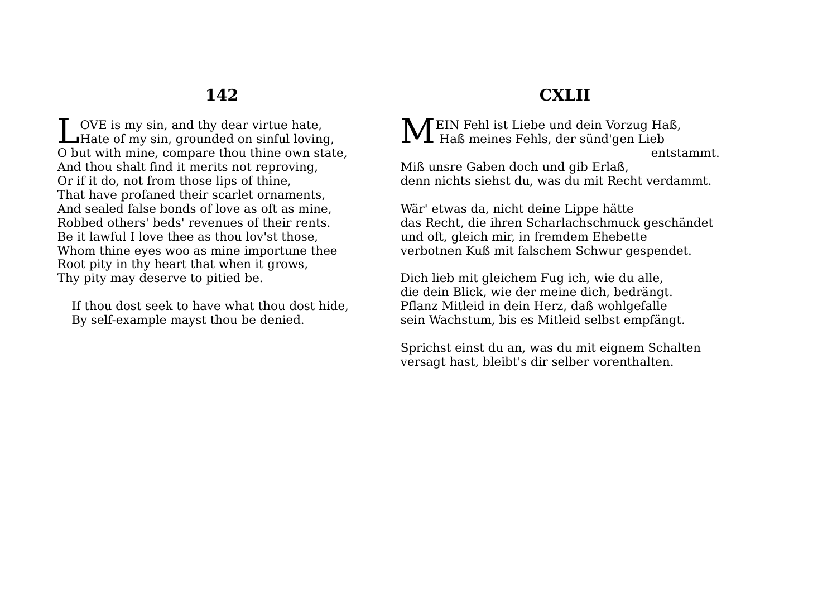OVE is my sin, and thy dear virtue hate, LOVE is my sin, and thy dear virtue hate,<br>Hate of my sin, grounded on sinful loving, O but with mine, compare thou thine own state, And thou shalt find it merits not reproving, Or if it do, not from those lips of thine, That have profaned their scarlet ornaments, And sealed false bonds of love as oft as mine, Robbed others' beds' revenues of their rents. Be it lawful I love thee as thou lov'st those, Whom thine eyes woo as mine importune thee Root pity in thy heart that when it grows, Thy pity may deserve to pitied be.

If thou dost seek to have what thou dost hide, By self-example mayst thou be denied.

# **CXLII**

EIN Fehl ist Liebe und dein Vorzug Haß,  $\mathbf{M}$  EIN Fehl ist Liebe und dein Vorzug Ha<br>Haß meines Fehls, der sünd'gen Lieb entstammt.

Miß unsre Gaben doch und gib Erlaß, denn nichts siehst du, was du mit Recht verdammt.

Wär' etwas da, nicht deine Lippe hätte das Recht, die ihren Scharlachschmuck geschändet und oft, gleich mir, in fremdem Ehebette verbotnen Kuß mit falschem Schwur gespendet.

Dich lieb mit gleichem Fug ich, wie du alle, die dein Blick, wie der meine dich, bedrängt. Pflanz Mitleid in dein Herz, daß wohlgefalle sein Wachstum, bis es Mitleid selbst empfängt.

Sprichst einst du an, was du mit eignem Schalten versagt hast, bleibt's dir selber vorenthalten.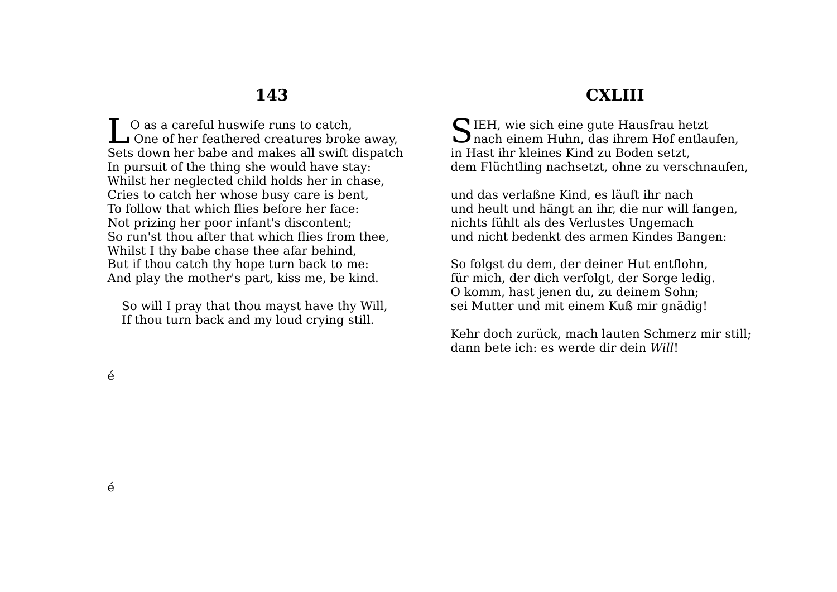O as a careful huswife runs to catch, **L** O as a careful huswife runs to catch,<br>
One of her feathered creatures broke away, Sets down her babe and makes all swift dispatch In pursuit of the thing she would have stay: Whilst her neglected child holds her in chase, Cries to catch her whose busy care is bent, To follow that which flies before her face: Not prizing her poor infant's discontent; So run'st thou after that which flies from thee, Whilst I thy babe chase thee afar behind, But if thou catch thy hope turn back to me: And play the mother's part, kiss me, be kind.

So will I pray that thou mayst have thy Will, If thou turn back and my loud crying still.

## **CXLIII**

 $\bigcap$  IEH, wie sich eine gute Hausfrau hetzt SIEH, wie sich eine gute Hausfrau hetzt<br>nach einem Huhn, das ihrem Hof entlaufen, in Hast ihr kleines Kind zu Boden setzt, dem Flüchtling nachsetzt, ohne zu verschnaufen,

und das verlaßne Kind, es läuft ihr nach und heult und hängt an ihr, die nur will fangen, nichts fühlt als des Verlustes Ungemach und nicht bedenkt des armen Kindes Bangen:

So folgst du dem, der deiner Hut entflohn, für mich, der dich verfolgt, der Sorge ledig. O komm, hast jenen du, zu deinem Sohn; sei Mutter und mit einem Kuß mir gnädig!

Kehr doch zurück, mach lauten Schmerz mir still; dann bete ich: es werde dir dein *Will*!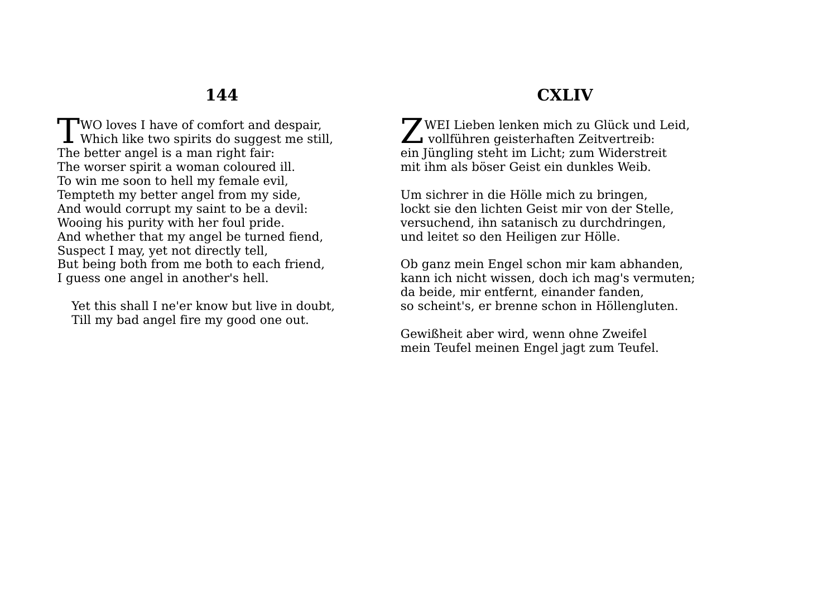$\Box$ WO loves I have of comfort and despair, **T**WO loves I have of comfort and despair,<br>Which like two spirits do suggest me still, The better angel is a man right fair: The worser spirit a woman coloured ill. To win me soon to hell my female evil, Tempteth my better angel from my side, And would corrupt my saint to be a devil: Wooing his purity with her foul pride. And whether that my angel be turned fiend, Suspect I may, yet not directly tell, But being both from me both to each friend, I guess one angel in another's hell.

Yet this shall I ne'er know but live in doubt, Till my bad angel fire my good one out.

## **CXLIV**

WEI Lieben lenken mich zu Glück und Leid. WEI Lieben lenken mich zu Glück und<br>
vollführen geisterhaften Zeitvertreib: ein Jüngling steht im Licht; zum Widerstreit mit ihm als böser Geist ein dunkles Weib.

Um sichrer in die Hölle mich zu bringen, lockt sie den lichten Geist mir von der Stelle, versuchend, ihn satanisch zu durchdringen, und leitet so den Heiligen zur Hölle.

Ob ganz mein Engel schon mir kam abhanden, kann ich nicht wissen, doch ich mag's vermuten; da beide, mir entfernt, einander fanden, so scheint's, er brenne schon in Höllengluten.

Gewißheit aber wird, wenn ohne Zweifel mein Teufel meinen Engel jagt zum Teufel.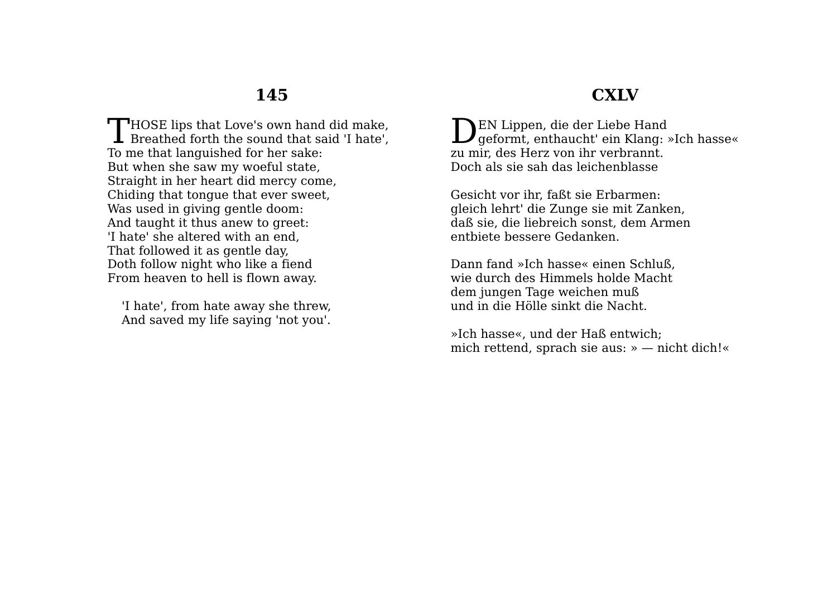**CXLV**

THOSE lips that Love's own hand did make,<br>Breathed forth the sound that said 'I hate', **L** Breathed forth the sound that said 'I hate', To me that languished for her sake: But when she saw my woeful state, Straight in her heart did mercy come, Chiding that tongue that ever sweet, Was used in giving gentle doom: And taught it thus anew to greet: 'I hate' she altered with an end, That followed it as gentle day, Doth follow night who like a fiend From heaven to hell is flown away.

'I hate', from hate away she threw, And saved my life saying 'not you'.

EN Lippen, die der Liebe Hand  $\sum_{g \in \text{format, enthaucht'}}$  ein Klang: »Ich hasse« zu mir, des Herz von ihr verbrannt. Doch als sie sah das leichenblasse

Gesicht vor ihr, faßt sie Erbarmen: gleich lehrt' die Zunge sie mit Zanken, daß sie, die liebreich sonst, dem Armen entbiete bessere Gedanken.

Dann fand »Ich hasse« einen Schluß, wie durch des Himmels holde Macht dem jungen Tage weichen muß und in die Hölle sinkt die Nacht.

»Ich hasse«, und der Haß entwich; mich rettend, sprach sie aus: » — nicht dich!«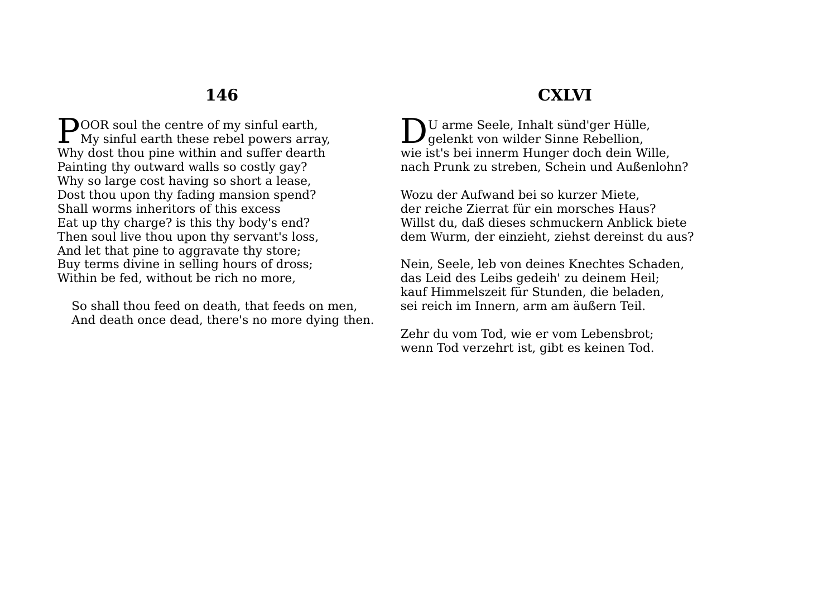**DOOR** soul the centre of my sinful earth. **POOR** soul the centre of my sinful earth,<br>My sinful earth these rebel powers array, Why dost thou pine within and suffer dearth Painting thy outward walls so costly gay? Why so large cost having so short a lease, Dost thou upon thy fading mansion spend? Shall worms inheritors of this excess Eat up thy charge? is this thy body's end? Then soul live thou upon thy servant's loss, And let that pine to aggravate thy store; Buy terms divine in selling hours of dross; Within be fed, without be rich no more,

So shall thou feed on death, that feeds on men, And death once dead, there's no more dying then.

### **CXLVI**

U arme Seele, Inhalt sünd'ger Hülle, DU arme Seele, Inhalt sünd'ger Hülle<br>gelenkt von wilder Sinne Rebellion, wie ist's bei innerm Hunger doch dein Wille, nach Prunk zu streben, Schein und Außenlohn?

Wozu der Aufwand bei so kurzer Miete, der reiche Zierrat für ein morsches Haus? Willst du, daß dieses schmuckern Anblick biete dem Wurm, der einzieht, ziehst dereinst du aus?

Nein, Seele, leb von deines Knechtes Schaden, das Leid des Leibs gedeih' zu deinem Heil; kauf Himmelszeit für Stunden, die beladen, sei reich im Innern, arm am äußern Teil.

Zehr du vom Tod, wie er vom Lebensbrot; wenn Tod verzehrt ist, gibt es keinen Tod.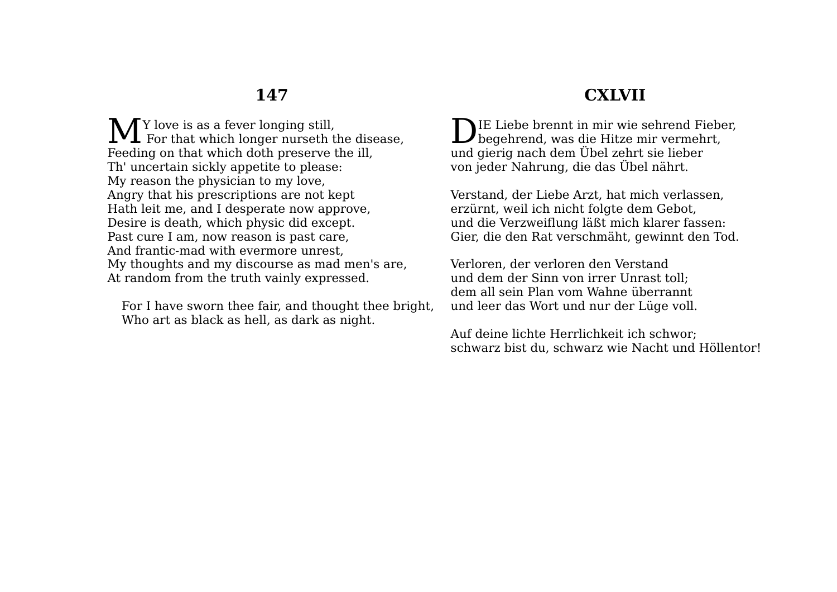$\bigwedge$   $\bigwedge$  Y love is as a fever longing still, M<sub>Y</sub> love is as a fever longing still,<br>For that which longer nurseth the disease, Feeding on that which doth preserve the ill, Th' uncertain sickly appetite to please: My reason the physician to my love, Angry that his prescriptions are not kept Hath leit me, and I desperate now approve, Desire is death, which physic did except. Past cure I am, now reason is past care, And frantic-mad with evermore unrest, My thoughts and my discourse as mad men's are, At random from the truth vainly expressed.

For I have sworn thee fair, and thought thee bright, Who art as black as hell, as dark as night.

# **CXLVII**

IE Liebe brennt in mir wie sehrend Fieber, DIE Liebe brennt in mir wie sehrend Fieber<br>begehrend, was die Hitze mir vermehrt, und gierig nach dem Übel zehrt sie lieber von jeder Nahrung, die das Übel nährt.

Verstand, der Liebe Arzt, hat mich verlassen, erzürnt, weil ich nicht folgte dem Gebot, und die Verzweiflung läßt mich klarer fassen: Gier, die den Rat verschmäht, gewinnt den Tod.

Verloren, der verloren den Verstand und dem der Sinn von irrer Unrast toll; dem all sein Plan vom Wahne überrannt und leer das Wort und nur der Lüge voll.

Auf deine lichte Herrlichkeit ich schwor; schwarz bist du, schwarz wie Nacht und Höllentor!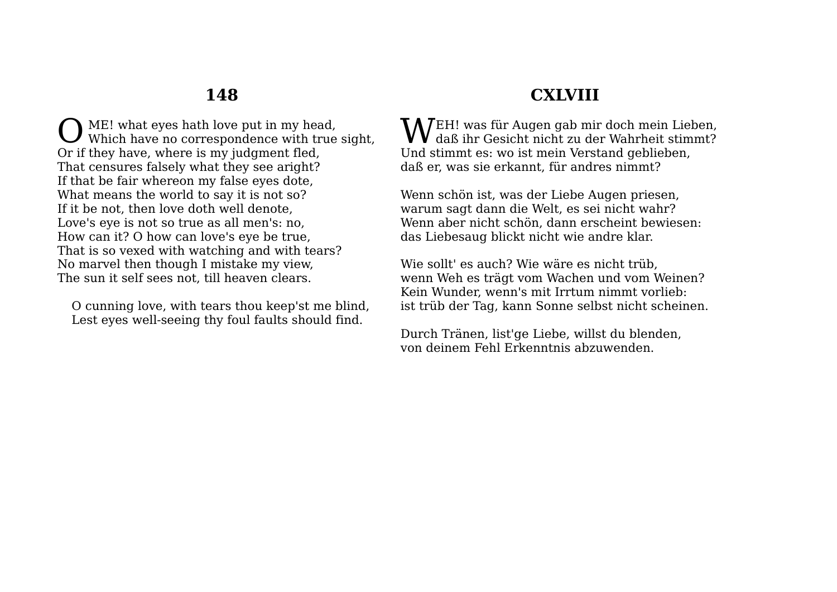ME! what eyes hath love put in my head, Which have no correspondence with true sight, Or if they have, where is my judgment fled, That censures falsely what they see aright? If that be fair whereon my false eyes dote, What means the world to say it is not so? If it be not, then love doth well denote, Love's eye is not so true as all men's: no, How can it? O how can love's eye be true, That is so vexed with watching and with tears? No marvel then though I mistake my view, The sun it self sees not, till heaven clears. O

O cunning love, with tears thou keep'st me blind, Lest eyes well-seeing thy foul faults should find.

# **CXLVIII**

 $\mathbf{W}^{\text{EH!}}$  was für Augen gab mir doch mein Lieben,<br>In daß ihr Gesicht nicht zu der Wahrheit stimmt?  $\bf{V}$  daß ihr Gesicht nicht zu der Wahrheit stimmt? Und stimmt es: wo ist mein Verstand geblieben, daß er, was sie erkannt, für andres nimmt?

Wenn schön ist, was der Liebe Augen priesen, warum sagt dann die Welt, es sei nicht wahr? Wenn aber nicht schön, dann erscheint bewiesen: das Liebesaug blickt nicht wie andre klar.

Wie sollt' es auch? Wie wäre es nicht trüb, wenn Weh es trägt vom Wachen und vom Weinen? Kein Wunder, wenn's mit Irrtum nimmt vorlieb: ist trüb der Tag, kann Sonne selbst nicht scheinen.

Durch Tränen, list'ge Liebe, willst du blenden, von deinem Fehl Erkenntnis abzuwenden.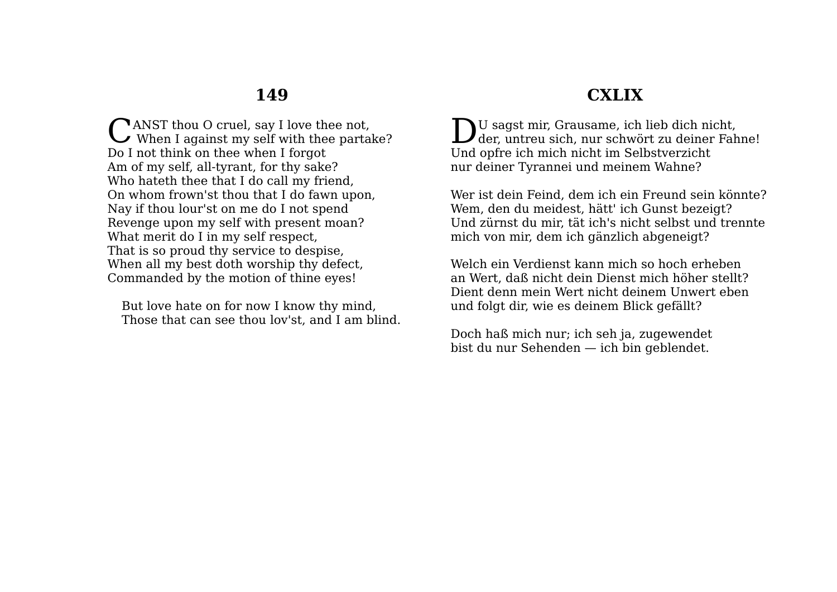ANST thou O cruel, say I love thee not. CANST thou O cruel, say I love thee not,<br>When I against my self with thee partake? Do I not think on thee when I forgot Am of my self, all-tyrant, for thy sake? Who hateth thee that I do call my friend, On whom frown'st thou that I do fawn upon, Nay if thou lour'st on me do I not spend Revenge upon my self with present moan? What merit do I in my self respect, That is so proud thy service to despise, When all my best doth worship thy defect, Commanded by the motion of thine eyes!

But love hate on for now I know thy mind, Those that can see thou lov'st, and I am blind.

# **CXLIX**

U sagst mir, Grausame, ich lieb dich nicht, DU sagst mir, Grausame, ich lieb dich nicht,<br>der, untreu sich, nur schwört zu deiner Fahne! Und opfre ich mich nicht im Selbstverzicht nur deiner Tyrannei und meinem Wahne?

Wer ist dein Feind, dem ich ein Freund sein könnte? Wem, den du meidest, hätt' ich Gunst bezeigt? Und zürnst du mir, tät ich's nicht selbst und trennte mich von mir, dem ich gänzlich abgeneigt?

Welch ein Verdienst kann mich so hoch erheben an Wert, daß nicht dein Dienst mich höher stellt? Dient denn mein Wert nicht deinem Unwert eben und folgt dir, wie es deinem Blick gefällt?

Doch haß mich nur; ich seh ja, zugewendet bist du nur Sehenden — ich bin geblendet.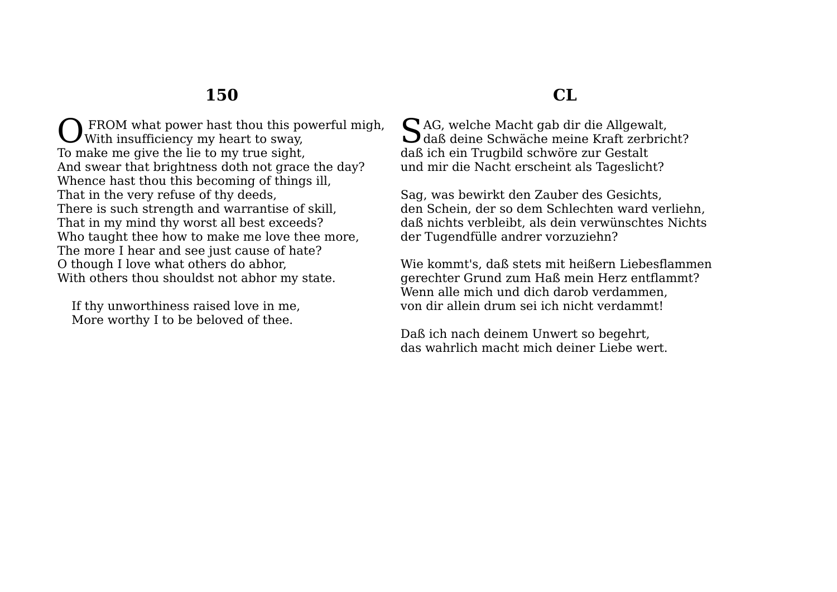FROM what power hast thou this powerful migh, With insufficiency my heart to sway, To make me give the lie to my true sight, And swear that brightness doth not grace the day? Whence hast thou this becoming of things ill, That in the very refuse of thy deeds, There is such strength and warrantise of skill, That in my mind thy worst all best exceeds? Who taught thee how to make me love thee more, The more I hear and see just cause of hate? O though I love what others do abhor, With others thou shouldst not abhor my state. O

If thy unworthiness raised love in me, More worthy I to be beloved of thee.

## **CL**

 $S$ AG, welche Macht gab dir die Allgewalt,<br>daß deine Schwäche meine Kraft zerbric daß deine Schwäche meine Kraft zerbricht? daß ich ein Trugbild schwöre zur Gestalt und mir die Nacht erscheint als Tageslicht?

Sag, was bewirkt den Zauber des Gesichts, den Schein, der so dem Schlechten ward verliehn, daß nichts verbleibt, als dein verwünschtes Nichts der Tugendfülle andrer vorzuziehn?

Wie kommt's, daß stets mit heißern Liebesflammen gerechter Grund zum Haß mein Herz entflammt? Wenn alle mich und dich darob verdammen, von dir allein drum sei ich nicht verdammt!

Daß ich nach deinem Unwert so begehrt, das wahrlich macht mich deiner Liebe wert.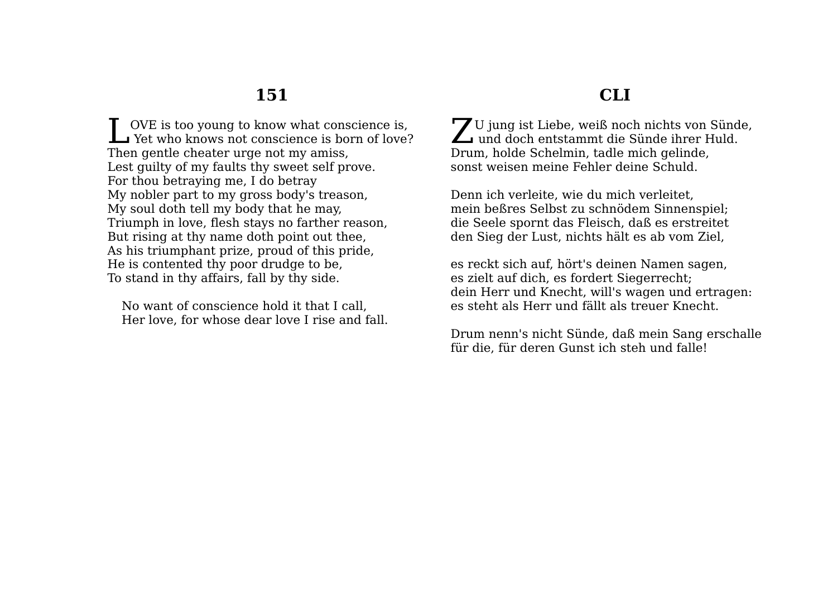OVE is too young to know what conscience is, UVE is too young to know what conscience is,<br>Yet who knows not conscience is born of love? Then gentle cheater urge not my amiss, Lest guilty of my faults thy sweet self prove. For thou betraying me, I do betray My nobler part to my gross body's treason, My soul doth tell my body that he may, Triumph in love, flesh stays no farther reason, But rising at thy name doth point out thee, As his triumphant prize, proud of this pride, He is contented thy poor drudge to be, To stand in thy affairs, fall by thy side.

No want of conscience hold it that I call, Her love, for whose dear love I rise and fall.

#### U jung ist Liebe, weiß noch nichts von Sünde, Z U jung ist Liebe, weiß noch nichts von Sünch und doch entstammt die Sünde ihrer Huld. Drum, holde Schelmin, tadle mich gelinde, sonst weisen meine Fehler deine Schuld.

Denn ich verleite, wie du mich verleitet, mein beßres Selbst zu schnödem Sinnenspiel; die Seele spornt das Fleisch, daß es erstreitet den Sieg der Lust, nichts hält es ab vom Ziel,

es reckt sich auf, hört's deinen Namen sagen, es zielt auf dich, es fordert Siegerrecht; dein Herr und Knecht, will's wagen und ertragen: es steht als Herr und fällt als treuer Knecht.

Drum nenn's nicht Sünde, daß mein Sang erschalle für die, für deren Gunst ich steh und falle!

# **CLI**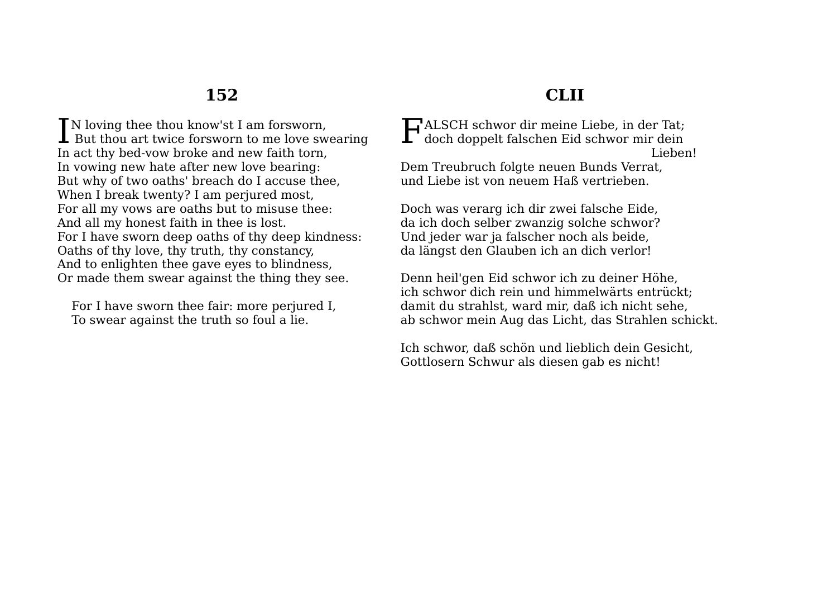**T**N loving thee thou know'st I am forsworn. IN loving thee thou know'st I am forsworn,<br>But thou art twice forsworn to me love swearing In act thy bed-vow broke and new faith torn, In vowing new hate after new love bearing: But why of two oaths' breach do I accuse thee, When I break twenty? I am perjured most, For all my vows are oaths but to misuse thee: And all my honest faith in thee is lost. For I have sworn deep oaths of thy deep kindness: Oaths of thy love, thy truth, thy constancy, And to enlighten thee gave eyes to blindness, Or made them swear against the thing they see.

For I have sworn thee fair: more perjured I, To swear against the truth so foul a lie.

# **CLII**

ALSCH schwor dir meine Liebe, in der Tat; HALSCH schwor dir meine Liebe, in der Tat;<br>doch doppelt falschen Eid schwor mir dein Lieben! Dem Treubruch folgte neuen Bunds Verrat,

und Liebe ist von neuem Haß vertrieben.

Doch was verarg ich dir zwei falsche Eide, da ich doch selber zwanzig solche schwor? Und jeder war ja falscher noch als beide, da längst den Glauben ich an dich verlor!

Denn heil'gen Eid schwor ich zu deiner Höhe, ich schwor dich rein und himmelwärts entrückt; damit du strahlst, ward mir, daß ich nicht sehe, ab schwor mein Aug das Licht, das Strahlen schickt.

Ich schwor, daß schön und lieblich dein Gesicht, Gottlosern Schwur als diesen gab es nicht!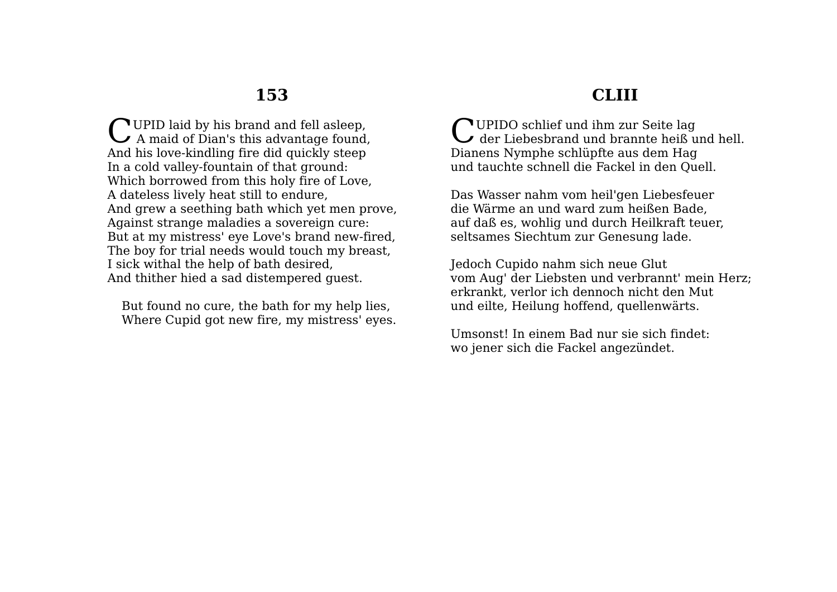UPID laid by his brand and fell asleep. CUPID laid by his brand and fell asleep,<br>A maid of Dian's this advantage found, And his love-kindling fire did quickly steep In a cold valley-fountain of that ground: Which borrowed from this holy fire of Love, A dateless lively heat still to endure, And grew a seething bath which yet men prove, Against strange maladies a sovereign cure: But at my mistress' eye Love's brand new-fired, The boy for trial needs would touch my breast, I sick withal the help of bath desired, And thither hied a sad distempered guest.

But found no cure, the bath for my help lies, Where Cupid got new fire, my mistress' eyes.

## **CLIII**

UPIDO schlief und ihm zur Seite lag CUPIDO schlief und ihm zur Seite lag<br>der Liebesbrand und brannte heiß und hell. Dianens Nymphe schlüpfte aus dem Hag und tauchte schnell die Fackel in den Quell.

Das Wasser nahm vom heil'gen Liebesfeuer die Wärme an und ward zum heißen Bade, auf daß es, wohlig und durch Heilkraft teuer, seltsames Siechtum zur Genesung lade.

Jedoch Cupido nahm sich neue Glut vom Aug' der Liebsten und verbrannt' mein Herz; erkrankt, verlor ich dennoch nicht den Mut und eilte, Heilung hoffend, quellenwärts.

Umsonst! In einem Bad nur sie sich findet: wo jener sich die Fackel angezündet.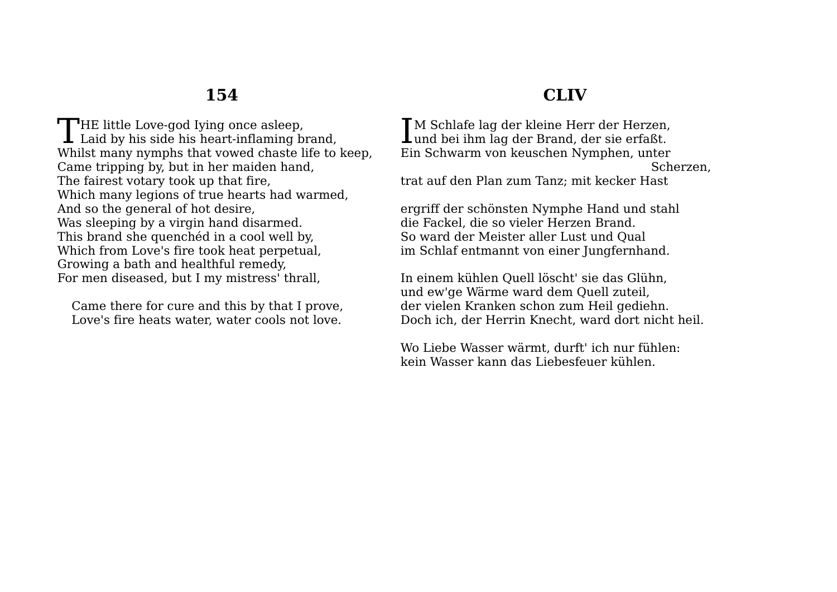THE little Love-god Iying once asleep,<br>Laid by his side his heart-inflaming b **L** Laid by his side his heart-inflaming brand, Whilst many nymphs that vowed chaste life to keep, Came tripping by, but in her maiden hand, The fairest votary took up that fire, Which many legions of true hearts had warmed, And so the general of hot desire, Was sleeping by a virgin hand disarmed. This brand she quenchéd in a cool well by, Which from Love's fire took heat perpetual, Growing a bath and healthful remedy, For men diseased, but I my mistress' thrall,

Came there for cure and this by that I prove, Love's fire heats water, water cools not love.

### **CLIV**

M Schlafe lag der kleine Herr der Herzen, IM Schlafe lag der kleine Herr der Herzen,<br>Lund bei ihm lag der Brand, der sie erfaßt. Ein Schwarm von keuschen Nymphen, unter Scherzen, trat auf den Plan zum Tanz; mit kecker Hast

ergriff der schönsten Nymphe Hand und stahl die Fackel, die so vieler Herzen Brand. So ward der Meister aller Lust und Qual im Schlaf entmannt von einer Jungfernhand.

In einem kühlen Quell löscht' sie das Glühn, und ew'ge Wärme ward dem Quell zuteil, der vielen Kranken schon zum Heil gediehn. Doch ich, der Herrin Knecht, ward dort nicht heil.

Wo Liebe Wasser wärmt, durft' ich nur fühlen: kein Wasser kann das Liebesfeuer kühlen.